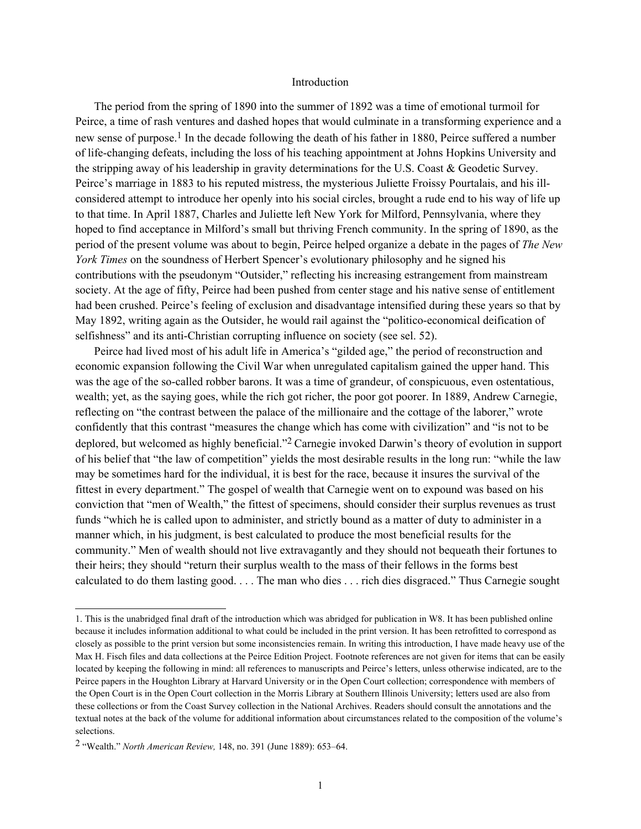## Introduction

 The period from the spring of 1890 into the summer of 1892 was a time of emotional turmoil for Peirce, a time of rash ventures and dashed hopes that would culminate in a transforming experience and a new sense of purpose.1 In the decade following the death of his father in 1880, Peirce suffered a number of life-changing defeats, including the loss of his teaching appointment at Johns Hopkins University and the stripping away of his leadership in gravity determinations for the U.S. Coast  $\&$  Geodetic Survey. Peirce's marriage in 1883 to his reputed mistress, the mysterious Juliette Froissy Pourtalais, and his illconsidered attempt to introduce her openly into his social circles, brought a rude end to his way of life up to that time. In April 1887, Charles and Juliette left New York for Milford, Pennsylvania, where they hoped to find acceptance in Milford's small but thriving French community. In the spring of 1890, as the period of the present volume was about to begin, Peirce helped organize a debate in the pages of *The New York Times* on the soundness of Herbert Spencer's evolutionary philosophy and he signed his contributions with the pseudonym "Outsider," reflecting his increasing estrangement from mainstream society. At the age of fifty, Peirce had been pushed from center stage and his native sense of entitlement had been crushed. Peirce's feeling of exclusion and disadvantage intensified during these years so that by May 1892, writing again as the Outsider, he would rail against the "politico-economical deification of selfishness" and its anti-Christian corrupting influence on society (see sel. 52).

 Peirce had lived most of his adult life in America's "gilded age," the period of reconstruction and economic expansion following the Civil War when unregulated capitalism gained the upper hand. This was the age of the so-called robber barons. It was a time of grandeur, of conspicuous, even ostentatious, wealth; yet, as the saying goes, while the rich got richer, the poor got poorer. In 1889, Andrew Carnegie, reflecting on "the contrast between the palace of the millionaire and the cottage of the laborer," wrote confidently that this contrast "measures the change which has come with civilization" and "is not to be deplored, but welcomed as highly beneficial."2 Carnegie invoked Darwin's theory of evolution in support of his belief that "the law of competition" yields the most desirable results in the long run: "while the law may be sometimes hard for the individual, it is best for the race, because it insures the survival of the fittest in every department." The gospel of wealth that Carnegie went on to expound was based on his conviction that "men of Wealth," the fittest of specimens, should consider their surplus revenues as trust funds "which he is called upon to administer, and strictly bound as a matter of duty to administer in a manner which, in his judgment, is best calculated to produce the most beneficial results for the community." Men of wealth should not live extravagantly and they should not bequeath their fortunes to their heirs; they should "return their surplus wealth to the mass of their fellows in the forms best calculated to do them lasting good. . . . The man who dies . . . rich dies disgraced." Thus Carnegie sought

<sup>1.</sup> This is the unabridged final draft of the introduction which was abridged for publication in W8. It has been published online because it includes information additional to what could be included in the print version. It has been retrofitted to correspond as closely as possible to the print version but some inconsistencies remain. In writing this introduction, I have made heavy use of the Max H. Fisch files and data collections at the Peirce Edition Project. Footnote references are not given for items that can be easily located by keeping the following in mind: all references to manuscripts and Peirce's letters, unless otherwise indicated, are to the Peirce papers in the Houghton Library at Harvard University or in the Open Court collection; correspondence with members of the Open Court is in the Open Court collection in the Morris Library at Southern Illinois University; letters used are also from these collections or from the Coast Survey collection in the National Archives. Readers should consult the annotations and the textual notes at the back of the volume for additional information about circumstances related to the composition of the volume's selections.

<sup>2 &</sup>quot;Wealth." *North American Review,* 148, no. 391 (June 1889): 653–64.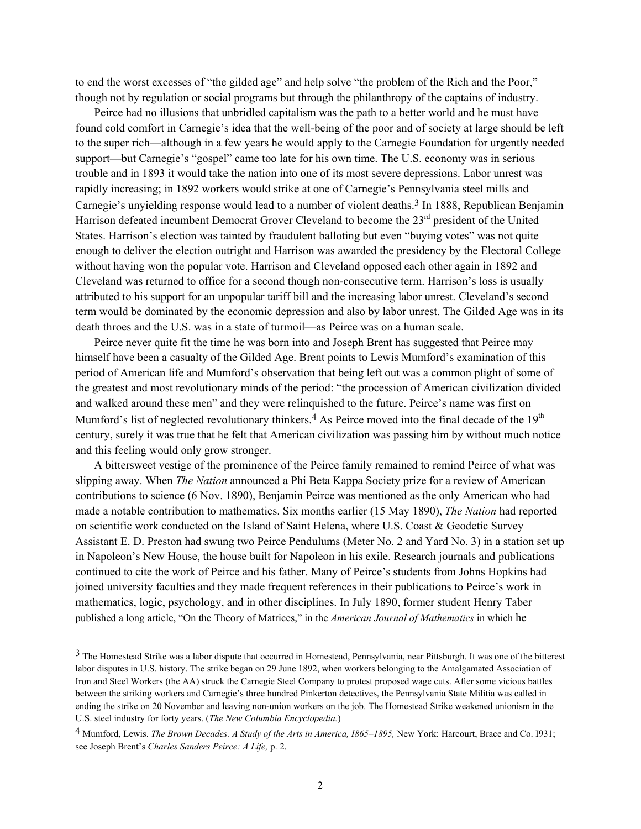to end the worst excesses of "the gilded age" and help solve "the problem of the Rich and the Poor," though not by regulation or social programs but through the philanthropy of the captains of industry.

 Peirce had no illusions that unbridled capitalism was the path to a better world and he must have found cold comfort in Carnegie's idea that the well-being of the poor and of society at large should be left to the super rich—although in a few years he would apply to the Carnegie Foundation for urgently needed support—but Carnegie's "gospel" came too late for his own time. The U.S. economy was in serious trouble and in 1893 it would take the nation into one of its most severe depressions. Labor unrest was rapidly increasing; in 1892 workers would strike at one of Carnegie's Pennsylvania steel mills and Carnegie's unyielding response would lead to a number of violent deaths.<sup>3</sup> In 1888, Republican Benjamin Harrison defeated incumbent Democrat Grover Cleveland to become the 23<sup>rd</sup> president of the United States. Harrison's election was tainted by fraudulent balloting but even "buying votes" was not quite enough to deliver the election outright and Harrison was awarded the presidency by the Electoral College without having won the popular vote. Harrison and Cleveland opposed each other again in 1892 and Cleveland was returned to office for a second though non-consecutive term. Harrison's loss is usually attributed to his support for an unpopular tariff bill and the increasing labor unrest. Cleveland's second term would be dominated by the economic depression and also by labor unrest. The Gilded Age was in its death throes and the U.S. was in a state of turmoil—as Peirce was on a human scale.

 Peirce never quite fit the time he was born into and Joseph Brent has suggested that Peirce may himself have been a casualty of the Gilded Age. Brent points to Lewis Mumford's examination of this period of American life and Mumford's observation that being left out was a common plight of some of the greatest and most revolutionary minds of the period: "the procession of American civilization divided and walked around these men" and they were relinquished to the future. Peirce's name was first on Mumford's list of neglected revolutionary thinkers.<sup>4</sup> As Peirce moved into the final decade of the  $19<sup>th</sup>$ century, surely it was true that he felt that American civilization was passing him by without much notice and this feeling would only grow stronger.

 A bittersweet vestige of the prominence of the Peirce family remained to remind Peirce of what was slipping away. When *The Nation* announced a Phi Beta Kappa Society prize for a review of American contributions to science (6 Nov. 1890), Benjamin Peirce was mentioned as the only American who had made a notable contribution to mathematics. Six months earlier (15 May 1890), *The Nation* had reported on scientific work conducted on the Island of Saint Helena, where U.S. Coast & Geodetic Survey Assistant E. D. Preston had swung two Peirce Pendulums (Meter No. 2 and Yard No. 3) in a station set up in Napoleon's New House, the house built for Napoleon in his exile. Research journals and publications continued to cite the work of Peirce and his father. Many of Peirce's students from Johns Hopkins had joined university faculties and they made frequent references in their publications to Peirce's work in mathematics, logic, psychology, and in other disciplines. In July 1890, former student Henry Taber published a long article, "On the Theory of Matrices," in the *American Journal of Mathematics* in which he

<sup>3</sup> The Homestead Strike was a labor dispute that occurred in Homestead, Pennsylvania, near Pittsburgh. It was one of the bitterest labor disputes in U.S. history. The strike began on 29 June 1892, when workers belonging to the Amalgamated Association of Iron and Steel Workers (the AA) struck the Carnegie Steel Company to protest proposed wage cuts. After some vicious battles between the striking workers and Carnegie's three hundred Pinkerton detectives, the Pennsylvania State Militia was called in ending the strike on 20 November and leaving non-union workers on the job. The Homestead Strike weakened unionism in the U.S. steel industry for forty years. (*The New Columbia Encyclopedia.*)

<sup>4</sup> Mumford, Lewis. *The Brown Decades. A Study of the Arts in America, I865–1895,* New York: Harcourt, Brace and Co. I931; see Joseph Brent's *Charles Sanders Peirce: A Life,* p. 2.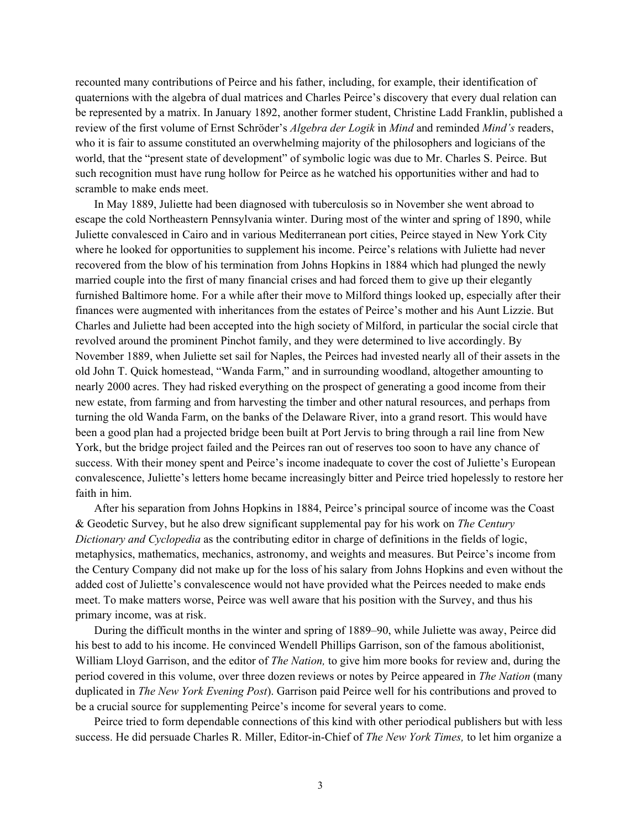recounted many contributions of Peirce and his father, including, for example, their identification of quaternions with the algebra of dual matrices and Charles Peirce's discovery that every dual relation can be represented by a matrix. In January 1892, another former student, Christine Ladd Franklin, published a review of the first volume of Ernst Schröder's *Algebra der Logik* in *Mind* and reminded *Mind's* readers, who it is fair to assume constituted an overwhelming majority of the philosophers and logicians of the world, that the "present state of development" of symbolic logic was due to Mr. Charles S. Peirce. But such recognition must have rung hollow for Peirce as he watched his opportunities wither and had to scramble to make ends meet.

 In May 1889, Juliette had been diagnosed with tuberculosis so in November she went abroad to escape the cold Northeastern Pennsylvania winter. During most of the winter and spring of 1890, while Juliette convalesced in Cairo and in various Mediterranean port cities, Peirce stayed in New York City where he looked for opportunities to supplement his income. Peirce's relations with Juliette had never recovered from the blow of his termination from Johns Hopkins in 1884 which had plunged the newly married couple into the first of many financial crises and had forced them to give up their elegantly furnished Baltimore home. For a while after their move to Milford things looked up, especially after their finances were augmented with inheritances from the estates of Peirce's mother and his Aunt Lizzie. But Charles and Juliette had been accepted into the high society of Milford, in particular the social circle that revolved around the prominent Pinchot family, and they were determined to live accordingly. By November 1889, when Juliette set sail for Naples, the Peirces had invested nearly all of their assets in the old John T. Quick homestead, "Wanda Farm," and in surrounding woodland, altogether amounting to nearly 2000 acres. They had risked everything on the prospect of generating a good income from their new estate, from farming and from harvesting the timber and other natural resources, and perhaps from turning the old Wanda Farm, on the banks of the Delaware River, into a grand resort. This would have been a good plan had a projected bridge been built at Port Jervis to bring through a rail line from New York, but the bridge project failed and the Peirces ran out of reserves too soon to have any chance of success. With their money spent and Peirce's income inadequate to cover the cost of Juliette's European convalescence, Juliette's letters home became increasingly bitter and Peirce tried hopelessly to restore her faith in him.

 After his separation from Johns Hopkins in 1884, Peirce's principal source of income was the Coast & Geodetic Survey, but he also drew significant supplemental pay for his work on *The Century Dictionary and Cyclopedia* as the contributing editor in charge of definitions in the fields of logic, metaphysics, mathematics, mechanics, astronomy, and weights and measures. But Peirce's income from the Century Company did not make up for the loss of his salary from Johns Hopkins and even without the added cost of Juliette's convalescence would not have provided what the Peirces needed to make ends meet. To make matters worse, Peirce was well aware that his position with the Survey, and thus his primary income, was at risk.

 During the difficult months in the winter and spring of 1889–90, while Juliette was away, Peirce did his best to add to his income. He convinced Wendell Phillips Garrison, son of the famous abolitionist, William Lloyd Garrison, and the editor of *The Nation,* to give him more books for review and, during the period covered in this volume, over three dozen reviews or notes by Peirce appeared in *The Nation* (many duplicated in *The New York Evening Post*). Garrison paid Peirce well for his contributions and proved to be a crucial source for supplementing Peirce's income for several years to come.

 Peirce tried to form dependable connections of this kind with other periodical publishers but with less success. He did persuade Charles R. Miller, Editor-in-Chief of *The New York Times,* to let him organize a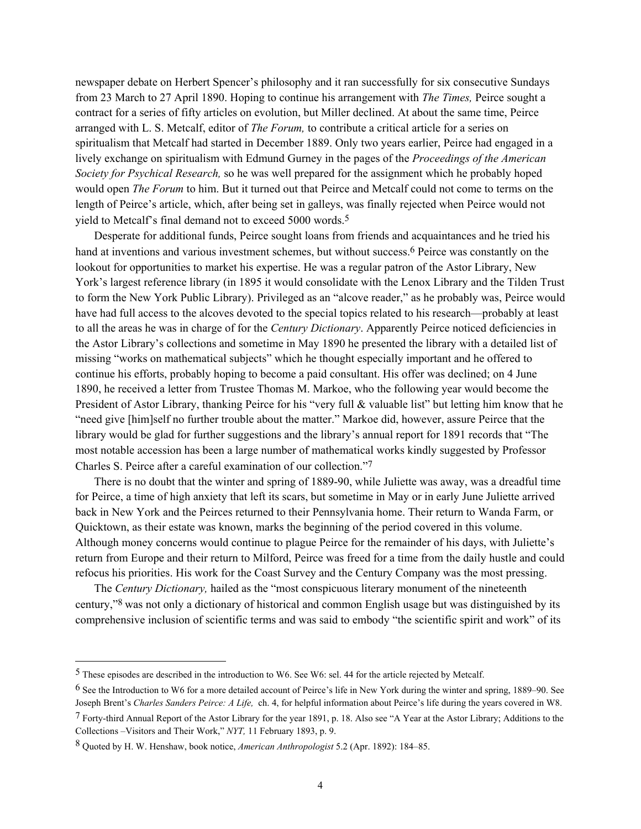newspaper debate on Herbert Spencer's philosophy and it ran successfully for six consecutive Sundays from 23 March to 27 April 1890. Hoping to continue his arrangement with *The Times,* Peirce sought a contract for a series of fifty articles on evolution, but Miller declined. At about the same time, Peirce arranged with L. S. Metcalf, editor of *The Forum,* to contribute a critical article for a series on spiritualism that Metcalf had started in December 1889. Only two years earlier, Peirce had engaged in a lively exchange on spiritualism with Edmund Gurney in the pages of the *Proceedings of the American Society for Psychical Research,* so he was well prepared for the assignment which he probably hoped would open *The Forum* to him. But it turned out that Peirce and Metcalf could not come to terms on the length of Peirce's article, which, after being set in galleys, was finally rejected when Peirce would not yield to Metcalf's final demand not to exceed 5000 words.5

 Desperate for additional funds, Peirce sought loans from friends and acquaintances and he tried his hand at inventions and various investment schemes, but without success.<sup>6</sup> Peirce was constantly on the lookout for opportunities to market his expertise. He was a regular patron of the Astor Library, New York's largest reference library (in 1895 it would consolidate with the Lenox Library and the Tilden Trust to form the New York Public Library). Privileged as an "alcove reader," as he probably was, Peirce would have had full access to the alcoves devoted to the special topics related to his research—probably at least to all the areas he was in charge of for the *Century Dictionary*. Apparently Peirce noticed deficiencies in the Astor Library's collections and sometime in May 1890 he presented the library with a detailed list of missing "works on mathematical subjects" which he thought especially important and he offered to continue his efforts, probably hoping to become a paid consultant. His offer was declined; on 4 June 1890, he received a letter from Trustee Thomas M. Markoe, who the following year would become the President of Astor Library, thanking Peirce for his "very full & valuable list" but letting him know that he "need give [him]self no further trouble about the matter." Markoe did, however, assure Peirce that the library would be glad for further suggestions and the library's annual report for 1891 records that "The most notable accession has been a large number of mathematical works kindly suggested by Professor Charles S. Peirce after a careful examination of our collection."7

 There is no doubt that the winter and spring of 1889-90, while Juliette was away, was a dreadful time for Peirce, a time of high anxiety that left its scars, but sometime in May or in early June Juliette arrived back in New York and the Peirces returned to their Pennsylvania home. Their return to Wanda Farm, or Quicktown, as their estate was known, marks the beginning of the period covered in this volume. Although money concerns would continue to plague Peirce for the remainder of his days, with Juliette's return from Europe and their return to Milford, Peirce was freed for a time from the daily hustle and could refocus his priorities. His work for the Coast Survey and the Century Company was the most pressing.

 The *Century Dictionary,* hailed as the "most conspicuous literary monument of the nineteenth century,"8 was not only a dictionary of historical and common English usage but was distinguished by its comprehensive inclusion of scientific terms and was said to embody "the scientific spirit and work" of its

<sup>5</sup> These episodes are described in the introduction to W6. See W6: sel. 44 for the article rejected by Metcalf.

<sup>6</sup> See the Introduction to W6 for a more detailed account of Peirce's life in New York during the winter and spring, 1889–90. See Joseph Brent's *Charles Sanders Peirce: A Life,* ch. 4, for helpful information about Peirce's life during the years covered in W8.

 $^7$  Forty-third Annual Report of the Astor Library for the year 1891, p. 18. Also see "A Year at the Astor Library; Additions to the Collections –Visitors and Their Work," *NYT,* 11 February 1893, p. 9.

<sup>8</sup> Quoted by H. W. Henshaw, book notice, *American Anthropologist* 5.2 (Apr. 1892): 184–85.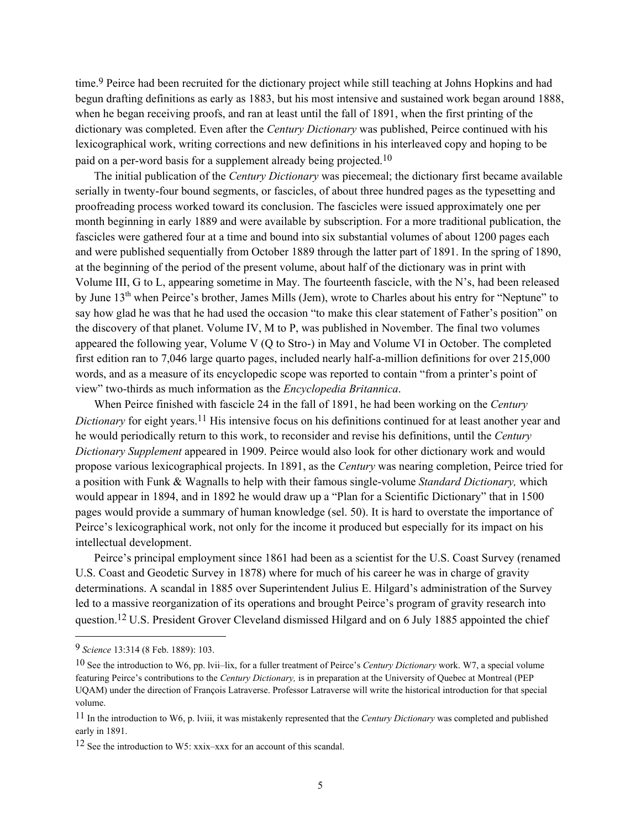time.9 Peirce had been recruited for the dictionary project while still teaching at Johns Hopkins and had begun drafting definitions as early as 1883, but his most intensive and sustained work began around 1888, when he began receiving proofs, and ran at least until the fall of 1891, when the first printing of the dictionary was completed. Even after the *Century Dictionary* was published, Peirce continued with his lexicographical work, writing corrections and new definitions in his interleaved copy and hoping to be paid on a per-word basis for a supplement already being projected.10

 The initial publication of the *Century Dictionary* was piecemeal; the dictionary first became available serially in twenty-four bound segments, or fascicles, of about three hundred pages as the typesetting and proofreading process worked toward its conclusion. The fascicles were issued approximately one per month beginning in early 1889 and were available by subscription. For a more traditional publication, the fascicles were gathered four at a time and bound into six substantial volumes of about 1200 pages each and were published sequentially from October 1889 through the latter part of 1891. In the spring of 1890, at the beginning of the period of the present volume, about half of the dictionary was in print with Volume III, G to L, appearing sometime in May. The fourteenth fascicle, with the N's, had been released by June 13<sup>th</sup> when Peirce's brother, James Mills (Jem), wrote to Charles about his entry for "Neptune" to say how glad he was that he had used the occasion "to make this clear statement of Father's position" on the discovery of that planet. Volume IV, M to P, was published in November. The final two volumes appeared the following year, Volume V (Q to Stro-) in May and Volume VI in October. The completed first edition ran to 7,046 large quarto pages, included nearly half-a-million definitions for over 215,000 words, and as a measure of its encyclopedic scope was reported to contain "from a printer's point of view" two-thirds as much information as the *Encyclopedia Britannica*.

 When Peirce finished with fascicle 24 in the fall of 1891, he had been working on the *Century Dictionary* for eight years.<sup>11</sup> His intensive focus on his definitions continued for at least another year and he would periodically return to this work, to reconsider and revise his definitions, until the *Century Dictionary Supplement* appeared in 1909. Peirce would also look for other dictionary work and would propose various lexicographical projects. In 1891, as the *Century* was nearing completion, Peirce tried for a position with Funk & Wagnalls to help with their famous single-volume *Standard Dictionary,* which would appear in 1894, and in 1892 he would draw up a "Plan for a Scientific Dictionary" that in 1500 pages would provide a summary of human knowledge (sel. 50). It is hard to overstate the importance of Peirce's lexicographical work, not only for the income it produced but especially for its impact on his intellectual development.

 Peirce's principal employment since 1861 had been as a scientist for the U.S. Coast Survey (renamed U.S. Coast and Geodetic Survey in 1878) where for much of his career he was in charge of gravity determinations. A scandal in 1885 over Superintendent Julius E. Hilgard's administration of the Survey led to a massive reorganization of its operations and brought Peirce's program of gravity research into question.12 U.S. President Grover Cleveland dismissed Hilgard and on 6 July 1885 appointed the chief

<sup>9</sup> *Science* 13:314 (8 Feb. 1889): 103.

<sup>10</sup> See the introduction to W6, pp. lvii–lix, for a fuller treatment of Peirce's *Century Dictionary* work. W7, a special volume featuring Peirce's contributions to the *Century Dictionary,* is in preparation at the University of Quebec at Montreal (PEP UQAM) under the direction of François Latraverse. Professor Latraverse will write the historical introduction for that special volume.

<sup>11</sup> In the introduction to W6, p. lviii, it was mistakenly represented that the *Century Dictionary* was completed and published early in 1891.

<sup>12</sup> See the introduction to W5: xxix–xxx for an account of this scandal.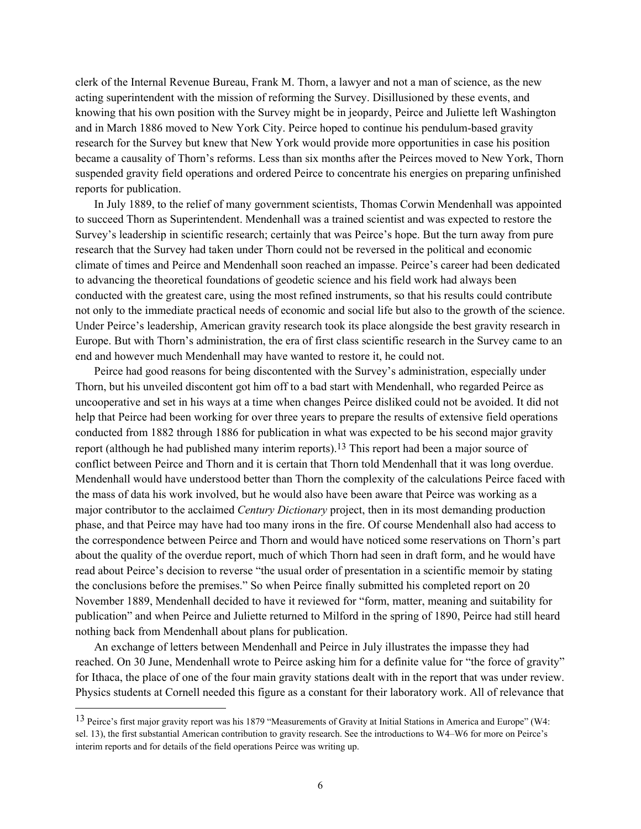clerk of the Internal Revenue Bureau, Frank M. Thorn, a lawyer and not a man of science, as the new acting superintendent with the mission of reforming the Survey. Disillusioned by these events, and knowing that his own position with the Survey might be in jeopardy, Peirce and Juliette left Washington and in March 1886 moved to New York City. Peirce hoped to continue his pendulum-based gravity research for the Survey but knew that New York would provide more opportunities in case his position became a causality of Thorn's reforms. Less than six months after the Peirces moved to New York, Thorn suspended gravity field operations and ordered Peirce to concentrate his energies on preparing unfinished reports for publication.

 In July 1889, to the relief of many government scientists, Thomas Corwin Mendenhall was appointed to succeed Thorn as Superintendent. Mendenhall was a trained scientist and was expected to restore the Survey's leadership in scientific research; certainly that was Peirce's hope. But the turn away from pure research that the Survey had taken under Thorn could not be reversed in the political and economic climate of times and Peirce and Mendenhall soon reached an impasse. Peirce's career had been dedicated to advancing the theoretical foundations of geodetic science and his field work had always been conducted with the greatest care, using the most refined instruments, so that his results could contribute not only to the immediate practical needs of economic and social life but also to the growth of the science. Under Peirce's leadership, American gravity research took its place alongside the best gravity research in Europe. But with Thorn's administration, the era of first class scientific research in the Survey came to an end and however much Mendenhall may have wanted to restore it, he could not.

 Peirce had good reasons for being discontented with the Survey's administration, especially under Thorn, but his unveiled discontent got him off to a bad start with Mendenhall, who regarded Peirce as uncooperative and set in his ways at a time when changes Peirce disliked could not be avoided. It did not help that Peirce had been working for over three years to prepare the results of extensive field operations conducted from 1882 through 1886 for publication in what was expected to be his second major gravity report (although he had published many interim reports).13 This report had been a major source of conflict between Peirce and Thorn and it is certain that Thorn told Mendenhall that it was long overdue. Mendenhall would have understood better than Thorn the complexity of the calculations Peirce faced with the mass of data his work involved, but he would also have been aware that Peirce was working as a major contributor to the acclaimed *Century Dictionary* project, then in its most demanding production phase, and that Peirce may have had too many irons in the fire. Of course Mendenhall also had access to the correspondence between Peirce and Thorn and would have noticed some reservations on Thorn's part about the quality of the overdue report, much of which Thorn had seen in draft form, and he would have read about Peirce's decision to reverse "the usual order of presentation in a scientific memoir by stating the conclusions before the premises." So when Peirce finally submitted his completed report on 20 November 1889, Mendenhall decided to have it reviewed for "form, matter, meaning and suitability for publication" and when Peirce and Juliette returned to Milford in the spring of 1890, Peirce had still heard nothing back from Mendenhall about plans for publication.

 An exchange of letters between Mendenhall and Peirce in July illustrates the impasse they had reached. On 30 June, Mendenhall wrote to Peirce asking him for a definite value for "the force of gravity" for Ithaca, the place of one of the four main gravity stations dealt with in the report that was under review. Physics students at Cornell needed this figure as a constant for their laboratory work. All of relevance that

<sup>13</sup> Peirce's first major gravity report was his 1879 "Measurements of Gravity at Initial Stations in America and Europe" (W4: sel. 13), the first substantial American contribution to gravity research. See the introductions to W4–W6 for more on Peirce's interim reports and for details of the field operations Peirce was writing up.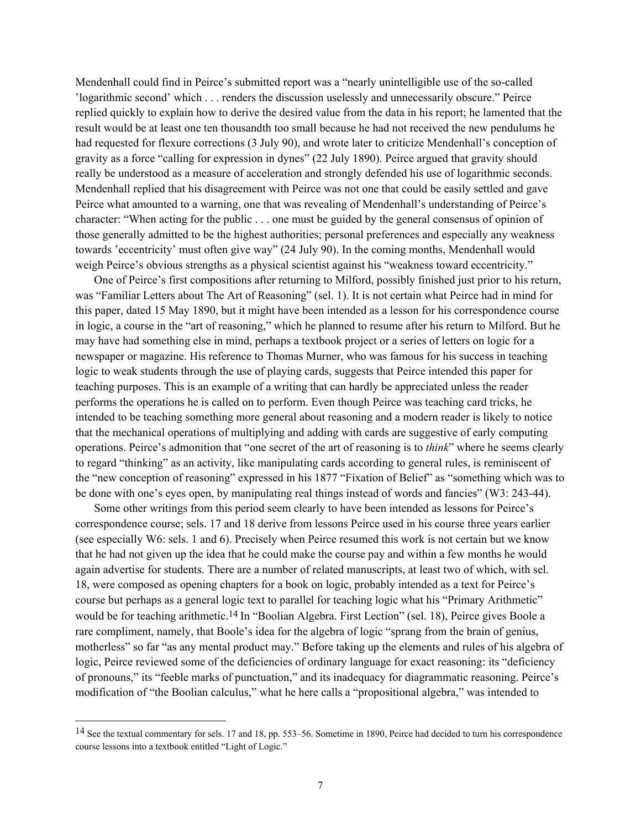Mendenhall could find in Peirce's submitted report was a "nearly unintelligible use of the so-called 'logarithmic second' which . . . renders the discussion uselessly and unnecessarily obscure." Peirce replied quickly to explain how to derive the desired value from the data in his report; he lamented that the result would be at least one ten thousandth too small because he had not received the new pendulums he had requested for flexure corrections (3 July 90), and wrote later to criticize Mendenhall's conception of gravity as a force "calling for expression in dynes" (22 July 1890). Peirce argued that gravity should really be understood as a measure of acceleration and strongly defended his use of logarithmic seconds. Mendenhall replied that his disagreement with Peirce was not one that could be easily settled and gave Peirce what amounted to a warning, one that was revealing of Mendenhall's understanding of Peirce's character: "When acting for the public . . . one must be guided by the general consensus of opinion of those generally admitted to be the highest authorities; personal preferences and especially any weakness towards 'eccentricity' must often give way" (24 July 90). In the coming months, Mendenhall would weigh Peirce's obvious strengths as a physical scientist against his "weakness toward eccentricity."

 One of Peirce's first compositions after returning to Milford, possibly finished just prior to his return, was "Familiar Letters about The Art of Reasoning" (sel. 1). It is not certain what Peirce had in mind for this paper, dated 15 May 1890, but it might have been intended as a lesson for his correspondence course in logic, a course in the "art of reasoning," which he planned to resume after his return to Milford. But he may have had something else in mind, perhaps a textbook project or a series of letters on logic for a newspaper or magazine. His reference to Thomas Murner, who was famous for his success in teaching logic to weak students through the use of playing cards, suggests that Peirce intended this paper for teaching purposes. This is an example of a writing that can hardly be appreciated unless the reader performs the operations he is called on to perform. Even though Peirce was teaching card tricks, he intended to be teaching something more general about reasoning and a modern reader is likely to notice that the mechanical operations of multiplying and adding with cards are suggestive of early computing operations. Peirce's admonition that "one secret of the art of reasoning is to *think*" where he seems clearly to regard "thinking" as an activity, like manipulating cards according to general rules, is reminiscent of the "new conception of reasoning" expressed in his 1877 "Fixation of Belief" as "something which was to be done with one's eyes open, by manipulating real things instead of words and fancies" (W3: 243-44).

Some other writings from this period seem clearly to have been intended as lessons for Peirce's correspondence course; sels. 17 and 18 derive from lessons Peirce used in his course three years earlier (see especially W6: sels. 1 and 6). Precisely when Peirce resumed this work is not certain but we know that he had not given up the idea that he could make the course pay and within a few months he would again advertise for students. There are a number of related manuscripts, at least two of which, with sel. 18, were composed as opening chapters for a book on logic, probably intended as a text for Peirce's course but perhaps as a general logic text to parallel for teaching logic what his "Primary Arithmetic" would be for teaching arithmetic.<sup>14</sup> In "Boolian Algebra. First Lection" (sel. 18), Peirce gives Boole a rare compliment, namely, that Boole's idea for the algebra of logic "sprang from the brain of genius, motherless" so far "as any mental product may." Before taking up the elements and rules of his algebra of logic, Peirce reviewed some of the deficiencies of ordinary language for exact reasoning: its "deficiency of pronouns," its "feeble marks of punctuation," and its inadequacy for diagrammatic reasoning. Peirce's modification of "the Boolian calculus," what he here calls a "propositional algebra," was intended to

<sup>14</sup> See the textual commentary for sels. 17 and 18, pp. 553–56. Sometime in 1890, Peirce had decided to turn his correspondence course lessons into a textbook entitled "Light of Logic."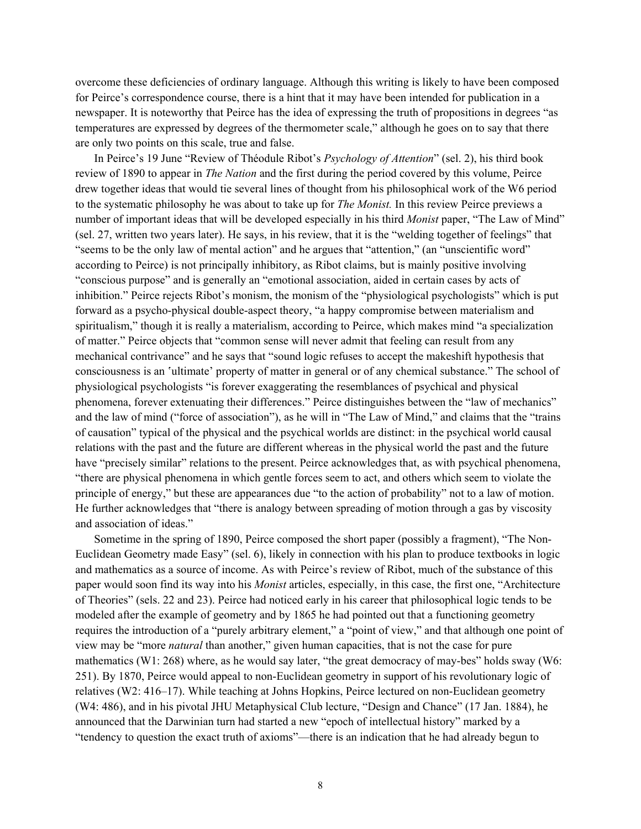overcome these deficiencies of ordinary language. Although this writing is likely to have been composed for Peirce's correspondence course, there is a hint that it may have been intended for publication in a newspaper. It is noteworthy that Peirce has the idea of expressing the truth of propositions in degrees "as temperatures are expressed by degrees of the thermometer scale," although he goes on to say that there are only two points on this scale, true and false.

 In Peirce's 19 June "Review of Théodule Ribot's *Psychology of Attention*" (sel. 2), his third book review of 1890 to appear in *The Nation* and the first during the period covered by this volume, Peirce drew together ideas that would tie several lines of thought from his philosophical work of the W6 period to the systematic philosophy he was about to take up for *The Monist.* In this review Peirce previews a number of important ideas that will be developed especially in his third *Monist* paper, "The Law of Mind" (sel. 27, written two years later). He says, in his review, that it is the "welding together of feelings" that "seems to be the only law of mental action" and he argues that "attention," (an "unscientific word" according to Peirce) is not principally inhibitory, as Ribot claims, but is mainly positive involving "conscious purpose" and is generally an "emotional association, aided in certain cases by acts of inhibition." Peirce rejects Ribot's monism, the monism of the "physiological psychologists" which is put forward as a psycho-physical double-aspect theory, "a happy compromise between materialism and spiritualism," though it is really a materialism, according to Peirce, which makes mind "a specialization of matter." Peirce objects that "common sense will never admit that feeling can result from any mechanical contrivance" and he says that "sound logic refuses to accept the makeshift hypothesis that consciousness is an 'ultimate' property of matter in general or of any chemical substance." The school of physiological psychologists "is forever exaggerating the resemblances of psychical and physical phenomena, forever extenuating their differences." Peirce distinguishes between the "law of mechanics" and the law of mind ("force of association"), as he will in "The Law of Mind," and claims that the "trains of causation" typical of the physical and the psychical worlds are distinct: in the psychical world causal relations with the past and the future are different whereas in the physical world the past and the future have "precisely similar" relations to the present. Peirce acknowledges that, as with psychical phenomena, "there are physical phenomena in which gentle forces seem to act, and others which seem to violate the principle of energy," but these are appearances due "to the action of probability" not to a law of motion. He further acknowledges that "there is analogy between spreading of motion through a gas by viscosity and association of ideas."

 Sometime in the spring of 1890, Peirce composed the short paper (possibly a fragment), "The Non-Euclidean Geometry made Easy" (sel. 6), likely in connection with his plan to produce textbooks in logic and mathematics as a source of income. As with Peirce's review of Ribot, much of the substance of this paper would soon find its way into his *Monist* articles, especially, in this case, the first one, "Architecture of Theories" (sels. 22 and 23). Peirce had noticed early in his career that philosophical logic tends to be modeled after the example of geometry and by 1865 he had pointed out that a functioning geometry requires the introduction of a "purely arbitrary element," a "point of view," and that although one point of view may be "more *natural* than another," given human capacities, that is not the case for pure mathematics (W1: 268) where, as he would say later, "the great democracy of may-bes" holds sway (W6: 251). By 1870, Peirce would appeal to non-Euclidean geometry in support of his revolutionary logic of relatives (W2: 416–17). While teaching at Johns Hopkins, Peirce lectured on non-Euclidean geometry (W4: 486), and in his pivotal JHU Metaphysical Club lecture, "Design and Chance" (17 Jan. 1884), he announced that the Darwinian turn had started a new "epoch of intellectual history" marked by a "tendency to question the exact truth of axioms"—there is an indication that he had already begun to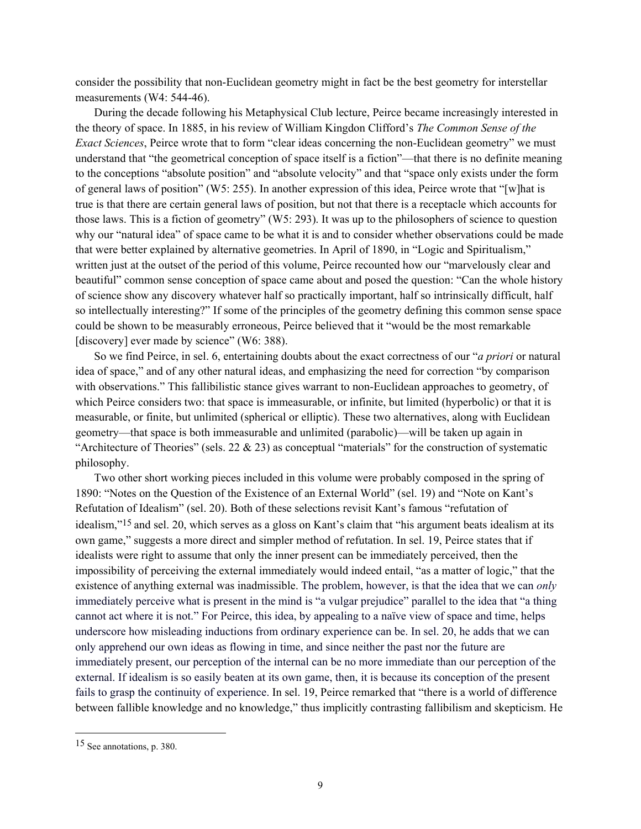consider the possibility that non-Euclidean geometry might in fact be the best geometry for interstellar measurements (W4: 544-46).

 During the decade following his Metaphysical Club lecture, Peirce became increasingly interested in the theory of space. In 1885, in his review of William Kingdon Clifford's *The Common Sense of the Exact Sciences*, Peirce wrote that to form "clear ideas concerning the non-Euclidean geometry" we must understand that "the geometrical conception of space itself is a fiction"—that there is no definite meaning to the conceptions "absolute position" and "absolute velocity" and that "space only exists under the form of general laws of position" (W5: 255). In another expression of this idea, Peirce wrote that "[w]hat is true is that there are certain general laws of position, but not that there is a receptacle which accounts for those laws. This is a fiction of geometry" (W5: 293). It was up to the philosophers of science to question why our "natural idea" of space came to be what it is and to consider whether observations could be made that were better explained by alternative geometries. In April of 1890, in "Logic and Spiritualism," written just at the outset of the period of this volume, Peirce recounted how our "marvelously clear and beautiful" common sense conception of space came about and posed the question: "Can the whole history of science show any discovery whatever half so practically important, half so intrinsically difficult, half so intellectually interesting?" If some of the principles of the geometry defining this common sense space could be shown to be measurably erroneous, Peirce believed that it "would be the most remarkable [discovery] ever made by science" (W6: 388).

 So we find Peirce, in sel. 6, entertaining doubts about the exact correctness of our "*a priori* or natural idea of space," and of any other natural ideas, and emphasizing the need for correction "by comparison with observations." This fallibilistic stance gives warrant to non-Euclidean approaches to geometry, of which Peirce considers two: that space is immeasurable, or infinite, but limited (hyperbolic) or that it is measurable, or finite, but unlimited (spherical or elliptic). These two alternatives, along with Euclidean geometry—that space is both immeasurable and unlimited (parabolic)—will be taken up again in "Architecture of Theories" (sels. 22  $\&$  23) as conceptual "materials" for the construction of systematic philosophy.

 Two other short working pieces included in this volume were probably composed in the spring of 1890: "Notes on the Question of the Existence of an External World" (sel. 19) and "Note on Kant's Refutation of Idealism" (sel. 20). Both of these selections revisit Kant's famous "refutation of idealism,"15 and sel. 20, which serves as a gloss on Kant's claim that "his argument beats idealism at its own game," suggests a more direct and simpler method of refutation. In sel. 19, Peirce states that if idealists were right to assume that only the inner present can be immediately perceived, then the impossibility of perceiving the external immediately would indeed entail, "as a matter of logic," that the existence of anything external was inadmissible. The problem, however, is that the idea that we can *only* immediately perceive what is present in the mind is "a vulgar prejudice" parallel to the idea that "a thing cannot act where it is not." For Peirce, this idea, by appealing to a naïve view of space and time, helps underscore how misleading inductions from ordinary experience can be. In sel. 20, he adds that we can only apprehend our own ideas as flowing in time, and since neither the past nor the future are immediately present, our perception of the internal can be no more immediate than our perception of the external. If idealism is so easily beaten at its own game, then, it is because its conception of the present fails to grasp the continuity of experience. In sel. 19, Peirce remarked that "there is a world of difference between fallible knowledge and no knowledge," thus implicitly contrasting fallibilism and skepticism. He

<sup>15</sup> See annotations, p. 380.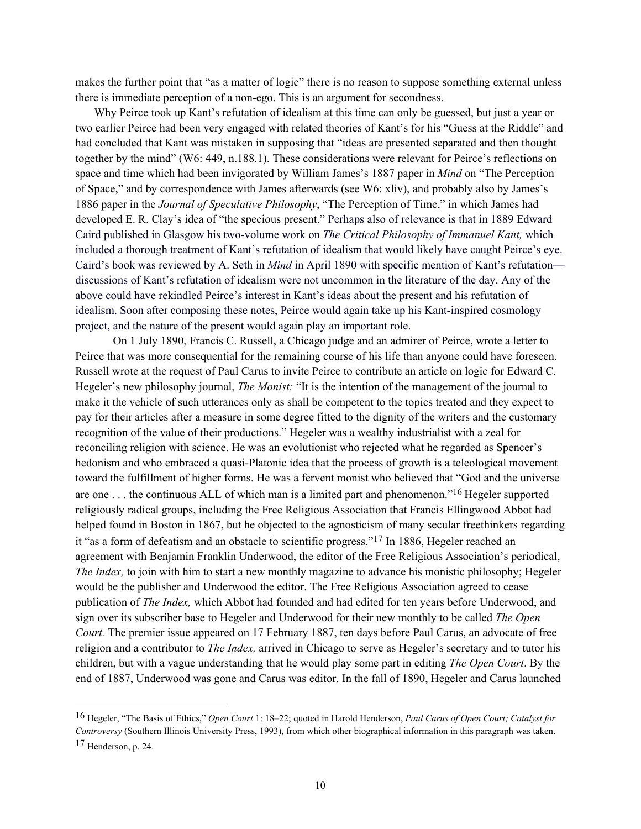makes the further point that "as a matter of logic" there is no reason to suppose something external unless there is immediate perception of a non-ego. This is an argument for secondness.

 Why Peirce took up Kant's refutation of idealism at this time can only be guessed, but just a year or two earlier Peirce had been very engaged with related theories of Kant's for his "Guess at the Riddle" and had concluded that Kant was mistaken in supposing that "ideas are presented separated and then thought together by the mind" (W6: 449, n.188.1). These considerations were relevant for Peirce's reflections on space and time which had been invigorated by William James's 1887 paper in *Mind* on "The Perception of Space," and by correspondence with James afterwards (see W6: xliv), and probably also by James's 1886 paper in the *Journal of Speculative Philosophy*, "The Perception of Time," in which James had developed E. R. Clay's idea of "the specious present." Perhaps also of relevance is that in 1889 Edward Caird published in Glasgow his two-volume work on *The Critical Philosophy of Immanuel Kant,* which included a thorough treatment of Kant's refutation of idealism that would likely have caught Peirce's eye. Caird's book was reviewed by A. Seth in *Mind* in April 1890 with specific mention of Kant's refutation discussions of Kant's refutation of idealism were not uncommon in the literature of the day. Any of the above could have rekindled Peirce's interest in Kant's ideas about the present and his refutation of idealism. Soon after composing these notes, Peirce would again take up his Kant-inspired cosmology project, and the nature of the present would again play an important role.

 On 1 July 1890, Francis C. Russell, a Chicago judge and an admirer of Peirce, wrote a letter to Peirce that was more consequential for the remaining course of his life than anyone could have foreseen. Russell wrote at the request of Paul Carus to invite Peirce to contribute an article on logic for Edward C. Hegeler's new philosophy journal, *The Monist:* "It is the intention of the management of the journal to make it the vehicle of such utterances only as shall be competent to the topics treated and they expect to pay for their articles after a measure in some degree fitted to the dignity of the writers and the customary recognition of the value of their productions." Hegeler was a wealthy industrialist with a zeal for reconciling religion with science. He was an evolutionist who rejected what he regarded as Spencer's hedonism and who embraced a quasi-Platonic idea that the process of growth is a teleological movement toward the fulfillment of higher forms. He was a fervent monist who believed that "God and the universe are one . . . the continuous ALL of which man is a limited part and phenomenon."16 Hegeler supported religiously radical groups, including the Free Religious Association that Francis Ellingwood Abbot had helped found in Boston in 1867, but he objected to the agnosticism of many secular freethinkers regarding it "as a form of defeatism and an obstacle to scientific progress."17 In 1886, Hegeler reached an agreement with Benjamin Franklin Underwood, the editor of the Free Religious Association's periodical, *The Index,* to join with him to start a new monthly magazine to advance his monistic philosophy; Hegeler would be the publisher and Underwood the editor. The Free Religious Association agreed to cease publication of *The Index,* which Abbot had founded and had edited for ten years before Underwood, and sign over its subscriber base to Hegeler and Underwood for their new monthly to be called *The Open Court.* The premier issue appeared on 17 February 1887, ten days before Paul Carus, an advocate of free religion and a contributor to *The Index,* arrived in Chicago to serve as Hegeler's secretary and to tutor his children, but with a vague understanding that he would play some part in editing *The Open Court*. By the end of 1887, Underwood was gone and Carus was editor. In the fall of 1890, Hegeler and Carus launched

<sup>16</sup> Hegeler, "The Basis of Ethics," *Open Court* 1: 18–22; quoted in Harold Henderson, *Paul Carus of Open Court; Catalyst for Controversy* (Southern Illinois University Press, 1993), from which other biographical information in this paragraph was taken.

<sup>17</sup> Henderson, p. 24.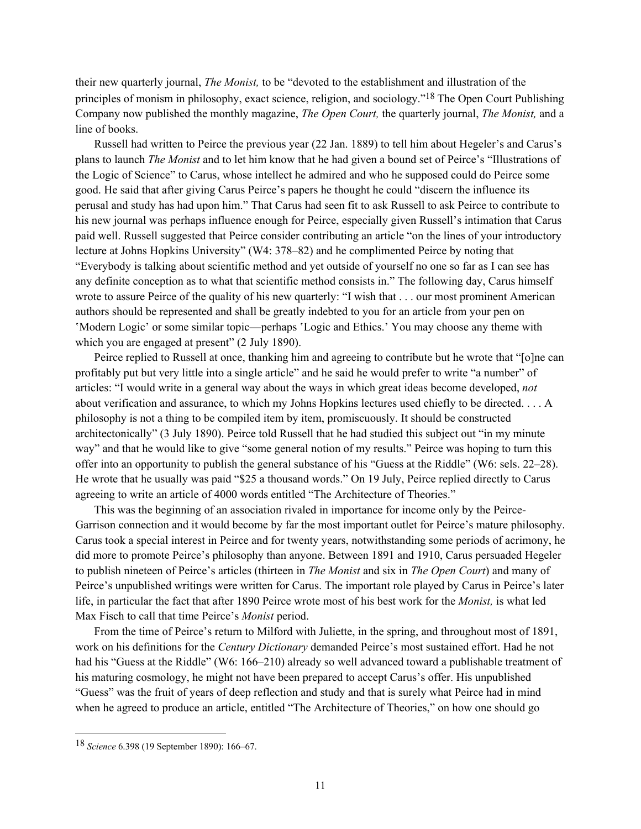their new quarterly journal, *The Monist,* to be "devoted to the establishment and illustration of the principles of monism in philosophy, exact science, religion, and sociology."18 The Open Court Publishing Company now published the monthly magazine, *The Open Court,* the quarterly journal, *The Monist,* and a line of books.

 Russell had written to Peirce the previous year (22 Jan. 1889) to tell him about Hegeler's and Carus's plans to launch *The Monist* and to let him know that he had given a bound set of Peirce's "Illustrations of the Logic of Science" to Carus, whose intellect he admired and who he supposed could do Peirce some good. He said that after giving Carus Peirce's papers he thought he could "discern the influence its perusal and study has had upon him." That Carus had seen fit to ask Russell to ask Peirce to contribute to his new journal was perhaps influence enough for Peirce, especially given Russell's intimation that Carus paid well. Russell suggested that Peirce consider contributing an article "on the lines of your introductory lecture at Johns Hopkins University" (W4: 378–82) and he complimented Peirce by noting that "Everybody is talking about scientific method and yet outside of yourself no one so far as I can see has any definite conception as to what that scientific method consists in." The following day, Carus himself wrote to assure Peirce of the quality of his new quarterly: "I wish that . . . our most prominent American authors should be represented and shall be greatly indebted to you for an article from your pen on 'Modern Logic' or some similar topic—perhaps 'Logic and Ethics.' You may choose any theme with which you are engaged at present" (2 July 1890).

 Peirce replied to Russell at once, thanking him and agreeing to contribute but he wrote that "[o]ne can profitably put but very little into a single article" and he said he would prefer to write "a number" of articles: "I would write in a general way about the ways in which great ideas become developed, *not* about verification and assurance, to which my Johns Hopkins lectures used chiefly to be directed. . . . A philosophy is not a thing to be compiled item by item, promiscuously. It should be constructed architectonically" (3 July 1890). Peirce told Russell that he had studied this subject out "in my minute way" and that he would like to give "some general notion of my results." Peirce was hoping to turn this offer into an opportunity to publish the general substance of his "Guess at the Riddle" (W6: sels. 22–28). He wrote that he usually was paid "\$25 a thousand words." On 19 July, Peirce replied directly to Carus agreeing to write an article of 4000 words entitled "The Architecture of Theories."

 This was the beginning of an association rivaled in importance for income only by the Peirce-Garrison connection and it would become by far the most important outlet for Peirce's mature philosophy. Carus took a special interest in Peirce and for twenty years, notwithstanding some periods of acrimony, he did more to promote Peirce's philosophy than anyone. Between 1891 and 1910, Carus persuaded Hegeler to publish nineteen of Peirce's articles (thirteen in *The Monist* and six in *The Open Court*) and many of Peirce's unpublished writings were written for Carus. The important role played by Carus in Peirce's later life, in particular the fact that after 1890 Peirce wrote most of his best work for the *Monist,* is what led Max Fisch to call that time Peirce's *Monist* period.

 From the time of Peirce's return to Milford with Juliette, in the spring, and throughout most of 1891, work on his definitions for the *Century Dictionary* demanded Peirce's most sustained effort. Had he not had his "Guess at the Riddle" (W6: 166–210) already so well advanced toward a publishable treatment of his maturing cosmology, he might not have been prepared to accept Carus's offer. His unpublished "Guess" was the fruit of years of deep reflection and study and that is surely what Peirce had in mind when he agreed to produce an article, entitled "The Architecture of Theories," on how one should go

<sup>18</sup> *Science* 6.398 (19 September 1890): 166–67.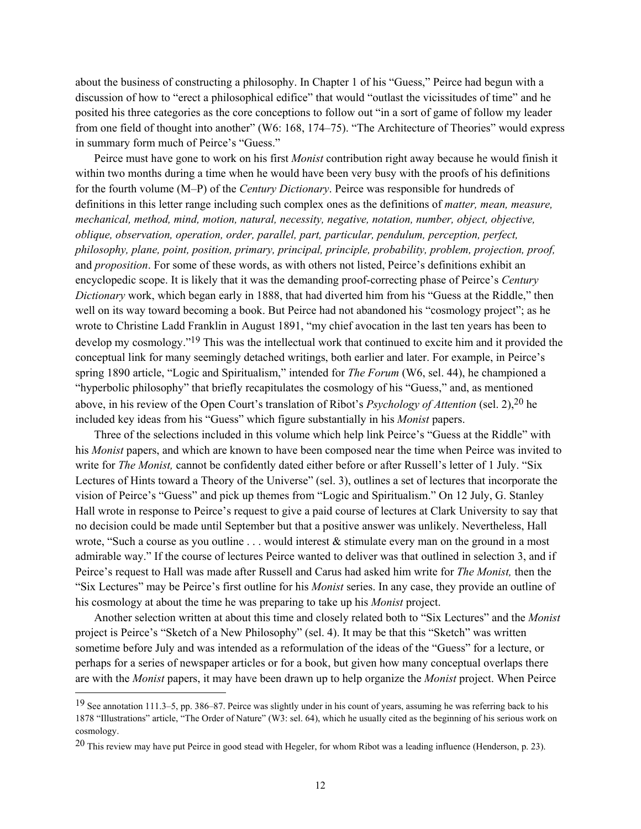about the business of constructing a philosophy. In Chapter 1 of his "Guess," Peirce had begun with a discussion of how to "erect a philosophical edifice" that would "outlast the vicissitudes of time" and he posited his three categories as the core conceptions to follow out "in a sort of game of follow my leader from one field of thought into another" (W6: 168, 174–75). "The Architecture of Theories" would express in summary form much of Peirce's "Guess."

 Peirce must have gone to work on his first *Monist* contribution right away because he would finish it within two months during a time when he would have been very busy with the proofs of his definitions for the fourth volume (M–P) of the *Century Dictionary*. Peirce was responsible for hundreds of definitions in this letter range including such complex ones as the definitions of *matter, mean, measure, mechanical, method, mind, motion, natural, necessity, negative, notation, number, object, objective, oblique, observation, operation, order, parallel, part, particular, pendulum, perception, perfect, philosophy, plane, point, position, primary, principal, principle, probability, problem, projection, proof,* and *proposition*. For some of these words, as with others not listed, Peirce's definitions exhibit an encyclopedic scope. It is likely that it was the demanding proof-correcting phase of Peirce's *Century Dictionary* work, which began early in 1888, that had diverted him from his "Guess at the Riddle," then well on its way toward becoming a book. But Peirce had not abandoned his "cosmology project"; as he wrote to Christine Ladd Franklin in August 1891, "my chief avocation in the last ten years has been to develop my cosmology."19 This was the intellectual work that continued to excite him and it provided the conceptual link for many seemingly detached writings, both earlier and later. For example, in Peirce's spring 1890 article, "Logic and Spiritualism," intended for *The Forum* (W6, sel. 44), he championed a "hyperbolic philosophy" that briefly recapitulates the cosmology of his "Guess," and, as mentioned above, in his review of the Open Court's translation of Ribot's *Psychology of Attention* (sel. 2),20 he included key ideas from his "Guess" which figure substantially in his *Monist* papers.

 Three of the selections included in this volume which help link Peirce's "Guess at the Riddle" with his *Monist* papers, and which are known to have been composed near the time when Peirce was invited to write for *The Monist,* cannot be confidently dated either before or after Russell's letter of 1 July. "Six Lectures of Hints toward a Theory of the Universe" (sel. 3), outlines a set of lectures that incorporate the vision of Peirce's "Guess" and pick up themes from "Logic and Spiritualism." On 12 July, G. Stanley Hall wrote in response to Peirce's request to give a paid course of lectures at Clark University to say that no decision could be made until September but that a positive answer was unlikely. Nevertheless, Hall wrote, "Such a course as you outline . . . would interest & stimulate every man on the ground in a most admirable way." If the course of lectures Peirce wanted to deliver was that outlined in selection 3, and if Peirce's request to Hall was made after Russell and Carus had asked him write for *The Monist,* then the "Six Lectures" may be Peirce's first outline for his *Monist* series. In any case, they provide an outline of his cosmology at about the time he was preparing to take up his *Monist* project.

 Another selection written at about this time and closely related both to "Six Lectures" and the *Monist* project is Peirce's "Sketch of a New Philosophy" (sel. 4). It may be that this "Sketch" was written sometime before July and was intended as a reformulation of the ideas of the "Guess" for a lecture, or perhaps for a series of newspaper articles or for a book, but given how many conceptual overlaps there are with the *Monist* papers, it may have been drawn up to help organize the *Monist* project. When Peirce

<sup>19</sup> See annotation 111.3–5, pp. 386–87. Peirce was slightly under in his count of years, assuming he was referring back to his 1878 "Illustrations" article, "The Order of Nature" (W3: sel. 64), which he usually cited as the beginning of his serious work on cosmology.

 $20$  This review may have put Peirce in good stead with Hegeler, for whom Ribot was a leading influence (Henderson, p. 23).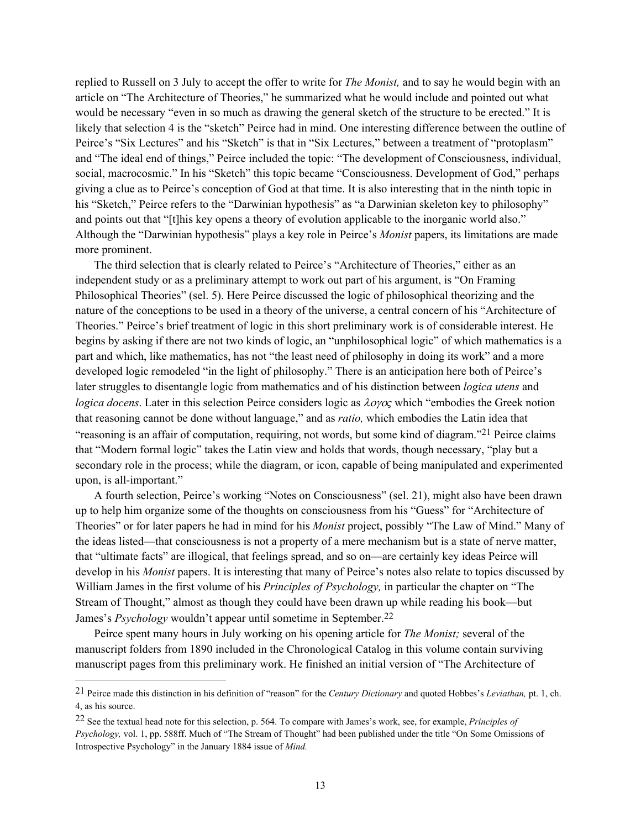replied to Russell on 3 July to accept the offer to write for *The Monist,* and to say he would begin with an article on "The Architecture of Theories," he summarized what he would include and pointed out what would be necessary "even in so much as drawing the general sketch of the structure to be erected." It is likely that selection 4 is the "sketch" Peirce had in mind. One interesting difference between the outline of Peirce's "Six Lectures" and his "Sketch" is that in "Six Lectures," between a treatment of "protoplasm" and "The ideal end of things," Peirce included the topic: "The development of Consciousness, individual, social, macrocosmic." In his "Sketch" this topic became "Consciousness. Development of God," perhaps giving a clue as to Peirce's conception of God at that time. It is also interesting that in the ninth topic in his "Sketch," Peirce refers to the "Darwinian hypothesis" as "a Darwinian skeleton key to philosophy" and points out that "[t]his key opens a theory of evolution applicable to the inorganic world also." Although the "Darwinian hypothesis" plays a key role in Peirce's *Monist* papers, its limitations are made more prominent.

 The third selection that is clearly related to Peirce's "Architecture of Theories," either as an independent study or as a preliminary attempt to work out part of his argument, is "On Framing Philosophical Theories" (sel. 5). Here Peirce discussed the logic of philosophical theorizing and the nature of the conceptions to be used in a theory of the universe, a central concern of his "Architecture of Theories." Peirce's brief treatment of logic in this short preliminary work is of considerable interest. He begins by asking if there are not two kinds of logic, an "unphilosophical logic" of which mathematics is a part and which, like mathematics, has not "the least need of philosophy in doing its work" and a more developed logic remodeled "in the light of philosophy." There is an anticipation here both of Peirce's later struggles to disentangle logic from mathematics and of his distinction between *logica utens* and *logica docens*. Later in this selection Peirce considers logic as  $λογος$  which "embodies the Greek notion that reasoning cannot be done without language," and as *ratio,* which embodies the Latin idea that "reasoning is an affair of computation, requiring, not words, but some kind of diagram."21 Peirce claims that "Modern formal logic" takes the Latin view and holds that words, though necessary, "play but a secondary role in the process; while the diagram, or icon, capable of being manipulated and experimented upon, is all-important."

 A fourth selection, Peirce's working "Notes on Consciousness" (sel. 21), might also have been drawn up to help him organize some of the thoughts on consciousness from his "Guess" for "Architecture of Theories" or for later papers he had in mind for his *Monist* project, possibly "The Law of Mind." Many of the ideas listed—that consciousness is not a property of a mere mechanism but is a state of nerve matter, that "ultimate facts" are illogical, that feelings spread, and so on—are certainly key ideas Peirce will develop in his *Monist* papers. It is interesting that many of Peirce's notes also relate to topics discussed by William James in the first volume of his *Principles of Psychology,* in particular the chapter on "The Stream of Thought," almost as though they could have been drawn up while reading his book—but James's *Psychology* wouldn't appear until sometime in September.22

 Peirce spent many hours in July working on his opening article for *The Monist;* several of the manuscript folders from 1890 included in the Chronological Catalog in this volume contain surviving manuscript pages from this preliminary work. He finished an initial version of "The Architecture of

<sup>21</sup> Peirce made this distinction in his definition of "reason" for the *Century Dictionary* and quoted Hobbes's *Leviathan,* pt. 1, ch. 4, as his source.

<sup>22</sup> See the textual head note for this selection, p. 564. To compare with James's work, see, for example, *Principles of Psychology,* vol. 1, pp. 588ff. Much of "The Stream of Thought" had been published under the title "On Some Omissions of Introspective Psychology" in the January 1884 issue of *Mind.*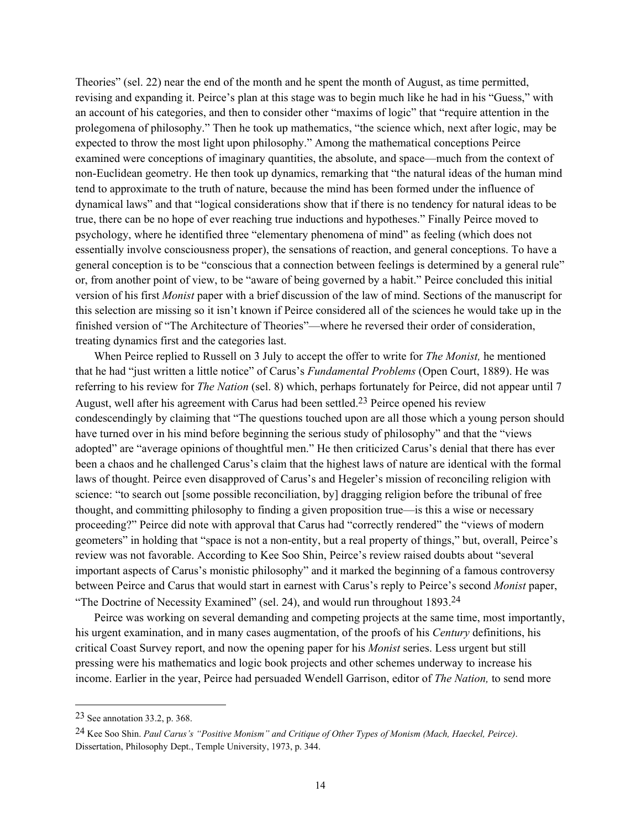Theories" (sel. 22) near the end of the month and he spent the month of August, as time permitted, revising and expanding it. Peirce's plan at this stage was to begin much like he had in his "Guess," with an account of his categories, and then to consider other "maxims of logic" that "require attention in the prolegomena of philosophy." Then he took up mathematics, "the science which, next after logic, may be expected to throw the most light upon philosophy." Among the mathematical conceptions Peirce examined were conceptions of imaginary quantities, the absolute, and space—much from the context of non-Euclidean geometry. He then took up dynamics, remarking that "the natural ideas of the human mind tend to approximate to the truth of nature, because the mind has been formed under the influence of dynamical laws" and that "logical considerations show that if there is no tendency for natural ideas to be true, there can be no hope of ever reaching true inductions and hypotheses." Finally Peirce moved to psychology, where he identified three "elementary phenomena of mind" as feeling (which does not essentially involve consciousness proper), the sensations of reaction, and general conceptions. To have a general conception is to be "conscious that a connection between feelings is determined by a general rule" or, from another point of view, to be "aware of being governed by a habit." Peirce concluded this initial version of his first *Monist* paper with a brief discussion of the law of mind. Sections of the manuscript for this selection are missing so it isn't known if Peirce considered all of the sciences he would take up in the finished version of "The Architecture of Theories"—where he reversed their order of consideration, treating dynamics first and the categories last.

 When Peirce replied to Russell on 3 July to accept the offer to write for *The Monist,* he mentioned that he had "just written a little notice" of Carus's *Fundamental Problems* (Open Court, 1889). He was referring to his review for *The Nation* (sel. 8) which, perhaps fortunately for Peirce, did not appear until 7 August, well after his agreement with Carus had been settled.<sup>23</sup> Peirce opened his review condescendingly by claiming that "The questions touched upon are all those which a young person should have turned over in his mind before beginning the serious study of philosophy" and that the "views adopted" are "average opinions of thoughtful men." He then criticized Carus's denial that there has ever been a chaos and he challenged Carus's claim that the highest laws of nature are identical with the formal laws of thought. Peirce even disapproved of Carus's and Hegeler's mission of reconciling religion with science: "to search out [some possible reconciliation, by] dragging religion before the tribunal of free thought, and committing philosophy to finding a given proposition true—is this a wise or necessary proceeding?" Peirce did note with approval that Carus had "correctly rendered" the "views of modern geometers" in holding that "space is not a non-entity, but a real property of things," but, overall, Peirce's review was not favorable. According to Kee Soo Shin, Peirce's review raised doubts about "several important aspects of Carus's monistic philosophy" and it marked the beginning of a famous controversy between Peirce and Carus that would start in earnest with Carus's reply to Peirce's second *Monist* paper, "The Doctrine of Necessity Examined" (sel. 24), and would run throughout 1893.24

 Peirce was working on several demanding and competing projects at the same time, most importantly, his urgent examination, and in many cases augmentation, of the proofs of his *Century* definitions, his critical Coast Survey report, and now the opening paper for his *Monist* series. Less urgent but still pressing were his mathematics and logic book projects and other schemes underway to increase his income. Earlier in the year, Peirce had persuaded Wendell Garrison, editor of *The Nation,* to send more

<sup>23</sup> See annotation 33.2, p. 368.

<sup>24</sup> Kee Soo Shin. *Paul Carus's "Positive Monism" and Critique of Other Types of Monism (Mach, Haeckel, Peirce)*. Dissertation, Philosophy Dept., Temple University, 1973, p. 344.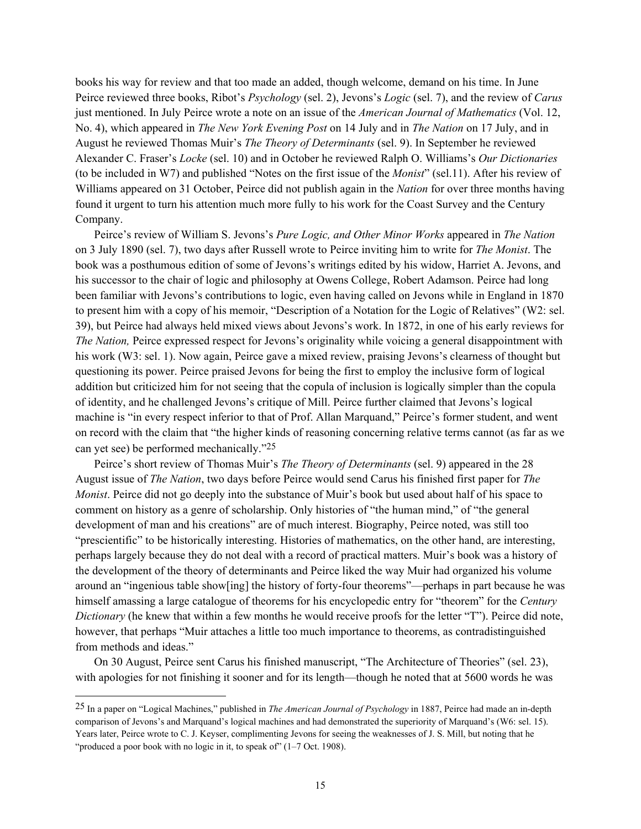books his way for review and that too made an added, though welcome, demand on his time. In June Peirce reviewed three books, Ribot's *Psychology* (sel. 2), Jevons's *Logic* (sel. 7), and the review of *Carus* just mentioned. In July Peirce wrote a note on an issue of the *American Journal of Mathematics* (Vol. 12, No. 4), which appeared in *The New York Evening Post* on 14 July and in *The Nation* on 17 July, and in August he reviewed Thomas Muir's *The Theory of Determinants* (sel. 9). In September he reviewed Alexander C. Fraser's *Locke* (sel. 10) and in October he reviewed Ralph O. Williams's *Our Dictionaries* (to be included in W7) and published "Notes on the first issue of the *Monist*" (sel.11). After his review of Williams appeared on 31 October, Peirce did not publish again in the *Nation* for over three months having found it urgent to turn his attention much more fully to his work for the Coast Survey and the Century Company.

 Peirce's review of William S. Jevons's *Pure Logic, and Other Minor Works* appeared in *The Nation* on 3 July 1890 (sel. 7), two days after Russell wrote to Peirce inviting him to write for *The Monist*. The book was a posthumous edition of some of Jevons's writings edited by his widow, Harriet A. Jevons, and his successor to the chair of logic and philosophy at Owens College, Robert Adamson. Peirce had long been familiar with Jevons's contributions to logic, even having called on Jevons while in England in 1870 to present him with a copy of his memoir, "Description of a Notation for the Logic of Relatives" (W2: sel. 39), but Peirce had always held mixed views about Jevons's work. In 1872, in one of his early reviews for *The Nation,* Peirce expressed respect for Jevons's originality while voicing a general disappointment with his work (W3: sel. 1). Now again, Peirce gave a mixed review, praising Jevons's clearness of thought but questioning its power. Peirce praised Jevons for being the first to employ the inclusive form of logical addition but criticized him for not seeing that the copula of inclusion is logically simpler than the copula of identity, and he challenged Jevons's critique of Mill. Peirce further claimed that Jevons's logical machine is "in every respect inferior to that of Prof. Allan Marquand," Peirce's former student, and went on record with the claim that "the higher kinds of reasoning concerning relative terms cannot (as far as we can yet see) be performed mechanically."25

 Peirce's short review of Thomas Muir's *The Theory of Determinants* (sel. 9) appeared in the 28 August issue of *The Nation*, two days before Peirce would send Carus his finished first paper for *The Monist*. Peirce did not go deeply into the substance of Muir's book but used about half of his space to comment on history as a genre of scholarship. Only histories of "the human mind," of "the general development of man and his creations" are of much interest. Biography, Peirce noted, was still too "prescientific" to be historically interesting. Histories of mathematics, on the other hand, are interesting, perhaps largely because they do not deal with a record of practical matters. Muir's book was a history of the development of the theory of determinants and Peirce liked the way Muir had organized his volume around an "ingenious table show[ing] the history of forty-four theorems"—perhaps in part because he was himself amassing a large catalogue of theorems for his encyclopedic entry for "theorem" for the *Century Dictionary* (he knew that within a few months he would receive proofs for the letter "T"). Peirce did note, however, that perhaps "Muir attaches a little too much importance to theorems, as contradistinguished from methods and ideas."

 On 30 August, Peirce sent Carus his finished manuscript, "The Architecture of Theories" (sel. 23), with apologies for not finishing it sooner and for its length—though he noted that at 5600 words he was

<sup>25</sup> In a paper on "Logical Machines," published in *The American Journal of Psychology* in 1887, Peirce had made an in-depth comparison of Jevons's and Marquand's logical machines and had demonstrated the superiority of Marquand's (W6: sel. 15). Years later, Peirce wrote to C. J. Keyser, complimenting Jevons for seeing the weaknesses of J. S. Mill, but noting that he "produced a poor book with no logic in it, to speak of" (1–7 Oct. 1908).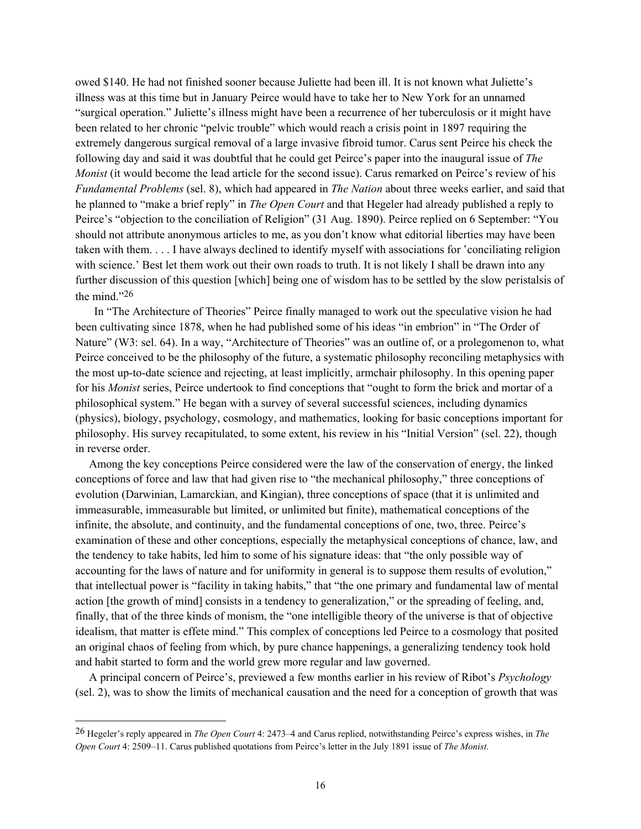owed \$140. He had not finished sooner because Juliette had been ill. It is not known what Juliette's illness was at this time but in January Peirce would have to take her to New York for an unnamed "surgical operation." Juliette's illness might have been a recurrence of her tuberculosis or it might have been related to her chronic "pelvic trouble" which would reach a crisis point in 1897 requiring the extremely dangerous surgical removal of a large invasive fibroid tumor. Carus sent Peirce his check the following day and said it was doubtful that he could get Peirce's paper into the inaugural issue of *The Monist* (it would become the lead article for the second issue). Carus remarked on Peirce's review of his *Fundamental Problems* (sel. 8), which had appeared in *The Nation* about three weeks earlier, and said that he planned to "make a brief reply" in *The Open Court* and that Hegeler had already published a reply to Peirce's "objection to the conciliation of Religion" (31 Aug. 1890). Peirce replied on 6 September: "You should not attribute anonymous articles to me, as you don't know what editorial liberties may have been taken with them. . . . I have always declined to identify myself with associations for 'conciliating religion with science.' Best let them work out their own roads to truth. It is not likely I shall be drawn into any further discussion of this question [which] being one of wisdom has to be settled by the slow peristalsis of the mind."26

 In "The Architecture of Theories" Peirce finally managed to work out the speculative vision he had been cultivating since 1878, when he had published some of his ideas "in embrion" in "The Order of Nature" (W3: sel. 64). In a way, "Architecture of Theories" was an outline of, or a prolegomenon to, what Peirce conceived to be the philosophy of the future, a systematic philosophy reconciling metaphysics with the most up-to-date science and rejecting, at least implicitly, armchair philosophy. In this opening paper for his *Monist* series, Peirce undertook to find conceptions that "ought to form the brick and mortar of a philosophical system." He began with a survey of several successful sciences, including dynamics (physics), biology, psychology, cosmology, and mathematics, looking for basic conceptions important for philosophy. His survey recapitulated, to some extent, his review in his "Initial Version" (sel. 22), though in reverse order.

 Among the key conceptions Peirce considered were the law of the conservation of energy, the linked conceptions of force and law that had given rise to "the mechanical philosophy," three conceptions of evolution (Darwinian, Lamarckian, and Kingian), three conceptions of space (that it is unlimited and immeasurable, immeasurable but limited, or unlimited but finite), mathematical conceptions of the infinite, the absolute, and continuity, and the fundamental conceptions of one, two, three. Peirce's examination of these and other conceptions, especially the metaphysical conceptions of chance, law, and the tendency to take habits, led him to some of his signature ideas: that "the only possible way of accounting for the laws of nature and for uniformity in general is to suppose them results of evolution," that intellectual power is "facility in taking habits," that "the one primary and fundamental law of mental action [the growth of mind] consists in a tendency to generalization," or the spreading of feeling, and, finally, that of the three kinds of monism, the "one intelligible theory of the universe is that of objective idealism, that matter is effete mind." This complex of conceptions led Peirce to a cosmology that posited an original chaos of feeling from which, by pure chance happenings, a generalizing tendency took hold and habit started to form and the world grew more regular and law governed.

 A principal concern of Peirce's, previewed a few months earlier in his review of Ribot's *Psychology* (sel. 2), was to show the limits of mechanical causation and the need for a conception of growth that was

<sup>26</sup> Hegeler's reply appeared in *The Open Court* 4: 2473–4 and Carus replied, notwithstanding Peirce's express wishes, in *The Open Court* 4: 2509–11. Carus published quotations from Peirce's letter in the July 1891 issue of *The Monist.*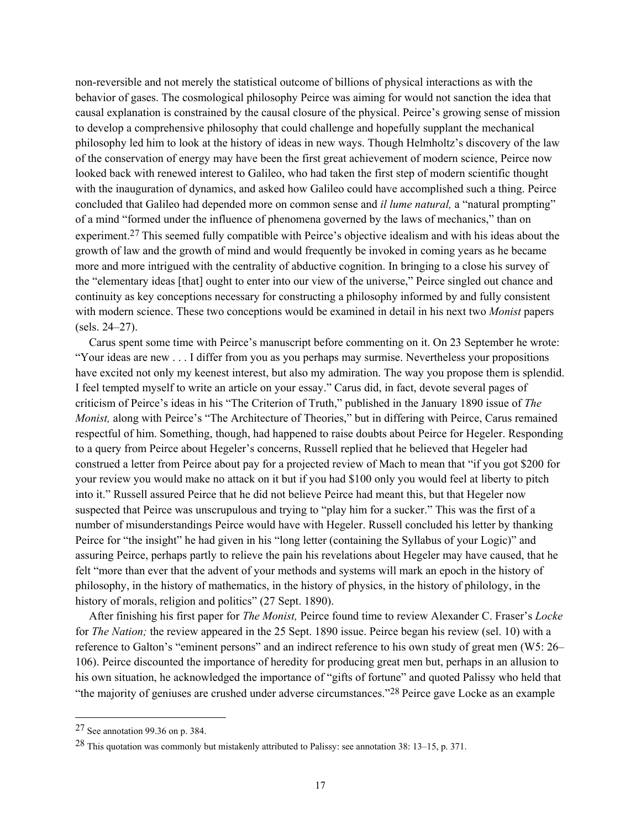non-reversible and not merely the statistical outcome of billions of physical interactions as with the behavior of gases. The cosmological philosophy Peirce was aiming for would not sanction the idea that causal explanation is constrained by the causal closure of the physical. Peirce's growing sense of mission to develop a comprehensive philosophy that could challenge and hopefully supplant the mechanical philosophy led him to look at the history of ideas in new ways. Though Helmholtz's discovery of the law of the conservation of energy may have been the first great achievement of modern science, Peirce now looked back with renewed interest to Galileo, who had taken the first step of modern scientific thought with the inauguration of dynamics, and asked how Galileo could have accomplished such a thing. Peirce concluded that Galileo had depended more on common sense and *il lume natural,* a "natural prompting" of a mind "formed under the influence of phenomena governed by the laws of mechanics," than on experiment.27 This seemed fully compatible with Peirce's objective idealism and with his ideas about the growth of law and the growth of mind and would frequently be invoked in coming years as he became more and more intrigued with the centrality of abductive cognition. In bringing to a close his survey of the "elementary ideas [that] ought to enter into our view of the universe," Peirce singled out chance and continuity as key conceptions necessary for constructing a philosophy informed by and fully consistent with modern science. These two conceptions would be examined in detail in his next two *Monist* papers (sels. 24–27).

 Carus spent some time with Peirce's manuscript before commenting on it. On 23 September he wrote: "Your ideas are new . . . I differ from you as you perhaps may surmise. Nevertheless your propositions have excited not only my keenest interest, but also my admiration. The way you propose them is splendid. I feel tempted myself to write an article on your essay." Carus did, in fact, devote several pages of criticism of Peirce's ideas in his "The Criterion of Truth," published in the January 1890 issue of *The Monist*, along with Peirce's "The Architecture of Theories," but in differing with Peirce, Carus remained respectful of him. Something, though, had happened to raise doubts about Peirce for Hegeler. Responding to a query from Peirce about Hegeler's concerns, Russell replied that he believed that Hegeler had construed a letter from Peirce about pay for a projected review of Mach to mean that "if you got \$200 for your review you would make no attack on it but if you had \$100 only you would feel at liberty to pitch into it." Russell assured Peirce that he did not believe Peirce had meant this, but that Hegeler now suspected that Peirce was unscrupulous and trying to "play him for a sucker." This was the first of a number of misunderstandings Peirce would have with Hegeler. Russell concluded his letter by thanking Peirce for "the insight" he had given in his "long letter (containing the Syllabus of your Logic)" and assuring Peirce, perhaps partly to relieve the pain his revelations about Hegeler may have caused, that he felt "more than ever that the advent of your methods and systems will mark an epoch in the history of philosophy, in the history of mathematics, in the history of physics, in the history of philology, in the history of morals, religion and politics" (27 Sept. 1890).

 After finishing his first paper for *The Monist,* Peirce found time to review Alexander C. Fraser's *Locke* for *The Nation;* the review appeared in the 25 Sept. 1890 issue. Peirce began his review (sel. 10) with a reference to Galton's "eminent persons" and an indirect reference to his own study of great men (W5: 26– 106). Peirce discounted the importance of heredity for producing great men but, perhaps in an allusion to his own situation, he acknowledged the importance of "gifts of fortune" and quoted Palissy who held that "the majority of geniuses are crushed under adverse circumstances."28 Peirce gave Locke as an example

<sup>27</sup> See annotation 99.36 on p. 384.

<sup>28</sup> This quotation was commonly but mistakenly attributed to Palissy: see annotation 38: 13–15, p. 371.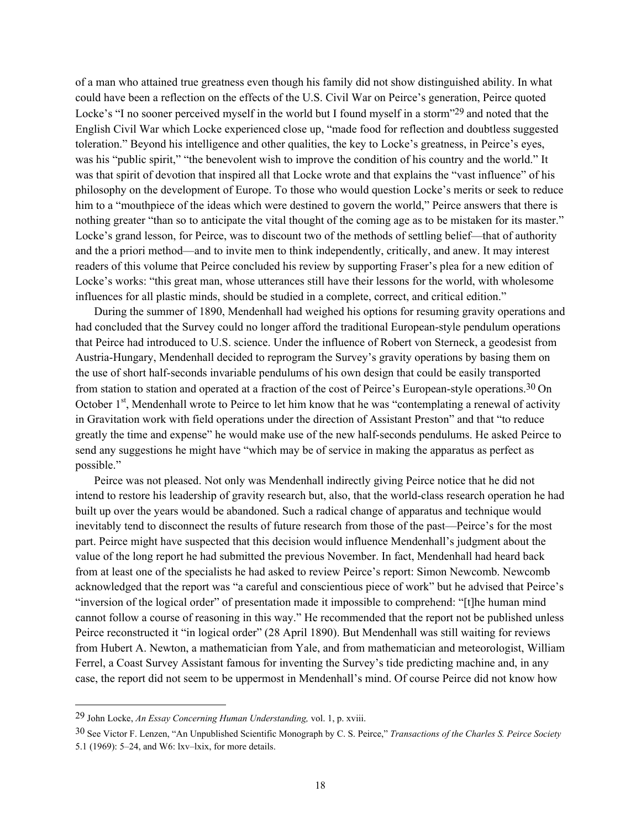of a man who attained true greatness even though his family did not show distinguished ability. In what could have been a reflection on the effects of the U.S. Civil War on Peirce's generation, Peirce quoted Locke's "I no sooner perceived myself in the world but I found myself in a storm"<sup>29</sup> and noted that the English Civil War which Locke experienced close up, "made food for reflection and doubtless suggested toleration." Beyond his intelligence and other qualities, the key to Locke's greatness, in Peirce's eyes, was his "public spirit," "the benevolent wish to improve the condition of his country and the world." It was that spirit of devotion that inspired all that Locke wrote and that explains the "vast influence" of his philosophy on the development of Europe. To those who would question Locke's merits or seek to reduce him to a "mouthpiece of the ideas which were destined to govern the world," Peirce answers that there is nothing greater "than so to anticipate the vital thought of the coming age as to be mistaken for its master." Locke's grand lesson, for Peirce, was to discount two of the methods of settling belief—that of authority and the a priori method—and to invite men to think independently, critically, and anew. It may interest readers of this volume that Peirce concluded his review by supporting Fraser's plea for a new edition of Locke's works: "this great man, whose utterances still have their lessons for the world, with wholesome influences for all plastic minds, should be studied in a complete, correct, and critical edition."

 During the summer of 1890, Mendenhall had weighed his options for resuming gravity operations and had concluded that the Survey could no longer afford the traditional European-style pendulum operations that Peirce had introduced to U.S. science. Under the influence of Robert von Sterneck, a geodesist from Austria-Hungary, Mendenhall decided to reprogram the Survey's gravity operations by basing them on the use of short half-seconds invariable pendulums of his own design that could be easily transported from station to station and operated at a fraction of the cost of Peirce's European-style operations.30 On October 1<sup>st</sup>, Mendenhall wrote to Peirce to let him know that he was "contemplating a renewal of activity in Gravitation work with field operations under the direction of Assistant Preston" and that "to reduce greatly the time and expense" he would make use of the new half-seconds pendulums. He asked Peirce to send any suggestions he might have "which may be of service in making the apparatus as perfect as possible."

 Peirce was not pleased. Not only was Mendenhall indirectly giving Peirce notice that he did not intend to restore his leadership of gravity research but, also, that the world-class research operation he had built up over the years would be abandoned. Such a radical change of apparatus and technique would inevitably tend to disconnect the results of future research from those of the past—Peirce's for the most part. Peirce might have suspected that this decision would influence Mendenhall's judgment about the value of the long report he had submitted the previous November. In fact, Mendenhall had heard back from at least one of the specialists he had asked to review Peirce's report: Simon Newcomb. Newcomb acknowledged that the report was "a careful and conscientious piece of work" but he advised that Peirce's "inversion of the logical order" of presentation made it impossible to comprehend: "[t]he human mind cannot follow a course of reasoning in this way." He recommended that the report not be published unless Peirce reconstructed it "in logical order" (28 April 1890). But Mendenhall was still waiting for reviews from Hubert A. Newton, a mathematician from Yale, and from mathematician and meteorologist, William Ferrel, a Coast Survey Assistant famous for inventing the Survey's tide predicting machine and, in any case, the report did not seem to be uppermost in Mendenhall's mind. Of course Peirce did not know how

<sup>29</sup> John Locke, *An Essay Concerning Human Understanding,* vol. 1, p. xviii.

<sup>30</sup> See Victor F. Lenzen, "An Unpublished Scientific Monograph by C. S. Peirce," *Transactions of the Charles S. Peirce Society*  5.1 (1969): 5–24, and W6: lxv–lxix, for more details.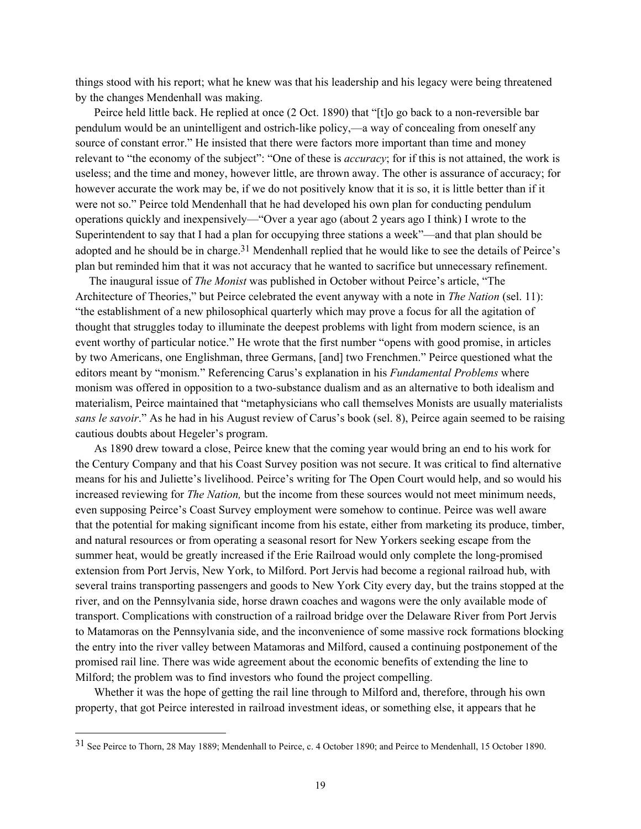things stood with his report; what he knew was that his leadership and his legacy were being threatened by the changes Mendenhall was making.

 Peirce held little back. He replied at once (2 Oct. 1890) that "[t]o go back to a non-reversible bar pendulum would be an unintelligent and ostrich-like policy,—a way of concealing from oneself any source of constant error." He insisted that there were factors more important than time and money relevant to "the economy of the subject": "One of these is *accuracy*; for if this is not attained, the work is useless; and the time and money, however little, are thrown away. The other is assurance of accuracy; for however accurate the work may be, if we do not positively know that it is so, it is little better than if it were not so." Peirce told Mendenhall that he had developed his own plan for conducting pendulum operations quickly and inexpensively—"Over a year ago (about 2 years ago I think) I wrote to the Superintendent to say that I had a plan for occupying three stations a week"—and that plan should be adopted and he should be in charge.<sup>31</sup> Mendenhall replied that he would like to see the details of Peirce's plan but reminded him that it was not accuracy that he wanted to sacrifice but unnecessary refinement.

 The inaugural issue of *The Monist* was published in October without Peirce's article, "The Architecture of Theories," but Peirce celebrated the event anyway with a note in *The Nation* (sel. 11): "the establishment of a new philosophical quarterly which may prove a focus for all the agitation of thought that struggles today to illuminate the deepest problems with light from modern science, is an event worthy of particular notice." He wrote that the first number "opens with good promise, in articles by two Americans, one Englishman, three Germans, [and] two Frenchmen." Peirce questioned what the editors meant by "monism." Referencing Carus's explanation in his *Fundamental Problems* where monism was offered in opposition to a two-substance dualism and as an alternative to both idealism and materialism, Peirce maintained that "metaphysicians who call themselves Monists are usually materialists *sans le savoir*." As he had in his August review of Carus's book (sel. 8), Peirce again seemed to be raising cautious doubts about Hegeler's program.

 As 1890 drew toward a close, Peirce knew that the coming year would bring an end to his work for the Century Company and that his Coast Survey position was not secure. It was critical to find alternative means for his and Juliette's livelihood. Peirce's writing for The Open Court would help, and so would his increased reviewing for *The Nation,* but the income from these sources would not meet minimum needs, even supposing Peirce's Coast Survey employment were somehow to continue. Peirce was well aware that the potential for making significant income from his estate, either from marketing its produce, timber, and natural resources or from operating a seasonal resort for New Yorkers seeking escape from the summer heat, would be greatly increased if the Erie Railroad would only complete the long-promised extension from Port Jervis, New York, to Milford. Port Jervis had become a regional railroad hub, with several trains transporting passengers and goods to New York City every day, but the trains stopped at the river, and on the Pennsylvania side, horse drawn coaches and wagons were the only available mode of transport. Complications with construction of a railroad bridge over the Delaware River from Port Jervis to Matamoras on the Pennsylvania side, and the inconvenience of some massive rock formations blocking the entry into the river valley between Matamoras and Milford, caused a continuing postponement of the promised rail line. There was wide agreement about the economic benefits of extending the line to Milford; the problem was to find investors who found the project compelling.

 Whether it was the hope of getting the rail line through to Milford and, therefore, through his own property, that got Peirce interested in railroad investment ideas, or something else, it appears that he

<sup>31</sup> See Peirce to Thorn, 28 May 1889; Mendenhall to Peirce, c. 4 October 1890; and Peirce to Mendenhall, 15 October 1890.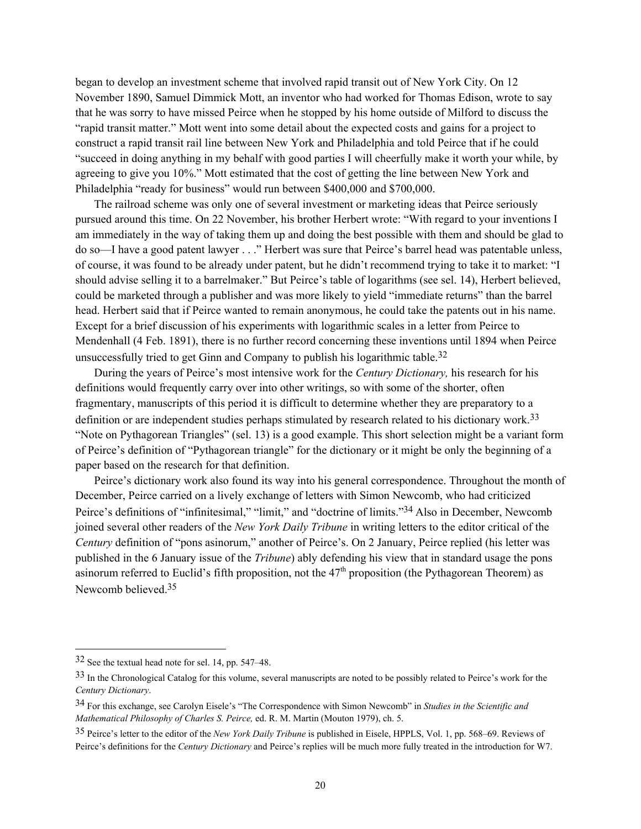began to develop an investment scheme that involved rapid transit out of New York City. On 12 November 1890, Samuel Dimmick Mott, an inventor who had worked for Thomas Edison, wrote to say that he was sorry to have missed Peirce when he stopped by his home outside of Milford to discuss the "rapid transit matter." Mott went into some detail about the expected costs and gains for a project to construct a rapid transit rail line between New York and Philadelphia and told Peirce that if he could "succeed in doing anything in my behalf with good parties I will cheerfully make it worth your while, by agreeing to give you 10%." Mott estimated that the cost of getting the line between New York and Philadelphia "ready for business" would run between \$400,000 and \$700,000.

 The railroad scheme was only one of several investment or marketing ideas that Peirce seriously pursued around this time. On 22 November, his brother Herbert wrote: "With regard to your inventions I am immediately in the way of taking them up and doing the best possible with them and should be glad to do so—I have a good patent lawyer . . ." Herbert was sure that Peirce's barrel head was patentable unless, of course, it was found to be already under patent, but he didn't recommend trying to take it to market: "I should advise selling it to a barrelmaker." But Peirce's table of logarithms (see sel. 14), Herbert believed, could be marketed through a publisher and was more likely to yield "immediate returns" than the barrel head. Herbert said that if Peirce wanted to remain anonymous, he could take the patents out in his name. Except for a brief discussion of his experiments with logarithmic scales in a letter from Peirce to Mendenhall (4 Feb. 1891), there is no further record concerning these inventions until 1894 when Peirce unsuccessfully tried to get Ginn and Company to publish his logarithmic table.32

 During the years of Peirce's most intensive work for the *Century Dictionary,* his research for his definitions would frequently carry over into other writings, so with some of the shorter, often fragmentary, manuscripts of this period it is difficult to determine whether they are preparatory to a definition or are independent studies perhaps stimulated by research related to his dictionary work.<sup>33</sup> "Note on Pythagorean Triangles" (sel. 13) is a good example. This short selection might be a variant form of Peirce's definition of "Pythagorean triangle" for the dictionary or it might be only the beginning of a paper based on the research for that definition.

 Peirce's dictionary work also found its way into his general correspondence. Throughout the month of December, Peirce carried on a lively exchange of letters with Simon Newcomb, who had criticized Peirce's definitions of "infinitesimal," "limit," and "doctrine of limits."34 Also in December, Newcomb joined several other readers of the *New York Daily Tribune* in writing letters to the editor critical of the *Century* definition of "pons asinorum," another of Peirce's. On 2 January, Peirce replied (his letter was published in the 6 January issue of the *Tribune*) ably defending his view that in standard usage the pons asinorum referred to Euclid's fifth proposition, not the  $47<sup>th</sup>$  proposition (the Pythagorean Theorem) as Newcomb believed.35

<sup>32</sup> See the textual head note for sel. 14, pp. 547–48.

<sup>&</sup>lt;sup>33</sup> In the Chronological Catalog for this volume, several manuscripts are noted to be possibly related to Peirce's work for the *Century Dictionary*.

<sup>34</sup> For this exchange, see Carolyn Eisele's "The Correspondence with Simon Newcomb" in *Studies in the Scientific and Mathematical Philosophy of Charles S. Peirce,* ed. R. M. Martin (Mouton 1979), ch. 5.

<sup>35</sup> Peirce's letter to the editor of the *New York Daily Tribune* is published in Eisele, HPPLS, Vol. 1, pp. 568–69. Reviews of Peirce's definitions for the *Century Dictionary* and Peirce's replies will be much more fully treated in the introduction for W7.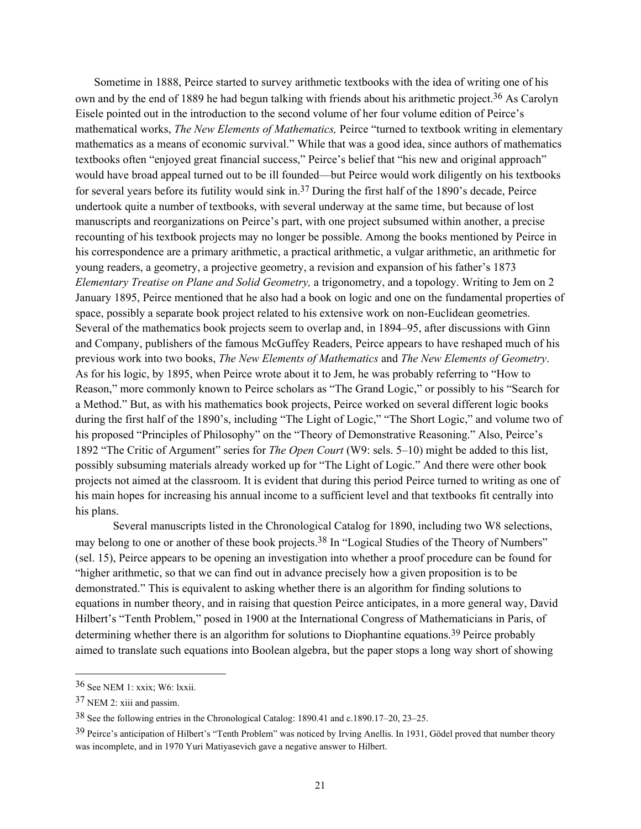Sometime in 1888, Peirce started to survey arithmetic textbooks with the idea of writing one of his own and by the end of 1889 he had begun talking with friends about his arithmetic project.<sup>36</sup> As Carolyn Eisele pointed out in the introduction to the second volume of her four volume edition of Peirce's mathematical works, *The New Elements of Mathematics,* Peirce "turned to textbook writing in elementary mathematics as a means of economic survival." While that was a good idea, since authors of mathematics textbooks often "enjoyed great financial success," Peirce's belief that "his new and original approach" would have broad appeal turned out to be ill founded—but Peirce would work diligently on his textbooks for several years before its futility would sink in.37 During the first half of the 1890's decade, Peirce undertook quite a number of textbooks, with several underway at the same time, but because of lost manuscripts and reorganizations on Peirce's part, with one project subsumed within another, a precise recounting of his textbook projects may no longer be possible. Among the books mentioned by Peirce in his correspondence are a primary arithmetic, a practical arithmetic, a vulgar arithmetic, an arithmetic for young readers, a geometry, a projective geometry, a revision and expansion of his father's 1873 *Elementary Treatise on Plane and Solid Geometry,* a trigonometry, and a topology. Writing to Jem on 2 January 1895, Peirce mentioned that he also had a book on logic and one on the fundamental properties of space, possibly a separate book project related to his extensive work on non-Euclidean geometries. Several of the mathematics book projects seem to overlap and, in 1894–95, after discussions with Ginn and Company, publishers of the famous McGuffey Readers, Peirce appears to have reshaped much of his previous work into two books, *The New Elements of Mathematics* and *The New Elements of Geometry*. As for his logic, by 1895, when Peirce wrote about it to Jem, he was probably referring to "How to Reason," more commonly known to Peirce scholars as "The Grand Logic," or possibly to his "Search for a Method." But, as with his mathematics book projects, Peirce worked on several different logic books during the first half of the 1890's, including "The Light of Logic," "The Short Logic," and volume two of his proposed "Principles of Philosophy" on the "Theory of Demonstrative Reasoning." Also, Peirce's 1892 "The Critic of Argument" series for *The Open Court* (W9: sels. 5–10) might be added to this list, possibly subsuming materials already worked up for "The Light of Logic." And there were other book projects not aimed at the classroom. It is evident that during this period Peirce turned to writing as one of his main hopes for increasing his annual income to a sufficient level and that textbooks fit centrally into his plans.

 Several manuscripts listed in the Chronological Catalog for 1890, including two W8 selections, may belong to one or another of these book projects.<sup>38</sup> In "Logical Studies of the Theory of Numbers" (sel. 15), Peirce appears to be opening an investigation into whether a proof procedure can be found for "higher arithmetic, so that we can find out in advance precisely how a given proposition is to be demonstrated." This is equivalent to asking whether there is an algorithm for finding solutions to equations in number theory, and in raising that question Peirce anticipates, in a more general way, David Hilbert's "Tenth Problem," posed in 1900 at the International Congress of Mathematicians in Paris, of determining whether there is an algorithm for solutions to Diophantine equations.<sup>39</sup> Peirce probably aimed to translate such equations into Boolean algebra, but the paper stops a long way short of showing

<sup>36</sup> See NEM 1: xxix; W6: lxxii.

<sup>37</sup> NEM 2: xiii and passim.

<sup>38</sup> See the following entries in the Chronological Catalog: 1890.41 and c.1890.17–20, 23–25.

<sup>39</sup> Peirce's anticipation of Hilbert's "Tenth Problem" was noticed by Irving Anellis. In 1931, Gödel proved that number theory was incomplete, and in 1970 Yuri Matiyasevich gave a negative answer to Hilbert.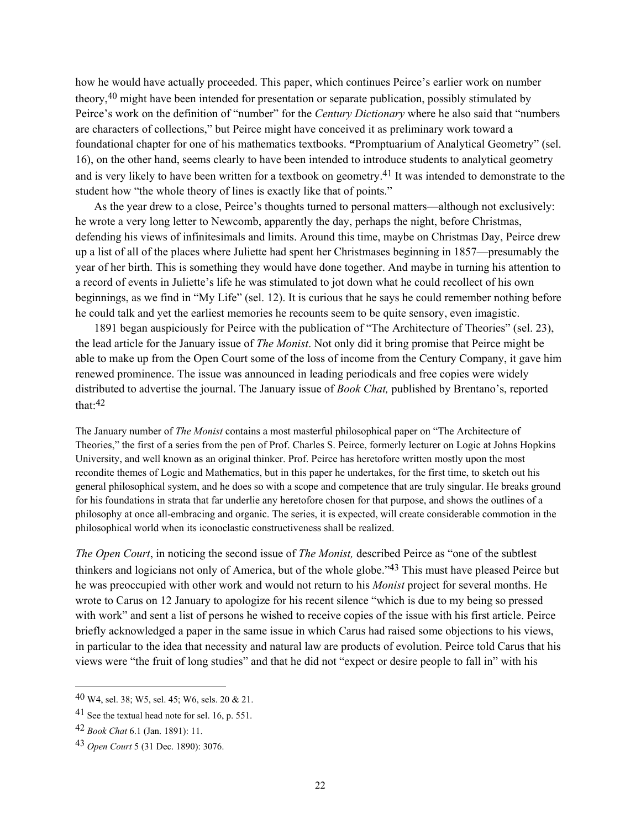how he would have actually proceeded. This paper, which continues Peirce's earlier work on number theory,40 might have been intended for presentation or separate publication, possibly stimulated by Peirce's work on the definition of "number" for the *Century Dictionary* where he also said that "numbers are characters of collections," but Peirce might have conceived it as preliminary work toward a foundational chapter for one of his mathematics textbooks. **"**Promptuarium of Analytical Geometry" (sel. 16), on the other hand, seems clearly to have been intended to introduce students to analytical geometry and is very likely to have been written for a textbook on geometry.<sup>41</sup> It was intended to demonstrate to the student how "the whole theory of lines is exactly like that of points."

 As the year drew to a close, Peirce's thoughts turned to personal matters—although not exclusively: he wrote a very long letter to Newcomb, apparently the day, perhaps the night, before Christmas, defending his views of infinitesimals and limits. Around this time, maybe on Christmas Day, Peirce drew up a list of all of the places where Juliette had spent her Christmases beginning in 1857—presumably the year of her birth. This is something they would have done together. And maybe in turning his attention to a record of events in Juliette's life he was stimulated to jot down what he could recollect of his own beginnings, as we find in "My Life" (sel. 12). It is curious that he says he could remember nothing before he could talk and yet the earliest memories he recounts seem to be quite sensory, even imagistic.

 1891 began auspiciously for Peirce with the publication of "The Architecture of Theories" (sel. 23), the lead article for the January issue of *The Monist*. Not only did it bring promise that Peirce might be able to make up from the Open Court some of the loss of income from the Century Company, it gave him renewed prominence. The issue was announced in leading periodicals and free copies were widely distributed to advertise the journal. The January issue of *Book Chat,* published by Brentano's, reported that $\cdot$ <sup>42</sup>

The January number of *The Monist* contains a most masterful philosophical paper on "The Architecture of Theories," the first of a series from the pen of Prof. Charles S. Peirce, formerly lecturer on Logic at Johns Hopkins University, and well known as an original thinker. Prof. Peirce has heretofore written mostly upon the most recondite themes of Logic and Mathematics, but in this paper he undertakes, for the first time, to sketch out his general philosophical system, and he does so with a scope and competence that are truly singular. He breaks ground for his foundations in strata that far underlie any heretofore chosen for that purpose, and shows the outlines of a philosophy at once all-embracing and organic. The series, it is expected, will create considerable commotion in the philosophical world when its iconoclastic constructiveness shall be realized.

*The Open Court*, in noticing the second issue of *The Monist,* described Peirce as "one of the subtlest thinkers and logicians not only of America, but of the whole globe."43 This must have pleased Peirce but he was preoccupied with other work and would not return to his *Monist* project for several months. He wrote to Carus on 12 January to apologize for his recent silence "which is due to my being so pressed with work" and sent a list of persons he wished to receive copies of the issue with his first article. Peirce briefly acknowledged a paper in the same issue in which Carus had raised some objections to his views, in particular to the idea that necessity and natural law are products of evolution. Peirce told Carus that his views were "the fruit of long studies" and that he did not "expect or desire people to fall in" with his

<sup>40</sup> W4, sel. 38; W5, sel. 45; W6, sels. 20 & 21.

<sup>41</sup> See the textual head note for sel. 16, p. 551.

<sup>42</sup> *Book Chat* 6.1 (Jan. 1891): 11.

<sup>43</sup> *Open Court* 5 (31 Dec. 1890): 3076.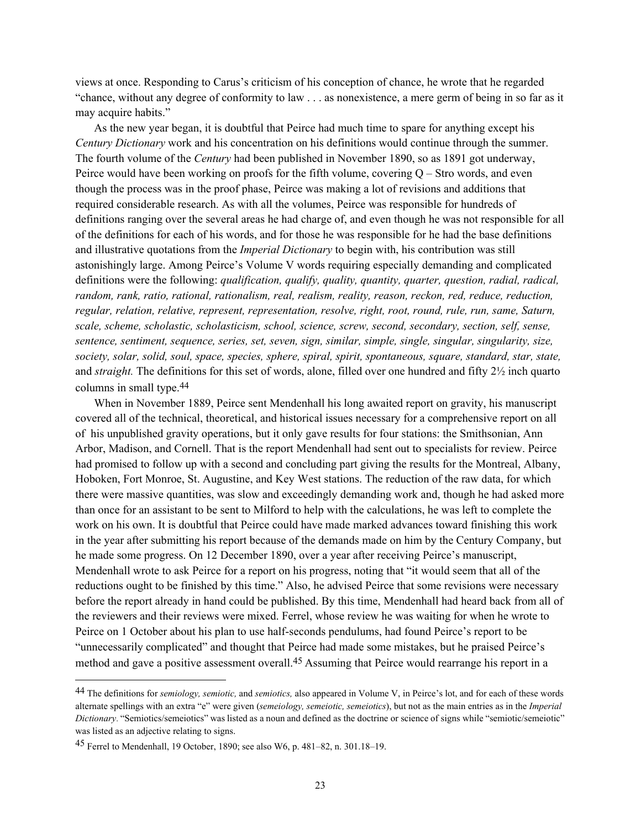views at once. Responding to Carus's criticism of his conception of chance, he wrote that he regarded "chance, without any degree of conformity to law . . . as nonexistence, a mere germ of being in so far as it may acquire habits."

 As the new year began, it is doubtful that Peirce had much time to spare for anything except his *Century Dictionary* work and his concentration on his definitions would continue through the summer. The fourth volume of the *Century* had been published in November 1890, so as 1891 got underway, Peirce would have been working on proofs for the fifth volume, covering  $Q -$  Stro words, and even though the process was in the proof phase, Peirce was making a lot of revisions and additions that required considerable research. As with all the volumes, Peirce was responsible for hundreds of definitions ranging over the several areas he had charge of, and even though he was not responsible for all of the definitions for each of his words, and for those he was responsible for he had the base definitions and illustrative quotations from the *Imperial Dictionary* to begin with, his contribution was still astonishingly large. Among Peirce's Volume V words requiring especially demanding and complicated definitions were the following: *qualification, qualify, quality, quantity, quarter, question, radial, radical, random, rank, ratio, rational, rationalism, real, realism, reality, reason, reckon, red, reduce, reduction, regular, relation, relative, represent, representation, resolve, right, root, round, rule, run, same, Saturn, scale, scheme, scholastic, scholasticism, school, science, screw, second, secondary, section, self, sense, sentence, sentiment, sequence, series, set, seven, sign, similar, simple, single, singular, singularity, size, society, solar, solid, soul, space, species, sphere, spiral, spirit, spontaneous, square, standard, star, state,* and *straight.* The definitions for this set of words, alone, filled over one hundred and fifty 2½ inch quarto columns in small type.44

 When in November 1889, Peirce sent Mendenhall his long awaited report on gravity, his manuscript covered all of the technical, theoretical, and historical issues necessary for a comprehensive report on all of his unpublished gravity operations, but it only gave results for four stations: the Smithsonian, Ann Arbor, Madison, and Cornell. That is the report Mendenhall had sent out to specialists for review. Peirce had promised to follow up with a second and concluding part giving the results for the Montreal, Albany, Hoboken, Fort Monroe, St. Augustine, and Key West stations. The reduction of the raw data, for which there were massive quantities, was slow and exceedingly demanding work and, though he had asked more than once for an assistant to be sent to Milford to help with the calculations, he was left to complete the work on his own. It is doubtful that Peirce could have made marked advances toward finishing this work in the year after submitting his report because of the demands made on him by the Century Company, but he made some progress. On 12 December 1890, over a year after receiving Peirce's manuscript, Mendenhall wrote to ask Peirce for a report on his progress, noting that "it would seem that all of the reductions ought to be finished by this time." Also, he advised Peirce that some revisions were necessary before the report already in hand could be published. By this time, Mendenhall had heard back from all of the reviewers and their reviews were mixed. Ferrel, whose review he was waiting for when he wrote to Peirce on 1 October about his plan to use half-seconds pendulums, had found Peirce's report to be "unnecessarily complicated" and thought that Peirce had made some mistakes, but he praised Peirce's method and gave a positive assessment overall.<sup>45</sup> Assuming that Peirce would rearrange his report in a

<sup>44</sup> The definitions for *semiology, semiotic,* and *semiotics,* also appeared in Volume V, in Peirce's lot, and for each of these words alternate spellings with an extra "e" were given (*semeiology, semeiotic, semeiotics*), but not as the main entries as in the *Imperial Dictionary*. "Semiotics/semeiotics" was listed as a noun and defined as the doctrine or science of signs while "semiotic/semeiotic" was listed as an adjective relating to signs.

<sup>45</sup> Ferrel to Mendenhall, 19 October, 1890; see also W6, p. 481–82, n. 301.18–19.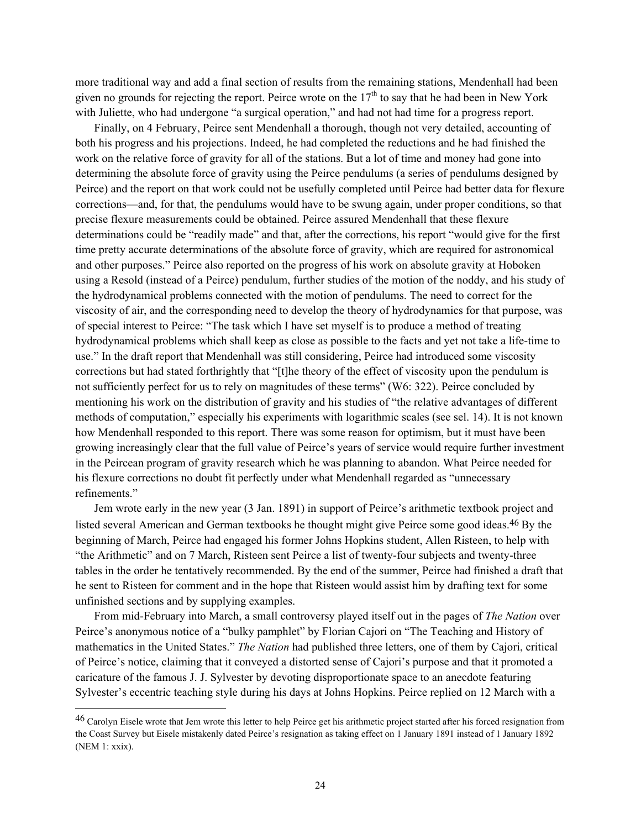more traditional way and add a final section of results from the remaining stations, Mendenhall had been given no grounds for rejecting the report. Peirce wrote on the  $17<sup>th</sup>$  to say that he had been in New York with Juliette, who had undergone "a surgical operation," and had not had time for a progress report.

 Finally, on 4 February, Peirce sent Mendenhall a thorough, though not very detailed, accounting of both his progress and his projections. Indeed, he had completed the reductions and he had finished the work on the relative force of gravity for all of the stations. But a lot of time and money had gone into determining the absolute force of gravity using the Peirce pendulums (a series of pendulums designed by Peirce) and the report on that work could not be usefully completed until Peirce had better data for flexure corrections—and, for that, the pendulums would have to be swung again, under proper conditions, so that precise flexure measurements could be obtained. Peirce assured Mendenhall that these flexure determinations could be "readily made" and that, after the corrections, his report "would give for the first time pretty accurate determinations of the absolute force of gravity, which are required for astronomical and other purposes." Peirce also reported on the progress of his work on absolute gravity at Hoboken using a Resold (instead of a Peirce) pendulum, further studies of the motion of the noddy, and his study of the hydrodynamical problems connected with the motion of pendulums. The need to correct for the viscosity of air, and the corresponding need to develop the theory of hydrodynamics for that purpose, was of special interest to Peirce: "The task which I have set myself is to produce a method of treating hydrodynamical problems which shall keep as close as possible to the facts and yet not take a life-time to use." In the draft report that Mendenhall was still considering, Peirce had introduced some viscosity corrections but had stated forthrightly that "[t]he theory of the effect of viscosity upon the pendulum is not sufficiently perfect for us to rely on magnitudes of these terms" (W6: 322). Peirce concluded by mentioning his work on the distribution of gravity and his studies of "the relative advantages of different methods of computation," especially his experiments with logarithmic scales (see sel. 14). It is not known how Mendenhall responded to this report. There was some reason for optimism, but it must have been growing increasingly clear that the full value of Peirce's years of service would require further investment in the Peircean program of gravity research which he was planning to abandon. What Peirce needed for his flexure corrections no doubt fit perfectly under what Mendenhall regarded as "unnecessary refinements."

 Jem wrote early in the new year (3 Jan. 1891) in support of Peirce's arithmetic textbook project and listed several American and German textbooks he thought might give Peirce some good ideas.<sup>46</sup> By the beginning of March, Peirce had engaged his former Johns Hopkins student, Allen Risteen, to help with "the Arithmetic" and on 7 March, Risteen sent Peirce a list of twenty-four subjects and twenty-three tables in the order he tentatively recommended. By the end of the summer, Peirce had finished a draft that he sent to Risteen for comment and in the hope that Risteen would assist him by drafting text for some unfinished sections and by supplying examples.

 From mid-February into March, a small controversy played itself out in the pages of *The Nation* over Peirce's anonymous notice of a "bulky pamphlet" by Florian Cajori on "The Teaching and History of mathematics in the United States." *The Nation* had published three letters, one of them by Cajori, critical of Peirce's notice, claiming that it conveyed a distorted sense of Cajori's purpose and that it promoted a caricature of the famous J. J. Sylvester by devoting disproportionate space to an anecdote featuring Sylvester's eccentric teaching style during his days at Johns Hopkins. Peirce replied on 12 March with a

<sup>46</sup> Carolyn Eisele wrote that Jem wrote this letter to help Peirce get his arithmetic project started after his forced resignation from the Coast Survey but Eisele mistakenly dated Peirce's resignation as taking effect on 1 January 1891 instead of 1 January 1892 (NEM 1: xxix).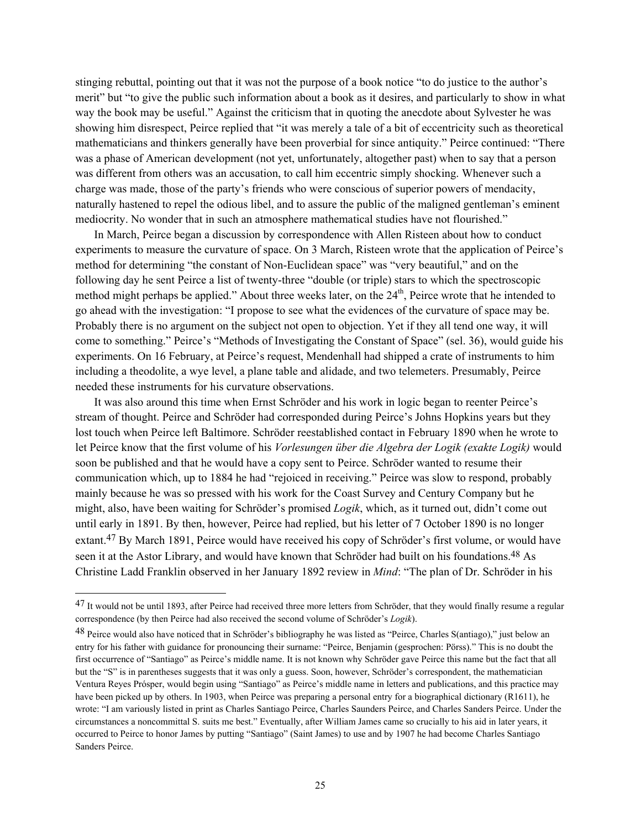stinging rebuttal, pointing out that it was not the purpose of a book notice "to do justice to the author's merit" but "to give the public such information about a book as it desires, and particularly to show in what way the book may be useful." Against the criticism that in quoting the anecdote about Sylvester he was showing him disrespect, Peirce replied that "it was merely a tale of a bit of eccentricity such as theoretical mathematicians and thinkers generally have been proverbial for since antiquity." Peirce continued: "There was a phase of American development (not yet, unfortunately, altogether past) when to say that a person was different from others was an accusation, to call him eccentric simply shocking. Whenever such a charge was made, those of the party's friends who were conscious of superior powers of mendacity, naturally hastened to repel the odious libel, and to assure the public of the maligned gentleman's eminent mediocrity. No wonder that in such an atmosphere mathematical studies have not flourished."

 In March, Peirce began a discussion by correspondence with Allen Risteen about how to conduct experiments to measure the curvature of space. On 3 March, Risteen wrote that the application of Peirce's method for determining "the constant of Non-Euclidean space" was "very beautiful," and on the following day he sent Peirce a list of twenty-three "double (or triple) stars to which the spectroscopic method might perhaps be applied." About three weeks later, on the  $24<sup>th</sup>$ . Peirce wrote that he intended to go ahead with the investigation: "I propose to see what the evidences of the curvature of space may be. Probably there is no argument on the subject not open to objection. Yet if they all tend one way, it will come to something." Peirce's "Methods of Investigating the Constant of Space" (sel. 36), would guide his experiments. On 16 February, at Peirce's request, Mendenhall had shipped a crate of instruments to him including a theodolite, a wye level, a plane table and alidade, and two telemeters. Presumably, Peirce needed these instruments for his curvature observations.

 It was also around this time when Ernst Schröder and his work in logic began to reenter Peirce's stream of thought. Peirce and Schröder had corresponded during Peirce's Johns Hopkins years but they lost touch when Peirce left Baltimore. Schröder reestablished contact in February 1890 when he wrote to let Peirce know that the first volume of his *Vorlesungen über die Algebra der Logik (exakte Logik)* would soon be published and that he would have a copy sent to Peirce. Schröder wanted to resume their communication which, up to 1884 he had "rejoiced in receiving." Peirce was slow to respond, probably mainly because he was so pressed with his work for the Coast Survey and Century Company but he might, also, have been waiting for Schröder's promised *Logik*, which, as it turned out, didn't come out until early in 1891. By then, however, Peirce had replied, but his letter of 7 October 1890 is no longer extant.47 By March 1891, Peirce would have received his copy of Schröder's first volume, or would have seen it at the Astor Library, and would have known that Schröder had built on his foundations.<sup>48</sup> As Christine Ladd Franklin observed in her January 1892 review in *Mind*: "The plan of Dr. Schröder in his

<sup>47</sup> It would not be until 1893, after Peirce had received three more letters from Schröder, that they would finally resume a regular correspondence (by then Peirce had also received the second volume of Schröder's *Logik*).

<sup>48</sup> Peirce would also have noticed that in Schröder's bibliography he was listed as "Peirce, Charles S(antiago)," just below an entry for his father with guidance for pronouncing their surname: "Peirce, Benjamin (gesprochen: Pörss)." This is no doubt the first occurrence of "Santiago" as Peirce's middle name. It is not known why Schröder gave Peirce this name but the fact that all but the "S" is in parentheses suggests that it was only a guess. Soon, however, Schröder's correspondent, the mathematician Ventura Reyes Prósper, would begin using "Santiago" as Peirce's middle name in letters and publications, and this practice may have been picked up by others. In 1903, when Peirce was preparing a personal entry for a biographical dictionary (R1611), he wrote: "I am variously listed in print as Charles Santiago Peirce, Charles Saunders Peirce, and Charles Sanders Peirce. Under the circumstances a noncommittal S. suits me best." Eventually, after William James came so crucially to his aid in later years, it occurred to Peirce to honor James by putting "Santiago" (Saint James) to use and by 1907 he had become Charles Santiago Sanders Peirce.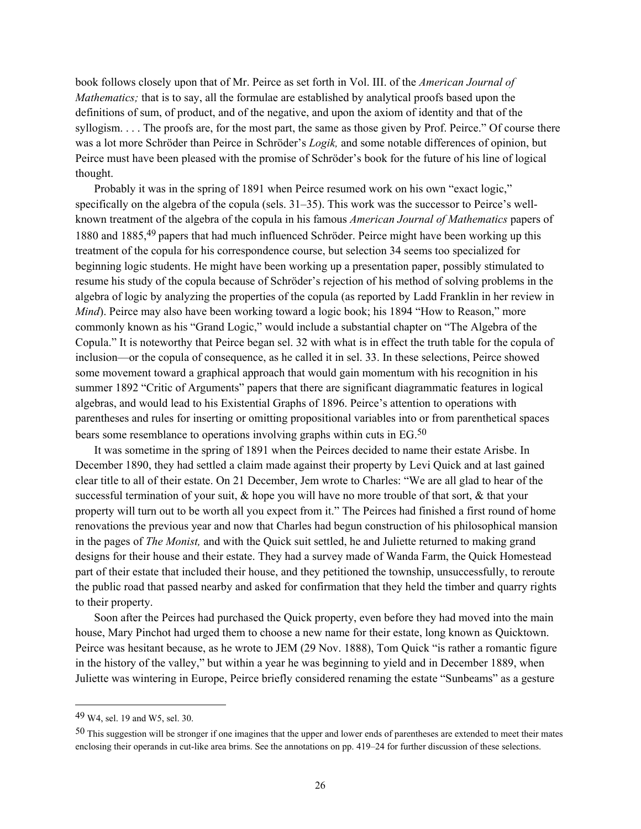book follows closely upon that of Mr. Peirce as set forth in Vol. III. of the *American Journal of Mathematics;* that is to say, all the formulae are established by analytical proofs based upon the definitions of sum, of product, and of the negative, and upon the axiom of identity and that of the syllogism. . . . The proofs are, for the most part, the same as those given by Prof. Peirce." Of course there was a lot more Schröder than Peirce in Schröder's *Logik,* and some notable differences of opinion, but Peirce must have been pleased with the promise of Schröder's book for the future of his line of logical thought.

 Probably it was in the spring of 1891 when Peirce resumed work on his own "exact logic," specifically on the algebra of the copula (sels. 31–35). This work was the successor to Peirce's wellknown treatment of the algebra of the copula in his famous *American Journal of Mathematics* papers of 1880 and 1885,49 papers that had much influenced Schröder. Peirce might have been working up this treatment of the copula for his correspondence course, but selection 34 seems too specialized for beginning logic students. He might have been working up a presentation paper, possibly stimulated to resume his study of the copula because of Schröder's rejection of his method of solving problems in the algebra of logic by analyzing the properties of the copula (as reported by Ladd Franklin in her review in *Mind*). Peirce may also have been working toward a logic book; his 1894 "How to Reason," more commonly known as his "Grand Logic," would include a substantial chapter on "The Algebra of the Copula." It is noteworthy that Peirce began sel. 32 with what is in effect the truth table for the copula of inclusion—or the copula of consequence, as he called it in sel. 33. In these selections, Peirce showed some movement toward a graphical approach that would gain momentum with his recognition in his summer 1892 "Critic of Arguments" papers that there are significant diagrammatic features in logical algebras, and would lead to his Existential Graphs of 1896. Peirce's attention to operations with parentheses and rules for inserting or omitting propositional variables into or from parenthetical spaces bears some resemblance to operations involving graphs within cuts in EG.50

 It was sometime in the spring of 1891 when the Peirces decided to name their estate Arisbe. In December 1890, they had settled a claim made against their property by Levi Quick and at last gained clear title to all of their estate. On 21 December, Jem wrote to Charles: "We are all glad to hear of the successful termination of your suit, & hope you will have no more trouble of that sort, & that your property will turn out to be worth all you expect from it." The Peirces had finished a first round of home renovations the previous year and now that Charles had begun construction of his philosophical mansion in the pages of *The Monist,* and with the Quick suit settled, he and Juliette returned to making grand designs for their house and their estate. They had a survey made of Wanda Farm, the Quick Homestead part of their estate that included their house, and they petitioned the township, unsuccessfully, to reroute the public road that passed nearby and asked for confirmation that they held the timber and quarry rights to their property.

 Soon after the Peirces had purchased the Quick property, even before they had moved into the main house, Mary Pinchot had urged them to choose a new name for their estate, long known as Quicktown. Peirce was hesitant because, as he wrote to JEM (29 Nov. 1888), Tom Quick "is rather a romantic figure in the history of the valley," but within a year he was beginning to yield and in December 1889, when Juliette was wintering in Europe, Peirce briefly considered renaming the estate "Sunbeams" as a gesture

<sup>49</sup> W4, sel. 19 and W5, sel. 30.

 $50$  This suggestion will be stronger if one imagines that the upper and lower ends of parentheses are extended to meet their mates enclosing their operands in cut-like area brims. See the annotations on pp. 419–24 for further discussion of these selections.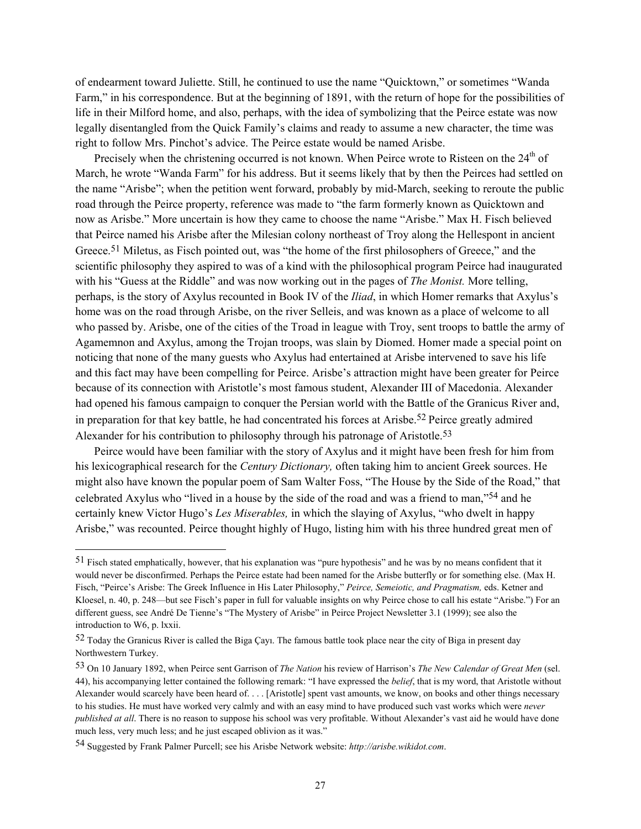of endearment toward Juliette. Still, he continued to use the name "Quicktown," or sometimes "Wanda Farm," in his correspondence. But at the beginning of 1891, with the return of hope for the possibilities of life in their Milford home, and also, perhaps, with the idea of symbolizing that the Peirce estate was now legally disentangled from the Quick Family's claims and ready to assume a new character, the time was right to follow Mrs. Pinchot's advice. The Peirce estate would be named Arisbe.

Precisely when the christening occurred is not known. When Peirce wrote to Risteen on the  $24<sup>th</sup>$  of March, he wrote "Wanda Farm" for his address. But it seems likely that by then the Peirces had settled on the name "Arisbe"; when the petition went forward, probably by mid-March, seeking to reroute the public road through the Peirce property, reference was made to "the farm formerly known as Quicktown and now as Arisbe." More uncertain is how they came to choose the name "Arisbe." Max H. Fisch believed that Peirce named his Arisbe after the Milesian colony northeast of Troy along the Hellespont in ancient Greece.51 Miletus, as Fisch pointed out, was "the home of the first philosophers of Greece," and the scientific philosophy they aspired to was of a kind with the philosophical program Peirce had inaugurated with his "Guess at the Riddle" and was now working out in the pages of *The Monist.* More telling, perhaps, is the story of Axylus recounted in Book IV of the *Iliad*, in which Homer remarks that Axylus's home was on the road through Arisbe, on the river Selleis, and was known as a place of welcome to all who passed by. Arisbe, one of the cities of the Troad in league with Troy, sent troops to battle the army of Agamemnon and Axylus, among the Trojan troops, was slain by Diomed. Homer made a special point on noticing that none of the many guests who Axylus had entertained at Arisbe intervened to save his life and this fact may have been compelling for Peirce. Arisbe's attraction might have been greater for Peirce because of its connection with Aristotle's most famous student, Alexander III of Macedonia. Alexander had opened his famous campaign to conquer the Persian world with the Battle of the Granicus River and, in preparation for that key battle, he had concentrated his forces at Arisbe.<sup>52</sup> Peirce greatly admired Alexander for his contribution to philosophy through his patronage of Aristotle.<sup>53</sup>

 Peirce would have been familiar with the story of Axylus and it might have been fresh for him from his lexicographical research for the *Century Dictionary,* often taking him to ancient Greek sources. He might also have known the popular poem of Sam Walter Foss, "The House by the Side of the Road," that celebrated Axylus who "lived in a house by the side of the road and was a friend to man,"54 and he certainly knew Victor Hugo's *Les Miserables,* in which the slaying of Axylus, "who dwelt in happy Arisbe," was recounted. Peirce thought highly of Hugo, listing him with his three hundred great men of

l

<sup>51</sup> Fisch stated emphatically, however, that his explanation was "pure hypothesis" and he was by no means confident that it would never be disconfirmed. Perhaps the Peirce estate had been named for the Arisbe butterfly or for something else. (Max H. Fisch, "Peirce's Arisbe: The Greek Influence in His Later Philosophy," *Peirce, Semeiotic, and Pragmatism,* eds. Ketner and Kloesel, n. 40, p. 248—but see Fisch's paper in full for valuable insights on why Peirce chose to call his estate "Arisbe.") For an different guess, see André De Tienne's "The Mystery of Arisbe" in Peirce Project Newsletter 3.1 (1999); see also the introduction to W6, p. lxxii.

<sup>52</sup> Today the Granicus River is called the Biga Çayı. The famous battle took place near the city of Biga in present day Northwestern Turkey.

<sup>53</sup> On 10 January 1892, when Peirce sent Garrison of *The Nation* his review of Harrison's *The New Calendar of Great Men* (sel. 44), his accompanying letter contained the following remark: "I have expressed the *belief*, that is my word, that Aristotle without Alexander would scarcely have been heard of. . . . [Aristotle] spent vast amounts, we know, on books and other things necessary to his studies. He must have worked very calmly and with an easy mind to have produced such vast works which were *never published at all*. There is no reason to suppose his school was very profitable. Without Alexander's vast aid he would have done much less, very much less; and he just escaped oblivion as it was."

<sup>54</sup> Suggested by Frank Palmer Purcell; see his Arisbe Network website: *http://arisbe.wikidot.com*.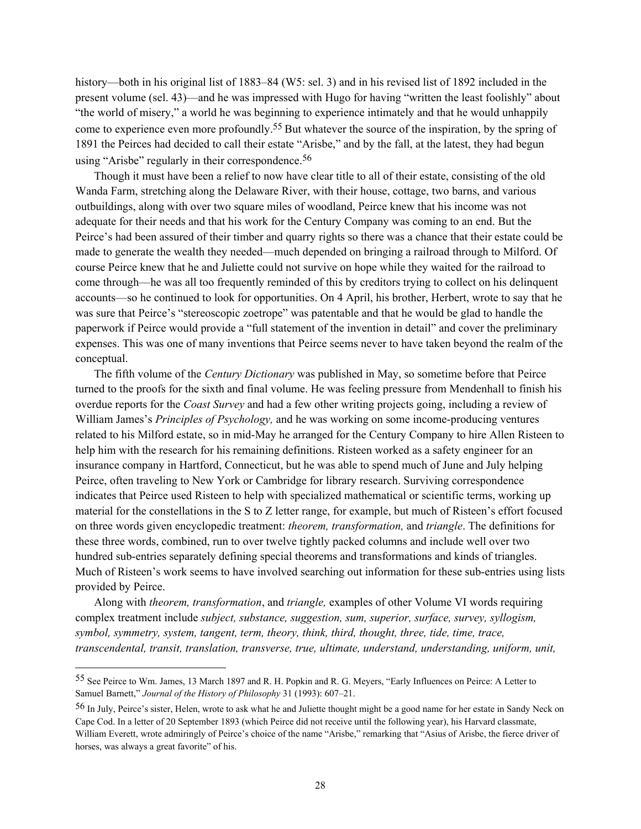history—both in his original list of 1883–84 (W5: sel. 3) and in his revised list of 1892 included in the present volume (sel. 43)—and he was impressed with Hugo for having "written the least foolishly" about "the world of misery," a world he was beginning to experience intimately and that he would unhappily come to experience even more profoundly.55 But whatever the source of the inspiration, by the spring of 1891 the Peirces had decided to call their estate "Arisbe," and by the fall, at the latest, they had begun using "Arisbe" regularly in their correspondence.<sup>56</sup>

 Though it must have been a relief to now have clear title to all of their estate, consisting of the old Wanda Farm, stretching along the Delaware River, with their house, cottage, two barns, and various outbuildings, along with over two square miles of woodland, Peirce knew that his income was not adequate for their needs and that his work for the Century Company was coming to an end. But the Peirce's had been assured of their timber and quarry rights so there was a chance that their estate could be made to generate the wealth they needed—much depended on bringing a railroad through to Milford. Of course Peirce knew that he and Juliette could not survive on hope while they waited for the railroad to come through—he was all too frequently reminded of this by creditors trying to collect on his delinquent accounts—so he continued to look for opportunities. On 4 April, his brother, Herbert, wrote to say that he was sure that Peirce's "stereoscopic zoetrope" was patentable and that he would be glad to handle the paperwork if Peirce would provide a "full statement of the invention in detail" and cover the preliminary expenses. This was one of many inventions that Peirce seems never to have taken beyond the realm of the conceptual.

 The fifth volume of the *Century Dictionary* was published in May, so sometime before that Peirce turned to the proofs for the sixth and final volume. He was feeling pressure from Mendenhall to finish his overdue reports for the *Coast Survey* and had a few other writing projects going, including a review of William James's *Principles of Psychology,* and he was working on some income-producing ventures related to his Milford estate, so in mid-May he arranged for the Century Company to hire Allen Risteen to help him with the research for his remaining definitions. Risteen worked as a safety engineer for an insurance company in Hartford, Connecticut, but he was able to spend much of June and July helping Peirce, often traveling to New York or Cambridge for library research. Surviving correspondence indicates that Peirce used Risteen to help with specialized mathematical or scientific terms, working up material for the constellations in the S to Z letter range, for example, but much of Risteen's effort focused on three words given encyclopedic treatment: *theorem, transformation,* and *triangle*. The definitions for these three words, combined, run to over twelve tightly packed columns and include well over two hundred sub-entries separately defining special theorems and transformations and kinds of triangles. Much of Risteen's work seems to have involved searching out information for these sub-entries using lists provided by Peirce.

 Along with *theorem, transformation*, and *triangle,* examples of other Volume VI words requiring complex treatment include *subject, substance, suggestion, sum, superior, surface, survey, syllogism, symbol, symmetry, system, tangent, term, theory, think, third, thought, three, tide, time, trace, transcendental, transit, translation, transverse, true, ultimate, understand, understanding, uniform, unit,* 

<sup>55</sup> See Peirce to Wm. James, 13 March 1897 and R. H. Popkin and R. G. Meyers, "Early Influences on Peirce: A Letter to Samuel Barnett," *Journal of the History of Philosophy* 31 (1993): 607–21.

<sup>56</sup> In July, Peirce's sister, Helen, wrote to ask what he and Juliette thought might be a good name for her estate in Sandy Neck on Cape Cod. In a letter of 20 September 1893 (which Peirce did not receive until the following year), his Harvard classmate, William Everett, wrote admiringly of Peirce's choice of the name "Arisbe," remarking that "Asius of Arisbe, the fierce driver of horses, was always a great favorite" of his.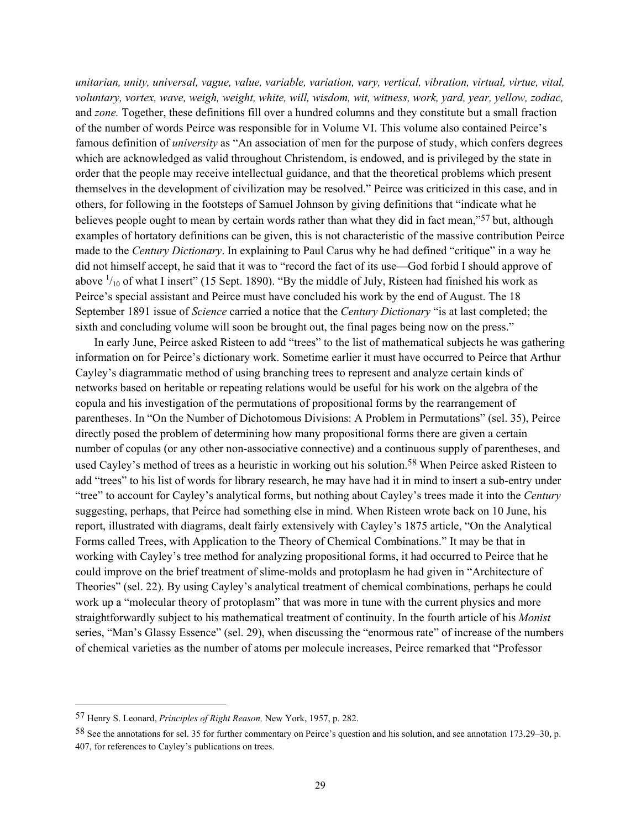*unitarian, unity, universal, vague, value, variable, variation, vary, vertical, vibration, virtual, virtue, vital, voluntary, vortex, wave, weigh, weight, white, will, wisdom, wit, witness, work, yard, year, yellow, zodiac,* and *zone.* Together, these definitions fill over a hundred columns and they constitute but a small fraction of the number of words Peirce was responsible for in Volume VI. This volume also contained Peirce's famous definition of *university* as "An association of men for the purpose of study, which confers degrees which are acknowledged as valid throughout Christendom, is endowed, and is privileged by the state in order that the people may receive intellectual guidance, and that the theoretical problems which present themselves in the development of civilization may be resolved." Peirce was criticized in this case, and in others, for following in the footsteps of Samuel Johnson by giving definitions that "indicate what he believes people ought to mean by certain words rather than what they did in fact mean,"<sup>57</sup> but, although examples of hortatory definitions can be given, this is not characteristic of the massive contribution Peirce made to the *Century Dictionary*. In explaining to Paul Carus why he had defined "critique" in a way he did not himself accept, he said that it was to "record the fact of its use—God forbid I should approve of above  $\frac{1}{10}$  of what I insert" (15 Sept. 1890). "By the middle of July, Risteen had finished his work as Peirce's special assistant and Peirce must have concluded his work by the end of August. The 18 September 1891 issue of *Science* carried a notice that the *Century Dictionary* "is at last completed; the sixth and concluding volume will soon be brought out, the final pages being now on the press."

 In early June, Peirce asked Risteen to add "trees" to the list of mathematical subjects he was gathering information on for Peirce's dictionary work. Sometime earlier it must have occurred to Peirce that Arthur Cayley's diagrammatic method of using branching trees to represent and analyze certain kinds of networks based on heritable or repeating relations would be useful for his work on the algebra of the copula and his investigation of the permutations of propositional forms by the rearrangement of parentheses. In "On the Number of Dichotomous Divisions: A Problem in Permutations" (sel. 35), Peirce directly posed the problem of determining how many propositional forms there are given a certain number of copulas (or any other non-associative connective) and a continuous supply of parentheses, and used Cayley's method of trees as a heuristic in working out his solution.<sup>58</sup> When Peirce asked Risteen to add "trees" to his list of words for library research, he may have had it in mind to insert a sub-entry under "tree" to account for Cayley's analytical forms, but nothing about Cayley's trees made it into the *Century* suggesting, perhaps, that Peirce had something else in mind. When Risteen wrote back on 10 June, his report, illustrated with diagrams, dealt fairly extensively with Cayley's 1875 article, "On the Analytical Forms called Trees, with Application to the Theory of Chemical Combinations." It may be that in working with Cayley's tree method for analyzing propositional forms, it had occurred to Peirce that he could improve on the brief treatment of slime-molds and protoplasm he had given in "Architecture of Theories" (sel. 22). By using Cayley's analytical treatment of chemical combinations, perhaps he could work up a "molecular theory of protoplasm" that was more in tune with the current physics and more straightforwardly subject to his mathematical treatment of continuity. In the fourth article of his *Monist* series, "Man's Glassy Essence" (sel. 29), when discussing the "enormous rate" of increase of the numbers of chemical varieties as the number of atoms per molecule increases, Peirce remarked that "Professor

<sup>57</sup> Henry S. Leonard, *Principles of Right Reason,* New York, 1957, p. 282.

<sup>58</sup> See the annotations for sel. 35 for further commentary on Peirce's question and his solution, and see annotation 173.29–30, p. 407, for references to Cayley's publications on trees.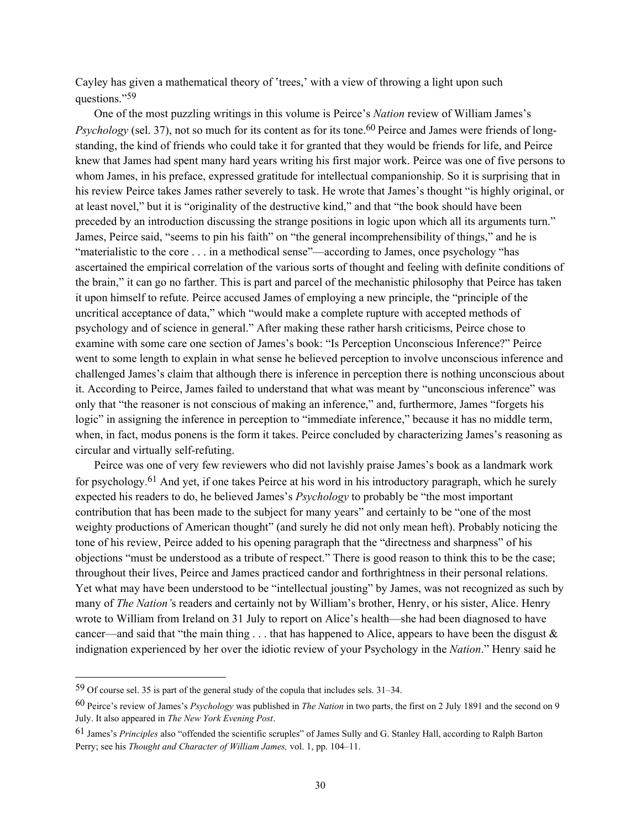Cayley has given a mathematical theory of 'trees,' with a view of throwing a light upon such questions."59

 One of the most puzzling writings in this volume is Peirce's *Nation* review of William James's *Psychology* (sel. 37), not so much for its content as for its tone.<sup>60</sup> Peirce and James were friends of longstanding, the kind of friends who could take it for granted that they would be friends for life, and Peirce knew that James had spent many hard years writing his first major work. Peirce was one of five persons to whom James, in his preface, expressed gratitude for intellectual companionship. So it is surprising that in his review Peirce takes James rather severely to task. He wrote that James's thought "is highly original, or at least novel," but it is "originality of the destructive kind," and that "the book should have been preceded by an introduction discussing the strange positions in logic upon which all its arguments turn." James, Peirce said, "seems to pin his faith" on "the general incomprehensibility of things," and he is "materialistic to the core . . . in a methodical sense"—according to James, once psychology "has ascertained the empirical correlation of the various sorts of thought and feeling with definite conditions of the brain," it can go no farther. This is part and parcel of the mechanistic philosophy that Peirce has taken it upon himself to refute. Peirce accused James of employing a new principle, the "principle of the uncritical acceptance of data," which "would make a complete rupture with accepted methods of psychology and of science in general." After making these rather harsh criticisms, Peirce chose to examine with some care one section of James's book: "Is Perception Unconscious Inference?" Peirce went to some length to explain in what sense he believed perception to involve unconscious inference and challenged James's claim that although there is inference in perception there is nothing unconscious about it. According to Peirce, James failed to understand that what was meant by "unconscious inference" was only that "the reasoner is not conscious of making an inference," and, furthermore, James "forgets his logic" in assigning the inference in perception to "immediate inference," because it has no middle term, when, in fact, modus ponens is the form it takes. Peirce concluded by characterizing James's reasoning as circular and virtually self-refuting.

 Peirce was one of very few reviewers who did not lavishly praise James's book as a landmark work for psychology.61 And yet, if one takes Peirce at his word in his introductory paragraph, which he surely expected his readers to do, he believed James's *Psychology* to probably be "the most important contribution that has been made to the subject for many years" and certainly to be "one of the most weighty productions of American thought" (and surely he did not only mean heft). Probably noticing the tone of his review, Peirce added to his opening paragraph that the "directness and sharpness" of his objections "must be understood as a tribute of respect." There is good reason to think this to be the case; throughout their lives, Peirce and James practiced candor and forthrightness in their personal relations. Yet what may have been understood to be "intellectual jousting" by James, was not recognized as such by many of *The Nation'*s readers and certainly not by William's brother, Henry, or his sister, Alice. Henry wrote to William from Ireland on 31 July to report on Alice's health—she had been diagnosed to have cancer—and said that "the main thing  $\dots$  that has happened to Alice, appears to have been the disgust  $\&$ indignation experienced by her over the idiotic review of your Psychology in the *Nation*." Henry said he

<sup>59</sup> Of course sel. 35 is part of the general study of the copula that includes sels. 31–34.

<sup>60</sup> Peirce's review of James's *Psychology* was published in *The Nation* in two parts, the first on 2 July 1891 and the second on 9 July. It also appeared in *The New York Evening Post*.

<sup>61</sup> James's *Principles* also "offended the scientific scruples" of James Sully and G. Stanley Hall, according to Ralph Barton Perry; see his *Thought and Character of William James,* vol. 1, pp. 104–11.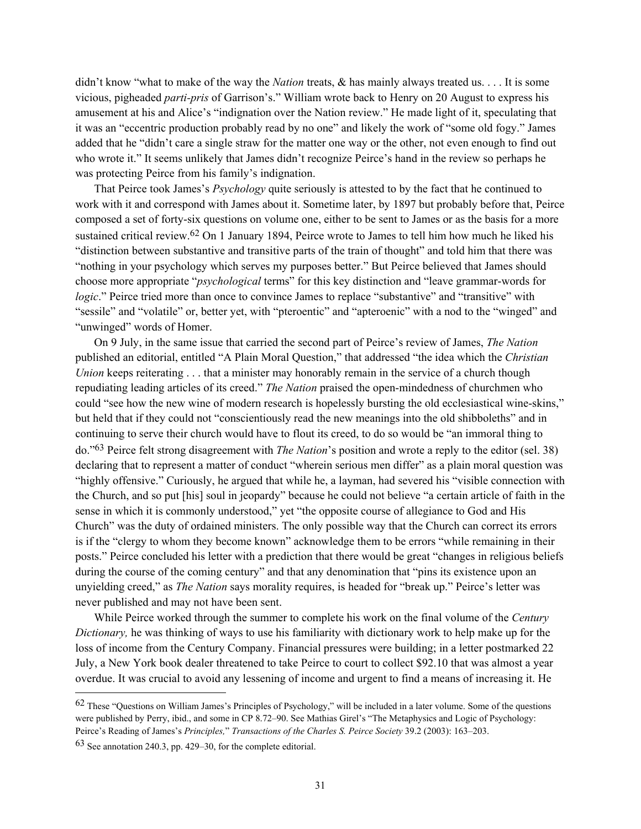didn't know "what to make of the way the *Nation* treats, & has mainly always treated us. . . . It is some vicious, pigheaded *parti-pris* of Garrison's." William wrote back to Henry on 20 August to express his amusement at his and Alice's "indignation over the Nation review." He made light of it, speculating that it was an "eccentric production probably read by no one" and likely the work of "some old fogy." James added that he "didn't care a single straw for the matter one way or the other, not even enough to find out who wrote it." It seems unlikely that James didn't recognize Peirce's hand in the review so perhaps he was protecting Peirce from his family's indignation.

 That Peirce took James's *Psychology* quite seriously is attested to by the fact that he continued to work with it and correspond with James about it. Sometime later, by 1897 but probably before that, Peirce composed a set of forty-six questions on volume one, either to be sent to James or as the basis for a more sustained critical review.<sup>62</sup> On 1 January 1894, Peirce wrote to James to tell him how much he liked his "distinction between substantive and transitive parts of the train of thought" and told him that there was "nothing in your psychology which serves my purposes better." But Peirce believed that James should choose more appropriate "*psychological* terms" for this key distinction and "leave grammar-words for *logic*." Peirce tried more than once to convince James to replace "substantive" and "transitive" with "sessile" and "volatile" or, better yet, with "pteroentic" and "apteroenic" with a nod to the "winged" and "unwinged" words of Homer.

 On 9 July, in the same issue that carried the second part of Peirce's review of James, *The Nation* published an editorial, entitled "A Plain Moral Question," that addressed "the idea which the *Christian Union* keeps reiterating . . . that a minister may honorably remain in the service of a church though repudiating leading articles of its creed." *The Nation* praised the open-mindedness of churchmen who could "see how the new wine of modern research is hopelessly bursting the old ecclesiastical wine-skins," but held that if they could not "conscientiously read the new meanings into the old shibboleths" and in continuing to serve their church would have to flout its creed, to do so would be "an immoral thing to do."63 Peirce felt strong disagreement with *The Nation*'s position and wrote a reply to the editor (sel. 38) declaring that to represent a matter of conduct "wherein serious men differ" as a plain moral question was "highly offensive." Curiously, he argued that while he, a layman, had severed his "visible connection with the Church, and so put [his] soul in jeopardy" because he could not believe "a certain article of faith in the sense in which it is commonly understood," yet "the opposite course of allegiance to God and His Church" was the duty of ordained ministers. The only possible way that the Church can correct its errors is if the "clergy to whom they become known" acknowledge them to be errors "while remaining in their posts." Peirce concluded his letter with a prediction that there would be great "changes in religious beliefs during the course of the coming century" and that any denomination that "pins its existence upon an unyielding creed," as *The Nation* says morality requires, is headed for "break up." Peirce's letter was never published and may not have been sent.

 While Peirce worked through the summer to complete his work on the final volume of the *Century Dictionary,* he was thinking of ways to use his familiarity with dictionary work to help make up for the loss of income from the Century Company. Financial pressures were building; in a letter postmarked 22 July, a New York book dealer threatened to take Peirce to court to collect \$92.10 that was almost a year overdue. It was crucial to avoid any lessening of income and urgent to find a means of increasing it. He

<sup>62</sup> These "Questions on William James's Principles of Psychology," will be included in a later volume. Some of the questions were published by Perry, ibid., and some in CP 8.72–90. See Mathias Girel's "The Metaphysics and Logic of Psychology: Peirce's Reading of James's *Principles,*" *Transactions of the Charles S. Peirce Society* 39.2 (2003): 163–203.

<sup>63</sup> See annotation 240.3, pp. 429–30, for the complete editorial.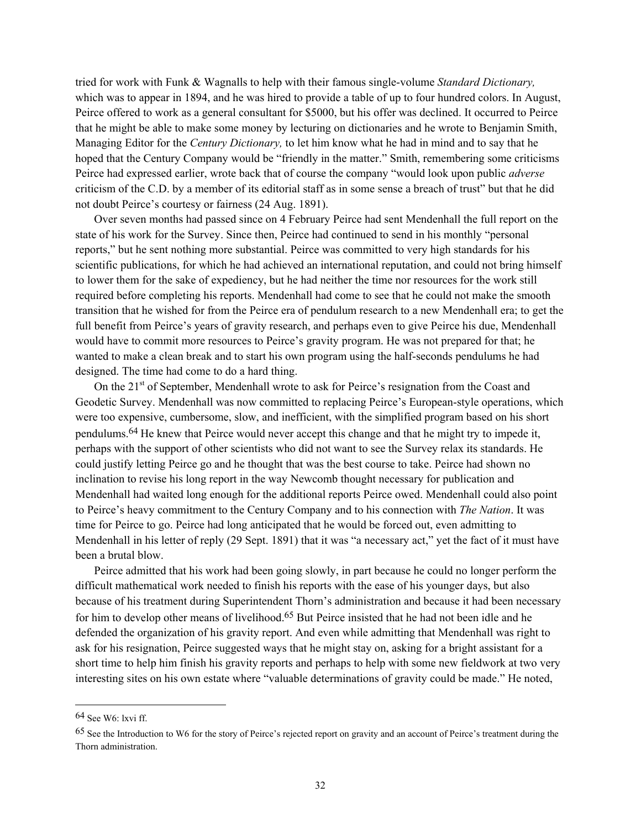tried for work with Funk & Wagnalls to help with their famous single-volume *Standard Dictionary,* which was to appear in 1894, and he was hired to provide a table of up to four hundred colors. In August, Peirce offered to work as a general consultant for \$5000, but his offer was declined. It occurred to Peirce that he might be able to make some money by lecturing on dictionaries and he wrote to Benjamin Smith, Managing Editor for the *Century Dictionary,* to let him know what he had in mind and to say that he hoped that the Century Company would be "friendly in the matter." Smith, remembering some criticisms Peirce had expressed earlier, wrote back that of course the company "would look upon public *adverse* criticism of the C.D. by a member of its editorial staff as in some sense a breach of trust" but that he did not doubt Peirce's courtesy or fairness (24 Aug. 1891).

 Over seven months had passed since on 4 February Peirce had sent Mendenhall the full report on the state of his work for the Survey. Since then, Peirce had continued to send in his monthly "personal reports," but he sent nothing more substantial. Peirce was committed to very high standards for his scientific publications, for which he had achieved an international reputation, and could not bring himself to lower them for the sake of expediency, but he had neither the time nor resources for the work still required before completing his reports. Mendenhall had come to see that he could not make the smooth transition that he wished for from the Peirce era of pendulum research to a new Mendenhall era; to get the full benefit from Peirce's years of gravity research, and perhaps even to give Peirce his due, Mendenhall would have to commit more resources to Peirce's gravity program. He was not prepared for that; he wanted to make a clean break and to start his own program using the half-seconds pendulums he had designed. The time had come to do a hard thing.

On the  $21<sup>st</sup>$  of September, Mendenhall wrote to ask for Peirce's resignation from the Coast and Geodetic Survey. Mendenhall was now committed to replacing Peirce's European-style operations, which were too expensive, cumbersome, slow, and inefficient, with the simplified program based on his short pendulums.64 He knew that Peirce would never accept this change and that he might try to impede it, perhaps with the support of other scientists who did not want to see the Survey relax its standards. He could justify letting Peirce go and he thought that was the best course to take. Peirce had shown no inclination to revise his long report in the way Newcomb thought necessary for publication and Mendenhall had waited long enough for the additional reports Peirce owed. Mendenhall could also point to Peirce's heavy commitment to the Century Company and to his connection with *The Nation*. It was time for Peirce to go. Peirce had long anticipated that he would be forced out, even admitting to Mendenhall in his letter of reply (29 Sept. 1891) that it was "a necessary act," yet the fact of it must have been a brutal blow.

 Peirce admitted that his work had been going slowly, in part because he could no longer perform the difficult mathematical work needed to finish his reports with the ease of his younger days, but also because of his treatment during Superintendent Thorn's administration and because it had been necessary for him to develop other means of livelihood.<sup>65</sup> But Peirce insisted that he had not been idle and he defended the organization of his gravity report. And even while admitting that Mendenhall was right to ask for his resignation, Peirce suggested ways that he might stay on, asking for a bright assistant for a short time to help him finish his gravity reports and perhaps to help with some new fieldwork at two very interesting sites on his own estate where "valuable determinations of gravity could be made." He noted,

 $64$  See W6: lxvi ff.

<sup>65</sup> See the Introduction to W6 for the story of Peirce's rejected report on gravity and an account of Peirce's treatment during the Thorn administration.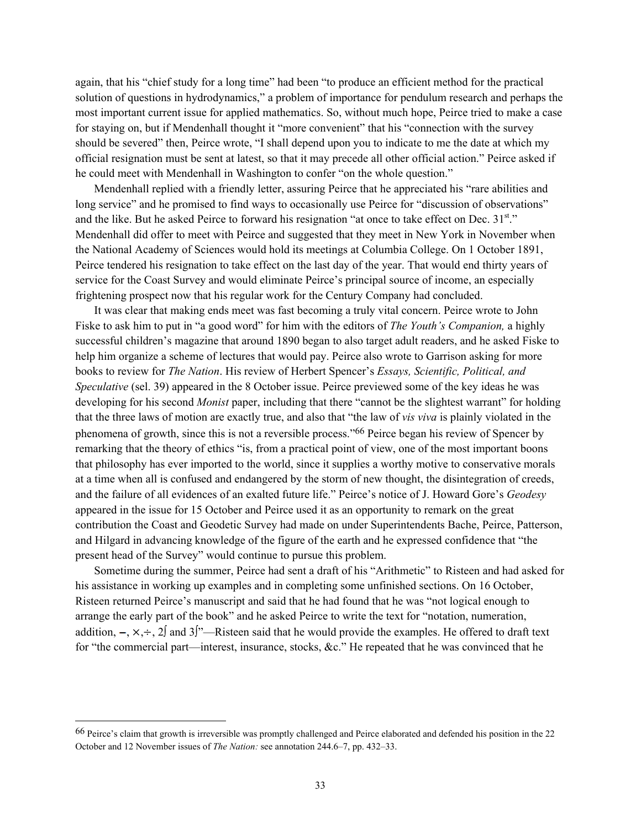again, that his "chief study for a long time" had been "to produce an efficient method for the practical solution of questions in hydrodynamics," a problem of importance for pendulum research and perhaps the most important current issue for applied mathematics. So, without much hope, Peirce tried to make a case for staying on, but if Mendenhall thought it "more convenient" that his "connection with the survey should be severed" then, Peirce wrote, "I shall depend upon you to indicate to me the date at which my official resignation must be sent at latest, so that it may precede all other official action." Peirce asked if he could meet with Mendenhall in Washington to confer "on the whole question."

 Mendenhall replied with a friendly letter, assuring Peirce that he appreciated his "rare abilities and long service" and he promised to find ways to occasionally use Peirce for "discussion of observations" and the like. But he asked Peirce to forward his resignation "at once to take effect on Dec.  $31<sup>st</sup>$ ." Mendenhall did offer to meet with Peirce and suggested that they meet in New York in November when the National Academy of Sciences would hold its meetings at Columbia College. On 1 October 1891, Peirce tendered his resignation to take effect on the last day of the year. That would end thirty years of service for the Coast Survey and would eliminate Peirce's principal source of income, an especially frightening prospect now that his regular work for the Century Company had concluded.

 It was clear that making ends meet was fast becoming a truly vital concern. Peirce wrote to John Fiske to ask him to put in "a good word" for him with the editors of *The Youth's Companion,* a highly successful children's magazine that around 1890 began to also target adult readers, and he asked Fiske to help him organize a scheme of lectures that would pay. Peirce also wrote to Garrison asking for more books to review for *The Nation*. His review of Herbert Spencer's *Essays, Scientific, Political, and Speculative* (sel. 39) appeared in the 8 October issue. Peirce previewed some of the key ideas he was developing for his second *Monist* paper, including that there "cannot be the slightest warrant" for holding that the three laws of motion are exactly true, and also that "the law of *vis viva* is plainly violated in the phenomena of growth, since this is not a reversible process."66 Peirce began his review of Spencer by remarking that the theory of ethics "is, from a practical point of view, one of the most important boons that philosophy has ever imported to the world, since it supplies a worthy motive to conservative morals at a time when all is confused and endangered by the storm of new thought, the disintegration of creeds, and the failure of all evidences of an exalted future life." Peirce's notice of J. Howard Gore's *Geodesy*  appeared in the issue for 15 October and Peirce used it as an opportunity to remark on the great contribution the Coast and Geodetic Survey had made on under Superintendents Bache, Peirce, Patterson, and Hilgard in advancing knowledge of the figure of the earth and he expressed confidence that "the present head of the Survey" would continue to pursue this problem.

 Sometime during the summer, Peirce had sent a draft of his "Arithmetic" to Risteen and had asked for his assistance in working up examples and in completing some unfinished sections. On 16 October, Risteen returned Peirce's manuscript and said that he had found that he was "not logical enough to arrange the early part of the book" and he asked Peirce to write the text for "notation, numeration, addition,  $-$ ,  $\times$ ,  $\div$ , 2∫ and 3∫"—Risteen said that he would provide the examples. He offered to draft text for "the commercial part—interest, insurance, stocks, &c." He repeated that he was convinced that he

<sup>66</sup> Peirce's claim that growth is irreversible was promptly challenged and Peirce elaborated and defended his position in the 22 October and 12 November issues of *The Nation:* see annotation 244.6–7, pp. 432–33.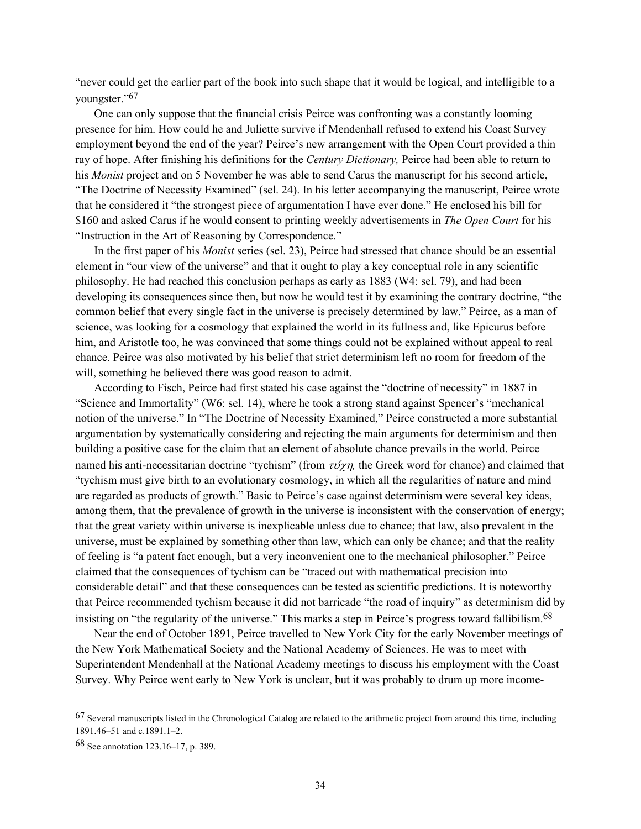"never could get the earlier part of the book into such shape that it would be logical, and intelligible to a youngster."67

 One can only suppose that the financial crisis Peirce was confronting was a constantly looming presence for him. How could he and Juliette survive if Mendenhall refused to extend his Coast Survey employment beyond the end of the year? Peirce's new arrangement with the Open Court provided a thin ray of hope. After finishing his definitions for the *Century Dictionary,* Peirce had been able to return to his *Monist* project and on 5 November he was able to send Carus the manuscript for his second article, "The Doctrine of Necessity Examined" (sel. 24). In his letter accompanying the manuscript, Peirce wrote that he considered it "the strongest piece of argumentation I have ever done." He enclosed his bill for \$160 and asked Carus if he would consent to printing weekly advertisements in *The Open Court* for his "Instruction in the Art of Reasoning by Correspondence."

 In the first paper of his *Monist* series (sel. 23), Peirce had stressed that chance should be an essential element in "our view of the universe" and that it ought to play a key conceptual role in any scientific philosophy. He had reached this conclusion perhaps as early as 1883 (W4: sel. 79), and had been developing its consequences since then, but now he would test it by examining the contrary doctrine, "the common belief that every single fact in the universe is precisely determined by law." Peirce, as a man of science, was looking for a cosmology that explained the world in its fullness and, like Epicurus before him, and Aristotle too, he was convinced that some things could not be explained without appeal to real chance. Peirce was also motivated by his belief that strict determinism left no room for freedom of the will, something he believed there was good reason to admit.

 According to Fisch, Peirce had first stated his case against the "doctrine of necessity" in 1887 in "Science and Immortality" (W6: sel. 14), where he took a strong stand against Spencer's "mechanical notion of the universe." In "The Doctrine of Necessity Examined," Peirce constructed a more substantial argumentation by systematically considering and rejecting the main arguments for determinism and then building a positive case for the claim that an element of absolute chance prevails in the world. Peirce named his anti-necessitarian doctrine "tychism" (from  $\tau \nu \chi \eta$ , the Greek word for chance) and claimed that "tychism must give birth to an evolutionary cosmology, in which all the regularities of nature and mind are regarded as products of growth." Basic to Peirce's case against determinism were several key ideas, among them, that the prevalence of growth in the universe is inconsistent with the conservation of energy; that the great variety within universe is inexplicable unless due to chance; that law, also prevalent in the universe, must be explained by something other than law, which can only be chance; and that the reality of feeling is "a patent fact enough, but a very inconvenient one to the mechanical philosopher." Peirce claimed that the consequences of tychism can be "traced out with mathematical precision into considerable detail" and that these consequences can be tested as scientific predictions. It is noteworthy that Peirce recommended tychism because it did not barricade "the road of inquiry" as determinism did by insisting on "the regularity of the universe." This marks a step in Peirce's progress toward fallibilism.<sup>68</sup>

 Near the end of October 1891, Peirce travelled to New York City for the early November meetings of the New York Mathematical Society and the National Academy of Sciences. He was to meet with Superintendent Mendenhall at the National Academy meetings to discuss his employment with the Coast Survey. Why Peirce went early to New York is unclear, but it was probably to drum up more income-

<sup>67</sup> Several manuscripts listed in the Chronological Catalog are related to the arithmetic project from around this time, including 1891.46–51 and c.1891.1–2.

<sup>68</sup> See annotation 123.16–17, p. 389.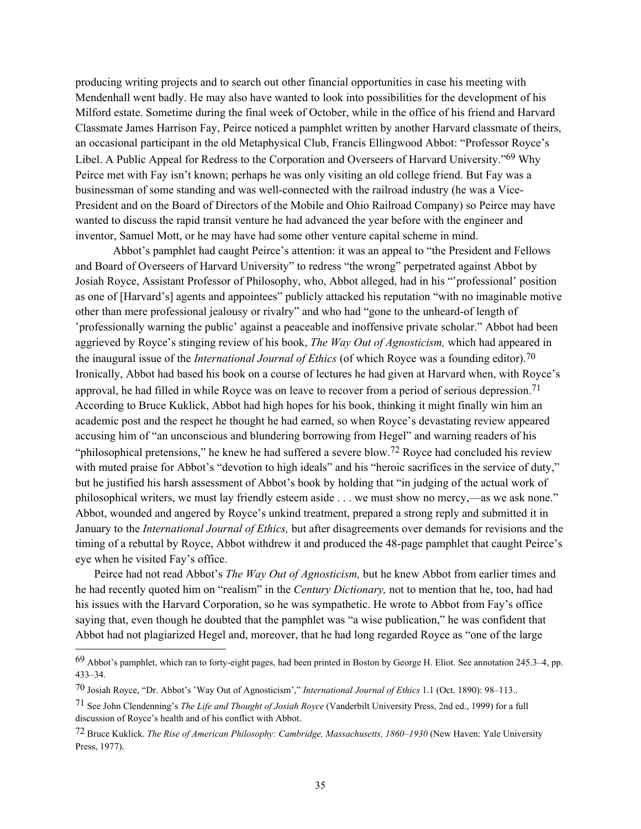producing writing projects and to search out other financial opportunities in case his meeting with Mendenhall went badly. He may also have wanted to look into possibilities for the development of his Milford estate. Sometime during the final week of October, while in the office of his friend and Harvard Classmate James Harrison Fay, Peirce noticed a pamphlet written by another Harvard classmate of theirs, an occasional participant in the old Metaphysical Club, Francis Ellingwood Abbot: "Professor Royce's Libel. A Public Appeal for Redress to the Corporation and Overseers of Harvard University."69 Why Peirce met with Fay isn't known; perhaps he was only visiting an old college friend. But Fay was a businessman of some standing and was well-connected with the railroad industry (he was a Vice-President and on the Board of Directors of the Mobile and Ohio Railroad Company) so Peirce may have wanted to discuss the rapid transit venture he had advanced the year before with the engineer and inventor, Samuel Mott, or he may have had some other venture capital scheme in mind.

 Abbot's pamphlet had caught Peirce's attention: it was an appeal to "the President and Fellows and Board of Overseers of Harvard University" to redress "the wrong" perpetrated against Abbot by Josiah Royce, Assistant Professor of Philosophy, who, Abbot alleged, had in his "'professional' position as one of [Harvard's] agents and appointees" publicly attacked his reputation "with no imaginable motive other than mere professional jealousy or rivalry" and who had "gone to the unheard-of length of 'professionally warning the public' against a peaceable and inoffensive private scholar." Abbot had been aggrieved by Royce's stinging review of his book, *The Way Out of Agnosticism,* which had appeared in the inaugural issue of the *International Journal of Ethics* (of which Royce was a founding editor).70 Ironically, Abbot had based his book on a course of lectures he had given at Harvard when, with Royce's approval, he had filled in while Royce was on leave to recover from a period of serious depression.71 According to Bruce Kuklick, Abbot had high hopes for his book, thinking it might finally win him an academic post and the respect he thought he had earned, so when Royce's devastating review appeared accusing him of "an unconscious and blundering borrowing from Hegel" and warning readers of his "philosophical pretensions," he knew he had suffered a severe blow.<sup>72</sup> Royce had concluded his review with muted praise for Abbot's "devotion to high ideals" and his "heroic sacrifices in the service of duty," but he justified his harsh assessment of Abbot's book by holding that "in judging of the actual work of philosophical writers, we must lay friendly esteem aside . . . we must show no mercy,—as we ask none." Abbot, wounded and angered by Royce's unkind treatment, prepared a strong reply and submitted it in January to the *International Journal of Ethics,* but after disagreements over demands for revisions and the timing of a rebuttal by Royce, Abbot withdrew it and produced the 48-page pamphlet that caught Peirce's eye when he visited Fay's office.

 Peirce had not read Abbot's *The Way Out of Agnosticism,* but he knew Abbot from earlier times and he had recently quoted him on "realism" in the *Century Dictionary,* not to mention that he, too, had had his issues with the Harvard Corporation, so he was sympathetic. He wrote to Abbot from Fay's office saying that, even though he doubted that the pamphlet was "a wise publication," he was confident that Abbot had not plagiarized Hegel and, moreover, that he had long regarded Royce as "one of the large

<sup>69</sup> Abbot's pamphlet, which ran to forty-eight pages, had been printed in Boston by George H. Eliot. See annotation 245.3–4, pp. 433–34.

<sup>70</sup> Josiah Royce, "Dr. Abbot's 'Way Out of Agnosticism'," *International Journal of Ethics* 1.1 (Oct. 1890): 98–113..

<sup>71</sup> See John Clendenning's *The Life and Thought of Josiah Royce* (Vanderbilt University Press, 2nd ed., 1999) for a full discussion of Royce's health and of his conflict with Abbot.

<sup>72</sup> Bruce Kuklick. *The Rise of American Philosophy: Cambridge, Massachusetts, 1860–1930* (New Haven: Yale University Press, 1977).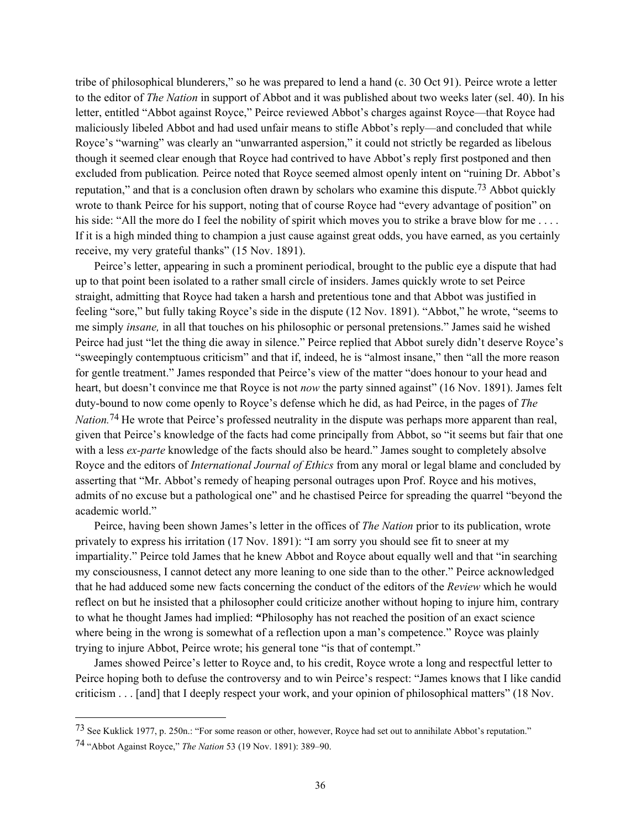tribe of philosophical blunderers," so he was prepared to lend a hand (c. 30 Oct 91). Peirce wrote a letter to the editor of *The Nation* in support of Abbot and it was published about two weeks later (sel. 40). In his letter, entitled "Abbot against Royce," Peirce reviewed Abbot's charges against Royce—that Royce had maliciously libeled Abbot and had used unfair means to stifle Abbot's reply—and concluded that while Royce's "warning" was clearly an "unwarranted aspersion," it could not strictly be regarded as libelous though it seemed clear enough that Royce had contrived to have Abbot's reply first postponed and then excluded from publication*.* Peirce noted that Royce seemed almost openly intent on "ruining Dr. Abbot's reputation," and that is a conclusion often drawn by scholars who examine this dispute.73 Abbot quickly wrote to thank Peirce for his support, noting that of course Royce had "every advantage of position" on his side: "All the more do I feel the nobility of spirit which moves you to strike a brave blow for me . . . . If it is a high minded thing to champion a just cause against great odds, you have earned, as you certainly receive, my very grateful thanks" (15 Nov. 1891).

 Peirce's letter, appearing in such a prominent periodical, brought to the public eye a dispute that had up to that point been isolated to a rather small circle of insiders. James quickly wrote to set Peirce straight, admitting that Royce had taken a harsh and pretentious tone and that Abbot was justified in feeling "sore," but fully taking Royce's side in the dispute (12 Nov. 1891). "Abbot," he wrote, "seems to me simply *insane,* in all that touches on his philosophic or personal pretensions." James said he wished Peirce had just "let the thing die away in silence." Peirce replied that Abbot surely didn't deserve Royce's "sweepingly contemptuous criticism" and that if, indeed, he is "almost insane," then "all the more reason for gentle treatment." James responded that Peirce's view of the matter "does honour to your head and heart, but doesn't convince me that Royce is not *now* the party sinned against" (16 Nov. 1891). James felt duty-bound to now come openly to Royce's defense which he did, as had Peirce, in the pages of *The Nation*<sup>74</sup> He wrote that Peirce's professed neutrality in the dispute was perhaps more apparent than real, given that Peirce's knowledge of the facts had come principally from Abbot, so "it seems but fair that one with a less *ex-parte* knowledge of the facts should also be heard." James sought to completely absolve Royce and the editors of *International Journal of Ethics* from any moral or legal blame and concluded by asserting that "Mr. Abbot's remedy of heaping personal outrages upon Prof. Royce and his motives, admits of no excuse but a pathological one" and he chastised Peirce for spreading the quarrel "beyond the academic world."

 Peirce, having been shown James's letter in the offices of *The Nation* prior to its publication, wrote privately to express his irritation (17 Nov. 1891): "I am sorry you should see fit to sneer at my impartiality." Peirce told James that he knew Abbot and Royce about equally well and that "in searching my consciousness, I cannot detect any more leaning to one side than to the other." Peirce acknowledged that he had adduced some new facts concerning the conduct of the editors of the *Review* which he would reflect on but he insisted that a philosopher could criticize another without hoping to injure him, contrary to what he thought James had implied: **"**Philosophy has not reached the position of an exact science where being in the wrong is somewhat of a reflection upon a man's competence." Royce was plainly trying to injure Abbot, Peirce wrote; his general tone "is that of contempt."

 James showed Peirce's letter to Royce and, to his credit, Royce wrote a long and respectful letter to Peirce hoping both to defuse the controversy and to win Peirce's respect: "James knows that I like candid criticism . . . [and] that I deeply respect your work, and your opinion of philosophical matters" (18 Nov.

<sup>73</sup> See Kuklick 1977, p. 250n.: "For some reason or other, however, Royce had set out to annihilate Abbot's reputation."

<sup>74 &</sup>quot;Abbot Against Royce," *The Nation* 53 (19 Nov. 1891): 389–90.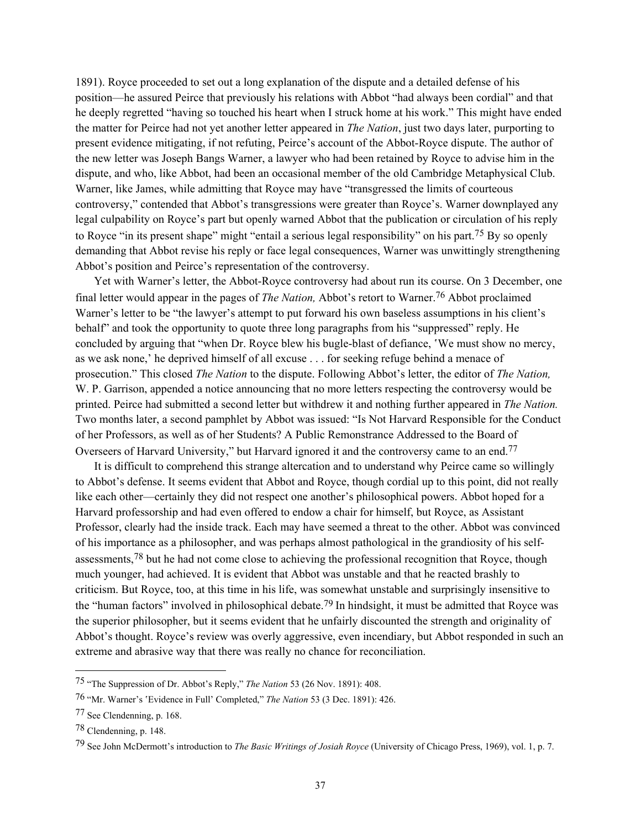1891). Royce proceeded to set out a long explanation of the dispute and a detailed defense of his position—he assured Peirce that previously his relations with Abbot "had always been cordial" and that he deeply regretted "having so touched his heart when I struck home at his work." This might have ended the matter for Peirce had not yet another letter appeared in *The Nation*, just two days later, purporting to present evidence mitigating, if not refuting, Peirce's account of the Abbot-Royce dispute. The author of the new letter was Joseph Bangs Warner, a lawyer who had been retained by Royce to advise him in the dispute, and who, like Abbot, had been an occasional member of the old Cambridge Metaphysical Club. Warner, like James, while admitting that Royce may have "transgressed the limits of courteous controversy," contended that Abbot's transgressions were greater than Royce's. Warner downplayed any legal culpability on Royce's part but openly warned Abbot that the publication or circulation of his reply to Royce "in its present shape" might "entail a serious legal responsibility" on his part.75 By so openly demanding that Abbot revise his reply or face legal consequences, Warner was unwittingly strengthening Abbot's position and Peirce's representation of the controversy.

 Yet with Warner's letter, the Abbot-Royce controversy had about run its course. On 3 December, one final letter would appear in the pages of *The Nation,* Abbot's retort to Warner.76 Abbot proclaimed Warner's letter to be "the lawyer's attempt to put forward his own baseless assumptions in his client's behalf" and took the opportunity to quote three long paragraphs from his "suppressed" reply. He concluded by arguing that "when Dr. Royce blew his bugle-blast of defiance, 'We must show no mercy, as we ask none,' he deprived himself of all excuse . . . for seeking refuge behind a menace of prosecution." This closed *The Nation* to the dispute. Following Abbot's letter, the editor of *The Nation,*  W. P. Garrison, appended a notice announcing that no more letters respecting the controversy would be printed. Peirce had submitted a second letter but withdrew it and nothing further appeared in *The Nation.* Two months later, a second pamphlet by Abbot was issued: "Is Not Harvard Responsible for the Conduct of her Professors, as well as of her Students? A Public Remonstrance Addressed to the Board of Overseers of Harvard University," but Harvard ignored it and the controversy came to an end.<sup>77</sup>

 It is difficult to comprehend this strange altercation and to understand why Peirce came so willingly to Abbot's defense. It seems evident that Abbot and Royce, though cordial up to this point, did not really like each other—certainly they did not respect one another's philosophical powers. Abbot hoped for a Harvard professorship and had even offered to endow a chair for himself, but Royce, as Assistant Professor, clearly had the inside track. Each may have seemed a threat to the other. Abbot was convinced of his importance as a philosopher, and was perhaps almost pathological in the grandiosity of his selfassessments,78 but he had not come close to achieving the professional recognition that Royce, though much younger, had achieved. It is evident that Abbot was unstable and that he reacted brashly to criticism. But Royce, too, at this time in his life, was somewhat unstable and surprisingly insensitive to the "human factors" involved in philosophical debate.79 In hindsight, it must be admitted that Royce was the superior philosopher, but it seems evident that he unfairly discounted the strength and originality of Abbot's thought. Royce's review was overly aggressive, even incendiary, but Abbot responded in such an extreme and abrasive way that there was really no chance for reconciliation.

<sup>75 &</sup>quot;The Suppression of Dr. Abbot's Reply," *The Nation* 53 (26 Nov. 1891): 408.

<sup>76 &</sup>quot;Mr. Warner's 'Evidence in Full' Completed," *The Nation* 53 (3 Dec. 1891): 426.

<sup>77</sup> See Clendenning, p. 168.

<sup>78</sup> Clendenning, p. 148.

<sup>79</sup> See John McDermott's introduction to *The Basic Writings of Josiah Royce* (University of Chicago Press, 1969), vol. 1, p. 7.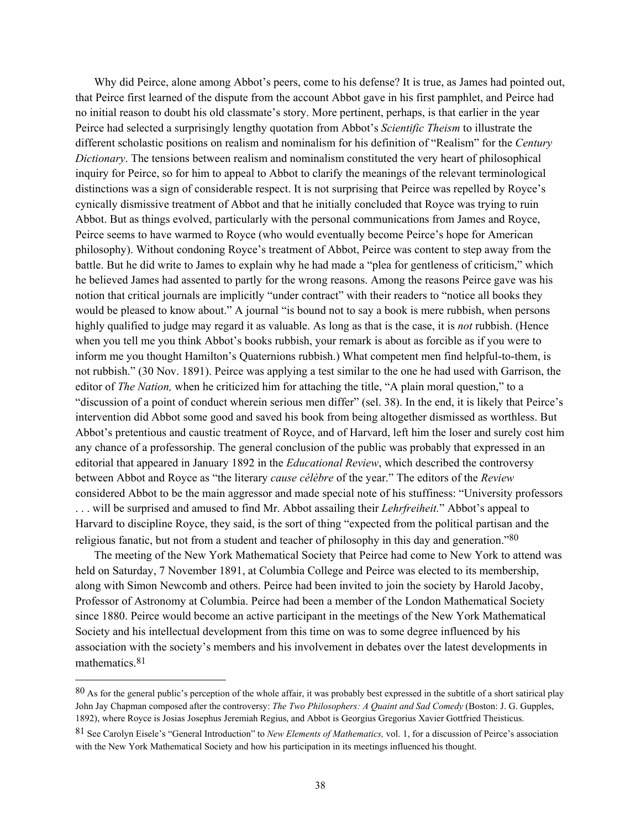Why did Peirce, alone among Abbot's peers, come to his defense? It is true, as James had pointed out, that Peirce first learned of the dispute from the account Abbot gave in his first pamphlet, and Peirce had no initial reason to doubt his old classmate's story. More pertinent, perhaps, is that earlier in the year Peirce had selected a surprisingly lengthy quotation from Abbot's *Scientific Theism* to illustrate the different scholastic positions on realism and nominalism for his definition of "Realism" for the *Century Dictionary*. The tensions between realism and nominalism constituted the very heart of philosophical inquiry for Peirce, so for him to appeal to Abbot to clarify the meanings of the relevant terminological distinctions was a sign of considerable respect. It is not surprising that Peirce was repelled by Royce's cynically dismissive treatment of Abbot and that he initially concluded that Royce was trying to ruin Abbot. But as things evolved, particularly with the personal communications from James and Royce, Peirce seems to have warmed to Royce (who would eventually become Peirce's hope for American philosophy). Without condoning Royce's treatment of Abbot, Peirce was content to step away from the battle. But he did write to James to explain why he had made a "plea for gentleness of criticism," which he believed James had assented to partly for the wrong reasons. Among the reasons Peirce gave was his notion that critical journals are implicitly "under contract" with their readers to "notice all books they would be pleased to know about." A journal "is bound not to say a book is mere rubbish, when persons highly qualified to judge may regard it as valuable. As long as that is the case, it is *not* rubbish. (Hence when you tell me you think Abbot's books rubbish, your remark is about as forcible as if you were to inform me you thought Hamilton's Quaternions rubbish.) What competent men find helpful-to-them, is not rubbish." (30 Nov. 1891). Peirce was applying a test similar to the one he had used with Garrison, the editor of *The Nation,* when he criticized him for attaching the title, "A plain moral question," to a "discussion of a point of conduct wherein serious men differ" (sel. 38). In the end, it is likely that Peirce's intervention did Abbot some good and saved his book from being altogether dismissed as worthless. But Abbot's pretentious and caustic treatment of Royce, and of Harvard, left him the loser and surely cost him any chance of a professorship. The general conclusion of the public was probably that expressed in an editorial that appeared in January 1892 in the *Educational Review*, which described the controversy between Abbot and Royce as "the literary *cause célèbre* of the year." The editors of the *Review* considered Abbot to be the main aggressor and made special note of his stuffiness: "University professors . . . will be surprised and amused to find Mr. Abbot assailing their *Lehrfreiheit.*" Abbot's appeal to Harvard to discipline Royce, they said, is the sort of thing "expected from the political partisan and the religious fanatic, but not from a student and teacher of philosophy in this day and generation."80

 The meeting of the New York Mathematical Society that Peirce had come to New York to attend was held on Saturday, 7 November 1891, at Columbia College and Peirce was elected to its membership, along with Simon Newcomb and others. Peirce had been invited to join the society by Harold Jacoby, Professor of Astronomy at Columbia. Peirce had been a member of the London Mathematical Society since 1880. Peirce would become an active participant in the meetings of the New York Mathematical Society and his intellectual development from this time on was to some degree influenced by his association with the society's members and his involvement in debates over the latest developments in mathematics.<sup>81</sup>

 $80$  As for the general public's perception of the whole affair, it was probably best expressed in the subtitle of a short satirical play John Jay Chapman composed after the controversy: *The Two Philosophers: A Quaint and Sad Comedy* (Boston: J. G. Gupples, 1892), where Royce is Josias Josephus Jeremiah Regius, and Abbot is Georgius Gregorius Xavier Gottfried Theisticus.

<sup>81</sup> See Carolyn Eisele's "General Introduction" to *New Elements of Mathematics,* vol. 1, for a discussion of Peirce's association with the New York Mathematical Society and how his participation in its meetings influenced his thought.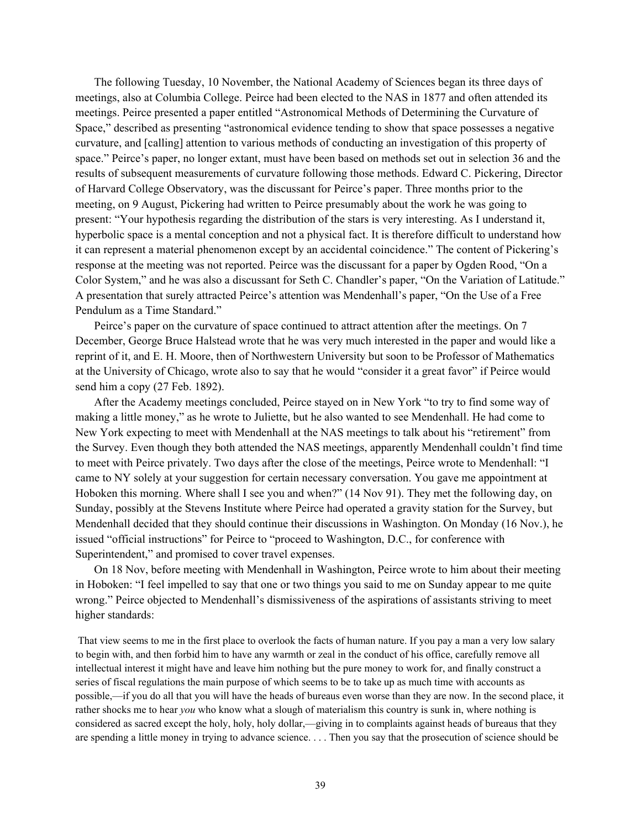The following Tuesday, 10 November, the National Academy of Sciences began its three days of meetings, also at Columbia College. Peirce had been elected to the NAS in 1877 and often attended its meetings. Peirce presented a paper entitled "Astronomical Methods of Determining the Curvature of Space," described as presenting "astronomical evidence tending to show that space possesses a negative curvature, and [calling] attention to various methods of conducting an investigation of this property of space." Peirce's paper, no longer extant, must have been based on methods set out in selection 36 and the results of subsequent measurements of curvature following those methods. Edward C. Pickering, Director of Harvard College Observatory, was the discussant for Peirce's paper. Three months prior to the meeting, on 9 August, Pickering had written to Peirce presumably about the work he was going to present: "Your hypothesis regarding the distribution of the stars is very interesting. As I understand it, hyperbolic space is a mental conception and not a physical fact. It is therefore difficult to understand how it can represent a material phenomenon except by an accidental coincidence." The content of Pickering's response at the meeting was not reported. Peirce was the discussant for a paper by Ogden Rood, "On a Color System," and he was also a discussant for Seth C. Chandler's paper, "On the Variation of Latitude." A presentation that surely attracted Peirce's attention was Mendenhall's paper, "On the Use of a Free Pendulum as a Time Standard."

 Peirce's paper on the curvature of space continued to attract attention after the meetings. On 7 December, George Bruce Halstead wrote that he was very much interested in the paper and would like a reprint of it, and E. H. Moore, then of Northwestern University but soon to be Professor of Mathematics at the University of Chicago, wrote also to say that he would "consider it a great favor" if Peirce would send him a copy (27 Feb. 1892).

 After the Academy meetings concluded, Peirce stayed on in New York "to try to find some way of making a little money," as he wrote to Juliette, but he also wanted to see Mendenhall. He had come to New York expecting to meet with Mendenhall at the NAS meetings to talk about his "retirement" from the Survey. Even though they both attended the NAS meetings, apparently Mendenhall couldn't find time to meet with Peirce privately. Two days after the close of the meetings, Peirce wrote to Mendenhall: "I came to NY solely at your suggestion for certain necessary conversation. You gave me appointment at Hoboken this morning. Where shall I see you and when?" (14 Nov 91). They met the following day, on Sunday, possibly at the Stevens Institute where Peirce had operated a gravity station for the Survey, but Mendenhall decided that they should continue their discussions in Washington. On Monday (16 Nov.), he issued "official instructions" for Peirce to "proceed to Washington, D.C., for conference with Superintendent," and promised to cover travel expenses.

 On 18 Nov, before meeting with Mendenhall in Washington, Peirce wrote to him about their meeting in Hoboken: "I feel impelled to say that one or two things you said to me on Sunday appear to me quite wrong." Peirce objected to Mendenhall's dismissiveness of the aspirations of assistants striving to meet higher standards:

 That view seems to me in the first place to overlook the facts of human nature. If you pay a man a very low salary to begin with, and then forbid him to have any warmth or zeal in the conduct of his office, carefully remove all intellectual interest it might have and leave him nothing but the pure money to work for, and finally construct a series of fiscal regulations the main purpose of which seems to be to take up as much time with accounts as possible,—if you do all that you will have the heads of bureaus even worse than they are now. In the second place, it rather shocks me to hear *you* who know what a slough of materialism this country is sunk in, where nothing is considered as sacred except the holy, holy, holy dollar,—giving in to complaints against heads of bureaus that they are spending a little money in trying to advance science. . . . Then you say that the prosecution of science should be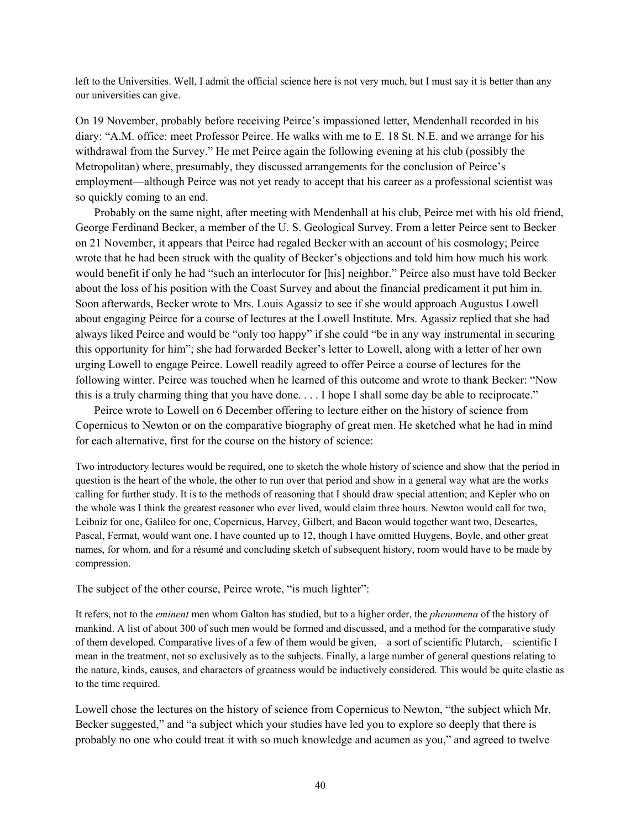left to the Universities. Well, I admit the official science here is not very much, but I must say it is better than any our universities can give.

On 19 November, probably before receiving Peirce's impassioned letter, Mendenhall recorded in his diary: "A.M. office: meet Professor Peirce. He walks with me to E. 18 St. N.E. and we arrange for his withdrawal from the Survey." He met Peirce again the following evening at his club (possibly the Metropolitan) where, presumably, they discussed arrangements for the conclusion of Peirce's employment—although Peirce was not yet ready to accept that his career as a professional scientist was so quickly coming to an end.

 Probably on the same night, after meeting with Mendenhall at his club, Peirce met with his old friend, George Ferdinand Becker, a member of the U. S. Geological Survey. From a letter Peirce sent to Becker on 21 November, it appears that Peirce had regaled Becker with an account of his cosmology; Peirce wrote that he had been struck with the quality of Becker's objections and told him how much his work would benefit if only he had "such an interlocutor for [his] neighbor." Peirce also must have told Becker about the loss of his position with the Coast Survey and about the financial predicament it put him in. Soon afterwards, Becker wrote to Mrs. Louis Agassiz to see if she would approach Augustus Lowell about engaging Peirce for a course of lectures at the Lowell Institute. Mrs. Agassiz replied that she had always liked Peirce and would be "only too happy" if she could "be in any way instrumental in securing this opportunity for him"; she had forwarded Becker's letter to Lowell, along with a letter of her own urging Lowell to engage Peirce. Lowell readily agreed to offer Peirce a course of lectures for the following winter. Peirce was touched when he learned of this outcome and wrote to thank Becker: "Now this is a truly charming thing that you have done. . . . I hope I shall some day be able to reciprocate."

 Peirce wrote to Lowell on 6 December offering to lecture either on the history of science from Copernicus to Newton or on the comparative biography of great men. He sketched what he had in mind for each alternative, first for the course on the history of science:

Two introductory lectures would be required, one to sketch the whole history of science and show that the period in question is the heart of the whole, the other to run over that period and show in a general way what are the works calling for further study. It is to the methods of reasoning that I should draw special attention; and Kepler who on the whole was I think the greatest reasoner who ever lived, would claim three hours. Newton would call for two, Leibniz for one, Galileo for one, Copernicus, Harvey, Gilbert, and Bacon would together want two, Descartes, Pascal, Fermat, would want one. I have counted up to 12, though I have omitted Huygens, Boyle, and other great names, for whom, and for a résumé and concluding sketch of subsequent history, room would have to be made by compression.

The subject of the other course, Peirce wrote, "is much lighter":

It refers, not to the *eminent* men whom Galton has studied, but to a higher order, the *phenomena* of the history of mankind. A list of about 300 of such men would be formed and discussed, and a method for the comparative study of them developed. Comparative lives of a few of them would be given,—a sort of scientific Plutarch,—scientific I mean in the treatment, not so exclusively as to the subjects. Finally, a large number of general questions relating to the nature, kinds, causes, and characters of greatness would be inductively considered. This would be quite elastic as to the time required.

Lowell chose the lectures on the history of science from Copernicus to Newton, "the subject which Mr. Becker suggested," and "a subject which your studies have led you to explore so deeply that there is probably no one who could treat it with so much knowledge and acumen as you," and agreed to twelve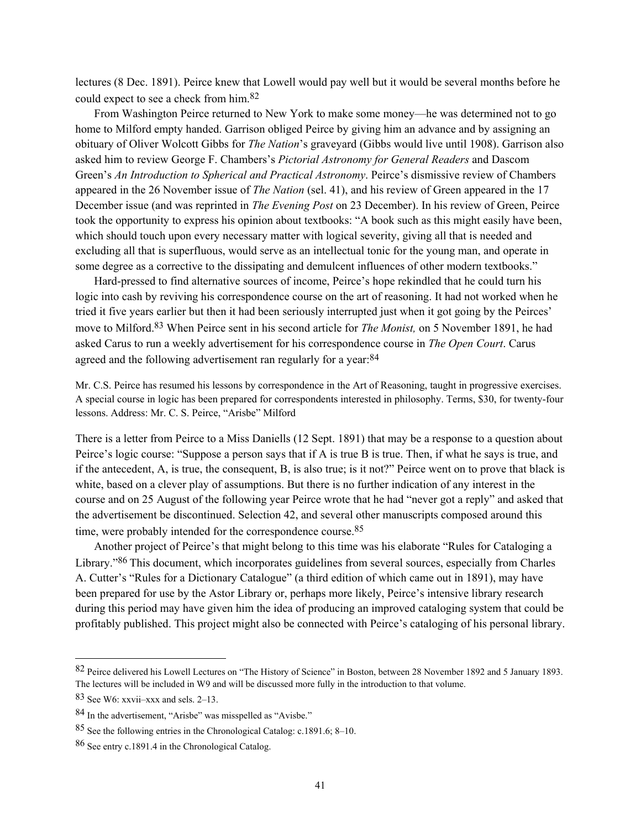lectures (8 Dec. 1891). Peirce knew that Lowell would pay well but it would be several months before he could expect to see a check from him.82

 From Washington Peirce returned to New York to make some money—he was determined not to go home to Milford empty handed. Garrison obliged Peirce by giving him an advance and by assigning an obituary of Oliver Wolcott Gibbs for *The Nation*'s graveyard (Gibbs would live until 1908). Garrison also asked him to review George F. Chambers's *Pictorial Astronomy for General Readers* and Dascom Green's *An Introduction to Spherical and Practical Astronomy*. Peirce's dismissive review of Chambers appeared in the 26 November issue of *The Nation* (sel. 41), and his review of Green appeared in the 17 December issue (and was reprinted in *The Evening Post* on 23 December). In his review of Green, Peirce took the opportunity to express his opinion about textbooks: "A book such as this might easily have been, which should touch upon every necessary matter with logical severity, giving all that is needed and excluding all that is superfluous, would serve as an intellectual tonic for the young man, and operate in some degree as a corrective to the dissipating and demulcent influences of other modern textbooks."

 Hard-pressed to find alternative sources of income, Peirce's hope rekindled that he could turn his logic into cash by reviving his correspondence course on the art of reasoning. It had not worked when he tried it five years earlier but then it had been seriously interrupted just when it got going by the Peirces' move to Milford.83 When Peirce sent in his second article for *The Monist,* on 5 November 1891, he had asked Carus to run a weekly advertisement for his correspondence course in *The Open Court*. Carus agreed and the following advertisement ran regularly for a year:<sup>84</sup>

Mr. C.S. Peirce has resumed his lessons by correspondence in the Art of Reasoning, taught in progressive exercises. A special course in logic has been prepared for correspondents interested in philosophy. Terms, \$30, for twenty-four lessons. Address: Mr. C. S. Peirce, "Arisbe" Milford

There is a letter from Peirce to a Miss Daniells (12 Sept. 1891) that may be a response to a question about Peirce's logic course: "Suppose a person says that if A is true B is true. Then, if what he says is true, and if the antecedent, A, is true, the consequent, B, is also true; is it not?" Peirce went on to prove that black is white, based on a clever play of assumptions. But there is no further indication of any interest in the course and on 25 August of the following year Peirce wrote that he had "never got a reply" and asked that the advertisement be discontinued. Selection 42, and several other manuscripts composed around this time, were probably intended for the correspondence course.85

 Another project of Peirce's that might belong to this time was his elaborate "Rules for Cataloging a Library."86 This document, which incorporates guidelines from several sources, especially from Charles A. Cutter's "Rules for a Dictionary Catalogue" (a third edition of which came out in 1891), may have been prepared for use by the Astor Library or, perhaps more likely, Peirce's intensive library research during this period may have given him the idea of producing an improved cataloging system that could be profitably published. This project might also be connected with Peirce's cataloging of his personal library.

<sup>82</sup> Peirce delivered his Lowell Lectures on "The History of Science" in Boston, between 28 November 1892 and 5 January 1893. The lectures will be included in W9 and will be discussed more fully in the introduction to that volume.

<sup>83</sup> See W6: xxvii–xxx and sels. 2–13.

<sup>84</sup> In the advertisement, "Arisbe" was misspelled as "Avisbe."

<sup>85</sup> See the following entries in the Chronological Catalog: c.1891.6; 8–10.

<sup>86</sup> See entry c.1891.4 in the Chronological Catalog.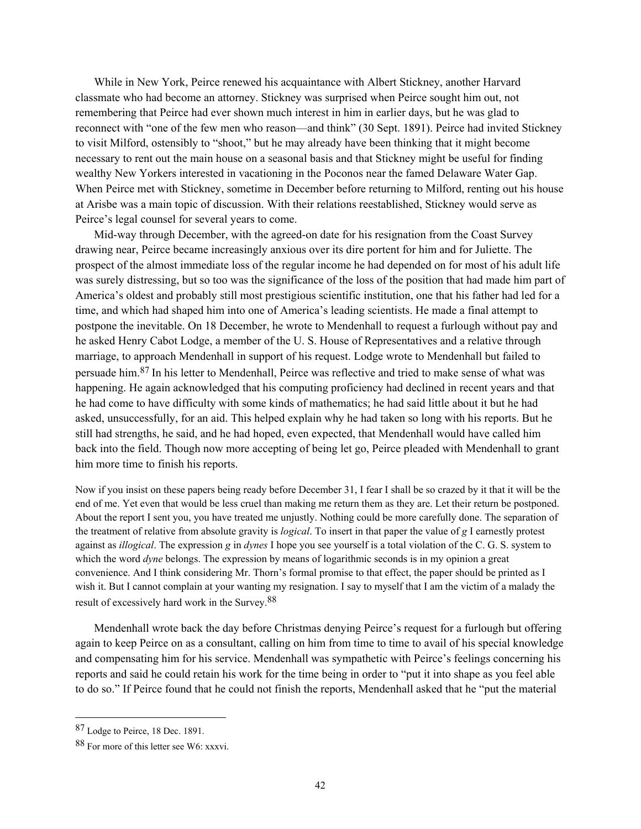While in New York, Peirce renewed his acquaintance with Albert Stickney, another Harvard classmate who had become an attorney. Stickney was surprised when Peirce sought him out, not remembering that Peirce had ever shown much interest in him in earlier days, but he was glad to reconnect with "one of the few men who reason—and think" (30 Sept. 1891). Peirce had invited Stickney to visit Milford, ostensibly to "shoot," but he may already have been thinking that it might become necessary to rent out the main house on a seasonal basis and that Stickney might be useful for finding wealthy New Yorkers interested in vacationing in the Poconos near the famed Delaware Water Gap. When Peirce met with Stickney, sometime in December before returning to Milford, renting out his house at Arisbe was a main topic of discussion. With their relations reestablished, Stickney would serve as Peirce's legal counsel for several years to come.

 Mid-way through December, with the agreed-on date for his resignation from the Coast Survey drawing near, Peirce became increasingly anxious over its dire portent for him and for Juliette. The prospect of the almost immediate loss of the regular income he had depended on for most of his adult life was surely distressing, but so too was the significance of the loss of the position that had made him part of America's oldest and probably still most prestigious scientific institution, one that his father had led for a time, and which had shaped him into one of America's leading scientists. He made a final attempt to postpone the inevitable. On 18 December, he wrote to Mendenhall to request a furlough without pay and he asked Henry Cabot Lodge, a member of the U. S. House of Representatives and a relative through marriage, to approach Mendenhall in support of his request. Lodge wrote to Mendenhall but failed to persuade him.87 In his letter to Mendenhall, Peirce was reflective and tried to make sense of what was happening. He again acknowledged that his computing proficiency had declined in recent years and that he had come to have difficulty with some kinds of mathematics; he had said little about it but he had asked, unsuccessfully, for an aid. This helped explain why he had taken so long with his reports. But he still had strengths, he said, and he had hoped, even expected, that Mendenhall would have called him back into the field. Though now more accepting of being let go, Peirce pleaded with Mendenhall to grant him more time to finish his reports.

Now if you insist on these papers being ready before December 31, I fear I shall be so crazed by it that it will be the end of me. Yet even that would be less cruel than making me return them as they are. Let their return be postponed. About the report I sent you, you have treated me unjustly. Nothing could be more carefully done. The separation of the treatment of relative from absolute gravity is *logical*. To insert in that paper the value of *g* I earnestly protest against as *illogical*. The expression *g* in *dynes* I hope you see yourself is a total violation of the C. G. S. system to which the word *dyne* belongs. The expression by means of logarithmic seconds is in my opinion a great convenience. And I think considering Mr. Thorn's formal promise to that effect, the paper should be printed as I wish it. But I cannot complain at your wanting my resignation. I say to myself that I am the victim of a malady the result of excessively hard work in the Survey.88

 Mendenhall wrote back the day before Christmas denying Peirce's request for a furlough but offering again to keep Peirce on as a consultant, calling on him from time to time to avail of his special knowledge and compensating him for his service. Mendenhall was sympathetic with Peirce's feelings concerning his reports and said he could retain his work for the time being in order to "put it into shape as you feel able to do so." If Peirce found that he could not finish the reports, Mendenhall asked that he "put the material

<sup>87</sup> Lodge to Peirce, 18 Dec. 1891.

<sup>88</sup> For more of this letter see W6: xxxvi.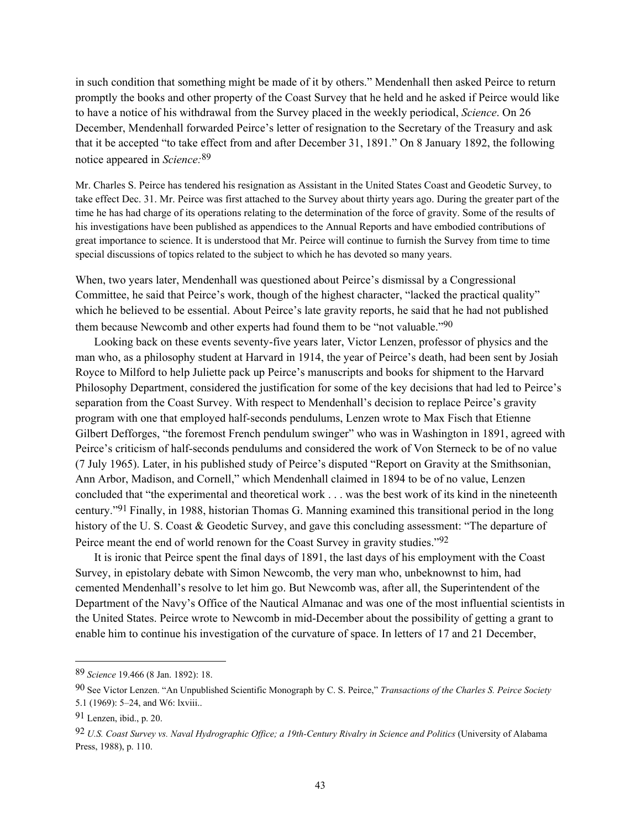in such condition that something might be made of it by others." Mendenhall then asked Peirce to return promptly the books and other property of the Coast Survey that he held and he asked if Peirce would like to have a notice of his withdrawal from the Survey placed in the weekly periodical, *Science*. On 26 December, Mendenhall forwarded Peirce's letter of resignation to the Secretary of the Treasury and ask that it be accepted "to take effect from and after December 31, 1891." On 8 January 1892, the following notice appeared in *Science:*89

Mr. Charles S. Peirce has tendered his resignation as Assistant in the United States Coast and Geodetic Survey, to take effect Dec. 31. Mr. Peirce was first attached to the Survey about thirty years ago. During the greater part of the time he has had charge of its operations relating to the determination of the force of gravity. Some of the results of his investigations have been published as appendices to the Annual Reports and have embodied contributions of great importance to science. It is understood that Mr. Peirce will continue to furnish the Survey from time to time special discussions of topics related to the subject to which he has devoted so many years.

When, two years later, Mendenhall was questioned about Peirce's dismissal by a Congressional Committee, he said that Peirce's work, though of the highest character, "lacked the practical quality" which he believed to be essential. About Peirce's late gravity reports, he said that he had not published them because Newcomb and other experts had found them to be "not valuable."<sup>90</sup>

 Looking back on these events seventy-five years later, Victor Lenzen, professor of physics and the man who, as a philosophy student at Harvard in 1914, the year of Peirce's death, had been sent by Josiah Royce to Milford to help Juliette pack up Peirce's manuscripts and books for shipment to the Harvard Philosophy Department, considered the justification for some of the key decisions that had led to Peirce's separation from the Coast Survey. With respect to Mendenhall's decision to replace Peirce's gravity program with one that employed half-seconds pendulums, Lenzen wrote to Max Fisch that Etienne Gilbert Defforges, "the foremost French pendulum swinger" who was in Washington in 1891, agreed with Peirce's criticism of half-seconds pendulums and considered the work of Von Sterneck to be of no value (7 July 1965). Later, in his published study of Peirce's disputed "Report on Gravity at the Smithsonian, Ann Arbor, Madison, and Cornell," which Mendenhall claimed in 1894 to be of no value, Lenzen concluded that "the experimental and theoretical work . . . was the best work of its kind in the nineteenth century."91 Finally, in 1988, historian Thomas G. Manning examined this transitional period in the long history of the U. S. Coast & Geodetic Survey, and gave this concluding assessment: "The departure of Peirce meant the end of world renown for the Coast Survey in gravity studies."92

 It is ironic that Peirce spent the final days of 1891, the last days of his employment with the Coast Survey, in epistolary debate with Simon Newcomb, the very man who, unbeknownst to him, had cemented Mendenhall's resolve to let him go. But Newcomb was, after all, the Superintendent of the Department of the Navy's Office of the Nautical Almanac and was one of the most influential scientists in the United States. Peirce wrote to Newcomb in mid-December about the possibility of getting a grant to enable him to continue his investigation of the curvature of space. In letters of 17 and 21 December,

<sup>89</sup> *Science* 19.466 (8 Jan. 1892): 18.

<sup>90</sup> See Victor Lenzen. "An Unpublished Scientific Monograph by C. S. Peirce," *Transactions of the Charles S. Peirce Society*  5.1 (1969): 5–24, and W6: lxviii..

<sup>91</sup> Lenzen, ibid., p. 20.

<sup>92</sup> *U.S. Coast Survey vs. Naval Hydrographic Office; a 19th-Century Rivalry in Science and Politics* (University of Alabama Press, 1988), p. 110.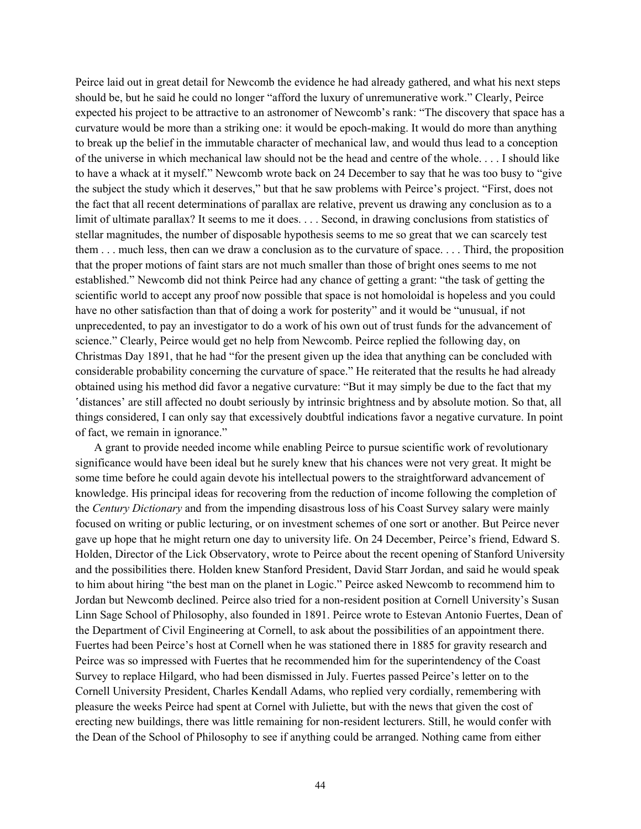Peirce laid out in great detail for Newcomb the evidence he had already gathered, and what his next steps should be, but he said he could no longer "afford the luxury of unremunerative work." Clearly, Peirce expected his project to be attractive to an astronomer of Newcomb's rank: "The discovery that space has a curvature would be more than a striking one: it would be epoch-making. It would do more than anything to break up the belief in the immutable character of mechanical law, and would thus lead to a conception of the universe in which mechanical law should not be the head and centre of the whole. . . . I should like to have a whack at it myself." Newcomb wrote back on 24 December to say that he was too busy to "give the subject the study which it deserves," but that he saw problems with Peirce's project. "First, does not the fact that all recent determinations of parallax are relative, prevent us drawing any conclusion as to a limit of ultimate parallax? It seems to me it does. . . . Second, in drawing conclusions from statistics of stellar magnitudes, the number of disposable hypothesis seems to me so great that we can scarcely test them . . . much less, then can we draw a conclusion as to the curvature of space. . . . Third, the proposition that the proper motions of faint stars are not much smaller than those of bright ones seems to me not established." Newcomb did not think Peirce had any chance of getting a grant: "the task of getting the scientific world to accept any proof now possible that space is not homoloidal is hopeless and you could have no other satisfaction than that of doing a work for posterity" and it would be "unusual, if not unprecedented, to pay an investigator to do a work of his own out of trust funds for the advancement of science." Clearly, Peirce would get no help from Newcomb. Peirce replied the following day, on Christmas Day 1891, that he had "for the present given up the idea that anything can be concluded with considerable probability concerning the curvature of space." He reiterated that the results he had already obtained using his method did favor a negative curvature: "But it may simply be due to the fact that my 'distances' are still affected no doubt seriously by intrinsic brightness and by absolute motion. So that, all things considered, I can only say that excessively doubtful indications favor a negative curvature. In point of fact, we remain in ignorance."

 A grant to provide needed income while enabling Peirce to pursue scientific work of revolutionary significance would have been ideal but he surely knew that his chances were not very great. It might be some time before he could again devote his intellectual powers to the straightforward advancement of knowledge. His principal ideas for recovering from the reduction of income following the completion of the *Century Dictionary* and from the impending disastrous loss of his Coast Survey salary were mainly focused on writing or public lecturing, or on investment schemes of one sort or another. But Peirce never gave up hope that he might return one day to university life. On 24 December, Peirce's friend, Edward S. Holden, Director of the Lick Observatory, wrote to Peirce about the recent opening of Stanford University and the possibilities there. Holden knew Stanford President, David Starr Jordan, and said he would speak to him about hiring "the best man on the planet in Logic." Peirce asked Newcomb to recommend him to Jordan but Newcomb declined. Peirce also tried for a non-resident position at Cornell University's Susan Linn Sage School of Philosophy, also founded in 1891. Peirce wrote to Estevan Antonio Fuertes, Dean of the Department of Civil Engineering at Cornell, to ask about the possibilities of an appointment there. Fuertes had been Peirce's host at Cornell when he was stationed there in 1885 for gravity research and Peirce was so impressed with Fuertes that he recommended him for the superintendency of the Coast Survey to replace Hilgard, who had been dismissed in July. Fuertes passed Peirce's letter on to the Cornell University President, Charles Kendall Adams, who replied very cordially, remembering with pleasure the weeks Peirce had spent at Cornel with Juliette, but with the news that given the cost of erecting new buildings, there was little remaining for non-resident lecturers. Still, he would confer with the Dean of the School of Philosophy to see if anything could be arranged. Nothing came from either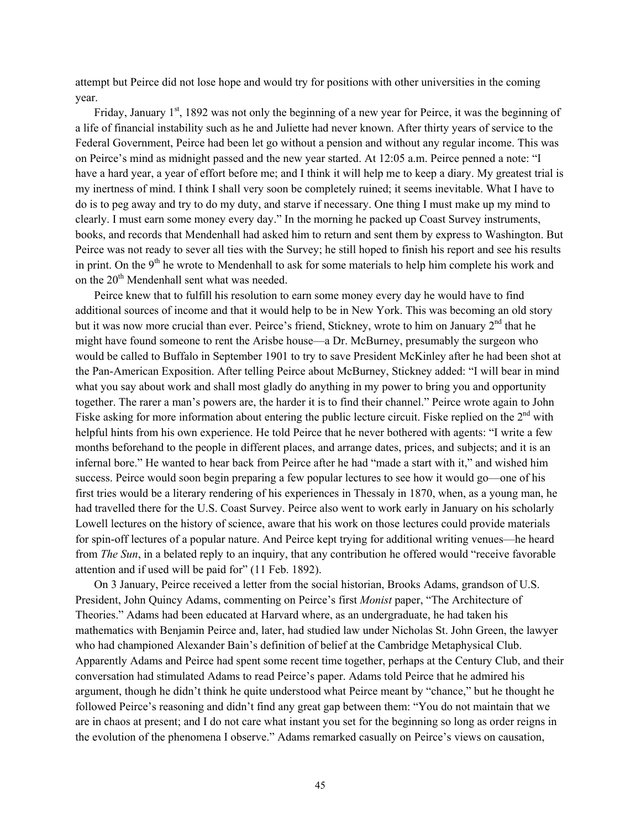attempt but Peirce did not lose hope and would try for positions with other universities in the coming year.

Friday, January 1<sup>st</sup>, 1892 was not only the beginning of a new year for Peirce, it was the beginning of a life of financial instability such as he and Juliette had never known. After thirty years of service to the Federal Government, Peirce had been let go without a pension and without any regular income. This was on Peirce's mind as midnight passed and the new year started. At 12:05 a.m. Peirce penned a note: "I have a hard year, a year of effort before me; and I think it will help me to keep a diary. My greatest trial is my inertness of mind. I think I shall very soon be completely ruined; it seems inevitable. What I have to do is to peg away and try to do my duty, and starve if necessary. One thing I must make up my mind to clearly. I must earn some money every day." In the morning he packed up Coast Survey instruments, books, and records that Mendenhall had asked him to return and sent them by express to Washington. But Peirce was not ready to sever all ties with the Survey; he still hoped to finish his report and see his results in print. On the  $9<sup>th</sup>$  he wrote to Mendenhall to ask for some materials to help him complete his work and on the 20<sup>th</sup> Mendenhall sent what was needed.

 Peirce knew that to fulfill his resolution to earn some money every day he would have to find additional sources of income and that it would help to be in New York. This was becoming an old story but it was now more crucial than ever. Peirce's friend, Stickney, wrote to him on January  $2<sup>nd</sup>$  that he might have found someone to rent the Arisbe house—a Dr. McBurney, presumably the surgeon who would be called to Buffalo in September 1901 to try to save President McKinley after he had been shot at the Pan-American Exposition. After telling Peirce about McBurney, Stickney added: "I will bear in mind what you say about work and shall most gladly do anything in my power to bring you and opportunity together. The rarer a man's powers are, the harder it is to find their channel." Peirce wrote again to John Fiske asking for more information about entering the public lecture circuit. Fiske replied on the 2<sup>nd</sup> with helpful hints from his own experience. He told Peirce that he never bothered with agents: "I write a few months beforehand to the people in different places, and arrange dates, prices, and subjects; and it is an infernal bore." He wanted to hear back from Peirce after he had "made a start with it," and wished him success. Peirce would soon begin preparing a few popular lectures to see how it would go—one of his first tries would be a literary rendering of his experiences in Thessaly in 1870, when, as a young man, he had travelled there for the U.S. Coast Survey. Peirce also went to work early in January on his scholarly Lowell lectures on the history of science, aware that his work on those lectures could provide materials for spin-off lectures of a popular nature. And Peirce kept trying for additional writing venues—he heard from *The Sun*, in a belated reply to an inquiry, that any contribution he offered would "receive favorable attention and if used will be paid for" (11 Feb. 1892).

 On 3 January, Peirce received a letter from the social historian, Brooks Adams, grandson of U.S. President, John Quincy Adams, commenting on Peirce's first *Monist* paper, "The Architecture of Theories." Adams had been educated at Harvard where, as an undergraduate, he had taken his mathematics with Benjamin Peirce and, later, had studied law under Nicholas St. John Green, the lawyer who had championed Alexander Bain's definition of belief at the Cambridge Metaphysical Club. Apparently Adams and Peirce had spent some recent time together, perhaps at the Century Club, and their conversation had stimulated Adams to read Peirce's paper. Adams told Peirce that he admired his argument, though he didn't think he quite understood what Peirce meant by "chance," but he thought he followed Peirce's reasoning and didn't find any great gap between them: "You do not maintain that we are in chaos at present; and I do not care what instant you set for the beginning so long as order reigns in the evolution of the phenomena I observe." Adams remarked casually on Peirce's views on causation,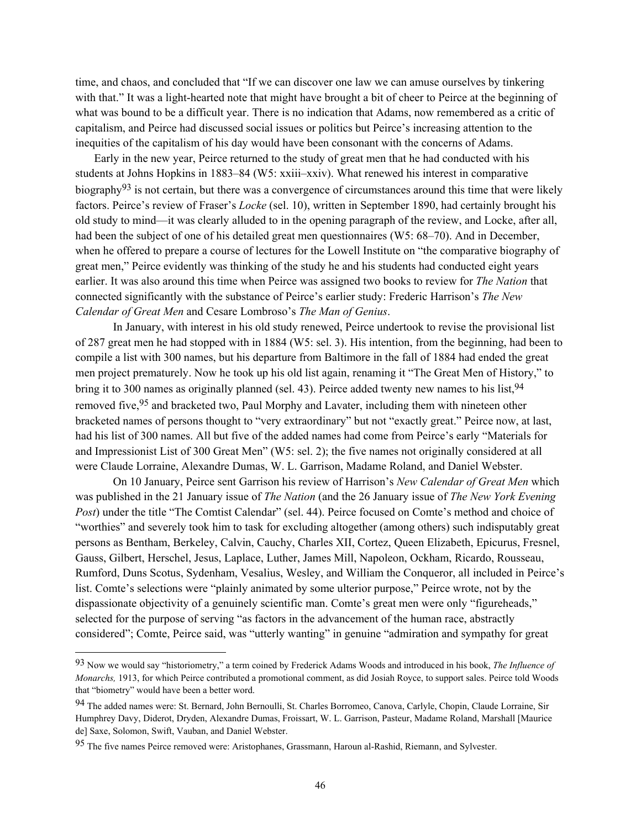time, and chaos, and concluded that "If we can discover one law we can amuse ourselves by tinkering with that." It was a light-hearted note that might have brought a bit of cheer to Peirce at the beginning of what was bound to be a difficult year. There is no indication that Adams, now remembered as a critic of capitalism, and Peirce had discussed social issues or politics but Peirce's increasing attention to the inequities of the capitalism of his day would have been consonant with the concerns of Adams.

 Early in the new year, Peirce returned to the study of great men that he had conducted with his students at Johns Hopkins in 1883–84 (W5: xxiii–xxiv). What renewed his interest in comparative biography<sup>93</sup> is not certain, but there was a convergence of circumstances around this time that were likely factors. Peirce's review of Fraser's *Locke* (sel. 10), written in September 1890, had certainly brought his old study to mind—it was clearly alluded to in the opening paragraph of the review, and Locke, after all, had been the subject of one of his detailed great men questionnaires (W5: 68–70). And in December, when he offered to prepare a course of lectures for the Lowell Institute on "the comparative biography of great men," Peirce evidently was thinking of the study he and his students had conducted eight years earlier. It was also around this time when Peirce was assigned two books to review for *The Nation* that connected significantly with the substance of Peirce's earlier study: Frederic Harrison's *The New Calendar of Great Men* and Cesare Lombroso's *The Man of Genius*.

 In January, with interest in his old study renewed, Peirce undertook to revise the provisional list of 287 great men he had stopped with in 1884 (W5: sel. 3). His intention, from the beginning, had been to compile a list with 300 names, but his departure from Baltimore in the fall of 1884 had ended the great men project prematurely. Now he took up his old list again, renaming it "The Great Men of History," to bring it to 300 names as originally planned (sel. 43). Peirce added twenty new names to his list, <sup>94</sup> removed five,95 and bracketed two, Paul Morphy and Lavater, including them with nineteen other bracketed names of persons thought to "very extraordinary" but not "exactly great." Peirce now, at last, had his list of 300 names. All but five of the added names had come from Peirce's early "Materials for and Impressionist List of 300 Great Men" (W5: sel. 2); the five names not originally considered at all were Claude Lorraine, Alexandre Dumas, W. L. Garrison, Madame Roland, and Daniel Webster.

 On 10 January, Peirce sent Garrison his review of Harrison's *New Calendar of Great Men* which was published in the 21 January issue of *The Nation* (and the 26 January issue of *The New York Evening Post*) under the title "The Comtist Calendar" (sel. 44). Peirce focused on Comte's method and choice of "worthies" and severely took him to task for excluding altogether (among others) such indisputably great persons as Bentham, Berkeley, Calvin, Cauchy, Charles XII, Cortez, Queen Elizabeth, Epicurus, Fresnel, Gauss, Gilbert, Herschel, Jesus, Laplace, Luther, James Mill, Napoleon, Ockham, Ricardo, Rousseau, Rumford, Duns Scotus, Sydenham, Vesalius, Wesley, and William the Conqueror, all included in Peirce's list. Comte's selections were "plainly animated by some ulterior purpose," Peirce wrote, not by the dispassionate objectivity of a genuinely scientific man. Comte's great men were only "figureheads," selected for the purpose of serving "as factors in the advancement of the human race, abstractly considered"; Comte, Peirce said, was "utterly wanting" in genuine "admiration and sympathy for great

<sup>93</sup> Now we would say "historiometry," a term coined by Frederick Adams Woods and introduced in his book, *The Influence of Monarchs,* 1913, for which Peirce contributed a promotional comment, as did Josiah Royce, to support sales. Peirce told Woods that "biometry" would have been a better word.

<sup>94</sup> The added names were: St. Bernard, John Bernoulli, St. Charles Borromeo, Canova, Carlyle, Chopin, Claude Lorraine, Sir Humphrey Davy, Diderot, Dryden, Alexandre Dumas, Froissart, W. L. Garrison, Pasteur, Madame Roland, Marshall [Maurice de] Saxe, Solomon, Swift, Vauban, and Daniel Webster.

<sup>95</sup> The five names Peirce removed were: Aristophanes, Grassmann, Haroun al-Rashid, Riemann, and Sylvester.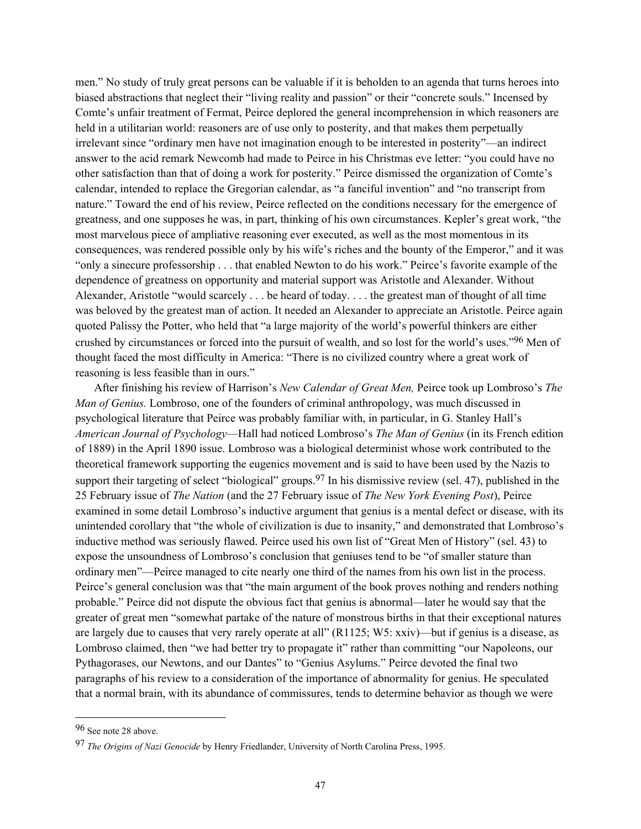men." No study of truly great persons can be valuable if it is beholden to an agenda that turns heroes into biased abstractions that neglect their "living reality and passion" or their "concrete souls." Incensed by Comte's unfair treatment of Fermat, Peirce deplored the general incomprehension in which reasoners are held in a utilitarian world: reasoners are of use only to posterity, and that makes them perpetually irrelevant since "ordinary men have not imagination enough to be interested in posterity"—an indirect answer to the acid remark Newcomb had made to Peirce in his Christmas eve letter: "you could have no other satisfaction than that of doing a work for posterity." Peirce dismissed the organization of Comte's calendar, intended to replace the Gregorian calendar, as "a fanciful invention" and "no transcript from nature." Toward the end of his review, Peirce reflected on the conditions necessary for the emergence of greatness, and one supposes he was, in part, thinking of his own circumstances. Kepler's great work, "the most marvelous piece of ampliative reasoning ever executed, as well as the most momentous in its consequences, was rendered possible only by his wife's riches and the bounty of the Emperor," and it was "only a sinecure professorship . . . that enabled Newton to do his work." Peirce's favorite example of the dependence of greatness on opportunity and material support was Aristotle and Alexander. Without Alexander, Aristotle "would scarcely . . . be heard of today. . . . the greatest man of thought of all time was beloved by the greatest man of action. It needed an Alexander to appreciate an Aristotle. Peirce again quoted Palissy the Potter, who held that "a large majority of the world's powerful thinkers are either crushed by circumstances or forced into the pursuit of wealth, and so lost for the world's uses."96 Men of thought faced the most difficulty in America: "There is no civilized country where a great work of reasoning is less feasible than in ours."

 After finishing his review of Harrison's *New Calendar of Great Men,* Peirce took up Lombroso's *The Man of Genius.* Lombroso, one of the founders of criminal anthropology, was much discussed in psychological literature that Peirce was probably familiar with, in particular, in G. Stanley Hall's *American Journal of Psychology*—Hall had noticed Lombroso's *The Man of Genius* (in its French edition of 1889) in the April 1890 issue. Lombroso was a biological determinist whose work contributed to the theoretical framework supporting the eugenics movement and is said to have been used by the Nazis to support their targeting of select "biological" groups.<sup>97</sup> In his dismissive review (sel. 47), published in the 25 February issue of *The Nation* (and the 27 February issue of *The New York Evening Post*), Peirce examined in some detail Lombroso's inductive argument that genius is a mental defect or disease, with its unintended corollary that "the whole of civilization is due to insanity," and demonstrated that Lombroso's inductive method was seriously flawed. Peirce used his own list of "Great Men of History" (sel. 43) to expose the unsoundness of Lombroso's conclusion that geniuses tend to be "of smaller stature than ordinary men"—Peirce managed to cite nearly one third of the names from his own list in the process. Peirce's general conclusion was that "the main argument of the book proves nothing and renders nothing probable." Peirce did not dispute the obvious fact that genius is abnormal—later he would say that the greater of great men "somewhat partake of the nature of monstrous births in that their exceptional natures are largely due to causes that very rarely operate at all" (R1125; W5: xxiv)—but if genius is a disease, as Lombroso claimed, then "we had better try to propagate it" rather than committing "our Napoleons, our Pythagorases, our Newtons, and our Dantes" to "Genius Asylums." Peirce devoted the final two paragraphs of his review to a consideration of the importance of abnormality for genius. He speculated that a normal brain, with its abundance of commissures, tends to determine behavior as though we were

<sup>96</sup> See note 28 above.

<sup>97</sup> *The Origins of Nazi Genocide* by Henry Friedlander, University of North Carolina Press, 1995.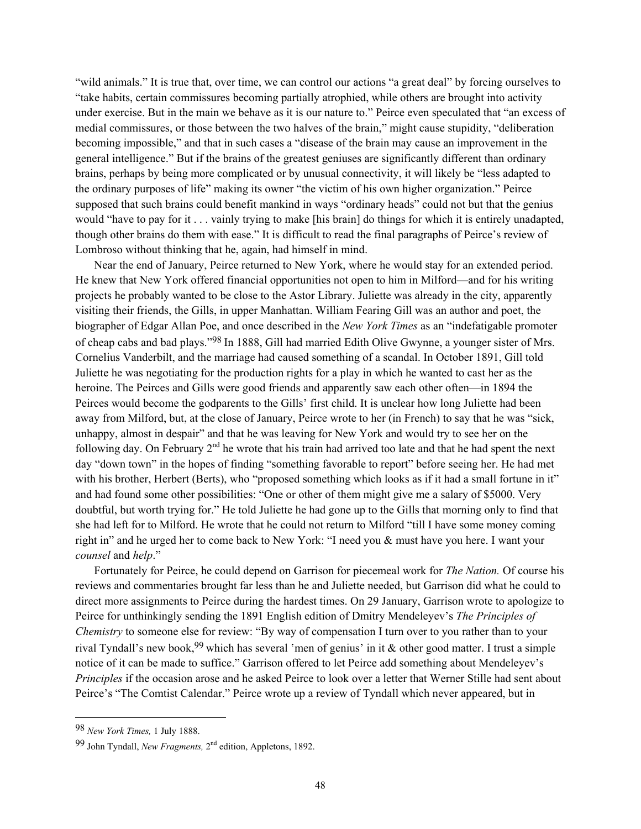"wild animals." It is true that, over time, we can control our actions "a great deal" by forcing ourselves to "take habits, certain commissures becoming partially atrophied, while others are brought into activity under exercise. But in the main we behave as it is our nature to." Peirce even speculated that "an excess of medial commissures, or those between the two halves of the brain," might cause stupidity, "deliberation becoming impossible," and that in such cases a "disease of the brain may cause an improvement in the general intelligence." But if the brains of the greatest geniuses are significantly different than ordinary brains, perhaps by being more complicated or by unusual connectivity, it will likely be "less adapted to the ordinary purposes of life" making its owner "the victim of his own higher organization." Peirce supposed that such brains could benefit mankind in ways "ordinary heads" could not but that the genius would "have to pay for it . . . vainly trying to make [his brain] do things for which it is entirely unadapted, though other brains do them with ease." It is difficult to read the final paragraphs of Peirce's review of Lombroso without thinking that he, again, had himself in mind.

 Near the end of January, Peirce returned to New York, where he would stay for an extended period. He knew that New York offered financial opportunities not open to him in Milford—and for his writing projects he probably wanted to be close to the Astor Library. Juliette was already in the city, apparently visiting their friends, the Gills, in upper Manhattan. William Fearing Gill was an author and poet, the biographer of Edgar Allan Poe, and once described in the *New York Times* as an "indefatigable promoter of cheap cabs and bad plays."98 In 1888, Gill had married Edith Olive Gwynne, a younger sister of Mrs. Cornelius Vanderbilt, and the marriage had caused something of a scandal. In October 1891, Gill told Juliette he was negotiating for the production rights for a play in which he wanted to cast her as the heroine. The Peirces and Gills were good friends and apparently saw each other often—in 1894 the Peirces would become the godparents to the Gills' first child. It is unclear how long Juliette had been away from Milford, but, at the close of January, Peirce wrote to her (in French) to say that he was "sick, unhappy, almost in despair" and that he was leaving for New York and would try to see her on the following day. On February  $2<sup>nd</sup>$  he wrote that his train had arrived too late and that he had spent the next day "down town" in the hopes of finding "something favorable to report" before seeing her. He had met with his brother, Herbert (Berts), who "proposed something which looks as if it had a small fortune in it" and had found some other possibilities: "One or other of them might give me a salary of \$5000. Very doubtful, but worth trying for." He told Juliette he had gone up to the Gills that morning only to find that she had left for to Milford. He wrote that he could not return to Milford "till I have some money coming right in" and he urged her to come back to New York: "I need you & must have you here. I want your *counsel* and *help*."

 Fortunately for Peirce, he could depend on Garrison for piecemeal work for *The Nation.* Of course his reviews and commentaries brought far less than he and Juliette needed, but Garrison did what he could to direct more assignments to Peirce during the hardest times. On 29 January, Garrison wrote to apologize to Peirce for unthinkingly sending the 1891 English edition of Dmitry Mendeleyev's *The Principles of Chemistry* to someone else for review: "By way of compensation I turn over to you rather than to your rival Tyndall's new book, <sup>99</sup> which has several 'men of genius' in it & other good matter. I trust a simple notice of it can be made to suffice." Garrison offered to let Peirce add something about Mendeleyev's *Principles* if the occasion arose and he asked Peirce to look over a letter that Werner Stille had sent about Peirce's "The Comtist Calendar." Peirce wrote up a review of Tyndall which never appeared, but in

<sup>98</sup> *New York Times,* 1 July 1888.

<sup>99</sup> John Tyndall, *New Fragments,* 2nd edition, Appletons, 1892.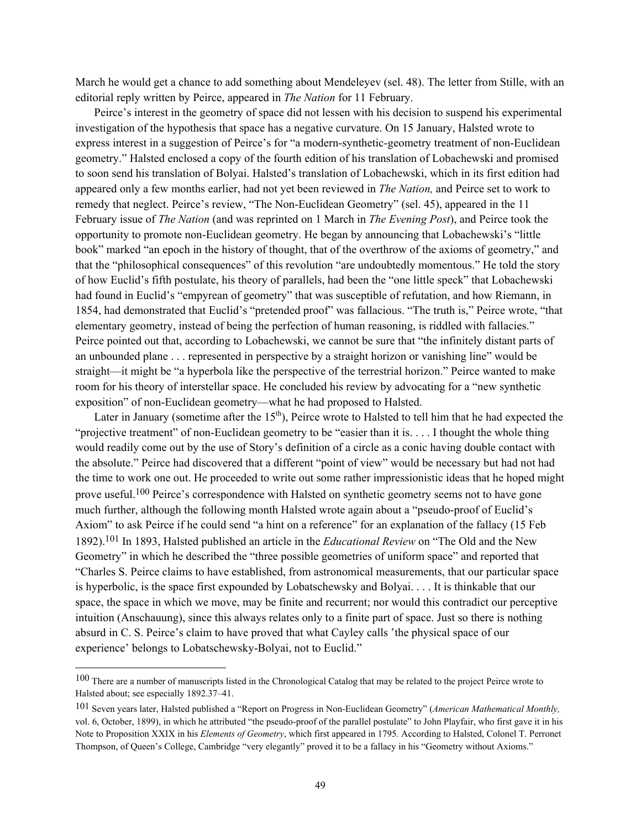March he would get a chance to add something about Mendeleyev (sel. 48). The letter from Stille, with an editorial reply written by Peirce, appeared in *The Nation* for 11 February.

 Peirce's interest in the geometry of space did not lessen with his decision to suspend his experimental investigation of the hypothesis that space has a negative curvature. On 15 January, Halsted wrote to express interest in a suggestion of Peirce's for "a modern-synthetic-geometry treatment of non-Euclidean geometry." Halsted enclosed a copy of the fourth edition of his translation of Lobachewski and promised to soon send his translation of Bolyai. Halsted's translation of Lobachewski, which in its first edition had appeared only a few months earlier, had not yet been reviewed in *The Nation,* and Peirce set to work to remedy that neglect. Peirce's review, "The Non-Euclidean Geometry" (sel. 45), appeared in the 11 February issue of *The Nation* (and was reprinted on 1 March in *The Evening Post*), and Peirce took the opportunity to promote non-Euclidean geometry. He began by announcing that Lobachewski's "little book" marked "an epoch in the history of thought, that of the overthrow of the axioms of geometry," and that the "philosophical consequences" of this revolution "are undoubtedly momentous." He told the story of how Euclid's fifth postulate, his theory of parallels, had been the "one little speck" that Lobachewski had found in Euclid's "empyrean of geometry" that was susceptible of refutation, and how Riemann, in 1854, had demonstrated that Euclid's "pretended proof" was fallacious. "The truth is," Peirce wrote, "that elementary geometry, instead of being the perfection of human reasoning, is riddled with fallacies." Peirce pointed out that, according to Lobachewski, we cannot be sure that "the infinitely distant parts of an unbounded plane . . . represented in perspective by a straight horizon or vanishing line" would be straight—it might be "a hyperbola like the perspective of the terrestrial horizon." Peirce wanted to make room for his theory of interstellar space. He concluded his review by advocating for a "new synthetic exposition" of non-Euclidean geometry—what he had proposed to Halsted.

Later in January (sometime after the  $15<sup>th</sup>$ ), Peirce wrote to Halsted to tell him that he had expected the "projective treatment" of non-Euclidean geometry to be "easier than it is. . . . I thought the whole thing would readily come out by the use of Story's definition of a circle as a conic having double contact with the absolute." Peirce had discovered that a different "point of view" would be necessary but had not had the time to work one out. He proceeded to write out some rather impressionistic ideas that he hoped might prove useful.100 Peirce's correspondence with Halsted on synthetic geometry seems not to have gone much further, although the following month Halsted wrote again about a "pseudo-proof of Euclid's Axiom" to ask Peirce if he could send "a hint on a reference" for an explanation of the fallacy (15 Feb 1892).101 In 1893, Halsted published an article in the *Educational Review* on "The Old and the New Geometry" in which he described the "three possible geometries of uniform space" and reported that "Charles S. Peirce claims to have established, from astronomical measurements, that our particular space is hyperbolic, is the space first expounded by Lobatschewsky and Bolyai. . . . It is thinkable that our space, the space in which we move, may be finite and recurrent; nor would this contradict our perceptive intuition (Anschauung), since this always relates only to a finite part of space. Just so there is nothing absurd in C. S. Peirce's claim to have proved that what Cayley calls 'the physical space of our experience' belongs to Lobatschewsky-Bolyai, not to Euclid."

<sup>&</sup>lt;sup>100</sup> There are a number of manuscripts listed in the Chronological Catalog that may be related to the project Peirce wrote to Halsted about; see especially 1892.37–41.

<sup>101</sup> Seven years later, Halsted published a "Report on Progress in Non-Euclidean Geometry" (*American Mathematical Monthly,* vol. 6, October, 1899), in which he attributed "the pseudo-proof of the parallel postulate" to John Playfair, who first gave it in his Note to Proposition XXIX in his *Elements of Geometry*, which first appeared in 1795*.* According to Halsted, Colonel T. Perronet Thompson, of Queen's College, Cambridge "very elegantly" proved it to be a fallacy in his "Geometry without Axioms."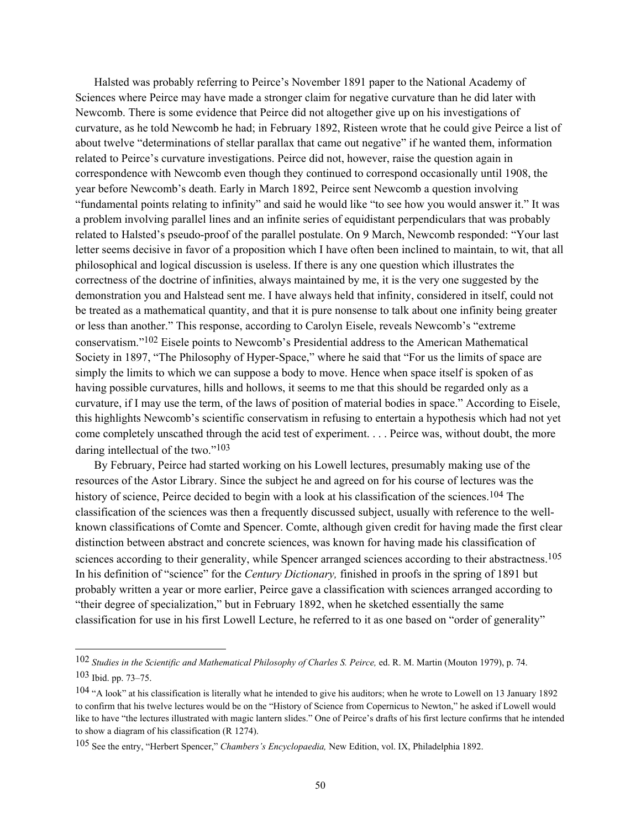Halsted was probably referring to Peirce's November 1891 paper to the National Academy of Sciences where Peirce may have made a stronger claim for negative curvature than he did later with Newcomb. There is some evidence that Peirce did not altogether give up on his investigations of curvature, as he told Newcomb he had; in February 1892, Risteen wrote that he could give Peirce a list of about twelve "determinations of stellar parallax that came out negative" if he wanted them, information related to Peirce's curvature investigations. Peirce did not, however, raise the question again in correspondence with Newcomb even though they continued to correspond occasionally until 1908, the year before Newcomb's death. Early in March 1892, Peirce sent Newcomb a question involving "fundamental points relating to infinity" and said he would like "to see how you would answer it." It was a problem involving parallel lines and an infinite series of equidistant perpendiculars that was probably related to Halsted's pseudo-proof of the parallel postulate. On 9 March, Newcomb responded: "Your last letter seems decisive in favor of a proposition which I have often been inclined to maintain, to wit, that all philosophical and logical discussion is useless. If there is any one question which illustrates the correctness of the doctrine of infinities, always maintained by me, it is the very one suggested by the demonstration you and Halstead sent me. I have always held that infinity, considered in itself, could not be treated as a mathematical quantity, and that it is pure nonsense to talk about one infinity being greater or less than another." This response, according to Carolyn Eisele, reveals Newcomb's "extreme conservatism."102 Eisele points to Newcomb's Presidential address to the American Mathematical Society in 1897, "The Philosophy of Hyper-Space," where he said that "For us the limits of space are simply the limits to which we can suppose a body to move. Hence when space itself is spoken of as having possible curvatures, hills and hollows, it seems to me that this should be regarded only as a curvature, if I may use the term, of the laws of position of material bodies in space." According to Eisele, this highlights Newcomb's scientific conservatism in refusing to entertain a hypothesis which had not yet come completely unscathed through the acid test of experiment. . . . Peirce was, without doubt, the more daring intellectual of the two."103

 By February, Peirce had started working on his Lowell lectures, presumably making use of the resources of the Astor Library. Since the subject he and agreed on for his course of lectures was the history of science. Peirce decided to begin with a look at his classification of the sciences.<sup>104</sup> The classification of the sciences was then a frequently discussed subject, usually with reference to the wellknown classifications of Comte and Spencer. Comte, although given credit for having made the first clear distinction between abstract and concrete sciences, was known for having made his classification of sciences according to their generality, while Spencer arranged sciences according to their abstractness.<sup>105</sup> In his definition of "science" for the *Century Dictionary,* finished in proofs in the spring of 1891 but probably written a year or more earlier, Peirce gave a classification with sciences arranged according to "their degree of specialization," but in February 1892, when he sketched essentially the same classification for use in his first Lowell Lecture, he referred to it as one based on "order of generality"

<sup>102</sup> *Studies in the Scientific and Mathematical Philosophy of Charles S. Peirce,* ed. R. M. Martin (Mouton 1979), p. 74. 103 Ibid. pp. 73–75.

<sup>104 &</sup>quot;A look" at his classification is literally what he intended to give his auditors; when he wrote to Lowell on 13 January 1892 to confirm that his twelve lectures would be on the "History of Science from Copernicus to Newton," he asked if Lowell would like to have "the lectures illustrated with magic lantern slides." One of Peirce's drafts of his first lecture confirms that he intended to show a diagram of his classification (R 1274).

<sup>105</sup> See the entry, "Herbert Spencer," *Chambers's Encyclopaedia,* New Edition, vol. IX, Philadelphia 1892.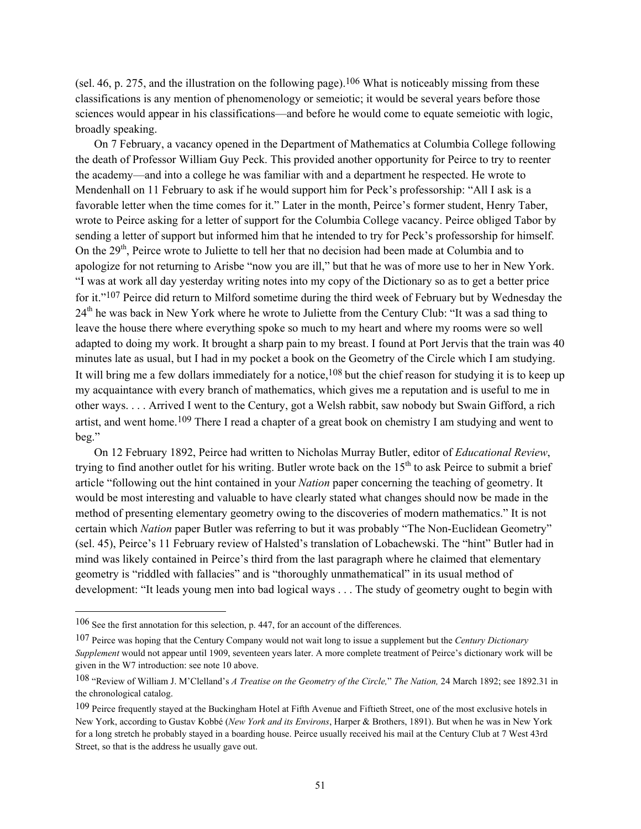(sel. 46, p. 275, and the illustration on the following page).<sup>106</sup> What is noticeably missing from these classifications is any mention of phenomenology or semeiotic; it would be several years before those sciences would appear in his classifications—and before he would come to equate semeiotic with logic, broadly speaking.

 On 7 February, a vacancy opened in the Department of Mathematics at Columbia College following the death of Professor William Guy Peck. This provided another opportunity for Peirce to try to reenter the academy—and into a college he was familiar with and a department he respected. He wrote to Mendenhall on 11 February to ask if he would support him for Peck's professorship: "All I ask is a favorable letter when the time comes for it." Later in the month, Peirce's former student, Henry Taber, wrote to Peirce asking for a letter of support for the Columbia College vacancy. Peirce obliged Tabor by sending a letter of support but informed him that he intended to try for Peck's professorship for himself. On the 29<sup>th</sup>, Peirce wrote to Juliette to tell her that no decision had been made at Columbia and to apologize for not returning to Arisbe "now you are ill," but that he was of more use to her in New York. "I was at work all day yesterday writing notes into my copy of the Dictionary so as to get a better price for it."107 Peirce did return to Milford sometime during the third week of February but by Wednesday the 24<sup>th</sup> he was back in New York where he wrote to Juliette from the Century Club: "It was a sad thing to leave the house there where everything spoke so much to my heart and where my rooms were so well adapted to doing my work. It brought a sharp pain to my breast. I found at Port Jervis that the train was 40 minutes late as usual, but I had in my pocket a book on the Geometry of the Circle which I am studying. It will bring me a few dollars immediately for a notice,<sup>108</sup> but the chief reason for studying it is to keep up my acquaintance with every branch of mathematics, which gives me a reputation and is useful to me in other ways. . . . Arrived I went to the Century, got a Welsh rabbit, saw nobody but Swain Gifford, a rich artist, and went home.109 There I read a chapter of a great book on chemistry I am studying and went to beg."

 On 12 February 1892, Peirce had written to Nicholas Murray Butler, editor of *Educational Review*, trying to find another outlet for his writing. Butler wrote back on the  $15<sup>th</sup>$  to ask Peirce to submit a brief article "following out the hint contained in your *Nation* paper concerning the teaching of geometry. It would be most interesting and valuable to have clearly stated what changes should now be made in the method of presenting elementary geometry owing to the discoveries of modern mathematics." It is not certain which *Nation* paper Butler was referring to but it was probably "The Non-Euclidean Geometry" (sel. 45), Peirce's 11 February review of Halsted's translation of Lobachewski. The "hint" Butler had in mind was likely contained in Peirce's third from the last paragraph where he claimed that elementary geometry is "riddled with fallacies" and is "thoroughly unmathematical" in its usual method of development: "It leads young men into bad logical ways . . . The study of geometry ought to begin with

<sup>106</sup> See the first annotation for this selection, p. 447, for an account of the differences.

<sup>107</sup> Peirce was hoping that the Century Company would not wait long to issue a supplement but the *Century Dictionary Supplement* would not appear until 1909, seventeen years later. A more complete treatment of Peirce's dictionary work will be given in the W7 introduction: see note 10 above.

<sup>108 &</sup>quot;Review of William J. M'Clelland's *A Treatise on the Geometry of the Circle,*" *The Nation,* 24 March 1892; see 1892.31 in the chronological catalog.

<sup>109</sup> Peirce frequently stayed at the Buckingham Hotel at Fifth Avenue and Fiftieth Street, one of the most exclusive hotels in New York, according to Gustav Kobbé (*New York and its Environs*, Harper & Brothers, 1891). But when he was in New York for a long stretch he probably stayed in a boarding house. Peirce usually received his mail at the Century Club at 7 West 43rd Street, so that is the address he usually gave out.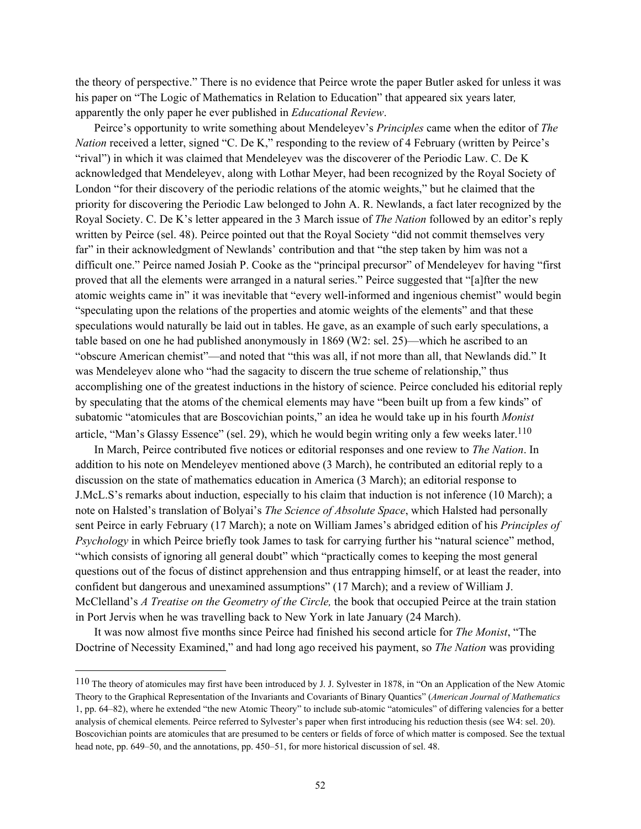the theory of perspective." There is no evidence that Peirce wrote the paper Butler asked for unless it was his paper on "The Logic of Mathematics in Relation to Education" that appeared six years later*,* apparently the only paper he ever published in *Educational Review*.

 Peirce's opportunity to write something about Mendeleyev's *Principles* came when the editor of *The Nation* received a letter, signed "C. De K," responding to the review of 4 February (written by Peirce's "rival") in which it was claimed that Mendeleyev was the discoverer of the Periodic Law. C. De K acknowledged that Mendeleyev, along with Lothar Meyer, had been recognized by the Royal Society of London "for their discovery of the periodic relations of the atomic weights," but he claimed that the priority for discovering the Periodic Law belonged to John A. R. Newlands, a fact later recognized by the Royal Society. C. De K's letter appeared in the 3 March issue of *The Nation* followed by an editor's reply written by Peirce (sel. 48). Peirce pointed out that the Royal Society "did not commit themselves very far" in their acknowledgment of Newlands' contribution and that "the step taken by him was not a difficult one." Peirce named Josiah P. Cooke as the "principal precursor" of Mendeleyev for having "first proved that all the elements were arranged in a natural series." Peirce suggested that "[a]fter the new atomic weights came in" it was inevitable that "every well-informed and ingenious chemist" would begin "speculating upon the relations of the properties and atomic weights of the elements" and that these speculations would naturally be laid out in tables. He gave, as an example of such early speculations, a table based on one he had published anonymously in 1869 (W2: sel. 25)—which he ascribed to an "obscure American chemist"—and noted that "this was all, if not more than all, that Newlands did." It was Mendeleyev alone who "had the sagacity to discern the true scheme of relationship," thus accomplishing one of the greatest inductions in the history of science. Peirce concluded his editorial reply by speculating that the atoms of the chemical elements may have "been built up from a few kinds" of subatomic "atomicules that are Boscovichian points," an idea he would take up in his fourth *Monist* article, "Man's Glassy Essence" (sel. 29), which he would begin writing only a few weeks later.<sup>110</sup>

 In March, Peirce contributed five notices or editorial responses and one review to *The Nation*. In addition to his note on Mendeleyev mentioned above (3 March), he contributed an editorial reply to a discussion on the state of mathematics education in America (3 March); an editorial response to J.McL.S's remarks about induction, especially to his claim that induction is not inference (10 March); a note on Halsted's translation of Bolyai's *The Science of Absolute Space*, which Halsted had personally sent Peirce in early February (17 March); a note on William James's abridged edition of his *Principles of Psychology* in which Peirce briefly took James to task for carrying further his "natural science" method, "which consists of ignoring all general doubt" which "practically comes to keeping the most general questions out of the focus of distinct apprehension and thus entrapping himself, or at least the reader, into confident but dangerous and unexamined assumptions" (17 March); and a review of William J. McClelland's *A Treatise on the Geometry of the Circle,* the book that occupied Peirce at the train station in Port Jervis when he was travelling back to New York in late January (24 March).

 It was now almost five months since Peirce had finished his second article for *The Monist*, "The Doctrine of Necessity Examined," and had long ago received his payment, so *The Nation* was providing

<sup>110</sup> The theory of atomicules may first have been introduced by J. J. Sylvester in 1878, in "On an Application of the New Atomic Theory to the Graphical Representation of the Invariants and Covariants of Binary Quantics" (*American Journal of Mathematics* 1, pp. 64–82), where he extended "the new Atomic Theory" to include sub-atomic "atomicules" of differing valencies for a better analysis of chemical elements. Peirce referred to Sylvester's paper when first introducing his reduction thesis (see W4: sel. 20). Boscovichian points are atomicules that are presumed to be centers or fields of force of which matter is composed. See the textual head note, pp. 649–50, and the annotations, pp. 450–51, for more historical discussion of sel. 48.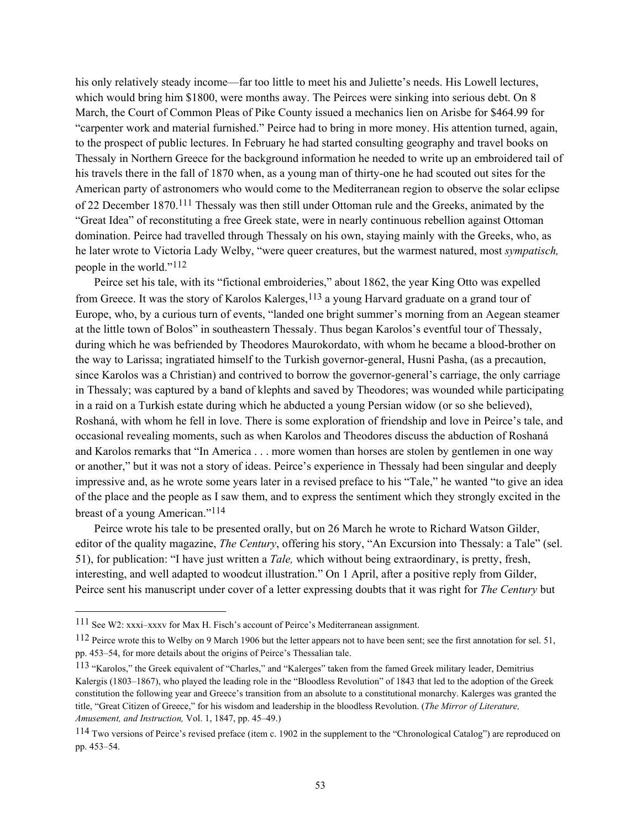his only relatively steady income—far too little to meet his and Juliette's needs. His Lowell lectures, which would bring him \$1800, were months away. The Peirces were sinking into serious debt. On 8 March, the Court of Common Pleas of Pike County issued a mechanics lien on Arisbe for \$464.99 for "carpenter work and material furnished." Peirce had to bring in more money. His attention turned, again, to the prospect of public lectures. In February he had started consulting geography and travel books on Thessaly in Northern Greece for the background information he needed to write up an embroidered tail of his travels there in the fall of 1870 when, as a young man of thirty-one he had scouted out sites for the American party of astronomers who would come to the Mediterranean region to observe the solar eclipse of 22 December 1870.111 Thessaly was then still under Ottoman rule and the Greeks, animated by the "Great Idea" of reconstituting a free Greek state, were in nearly continuous rebellion against Ottoman domination. Peirce had travelled through Thessaly on his own, staying mainly with the Greeks, who, as he later wrote to Victoria Lady Welby, "were queer creatures, but the warmest natured, most *sympatisch,* people in the world."112

 Peirce set his tale, with its "fictional embroideries," about 1862, the year King Otto was expelled from Greece. It was the story of Karolos Kalerges,<sup>113</sup> a young Harvard graduate on a grand tour of Europe, who, by a curious turn of events, "landed one bright summer's morning from an Aegean steamer at the little town of Bolos" in southeastern Thessaly. Thus began Karolos's eventful tour of Thessaly, during which he was befriended by Theodores Maurokordato, with whom he became a blood-brother on the way to Larissa; ingratiated himself to the Turkish governor-general, Husni Pasha, (as a precaution, since Karolos was a Christian) and contrived to borrow the governor-general's carriage, the only carriage in Thessaly; was captured by a band of klephts and saved by Theodores; was wounded while participating in a raid on a Turkish estate during which he abducted a young Persian widow (or so she believed), Roshaná, with whom he fell in love. There is some exploration of friendship and love in Peirce's tale, and occasional revealing moments, such as when Karolos and Theodores discuss the abduction of Roshaná and Karolos remarks that "In America . . . more women than horses are stolen by gentlemen in one way or another," but it was not a story of ideas. Peirce's experience in Thessaly had been singular and deeply impressive and, as he wrote some years later in a revised preface to his "Tale," he wanted "to give an idea of the place and the people as I saw them, and to express the sentiment which they strongly excited in the breast of a young American."114

 Peirce wrote his tale to be presented orally, but on 26 March he wrote to Richard Watson Gilder, editor of the quality magazine, *The Century*, offering his story, "An Excursion into Thessaly: a Tale" (sel. 51), for publication: "I have just written a *Tale,* which without being extraordinary, is pretty, fresh, interesting, and well adapted to woodcut illustration." On 1 April, after a positive reply from Gilder, Peirce sent his manuscript under cover of a letter expressing doubts that it was right for *The Century* but

<sup>111</sup> See W2: xxxi–xxxv for Max H. Fisch's account of Peirce's Mediterranean assignment.

<sup>112</sup> Peirce wrote this to Welby on 9 March 1906 but the letter appears not to have been sent; see the first annotation for sel. 51, pp. 453–54, for more details about the origins of Peirce's Thessalian tale.

<sup>113 &</sup>quot;Karolos," the Greek equivalent of "Charles," and "Kalerges" taken from the famed Greek military leader, Demitrius Kalergis (1803–1867), who played the leading role in the "Bloodless Revolution" of 1843 that led to the adoption of the Greek constitution the following year and Greece's transition from an absolute to a constitutional monarchy. Kalerges was granted the title, "Great Citizen of Greece," for his wisdom and leadership in the bloodless Revolution. (*The Mirror of Literature, Amusement, and Instruction,* Vol. 1, 1847, pp. 45–49.)

<sup>114</sup> Two versions of Peirce's revised preface (item c. 1902 in the supplement to the "Chronological Catalog") are reproduced on pp. 453–54.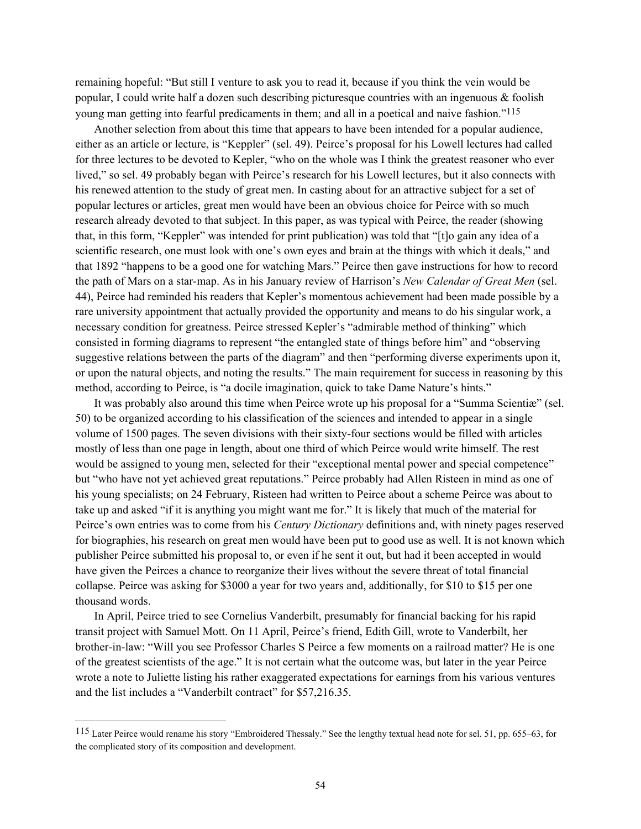remaining hopeful: "But still I venture to ask you to read it, because if you think the vein would be popular, I could write half a dozen such describing picturesque countries with an ingenuous & foolish young man getting into fearful predicaments in them; and all in a poetical and naive fashion."115

 Another selection from about this time that appears to have been intended for a popular audience, either as an article or lecture, is "Keppler" (sel. 49). Peirce's proposal for his Lowell lectures had called for three lectures to be devoted to Kepler, "who on the whole was I think the greatest reasoner who ever lived," so sel. 49 probably began with Peirce's research for his Lowell lectures, but it also connects with his renewed attention to the study of great men. In casting about for an attractive subject for a set of popular lectures or articles, great men would have been an obvious choice for Peirce with so much research already devoted to that subject. In this paper, as was typical with Peirce, the reader (showing that, in this form, "Keppler" was intended for print publication) was told that "[t]o gain any idea of a scientific research, one must look with one's own eyes and brain at the things with which it deals," and that 1892 "happens to be a good one for watching Mars." Peirce then gave instructions for how to record the path of Mars on a star-map. As in his January review of Harrison's *New Calendar of Great Men* (sel. 44), Peirce had reminded his readers that Kepler's momentous achievement had been made possible by a rare university appointment that actually provided the opportunity and means to do his singular work, a necessary condition for greatness. Peirce stressed Kepler's "admirable method of thinking" which consisted in forming diagrams to represent "the entangled state of things before him" and "observing suggestive relations between the parts of the diagram" and then "performing diverse experiments upon it, or upon the natural objects, and noting the results." The main requirement for success in reasoning by this method, according to Peirce, is "a docile imagination, quick to take Dame Nature's hints."

 It was probably also around this time when Peirce wrote up his proposal for a "Summa Scientiæ" (sel. 50) to be organized according to his classification of the sciences and intended to appear in a single volume of 1500 pages. The seven divisions with their sixty-four sections would be filled with articles mostly of less than one page in length, about one third of which Peirce would write himself. The rest would be assigned to young men, selected for their "exceptional mental power and special competence" but "who have not yet achieved great reputations." Peirce probably had Allen Risteen in mind as one of his young specialists; on 24 February, Risteen had written to Peirce about a scheme Peirce was about to take up and asked "if it is anything you might want me for." It is likely that much of the material for Peirce's own entries was to come from his *Century Dictionary* definitions and, with ninety pages reserved for biographies, his research on great men would have been put to good use as well. It is not known which publisher Peirce submitted his proposal to, or even if he sent it out, but had it been accepted in would have given the Peirces a chance to reorganize their lives without the severe threat of total financial collapse. Peirce was asking for \$3000 a year for two years and, additionally, for \$10 to \$15 per one thousand words.

 In April, Peirce tried to see Cornelius Vanderbilt, presumably for financial backing for his rapid transit project with Samuel Mott. On 11 April, Peirce's friend, Edith Gill, wrote to Vanderbilt, her brother-in-law: "Will you see Professor Charles S Peirce a few moments on a railroad matter? He is one of the greatest scientists of the age." It is not certain what the outcome was, but later in the year Peirce wrote a note to Juliette listing his rather exaggerated expectations for earnings from his various ventures and the list includes a "Vanderbilt contract" for \$57,216.35.

<sup>115</sup> Later Peirce would rename his story "Embroidered Thessaly." See the lengthy textual head note for sel. 51, pp. 655–63, for the complicated story of its composition and development.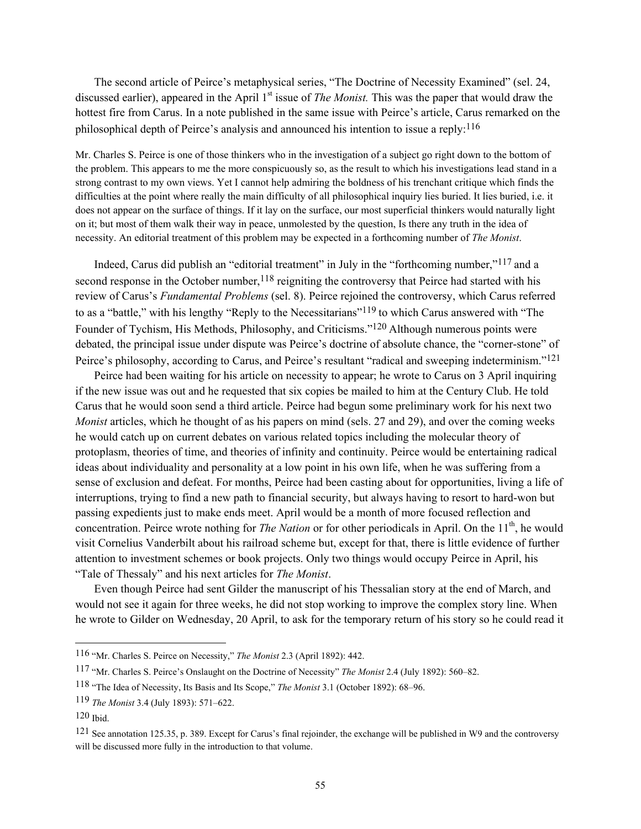The second article of Peirce's metaphysical series, "The Doctrine of Necessity Examined" (sel. 24, discussed earlier), appeared in the April 1<sup>st</sup> issue of *The Monist*. This was the paper that would draw the hottest fire from Carus. In a note published in the same issue with Peirce's article, Carus remarked on the philosophical depth of Peirce's analysis and announced his intention to issue a reply:116

Mr. Charles S. Peirce is one of those thinkers who in the investigation of a subject go right down to the bottom of the problem. This appears to me the more conspicuously so, as the result to which his investigations lead stand in a strong contrast to my own views. Yet I cannot help admiring the boldness of his trenchant critique which finds the difficulties at the point where really the main difficulty of all philosophical inquiry lies buried. It lies buried, i.e. it does not appear on the surface of things. If it lay on the surface, our most superficial thinkers would naturally light on it; but most of them walk their way in peace, unmolested by the question, Is there any truth in the idea of necessity. An editorial treatment of this problem may be expected in a forthcoming number of *The Monist*.

Indeed, Carus did publish an "editorial treatment" in July in the "forthcoming number,"<sup>117</sup> and a second response in the October number,  $118$  reigniting the controversy that Peirce had started with his review of Carus's *Fundamental Problems* (sel. 8). Peirce rejoined the controversy, which Carus referred to as a "battle," with his lengthy "Reply to the Necessitarians"119 to which Carus answered with "The Founder of Tychism, His Methods, Philosophy, and Criticisms."120 Although numerous points were debated, the principal issue under dispute was Peirce's doctrine of absolute chance, the "corner-stone" of Peirce's philosophy, according to Carus, and Peirce's resultant "radical and sweeping indeterminism."121

 Peirce had been waiting for his article on necessity to appear; he wrote to Carus on 3 April inquiring if the new issue was out and he requested that six copies be mailed to him at the Century Club. He told Carus that he would soon send a third article. Peirce had begun some preliminary work for his next two *Monist* articles, which he thought of as his papers on mind (sels. 27 and 29), and over the coming weeks he would catch up on current debates on various related topics including the molecular theory of protoplasm, theories of time, and theories of infinity and continuity. Peirce would be entertaining radical ideas about individuality and personality at a low point in his own life, when he was suffering from a sense of exclusion and defeat. For months, Peirce had been casting about for opportunities, living a life of interruptions, trying to find a new path to financial security, but always having to resort to hard-won but passing expedients just to make ends meet. April would be a month of more focused reflection and concentration. Peirce wrote nothing for *The Nation* or for other periodicals in April. On the 11<sup>th</sup>, he would visit Cornelius Vanderbilt about his railroad scheme but, except for that, there is little evidence of further attention to investment schemes or book projects. Only two things would occupy Peirce in April, his "Tale of Thessaly" and his next articles for *The Monist*.

 Even though Peirce had sent Gilder the manuscript of his Thessalian story at the end of March, and would not see it again for three weeks, he did not stop working to improve the complex story line. When he wrote to Gilder on Wednesday, 20 April, to ask for the temporary return of his story so he could read it

<sup>116 &</sup>quot;Mr. Charles S. Peirce on Necessity," *The Monist* 2.3 (April 1892): 442.

<sup>117 &</sup>quot;Mr. Charles S. Peirce's Onslaught on the Doctrine of Necessity" *The Monist* 2.4 (July 1892): 560–82.

<sup>118 &</sup>quot;The Idea of Necessity, Its Basis and Its Scope," *The Monist* 3.1 (October 1892): 68–96.

<sup>119</sup> *The Monist* 3.4 (July 1893): 571–622.

 $120$  Ibid.

<sup>121</sup> See annotation 125.35, p. 389. Except for Carus's final rejoinder, the exchange will be published in W9 and the controversy will be discussed more fully in the introduction to that volume.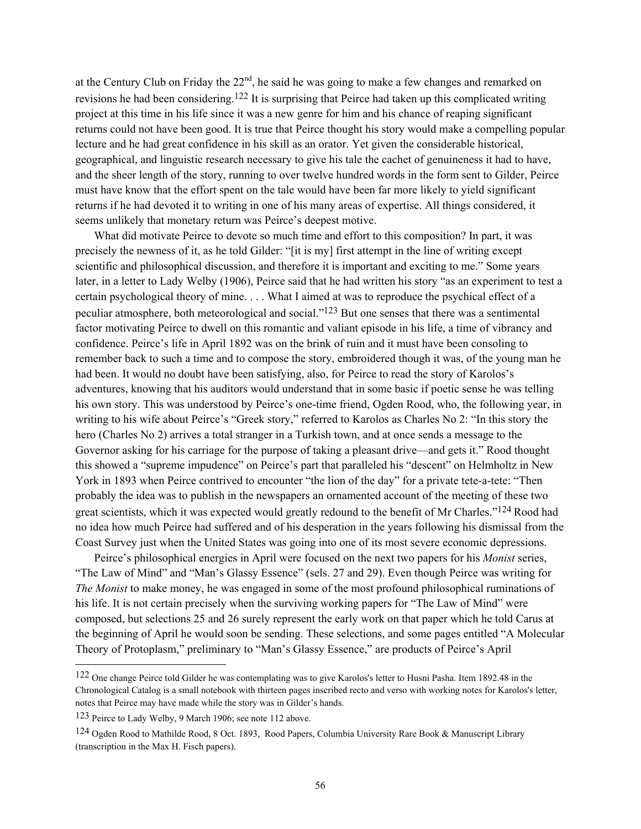at the Century Club on Friday the 22<sup>nd</sup>, he said he was going to make a few changes and remarked on revisions he had been considering.122 It is surprising that Peirce had taken up this complicated writing project at this time in his life since it was a new genre for him and his chance of reaping significant returns could not have been good. It is true that Peirce thought his story would make a compelling popular lecture and he had great confidence in his skill as an orator. Yet given the considerable historical, geographical, and linguistic research necessary to give his tale the cachet of genuineness it had to have, and the sheer length of the story, running to over twelve hundred words in the form sent to Gilder, Peirce must have know that the effort spent on the tale would have been far more likely to yield significant returns if he had devoted it to writing in one of his many areas of expertise. All things considered, it seems unlikely that monetary return was Peirce's deepest motive.

 What did motivate Peirce to devote so much time and effort to this composition? In part, it was precisely the newness of it, as he told Gilder: "[it is my] first attempt in the line of writing except scientific and philosophical discussion, and therefore it is important and exciting to me." Some years later, in a letter to Lady Welby (1906), Peirce said that he had written his story "as an experiment to test a certain psychological theory of mine. . . . What I aimed at was to reproduce the psychical effect of a peculiar atmosphere, both meteorological and social."123 But one senses that there was a sentimental factor motivating Peirce to dwell on this romantic and valiant episode in his life, a time of vibrancy and confidence. Peirce's life in April 1892 was on the brink of ruin and it must have been consoling to remember back to such a time and to compose the story, embroidered though it was, of the young man he had been. It would no doubt have been satisfying, also, for Peirce to read the story of Karolos's adventures, knowing that his auditors would understand that in some basic if poetic sense he was telling his own story. This was understood by Peirce's one-time friend, Ogden Rood, who, the following year, in writing to his wife about Peirce's "Greek story," referred to Karolos as Charles No 2: "In this story the hero (Charles No 2) arrives a total stranger in a Turkish town, and at once sends a message to the Governor asking for his carriage for the purpose of taking a pleasant drive—and gets it." Rood thought this showed a "supreme impudence" on Peirce's part that paralleled his "descent" on Helmholtz in New York in 1893 when Peirce contrived to encounter "the lion of the day" for a private tete-a-tete: "Then probably the idea was to publish in the newspapers an ornamented account of the meeting of these two great scientists, which it was expected would greatly redound to the benefit of Mr Charles."124 Rood had no idea how much Peirce had suffered and of his desperation in the years following his dismissal from the Coast Survey just when the United States was going into one of its most severe economic depressions.

 Peirce's philosophical energies in April were focused on the next two papers for his *Monist* series, "The Law of Mind" and "Man's Glassy Essence" (sels. 27 and 29). Even though Peirce was writing for *The Monist* to make money, he was engaged in some of the most profound philosophical ruminations of his life. It is not certain precisely when the surviving working papers for "The Law of Mind" were composed, but selections 25 and 26 surely represent the early work on that paper which he told Carus at the beginning of April he would soon be sending. These selections, and some pages entitled "A Molecular Theory of Protoplasm," preliminary to "Man's Glassy Essence," are products of Peirce's April

<sup>122</sup> One change Peirce told Gilder he was contemplating was to give Karolos's letter to Husni Pasha. Item 1892.48 in the Chronological Catalog is a small notebook with thirteen pages inscribed recto and verso with working notes for Karolos's letter, notes that Peirce may have made while the story was in Gilder's hands.

<sup>123</sup> Peirce to Lady Welby, 9 March 1906; see note 112 above.

<sup>124</sup> Ogden Rood to Mathilde Rood, 8 Oct. 1893, Rood Papers, Columbia University Rare Book & Manuscript Library (transcription in the Max H. Fisch papers).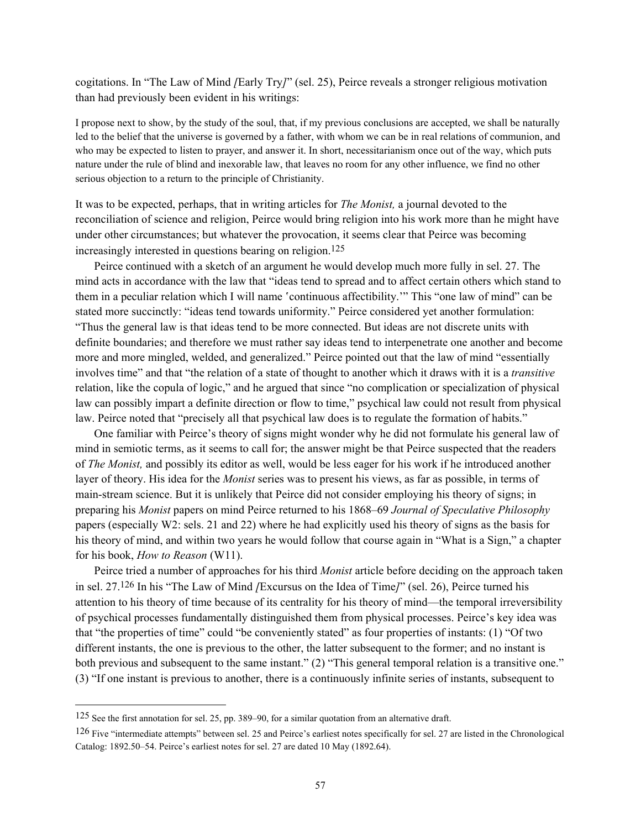cogitations. In "The Law of Mind *[*Early Try*]*" (sel. 25), Peirce reveals a stronger religious motivation than had previously been evident in his writings:

I propose next to show, by the study of the soul, that, if my previous conclusions are accepted, we shall be naturally led to the belief that the universe is governed by a father, with whom we can be in real relations of communion, and who may be expected to listen to prayer, and answer it. In short, necessitarianism once out of the way, which puts nature under the rule of blind and inexorable law, that leaves no room for any other influence, we find no other serious objection to a return to the principle of Christianity.

It was to be expected, perhaps, that in writing articles for *The Monist,* a journal devoted to the reconciliation of science and religion, Peirce would bring religion into his work more than he might have under other circumstances; but whatever the provocation, it seems clear that Peirce was becoming increasingly interested in questions bearing on religion.125

 Peirce continued with a sketch of an argument he would develop much more fully in sel. 27. The mind acts in accordance with the law that "ideas tend to spread and to affect certain others which stand to them in a peculiar relation which I will name 'continuous affectibility.'" This "one law of mind" can be stated more succinctly: "ideas tend towards uniformity." Peirce considered yet another formulation: "Thus the general law is that ideas tend to be more connected. But ideas are not discrete units with definite boundaries; and therefore we must rather say ideas tend to interpenetrate one another and become more and more mingled, welded, and generalized." Peirce pointed out that the law of mind "essentially involves time" and that "the relation of a state of thought to another which it draws with it is a *transitive* relation, like the copula of logic," and he argued that since "no complication or specialization of physical law can possibly impart a definite direction or flow to time," psychical law could not result from physical law. Peirce noted that "precisely all that psychical law does is to regulate the formation of habits."

 One familiar with Peirce's theory of signs might wonder why he did not formulate his general law of mind in semiotic terms, as it seems to call for; the answer might be that Peirce suspected that the readers of *The Monist,* and possibly its editor as well, would be less eager for his work if he introduced another layer of theory. His idea for the *Monist* series was to present his views, as far as possible, in terms of main-stream science. But it is unlikely that Peirce did not consider employing his theory of signs; in preparing his *Monist* papers on mind Peirce returned to his 1868–69 *Journal of Speculative Philosophy* papers (especially W2: sels. 21 and 22) where he had explicitly used his theory of signs as the basis for his theory of mind, and within two years he would follow that course again in "What is a Sign," a chapter for his book, *How to Reason* (W11).

 Peirce tried a number of approaches for his third *Monist* article before deciding on the approach taken in sel. 27.126 In his "The Law of Mind *[*Excursus on the Idea of Time*]*" (sel. 26), Peirce turned his attention to his theory of time because of its centrality for his theory of mind—the temporal irreversibility of psychical processes fundamentally distinguished them from physical processes. Peirce's key idea was that "the properties of time" could "be conveniently stated" as four properties of instants: (1) "Of two different instants, the one is previous to the other, the latter subsequent to the former; and no instant is both previous and subsequent to the same instant." (2) "This general temporal relation is a transitive one." (3) "If one instant is previous to another, there is a continuously infinite series of instants, subsequent to

<sup>125</sup> See the first annotation for sel. 25, pp. 389–90, for a similar quotation from an alternative draft.

<sup>126</sup> Five "intermediate attempts" between sel. 25 and Peirce's earliest notes specifically for sel. 27 are listed in the Chronological Catalog: 1892.50–54. Peirce's earliest notes for sel. 27 are dated 10 May (1892.64).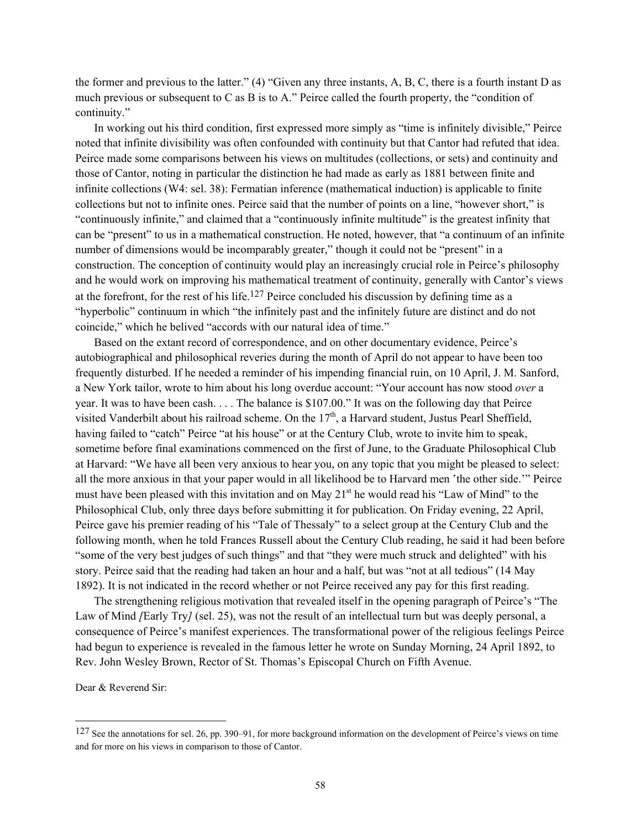the former and previous to the latter." (4) "Given any three instants, A, B, C, there is a fourth instant D as much previous or subsequent to C as B is to A." Peirce called the fourth property, the "condition of continuity."

 In working out his third condition, first expressed more simply as "time is infinitely divisible," Peirce noted that infinite divisibility was often confounded with continuity but that Cantor had refuted that idea. Peirce made some comparisons between his views on multitudes (collections, or sets) and continuity and those of Cantor, noting in particular the distinction he had made as early as 1881 between finite and infinite collections (W4: sel. 38): Fermatian inference (mathematical induction) is applicable to finite collections but not to infinite ones. Peirce said that the number of points on a line, "however short," is "continuously infinite," and claimed that a "continuously infinite multitude" is the greatest infinity that can be "present" to us in a mathematical construction. He noted, however, that "a continuum of an infinite number of dimensions would be incomparably greater," though it could not be "present" in a construction. The conception of continuity would play an increasingly crucial role in Peirce's philosophy and he would work on improving his mathematical treatment of continuity, generally with Cantor's views at the forefront, for the rest of his life.127 Peirce concluded his discussion by defining time as a "hyperbolic" continuum in which "the infinitely past and the infinitely future are distinct and do not coincide," which he belived "accords with our natural idea of time."

 Based on the extant record of correspondence, and on other documentary evidence, Peirce's autobiographical and philosophical reveries during the month of April do not appear to have been too frequently disturbed. If he needed a reminder of his impending financial ruin, on 10 April, J. M. Sanford, a New York tailor, wrote to him about his long overdue account: "Your account has now stood *over* a year. It was to have been cash. . . . The balance is \$107.00." It was on the following day that Peirce visited Vanderbilt about his railroad scheme. On the  $17<sup>th</sup>$ , a Harvard student, Justus Pearl Sheffield, having failed to "catch" Peirce "at his house" or at the Century Club, wrote to invite him to speak, sometime before final examinations commenced on the first of June, to the Graduate Philosophical Club at Harvard: "We have all been very anxious to hear you, on any topic that you might be pleased to select: all the more anxious in that your paper would in all likelihood be to Harvard men 'the other side.'" Peirce must have been pleased with this invitation and on May 21<sup>st</sup> he would read his "Law of Mind" to the Philosophical Club, only three days before submitting it for publication. On Friday evening, 22 April, Peirce gave his premier reading of his "Tale of Thessaly" to a select group at the Century Club and the following month, when he told Frances Russell about the Century Club reading, he said it had been before "some of the very best judges of such things" and that "they were much struck and delighted" with his story. Peirce said that the reading had taken an hour and a half, but was "not at all tedious" (14 May 1892). It is not indicated in the record whether or not Peirce received any pay for this first reading.

 The strengthening religious motivation that revealed itself in the opening paragraph of Peirce's "The Law of Mind *[*Early Try*]* (sel. 25), was not the result of an intellectual turn but was deeply personal, a consequence of Peirce's manifest experiences. The transformational power of the religious feelings Peirce had begun to experience is revealed in the famous letter he wrote on Sunday Morning, 24 April 1892, to Rev. John Wesley Brown, Rector of St. Thomas's Episcopal Church on Fifth Avenue.

Dear & Reverend Sir:

<sup>127</sup> See the annotations for sel. 26, pp. 390–91, for more background information on the development of Peirce's views on time and for more on his views in comparison to those of Cantor.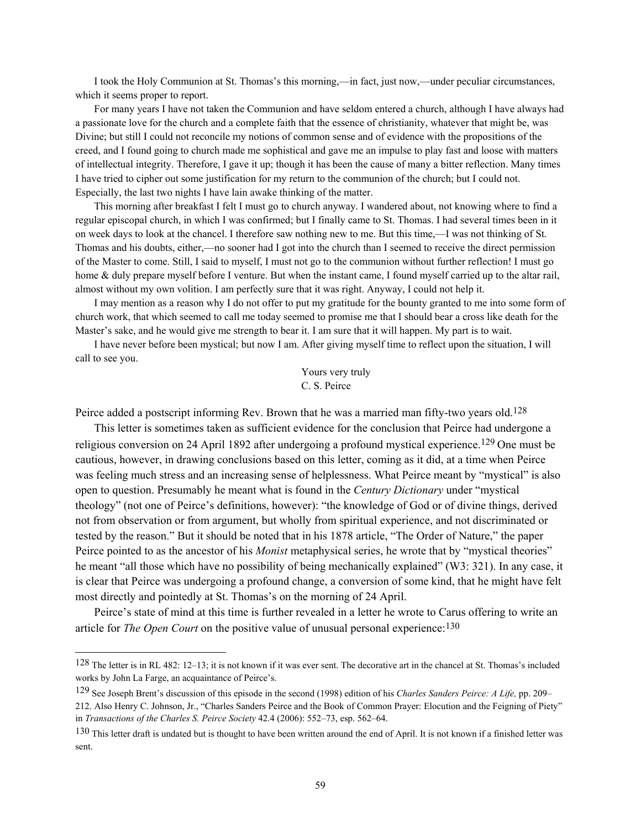I took the Holy Communion at St. Thomas's this morning,—in fact, just now,—under peculiar circumstances, which it seems proper to report.

 For many years I have not taken the Communion and have seldom entered a church, although I have always had a passionate love for the church and a complete faith that the essence of christianity, whatever that might be, was Divine; but still I could not reconcile my notions of common sense and of evidence with the propositions of the creed, and I found going to church made me sophistical and gave me an impulse to play fast and loose with matters of intellectual integrity. Therefore, I gave it up; though it has been the cause of many a bitter reflection. Many times I have tried to cipher out some justification for my return to the communion of the church; but I could not. Especially, the last two nights I have lain awake thinking of the matter.

 This morning after breakfast I felt I must go to church anyway. I wandered about, not knowing where to find a regular episcopal church, in which I was confirmed; but I finally came to St. Thomas. I had several times been in it on week days to look at the chancel. I therefore saw nothing new to me. But this time,—I was not thinking of St. Thomas and his doubts, either,—no sooner had I got into the church than I seemed to receive the direct permission of the Master to come. Still, I said to myself, I must not go to the communion without further reflection! I must go home & duly prepare myself before I venture. But when the instant came, I found myself carried up to the altar rail, almost without my own volition. I am perfectly sure that it was right. Anyway, I could not help it.

 I may mention as a reason why I do not offer to put my gratitude for the bounty granted to me into some form of church work, that which seemed to call me today seemed to promise me that I should bear a cross like death for the Master's sake, and he would give me strength to bear it. I am sure that it will happen. My part is to wait.

 I have never before been mystical; but now I am. After giving myself time to reflect upon the situation, I will call to see you.

> Yours very truly C. S. Peirce

Peirce added a postscript informing Rev. Brown that he was a married man fifty-two years old.<sup>128</sup>

 This letter is sometimes taken as sufficient evidence for the conclusion that Peirce had undergone a religious conversion on 24 April 1892 after undergoing a profound mystical experience.129 One must be cautious, however, in drawing conclusions based on this letter, coming as it did, at a time when Peirce was feeling much stress and an increasing sense of helplessness. What Peirce meant by "mystical" is also open to question. Presumably he meant what is found in the *Century Dictionary* under "mystical theology" (not one of Peirce's definitions, however): "the knowledge of God or of divine things, derived not from observation or from argument, but wholly from spiritual experience, and not discriminated or tested by the reason." But it should be noted that in his 1878 article, "The Order of Nature," the paper Peirce pointed to as the ancestor of his *Monist* metaphysical series, he wrote that by "mystical theories" he meant "all those which have no possibility of being mechanically explained" (W3: 321). In any case, it is clear that Peirce was undergoing a profound change, a conversion of some kind, that he might have felt most directly and pointedly at St. Thomas's on the morning of 24 April.

 Peirce's state of mind at this time is further revealed in a letter he wrote to Carus offering to write an article for *The Open Court* on the positive value of unusual personal experience:130

<sup>128</sup> The letter is in RL 482: 12–13; it is not known if it was ever sent. The decorative art in the chancel at St. Thomas's included works by John La Farge, an acquaintance of Peirce's.

<sup>129</sup> See Joseph Brent's discussion of this episode in the second (1998) edition of his *Charles Sanders Peirce: A Life,* pp. 209–

<sup>212.</sup> Also Henry C. Johnson, Jr., "Charles Sanders Peirce and the Book of Common Prayer: Elocution and the Feigning of Piety" in *Transactions of the Charles S. Peirce Society* 42.4 (2006): 552–73, esp. 562–64.

<sup>130</sup> This letter draft is undated but is thought to have been written around the end of April. It is not known if a finished letter was sent.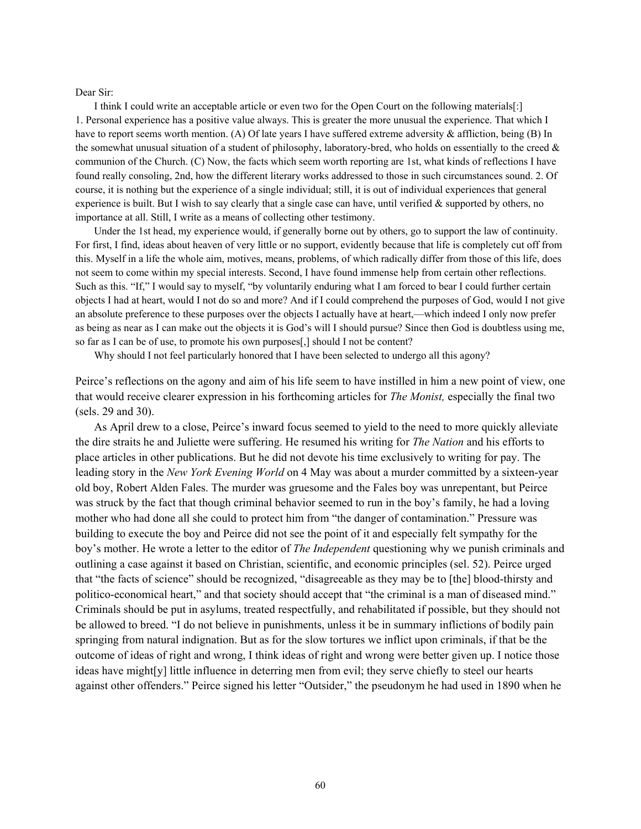## Dear Sir:

 I think I could write an acceptable article or even two for the Open Court on the following materials[:] 1. Personal experience has a positive value always. This is greater the more unusual the experience. That which I have to report seems worth mention. (A) Of late years I have suffered extreme adversity & affliction, being (B) In the somewhat unusual situation of a student of philosophy, laboratory-bred, who holds on essentially to the creed  $\&$ communion of the Church. (C) Now, the facts which seem worth reporting are 1st, what kinds of reflections I have found really consoling, 2nd, how the different literary works addressed to those in such circumstances sound. 2. Of course, it is nothing but the experience of a single individual; still, it is out of individual experiences that general experience is built. But I wish to say clearly that a single case can have, until verified  $\&$  supported by others, no importance at all. Still, I write as a means of collecting other testimony.

 Under the 1st head, my experience would, if generally borne out by others, go to support the law of continuity. For first, I find, ideas about heaven of very little or no support, evidently because that life is completely cut off from this. Myself in a life the whole aim, motives, means, problems, of which radically differ from those of this life, does not seem to come within my special interests. Second, I have found immense help from certain other reflections. Such as this. "If," I would say to myself, "by voluntarily enduring what I am forced to bear I could further certain objects I had at heart, would I not do so and more? And if I could comprehend the purposes of God, would I not give an absolute preference to these purposes over the objects I actually have at heart,—which indeed I only now prefer as being as near as I can make out the objects it is God's will I should pursue? Since then God is doubtless using me, so far as I can be of use, to promote his own purposes[,] should I not be content?

Why should I not feel particularly honored that I have been selected to undergo all this agony?

Peirce's reflections on the agony and aim of his life seem to have instilled in him a new point of view, one that would receive clearer expression in his forthcoming articles for *The Monist,* especially the final two (sels. 29 and 30).

 As April drew to a close, Peirce's inward focus seemed to yield to the need to more quickly alleviate the dire straits he and Juliette were suffering. He resumed his writing for *The Nation* and his efforts to place articles in other publications. But he did not devote his time exclusively to writing for pay. The leading story in the *New York Evening World* on 4 May was about a murder committed by a sixteen-year old boy, Robert Alden Fales. The murder was gruesome and the Fales boy was unrepentant, but Peirce was struck by the fact that though criminal behavior seemed to run in the boy's family, he had a loving mother who had done all she could to protect him from "the danger of contamination." Pressure was building to execute the boy and Peirce did not see the point of it and especially felt sympathy for the boy's mother. He wrote a letter to the editor of *The Independent* questioning why we punish criminals and outlining a case against it based on Christian, scientific, and economic principles (sel. 52). Peirce urged that "the facts of science" should be recognized, "disagreeable as they may be to [the] blood-thirsty and politico-economical heart," and that society should accept that "the criminal is a man of diseased mind." Criminals should be put in asylums, treated respectfully, and rehabilitated if possible, but they should not be allowed to breed. "I do not believe in punishments, unless it be in summary inflictions of bodily pain springing from natural indignation. But as for the slow tortures we inflict upon criminals, if that be the outcome of ideas of right and wrong, I think ideas of right and wrong were better given up. I notice those ideas have might[y] little influence in deterring men from evil; they serve chiefly to steel our hearts against other offenders." Peirce signed his letter "Outsider," the pseudonym he had used in 1890 when he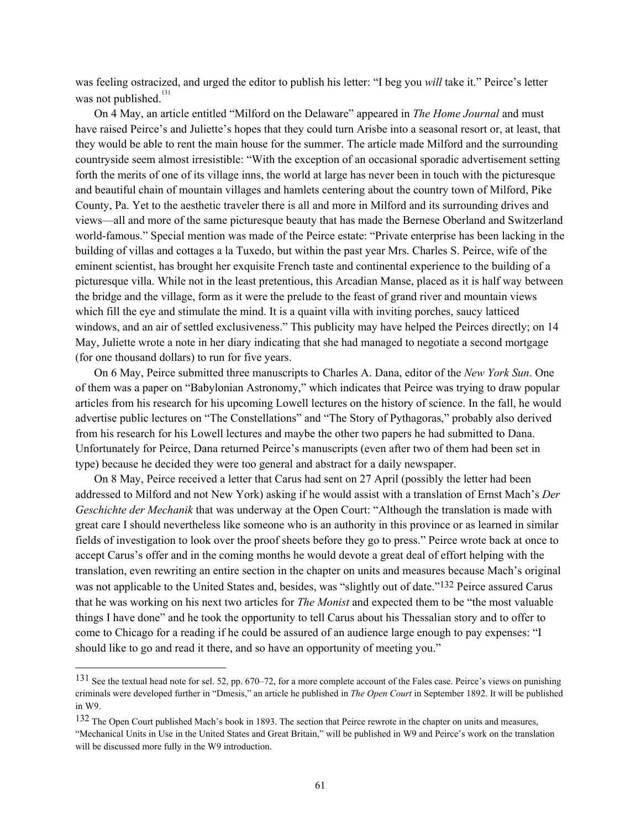was feeling ostracized, and urged the editor to publish his letter: "I beg you *will* take it." Peirce's letter was not published. $131$ 

 On 4 May, an article entitled "Milford on the Delaware" appeared in *The Home Journal* and must have raised Peirce's and Juliette's hopes that they could turn Arisbe into a seasonal resort or, at least, that they would be able to rent the main house for the summer. The article made Milford and the surrounding countryside seem almost irresistible: "With the exception of an occasional sporadic advertisement setting forth the merits of one of its village inns, the world at large has never been in touch with the picturesque and beautiful chain of mountain villages and hamlets centering about the country town of Milford, Pike County, Pa. Yet to the aesthetic traveler there is all and more in Milford and its surrounding drives and views—all and more of the same picturesque beauty that has made the Bernese Oberland and Switzerland world-famous." Special mention was made of the Peirce estate: "Private enterprise has been lacking in the building of villas and cottages a la Tuxedo, but within the past year Mrs. Charles S. Peirce, wife of the eminent scientist, has brought her exquisite French taste and continental experience to the building of a picturesque villa. While not in the least pretentious, this Arcadian Manse, placed as it is half way between the bridge and the village, form as it were the prelude to the feast of grand river and mountain views which fill the eye and stimulate the mind. It is a quaint villa with inviting porches, saucy latticed windows, and an air of settled exclusiveness." This publicity may have helped the Peirces directly; on 14 May, Juliette wrote a note in her diary indicating that she had managed to negotiate a second mortgage (for one thousand dollars) to run for five years.

 On 6 May, Peirce submitted three manuscripts to Charles A. Dana, editor of the *New York Sun*. One of them was a paper on "Babylonian Astronomy," which indicates that Peirce was trying to draw popular articles from his research for his upcoming Lowell lectures on the history of science. In the fall, he would advertise public lectures on "The Constellations" and "The Story of Pythagoras," probably also derived from his research for his Lowell lectures and maybe the other two papers he had submitted to Dana. Unfortunately for Peirce, Dana returned Peirce's manuscripts (even after two of them had been set in type) because he decided they were too general and abstract for a daily newspaper.

 On 8 May, Peirce received a letter that Carus had sent on 27 April (possibly the letter had been addressed to Milford and not New York) asking if he would assist with a translation of Ernst Mach's *Der Geschichte der Mechanik* that was underway at the Open Court: "Although the translation is made with great care I should nevertheless like someone who is an authority in this province or as learned in similar fields of investigation to look over the proof sheets before they go to press." Peirce wrote back at once to accept Carus's offer and in the coming months he would devote a great deal of effort helping with the translation, even rewriting an entire section in the chapter on units and measures because Mach's original was not applicable to the United States and, besides, was "slightly out of date."<sup>132</sup> Peirce assured Carus that he was working on his next two articles for *The Monist* and expected them to be "the most valuable things I have done" and he took the opportunity to tell Carus about his Thessalian story and to offer to come to Chicago for a reading if he could be assured of an audience large enough to pay expenses: "I should like to go and read it there, and so have an opportunity of meeting you."

<sup>131</sup> See the textual head note for sel. 52, pp. 670–72, for a more complete account of the Fales case. Peirce's views on punishing criminals were developed further in "Dmesis," an article he published in *The Open Court* in September 1892. It will be published in W9.

<sup>132</sup> The Open Court published Mach's book in 1893. The section that Peirce rewrote in the chapter on units and measures, "Mechanical Units in Use in the United States and Great Britain," will be published in W9 and Peirce's work on the translation will be discussed more fully in the W9 introduction.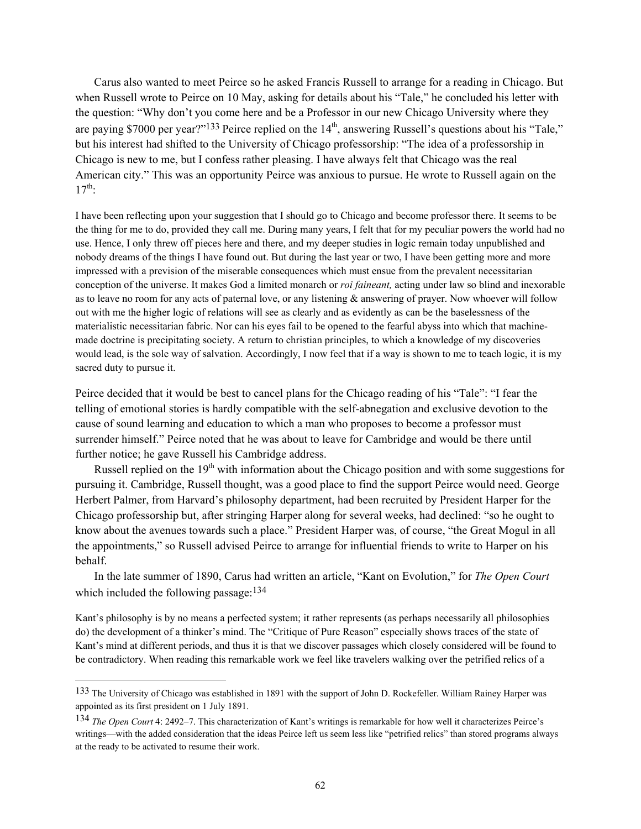Carus also wanted to meet Peirce so he asked Francis Russell to arrange for a reading in Chicago. But when Russell wrote to Peirce on 10 May, asking for details about his "Tale," he concluded his letter with the question: "Why don't you come here and be a Professor in our new Chicago University where they are paying \$7000 per year?"<sup>133</sup> Peirce replied on the  $14<sup>th</sup>$ , answering Russell's questions about his "Tale," but his interest had shifted to the University of Chicago professorship: "The idea of a professorship in Chicago is new to me, but I confess rather pleasing. I have always felt that Chicago was the real American city." This was an opportunity Peirce was anxious to pursue. He wrote to Russell again on the  $17^{th}$ :

I have been reflecting upon your suggestion that I should go to Chicago and become professor there. It seems to be the thing for me to do, provided they call me. During many years, I felt that for my peculiar powers the world had no use. Hence, I only threw off pieces here and there, and my deeper studies in logic remain today unpublished and nobody dreams of the things I have found out. But during the last year or two, I have been getting more and more impressed with a prevision of the miserable consequences which must ensue from the prevalent necessitarian conception of the universe. It makes God a limited monarch or *roi faineant,* acting under law so blind and inexorable as to leave no room for any acts of paternal love, or any listening  $\&$  answering of prayer. Now whoever will follow out with me the higher logic of relations will see as clearly and as evidently as can be the baselessness of the materialistic necessitarian fabric. Nor can his eyes fail to be opened to the fearful abyss into which that machinemade doctrine is precipitating society. A return to christian principles, to which a knowledge of my discoveries would lead, is the sole way of salvation. Accordingly, I now feel that if a way is shown to me to teach logic, it is my sacred duty to pursue it.

Peirce decided that it would be best to cancel plans for the Chicago reading of his "Tale": "I fear the telling of emotional stories is hardly compatible with the self-abnegation and exclusive devotion to the cause of sound learning and education to which a man who proposes to become a professor must surrender himself." Peirce noted that he was about to leave for Cambridge and would be there until further notice; he gave Russell his Cambridge address.

Russell replied on the  $19<sup>th</sup>$  with information about the Chicago position and with some suggestions for pursuing it. Cambridge, Russell thought, was a good place to find the support Peirce would need. George Herbert Palmer, from Harvard's philosophy department, had been recruited by President Harper for the Chicago professorship but, after stringing Harper along for several weeks, had declined: "so he ought to know about the avenues towards such a place." President Harper was, of course, "the Great Mogul in all the appointments," so Russell advised Peirce to arrange for influential friends to write to Harper on his behalf.

 In the late summer of 1890, Carus had written an article, "Kant on Evolution," for *The Open Court*  which included the following passage:<sup>134</sup>

Kant's philosophy is by no means a perfected system; it rather represents (as perhaps necessarily all philosophies do) the development of a thinker's mind. The "Critique of Pure Reason" especially shows traces of the state of Kant's mind at different periods, and thus it is that we discover passages which closely considered will be found to be contradictory. When reading this remarkable work we feel like travelers walking over the petrified relics of a

<sup>133</sup> The University of Chicago was established in 1891 with the support of John D. Rockefeller. William Rainey Harper was appointed as its first president on 1 July 1891.

<sup>134</sup> *The Open Court* 4: 2492–7. This characterization of Kant's writings is remarkable for how well it characterizes Peirce's writings—with the added consideration that the ideas Peirce left us seem less like "petrified relics" than stored programs always at the ready to be activated to resume their work.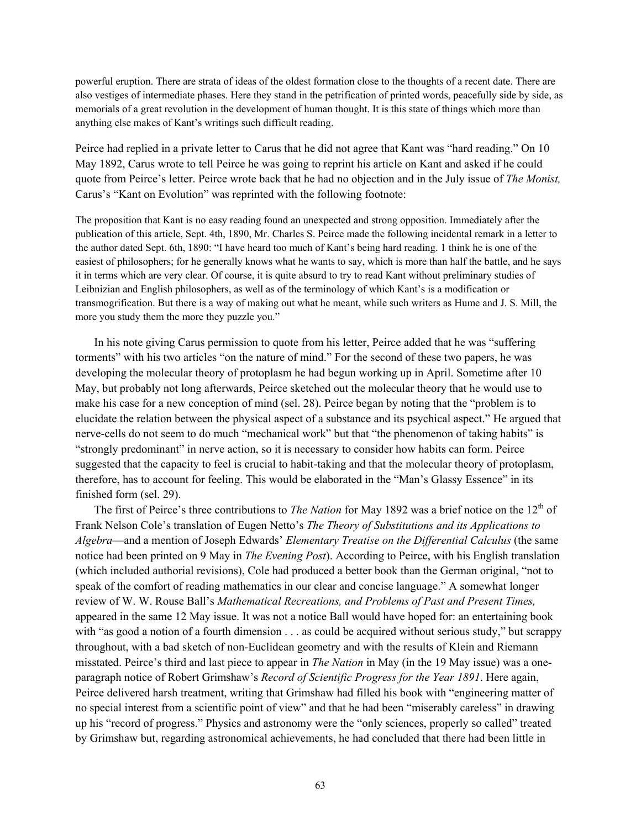powerful eruption. There are strata of ideas of the oldest formation close to the thoughts of a recent date. There are also vestiges of intermediate phases. Here they stand in the petrification of printed words, peacefully side by side, as memorials of a great revolution in the development of human thought. It is this state of things which more than anything else makes of Kant's writings such difficult reading.

Peirce had replied in a private letter to Carus that he did not agree that Kant was "hard reading." On 10 May 1892, Carus wrote to tell Peirce he was going to reprint his article on Kant and asked if he could quote from Peirce's letter. Peirce wrote back that he had no objection and in the July issue of *The Monist,*  Carus's "Kant on Evolution" was reprinted with the following footnote:

The proposition that Kant is no easy reading found an unexpected and strong opposition. Immediately after the publication of this article, Sept. 4th, 1890, Mr. Charles S. Peirce made the following incidental remark in a letter to the author dated Sept. 6th, 1890: "I have heard too much of Kant's being hard reading. 1 think he is one of the easiest of philosophers; for he generally knows what he wants to say, which is more than half the battle, and he says it in terms which are very clear. Of course, it is quite absurd to try to read Kant without preliminary studies of Leibnizian and English philosophers, as well as of the terminology of which Kant's is a modification or transmogrification. But there is a way of making out what he meant, while such writers as Hume and J. S. Mill, the more you study them the more they puzzle you."

 In his note giving Carus permission to quote from his letter, Peirce added that he was "suffering torments" with his two articles "on the nature of mind." For the second of these two papers, he was developing the molecular theory of protoplasm he had begun working up in April. Sometime after 10 May, but probably not long afterwards, Peirce sketched out the molecular theory that he would use to make his case for a new conception of mind (sel. 28). Peirce began by noting that the "problem is to elucidate the relation between the physical aspect of a substance and its psychical aspect." He argued that nerve-cells do not seem to do much "mechanical work" but that "the phenomenon of taking habits" is "strongly predominant" in nerve action, so it is necessary to consider how habits can form. Peirce suggested that the capacity to feel is crucial to habit-taking and that the molecular theory of protoplasm, therefore, has to account for feeling. This would be elaborated in the "Man's Glassy Essence" in its finished form (sel. 29).

The first of Peirce's three contributions to *The Nation* for May 1892 was a brief notice on the 12<sup>th</sup> of Frank Nelson Cole's translation of Eugen Netto's *The Theory of Substitutions and its Applications to Algebra*—and a mention of Joseph Edwards' *Elementary Treatise on the Differential Calculus* (the same notice had been printed on 9 May in *The Evening Post*). According to Peirce, with his English translation (which included authorial revisions), Cole had produced a better book than the German original, "not to speak of the comfort of reading mathematics in our clear and concise language." A somewhat longer review of W. W. Rouse Ball's *Mathematical Recreations, and Problems of Past and Present Times,*  appeared in the same 12 May issue. It was not a notice Ball would have hoped for: an entertaining book with "as good a notion of a fourth dimension . . . as could be acquired without serious study," but scrappy throughout, with a bad sketch of non-Euclidean geometry and with the results of Klein and Riemann misstated. Peirce's third and last piece to appear in *The Nation* in May (in the 19 May issue) was a oneparagraph notice of Robert Grimshaw's *Record of Scientific Progress for the Year 1891*. Here again, Peirce delivered harsh treatment, writing that Grimshaw had filled his book with "engineering matter of no special interest from a scientific point of view" and that he had been "miserably careless" in drawing up his "record of progress." Physics and astronomy were the "only sciences, properly so called" treated by Grimshaw but, regarding astronomical achievements, he had concluded that there had been little in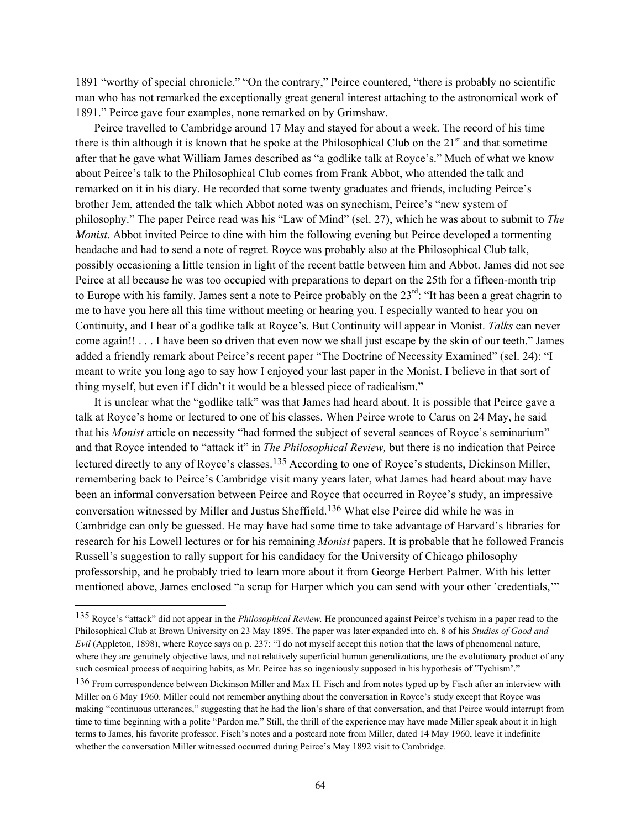1891 "worthy of special chronicle." "On the contrary," Peirce countered, "there is probably no scientific man who has not remarked the exceptionally great general interest attaching to the astronomical work of 1891." Peirce gave four examples, none remarked on by Grimshaw.

 Peirce travelled to Cambridge around 17 May and stayed for about a week. The record of his time there is thin although it is known that he spoke at the Philosophical Club on the  $21<sup>st</sup>$  and that sometime after that he gave what William James described as "a godlike talk at Royce's." Much of what we know about Peirce's talk to the Philosophical Club comes from Frank Abbot, who attended the talk and remarked on it in his diary. He recorded that some twenty graduates and friends, including Peirce's brother Jem, attended the talk which Abbot noted was on synechism, Peirce's "new system of philosophy." The paper Peirce read was his "Law of Mind" (sel. 27), which he was about to submit to *The Monist*. Abbot invited Peirce to dine with him the following evening but Peirce developed a tormenting headache and had to send a note of regret. Royce was probably also at the Philosophical Club talk, possibly occasioning a little tension in light of the recent battle between him and Abbot. James did not see Peirce at all because he was too occupied with preparations to depart on the 25th for a fifteen-month trip to Europe with his family. James sent a note to Peirce probably on the 23rd: "It has been a great chagrin to me to have you here all this time without meeting or hearing you. I especially wanted to hear you on Continuity, and I hear of a godlike talk at Royce's. But Continuity will appear in Monist. *Talks* can never come again!! . . . I have been so driven that even now we shall just escape by the skin of our teeth." James added a friendly remark about Peirce's recent paper "The Doctrine of Necessity Examined" (sel. 24): "I meant to write you long ago to say how I enjoyed your last paper in the Monist. I believe in that sort of thing myself, but even if I didn't it would be a blessed piece of radicalism."

 It is unclear what the "godlike talk" was that James had heard about. It is possible that Peirce gave a talk at Royce's home or lectured to one of his classes. When Peirce wrote to Carus on 24 May, he said that his *Monist* article on necessity "had formed the subject of several seances of Royce's seminarium" and that Royce intended to "attack it" in *The Philosophical Review,* but there is no indication that Peirce lectured directly to any of Royce's classes.135 According to one of Royce's students, Dickinson Miller, remembering back to Peirce's Cambridge visit many years later, what James had heard about may have been an informal conversation between Peirce and Royce that occurred in Royce's study, an impressive conversation witnessed by Miller and Justus Sheffield.136 What else Peirce did while he was in Cambridge can only be guessed. He may have had some time to take advantage of Harvard's libraries for research for his Lowell lectures or for his remaining *Monist* papers. It is probable that he followed Francis Russell's suggestion to rally support for his candidacy for the University of Chicago philosophy professorship, and he probably tried to learn more about it from George Herbert Palmer. With his letter mentioned above, James enclosed "a scrap for Harper which you can send with your other 'credentials,'"

<sup>135</sup> Royce's "attack" did not appear in the *Philosophical Review.* He pronounced against Peirce's tychism in a paper read to the Philosophical Club at Brown University on 23 May 1895. The paper was later expanded into ch. 8 of his *Studies of Good and Evil* (Appleton, 1898), where Royce says on p. 237: "I do not myself accept this notion that the laws of phenomenal nature, where they are genuinely objective laws, and not relatively superficial human generalizations, are the evolutionary product of any such cosmical process of acquiring habits, as Mr. Peirce has so ingeniously supposed in his hypothesis of 'Tychism'."

<sup>136</sup> From correspondence between Dickinson Miller and Max H. Fisch and from notes typed up by Fisch after an interview with Miller on 6 May 1960. Miller could not remember anything about the conversation in Royce's study except that Royce was making "continuous utterances," suggesting that he had the lion's share of that conversation, and that Peirce would interrupt from time to time beginning with a polite "Pardon me." Still, the thrill of the experience may have made Miller speak about it in high terms to James, his favorite professor. Fisch's notes and a postcard note from Miller, dated 14 May 1960, leave it indefinite whether the conversation Miller witnessed occurred during Peirce's May 1892 visit to Cambridge.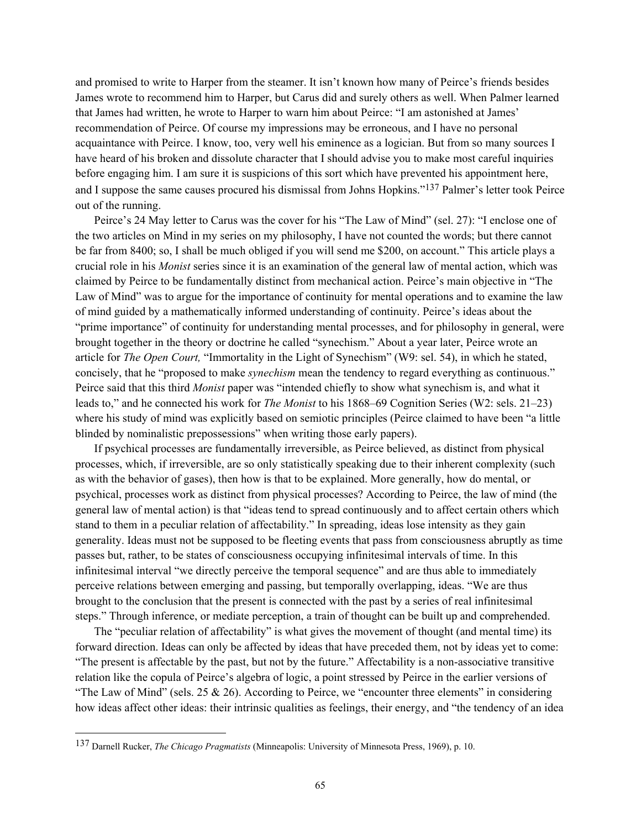and promised to write to Harper from the steamer. It isn't known how many of Peirce's friends besides James wrote to recommend him to Harper, but Carus did and surely others as well. When Palmer learned that James had written, he wrote to Harper to warn him about Peirce: "I am astonished at James' recommendation of Peirce. Of course my impressions may be erroneous, and I have no personal acquaintance with Peirce. I know, too, very well his eminence as a logician. But from so many sources I have heard of his broken and dissolute character that I should advise you to make most careful inquiries before engaging him. I am sure it is suspicions of this sort which have prevented his appointment here, and I suppose the same causes procured his dismissal from Johns Hopkins."137 Palmer's letter took Peirce out of the running.

 Peirce's 24 May letter to Carus was the cover for his "The Law of Mind" (sel. 27): "I enclose one of the two articles on Mind in my series on my philosophy, I have not counted the words; but there cannot be far from 8400; so, I shall be much obliged if you will send me \$200, on account." This article plays a crucial role in his *Monist* series since it is an examination of the general law of mental action, which was claimed by Peirce to be fundamentally distinct from mechanical action. Peirce's main objective in "The Law of Mind" was to argue for the importance of continuity for mental operations and to examine the law of mind guided by a mathematically informed understanding of continuity. Peirce's ideas about the "prime importance" of continuity for understanding mental processes, and for philosophy in general, were brought together in the theory or doctrine he called "synechism." About a year later, Peirce wrote an article for *The Open Court,* "Immortality in the Light of Synechism" (W9: sel. 54), in which he stated, concisely, that he "proposed to make *synechism* mean the tendency to regard everything as continuous." Peirce said that this third *Monist* paper was "intended chiefly to show what synechism is, and what it leads to," and he connected his work for *The Monist* to his 1868–69 Cognition Series (W2: sels. 21–23) where his study of mind was explicitly based on semiotic principles (Peirce claimed to have been "a little blinded by nominalistic prepossessions" when writing those early papers).

 If psychical processes are fundamentally irreversible, as Peirce believed, as distinct from physical processes, which, if irreversible, are so only statistically speaking due to their inherent complexity (such as with the behavior of gases), then how is that to be explained. More generally, how do mental, or psychical, processes work as distinct from physical processes? According to Peirce, the law of mind (the general law of mental action) is that "ideas tend to spread continuously and to affect certain others which stand to them in a peculiar relation of affectability." In spreading, ideas lose intensity as they gain generality. Ideas must not be supposed to be fleeting events that pass from consciousness abruptly as time passes but, rather, to be states of consciousness occupying infinitesimal intervals of time. In this infinitesimal interval "we directly perceive the temporal sequence" and are thus able to immediately perceive relations between emerging and passing, but temporally overlapping, ideas. "We are thus brought to the conclusion that the present is connected with the past by a series of real infinitesimal steps." Through inference, or mediate perception, a train of thought can be built up and comprehended.

 The "peculiar relation of affectability" is what gives the movement of thought (and mental time) its forward direction. Ideas can only be affected by ideas that have preceded them, not by ideas yet to come: "The present is affectable by the past, but not by the future." Affectability is a non-associative transitive relation like the copula of Peirce's algebra of logic, a point stressed by Peirce in the earlier versions of "The Law of Mind" (sels.  $25 \& 26$ ). According to Peirce, we "encounter three elements" in considering how ideas affect other ideas: their intrinsic qualities as feelings, their energy, and "the tendency of an idea

<sup>137</sup> Darnell Rucker, *The Chicago Pragmatists* (Minneapolis: University of Minnesota Press, 1969), p. 10.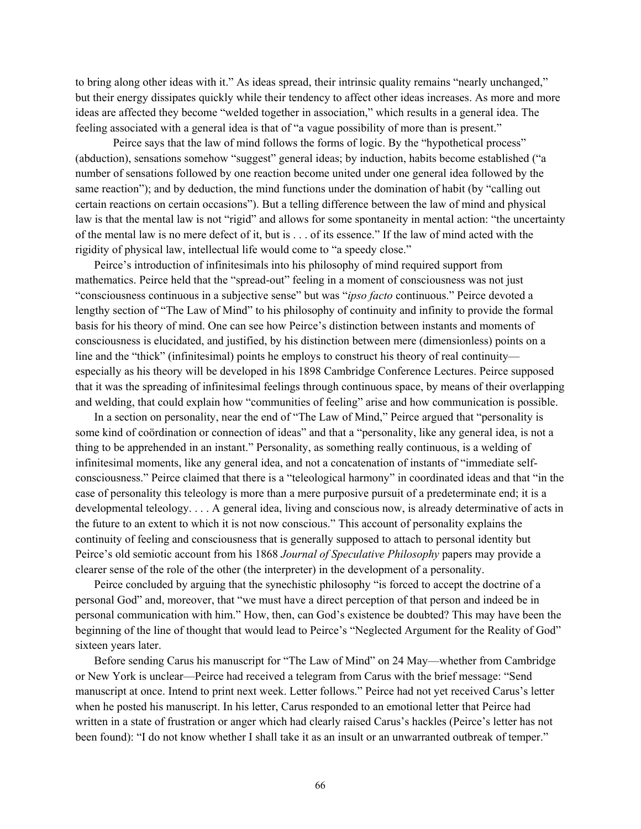to bring along other ideas with it." As ideas spread, their intrinsic quality remains "nearly unchanged," but their energy dissipates quickly while their tendency to affect other ideas increases. As more and more ideas are affected they become "welded together in association," which results in a general idea. The feeling associated with a general idea is that of "a vague possibility of more than is present."

 Peirce says that the law of mind follows the forms of logic. By the "hypothetical process" (abduction), sensations somehow "suggest" general ideas; by induction, habits become established ("a number of sensations followed by one reaction become united under one general idea followed by the same reaction"); and by deduction, the mind functions under the domination of habit (by "calling out certain reactions on certain occasions"). But a telling difference between the law of mind and physical law is that the mental law is not "rigid" and allows for some spontaneity in mental action: "the uncertainty of the mental law is no mere defect of it, but is . . . of its essence." If the law of mind acted with the rigidity of physical law, intellectual life would come to "a speedy close."

 Peirce's introduction of infinitesimals into his philosophy of mind required support from mathematics. Peirce held that the "spread-out" feeling in a moment of consciousness was not just "consciousness continuous in a subjective sense" but was "*ipso facto* continuous." Peirce devoted a lengthy section of "The Law of Mind" to his philosophy of continuity and infinity to provide the formal basis for his theory of mind. One can see how Peirce's distinction between instants and moments of consciousness is elucidated, and justified, by his distinction between mere (dimensionless) points on a line and the "thick" (infinitesimal) points he employs to construct his theory of real continuity especially as his theory will be developed in his 1898 Cambridge Conference Lectures. Peirce supposed that it was the spreading of infinitesimal feelings through continuous space, by means of their overlapping and welding, that could explain how "communities of feeling" arise and how communication is possible.

 In a section on personality, near the end of "The Law of Mind," Peirce argued that "personality is some kind of coördination or connection of ideas" and that a "personality, like any general idea, is not a thing to be apprehended in an instant." Personality, as something really continuous, is a welding of infinitesimal moments, like any general idea, and not a concatenation of instants of "immediate selfconsciousness." Peirce claimed that there is a "teleological harmony" in coordinated ideas and that "in the case of personality this teleology is more than a mere purposive pursuit of a predeterminate end; it is a developmental teleology. . . . A general idea, living and conscious now, is already determinative of acts in the future to an extent to which it is not now conscious." This account of personality explains the continuity of feeling and consciousness that is generally supposed to attach to personal identity but Peirce's old semiotic account from his 1868 *Journal of Speculative Philosophy* papers may provide a clearer sense of the role of the other (the interpreter) in the development of a personality.

 Peirce concluded by arguing that the synechistic philosophy "is forced to accept the doctrine of a personal God" and, moreover, that "we must have a direct perception of that person and indeed be in personal communication with him." How, then, can God's existence be doubted? This may have been the beginning of the line of thought that would lead to Peirce's "Neglected Argument for the Reality of God" sixteen years later.

 Before sending Carus his manuscript for "The Law of Mind" on 24 May—whether from Cambridge or New York is unclear—Peirce had received a telegram from Carus with the brief message: "Send manuscript at once. Intend to print next week. Letter follows." Peirce had not yet received Carus's letter when he posted his manuscript. In his letter, Carus responded to an emotional letter that Peirce had written in a state of frustration or anger which had clearly raised Carus's hackles (Peirce's letter has not been found): "I do not know whether I shall take it as an insult or an unwarranted outbreak of temper."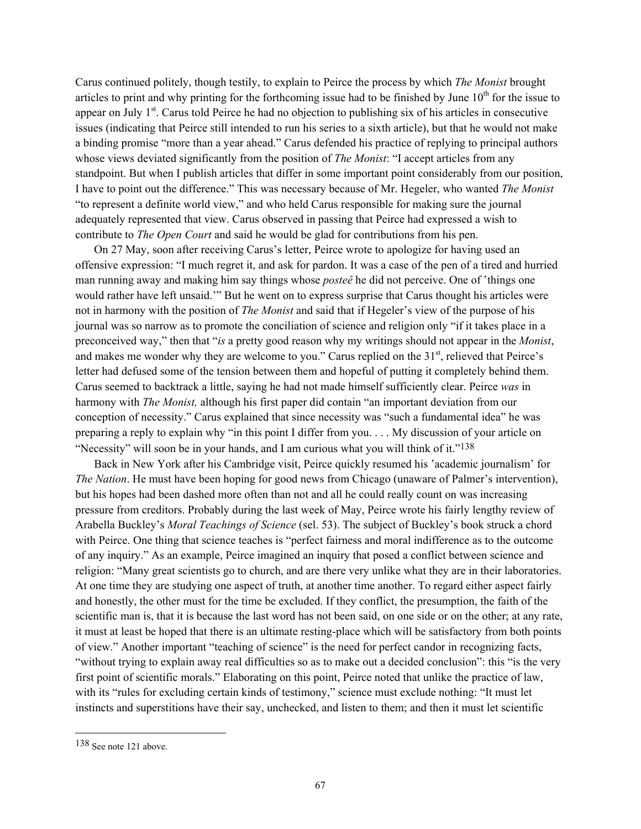Carus continued politely, though testily, to explain to Peirce the process by which *The Monist* brought articles to print and why printing for the forthcoming issue had to be finished by June  $10<sup>th</sup>$  for the issue to appear on July  $1<sup>st</sup>$ . Carus told Peirce he had no objection to publishing six of his articles in consecutive issues (indicating that Peirce still intended to run his series to a sixth article), but that he would not make a binding promise "more than a year ahead." Carus defended his practice of replying to principal authors whose views deviated significantly from the position of *The Monist*: "I accept articles from any standpoint. But when I publish articles that differ in some important point considerably from our position, I have to point out the difference." This was necessary because of Mr. Hegeler, who wanted *The Monist*  "to represent a definite world view," and who held Carus responsible for making sure the journal adequately represented that view. Carus observed in passing that Peirce had expressed a wish to contribute to *The Open Court* and said he would be glad for contributions from his pen.

 On 27 May, soon after receiving Carus's letter, Peirce wrote to apologize for having used an offensive expression: "I much regret it, and ask for pardon. It was a case of the pen of a tired and hurried man running away and making him say things whose *posteê* he did not perceive. One of 'things one would rather have left unsaid.'" But he went on to express surprise that Carus thought his articles were not in harmony with the position of *The Monist* and said that if Hegeler's view of the purpose of his journal was so narrow as to promote the conciliation of science and religion only "if it takes place in a preconceived way," then that "*is* a pretty good reason why my writings should not appear in the *Monist*, and makes me wonder why they are welcome to you." Carus replied on the 31<sup>st</sup>, relieved that Peirce's letter had defused some of the tension between them and hopeful of putting it completely behind them. Carus seemed to backtrack a little, saying he had not made himself sufficiently clear. Peirce *was* in harmony with *The Monist,* although his first paper did contain "an important deviation from our conception of necessity." Carus explained that since necessity was "such a fundamental idea" he was preparing a reply to explain why "in this point I differ from you. . . . My discussion of your article on "Necessity" will soon be in your hands, and I am curious what you will think of it."<sup>138</sup>

 Back in New York after his Cambridge visit, Peirce quickly resumed his 'academic journalism' for *The Nation*. He must have been hoping for good news from Chicago (unaware of Palmer's intervention), but his hopes had been dashed more often than not and all he could really count on was increasing pressure from creditors. Probably during the last week of May, Peirce wrote his fairly lengthy review of Arabella Buckley's *Moral Teachings of Science* (sel. 53). The subject of Buckley's book struck a chord with Peirce. One thing that science teaches is "perfect fairness and moral indifference as to the outcome of any inquiry." As an example, Peirce imagined an inquiry that posed a conflict between science and religion: "Many great scientists go to church, and are there very unlike what they are in their laboratories. At one time they are studying one aspect of truth, at another time another. To regard either aspect fairly and honestly, the other must for the time be excluded. If they conflict, the presumption, the faith of the scientific man is, that it is because the last word has not been said, on one side or on the other; at any rate, it must at least be hoped that there is an ultimate resting-place which will be satisfactory from both points of view." Another important "teaching of science" is the need for perfect candor in recognizing facts, "without trying to explain away real difficulties so as to make out a decided conclusion": this "is the very first point of scientific morals." Elaborating on this point, Peirce noted that unlike the practice of law, with its "rules for excluding certain kinds of testimony," science must exclude nothing: "It must let instincts and superstitions have their say, unchecked, and listen to them; and then it must let scientific

<sup>138</sup> See note 121 above.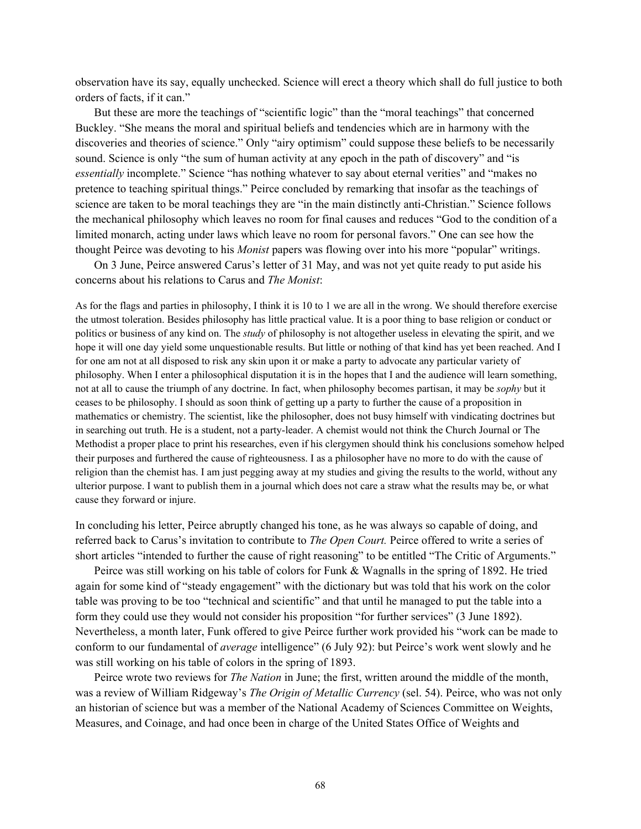observation have its say, equally unchecked. Science will erect a theory which shall do full justice to both orders of facts, if it can."

 But these are more the teachings of "scientific logic" than the "moral teachings" that concerned Buckley. "She means the moral and spiritual beliefs and tendencies which are in harmony with the discoveries and theories of science." Only "airy optimism" could suppose these beliefs to be necessarily sound. Science is only "the sum of human activity at any epoch in the path of discovery" and "is *essentially* incomplete." Science "has nothing whatever to say about eternal verities" and "makes no pretence to teaching spiritual things." Peirce concluded by remarking that insofar as the teachings of science are taken to be moral teachings they are "in the main distinctly anti-Christian." Science follows the mechanical philosophy which leaves no room for final causes and reduces "God to the condition of a limited monarch, acting under laws which leave no room for personal favors." One can see how the thought Peirce was devoting to his *Monist* papers was flowing over into his more "popular" writings.

 On 3 June, Peirce answered Carus's letter of 31 May, and was not yet quite ready to put aside his concerns about his relations to Carus and *The Monist*:

As for the flags and parties in philosophy, I think it is 10 to 1 we are all in the wrong. We should therefore exercise the utmost toleration. Besides philosophy has little practical value. It is a poor thing to base religion or conduct or politics or business of any kind on. The *study* of philosophy is not altogether useless in elevating the spirit, and we hope it will one day yield some unquestionable results. But little or nothing of that kind has yet been reached. And I for one am not at all disposed to risk any skin upon it or make a party to advocate any particular variety of philosophy. When I enter a philosophical disputation it is in the hopes that I and the audience will learn something, not at all to cause the triumph of any doctrine. In fact, when philosophy becomes partisan, it may be *sophy* but it ceases to be philosophy. I should as soon think of getting up a party to further the cause of a proposition in mathematics or chemistry. The scientist, like the philosopher, does not busy himself with vindicating doctrines but in searching out truth. He is a student, not a party-leader. A chemist would not think the Church Journal or The Methodist a proper place to print his researches, even if his clergymen should think his conclusions somehow helped their purposes and furthered the cause of righteousness. I as a philosopher have no more to do with the cause of religion than the chemist has. I am just pegging away at my studies and giving the results to the world, without any ulterior purpose. I want to publish them in a journal which does not care a straw what the results may be, or what cause they forward or injure.

In concluding his letter, Peirce abruptly changed his tone, as he was always so capable of doing, and referred back to Carus's invitation to contribute to *The Open Court.* Peirce offered to write a series of short articles "intended to further the cause of right reasoning" to be entitled "The Critic of Arguments."

 Peirce was still working on his table of colors for Funk & Wagnalls in the spring of 1892. He tried again for some kind of "steady engagement" with the dictionary but was told that his work on the color table was proving to be too "technical and scientific" and that until he managed to put the table into a form they could use they would not consider his proposition "for further services" (3 June 1892). Nevertheless, a month later, Funk offered to give Peirce further work provided his "work can be made to conform to our fundamental of *average* intelligence" (6 July 92): but Peirce's work went slowly and he was still working on his table of colors in the spring of 1893.

 Peirce wrote two reviews for *The Nation* in June; the first, written around the middle of the month, was a review of William Ridgeway's *The Origin of Metallic Currency* (sel. 54). Peirce, who was not only an historian of science but was a member of the National Academy of Sciences Committee on Weights, Measures, and Coinage, and had once been in charge of the United States Office of Weights and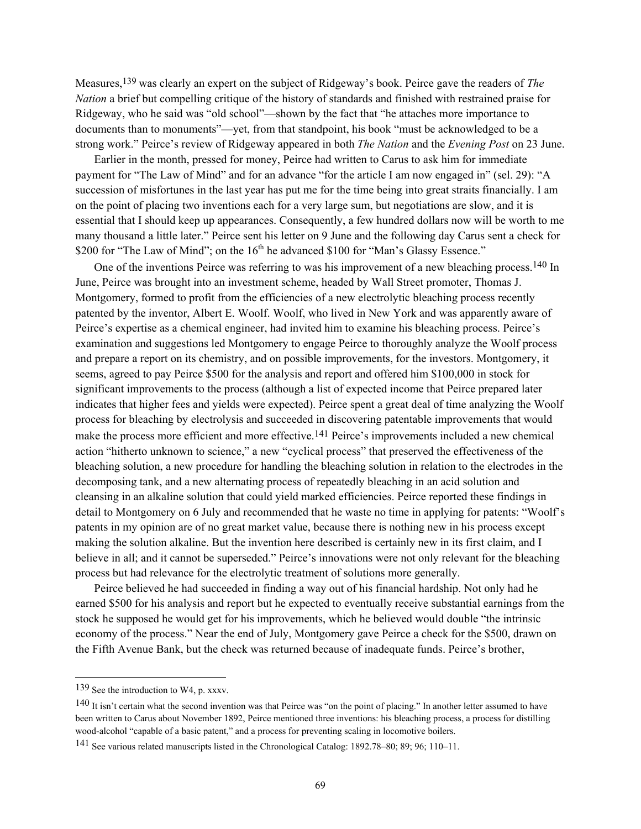Measures,139 was clearly an expert on the subject of Ridgeway's book. Peirce gave the readers of *The Nation* a brief but compelling critique of the history of standards and finished with restrained praise for Ridgeway, who he said was "old school"—shown by the fact that "he attaches more importance to documents than to monuments"—yet, from that standpoint, his book "must be acknowledged to be a strong work." Peirce's review of Ridgeway appeared in both *The Nation* and the *Evening Post* on 23 June.

 Earlier in the month, pressed for money, Peirce had written to Carus to ask him for immediate payment for "The Law of Mind" and for an advance "for the article I am now engaged in" (sel. 29): "A succession of misfortunes in the last year has put me for the time being into great straits financially. I am on the point of placing two inventions each for a very large sum, but negotiations are slow, and it is essential that I should keep up appearances. Consequently, a few hundred dollars now will be worth to me many thousand a little later." Peirce sent his letter on 9 June and the following day Carus sent a check for \$200 for "The Law of Mind"; on the 16<sup>th</sup> he advanced \$100 for "Man's Glassy Essence."

One of the inventions Peirce was referring to was his improvement of a new bleaching process.<sup>140</sup> In June, Peirce was brought into an investment scheme, headed by Wall Street promoter, Thomas J. Montgomery, formed to profit from the efficiencies of a new electrolytic bleaching process recently patented by the inventor, Albert E. Woolf. Woolf, who lived in New York and was apparently aware of Peirce's expertise as a chemical engineer, had invited him to examine his bleaching process. Peirce's examination and suggestions led Montgomery to engage Peirce to thoroughly analyze the Woolf process and prepare a report on its chemistry, and on possible improvements, for the investors. Montgomery, it seems, agreed to pay Peirce \$500 for the analysis and report and offered him \$100,000 in stock for significant improvements to the process (although a list of expected income that Peirce prepared later indicates that higher fees and yields were expected). Peirce spent a great deal of time analyzing the Woolf process for bleaching by electrolysis and succeeded in discovering patentable improvements that would make the process more efficient and more effective.<sup>141</sup> Peirce's improvements included a new chemical action "hitherto unknown to science," a new "cyclical process" that preserved the effectiveness of the bleaching solution, a new procedure for handling the bleaching solution in relation to the electrodes in the decomposing tank, and a new alternating process of repeatedly bleaching in an acid solution and cleansing in an alkaline solution that could yield marked efficiencies. Peirce reported these findings in detail to Montgomery on 6 July and recommended that he waste no time in applying for patents: "Woolf's patents in my opinion are of no great market value, because there is nothing new in his process except making the solution alkaline. But the invention here described is certainly new in its first claim, and I believe in all; and it cannot be superseded." Peirce's innovations were not only relevant for the bleaching process but had relevance for the electrolytic treatment of solutions more generally.

 Peirce believed he had succeeded in finding a way out of his financial hardship. Not only had he earned \$500 for his analysis and report but he expected to eventually receive substantial earnings from the stock he supposed he would get for his improvements, which he believed would double "the intrinsic economy of the process." Near the end of July, Montgomery gave Peirce a check for the \$500, drawn on the Fifth Avenue Bank, but the check was returned because of inadequate funds. Peirce's brother,

<sup>139</sup> See the introduction to W4, p. xxxv.

<sup>140</sup> It isn't certain what the second invention was that Peirce was "on the point of placing." In another letter assumed to have been written to Carus about November 1892, Peirce mentioned three inventions: his bleaching process, a process for distilling wood-alcohol "capable of a basic patent," and a process for preventing scaling in locomotive boilers.

<sup>141</sup> See various related manuscripts listed in the Chronological Catalog: 1892.78–80; 89; 96; 110–11.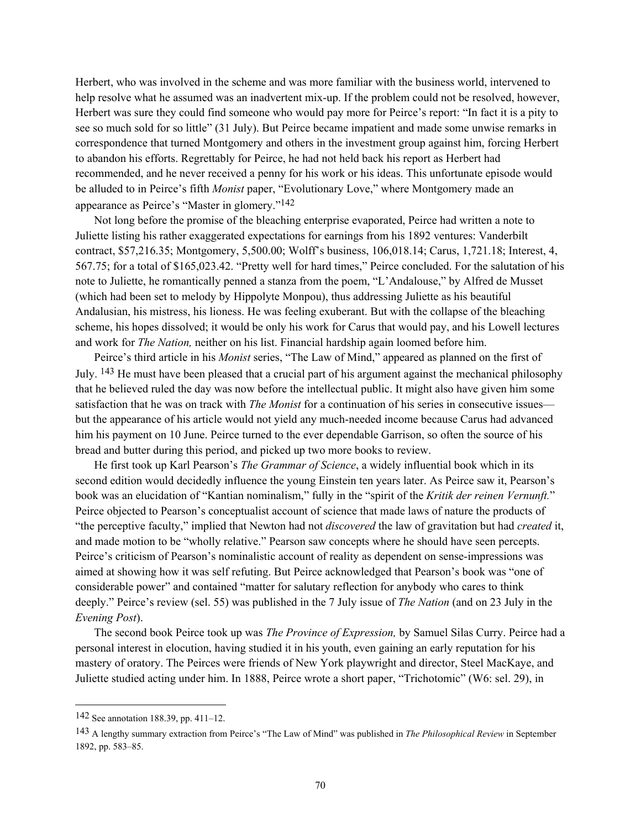Herbert, who was involved in the scheme and was more familiar with the business world, intervened to help resolve what he assumed was an inadvertent mix-up. If the problem could not be resolved, however, Herbert was sure they could find someone who would pay more for Peirce's report: "In fact it is a pity to see so much sold for so little" (31 July). But Peirce became impatient and made some unwise remarks in correspondence that turned Montgomery and others in the investment group against him, forcing Herbert to abandon his efforts. Regrettably for Peirce, he had not held back his report as Herbert had recommended, and he never received a penny for his work or his ideas. This unfortunate episode would be alluded to in Peirce's fifth *Monist* paper, "Evolutionary Love," where Montgomery made an appearance as Peirce's "Master in glomery."142

 Not long before the promise of the bleaching enterprise evaporated, Peirce had written a note to Juliette listing his rather exaggerated expectations for earnings from his 1892 ventures: Vanderbilt contract, \$57,216.35; Montgomery, 5,500.00; Wolff's business, 106,018.14; Carus, 1,721.18; Interest, 4, 567.75; for a total of \$165,023.42. "Pretty well for hard times," Peirce concluded. For the salutation of his note to Juliette, he romantically penned a stanza from the poem, "L'Andalouse," by Alfred de Musset (which had been set to melody by Hippolyte Monpou), thus addressing Juliette as his beautiful Andalusian, his mistress, his lioness. He was feeling exuberant. But with the collapse of the bleaching scheme, his hopes dissolved; it would be only his work for Carus that would pay, and his Lowell lectures and work for *The Nation,* neither on his list. Financial hardship again loomed before him.

 Peirce's third article in his *Monist* series, "The Law of Mind," appeared as planned on the first of July. <sup>143</sup> He must have been pleased that a crucial part of his argument against the mechanical philosophy that he believed ruled the day was now before the intellectual public. It might also have given him some satisfaction that he was on track with *The Monist* for a continuation of his series in consecutive issues but the appearance of his article would not yield any much-needed income because Carus had advanced him his payment on 10 June. Peirce turned to the ever dependable Garrison, so often the source of his bread and butter during this period, and picked up two more books to review.

 He first took up Karl Pearson's *The Grammar of Science*, a widely influential book which in its second edition would decidedly influence the young Einstein ten years later. As Peirce saw it, Pearson's book was an elucidation of "Kantian nominalism," fully in the "spirit of the *Kritik der reinen Vernunft.*" Peirce objected to Pearson's conceptualist account of science that made laws of nature the products of "the perceptive faculty," implied that Newton had not *discovered* the law of gravitation but had *created* it, and made motion to be "wholly relative." Pearson saw concepts where he should have seen percepts. Peirce's criticism of Pearson's nominalistic account of reality as dependent on sense-impressions was aimed at showing how it was self refuting. But Peirce acknowledged that Pearson's book was "one of considerable power" and contained "matter for salutary reflection for anybody who cares to think deeply." Peirce's review (sel. 55) was published in the 7 July issue of *The Nation* (and on 23 July in the *Evening Post*).

 The second book Peirce took up was *The Province of Expression,* by Samuel Silas Curry. Peirce had a personal interest in elocution, having studied it in his youth, even gaining an early reputation for his mastery of oratory. The Peirces were friends of New York playwright and director, Steel MacKaye, and Juliette studied acting under him. In 1888, Peirce wrote a short paper, "Trichotomic" (W6: sel. 29), in

<sup>142</sup> See annotation 188.39, pp. 411–12.

<sup>143</sup> A lengthy summary extraction from Peirce's "The Law of Mind" was published in *The Philosophical Review* in September 1892, pp. 583–85.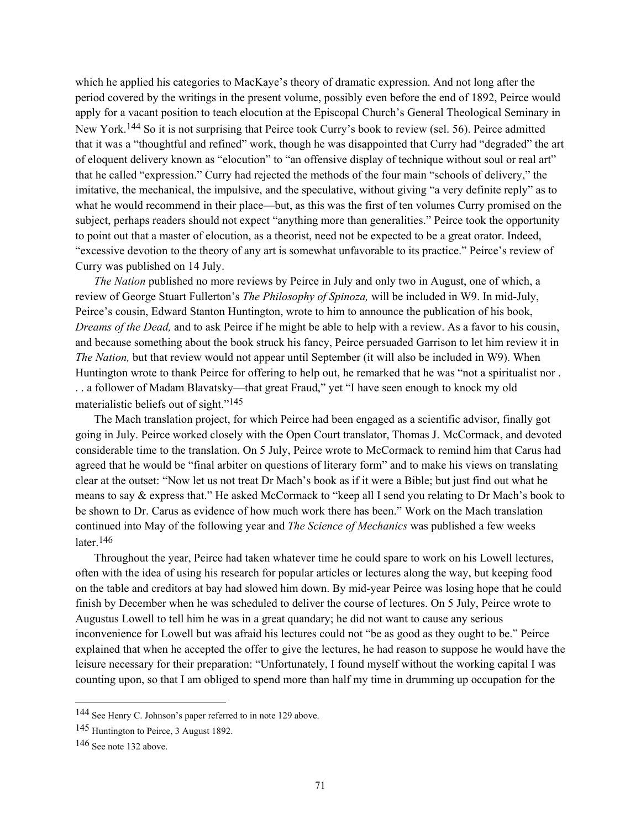which he applied his categories to MacKaye's theory of dramatic expression. And not long after the period covered by the writings in the present volume, possibly even before the end of 1892, Peirce would apply for a vacant position to teach elocution at the Episcopal Church's General Theological Seminary in New York.144 So it is not surprising that Peirce took Curry's book to review (sel. 56). Peirce admitted that it was a "thoughtful and refined" work, though he was disappointed that Curry had "degraded" the art of eloquent delivery known as "elocution" to "an offensive display of technique without soul or real art" that he called "expression." Curry had rejected the methods of the four main "schools of delivery," the imitative, the mechanical, the impulsive, and the speculative, without giving "a very definite reply" as to what he would recommend in their place—but, as this was the first of ten volumes Curry promised on the subject, perhaps readers should not expect "anything more than generalities." Peirce took the opportunity to point out that a master of elocution, as a theorist, need not be expected to be a great orator. Indeed, "excessive devotion to the theory of any art is somewhat unfavorable to its practice." Peirce's review of Curry was published on 14 July.

*The Nation* published no more reviews by Peirce in July and only two in August, one of which, a review of George Stuart Fullerton's *The Philosophy of Spinoza,* will be included in W9. In mid-July, Peirce's cousin, Edward Stanton Huntington, wrote to him to announce the publication of his book, *Dreams of the Dead,* and to ask Peirce if he might be able to help with a review. As a favor to his cousin, and because something about the book struck his fancy, Peirce persuaded Garrison to let him review it in *The Nation,* but that review would not appear until September (it will also be included in W9). When Huntington wrote to thank Peirce for offering to help out, he remarked that he was "not a spiritualist nor . . . a follower of Madam Blavatsky—that great Fraud," yet "I have seen enough to knock my old materialistic beliefs out of sight."145

 The Mach translation project, for which Peirce had been engaged as a scientific advisor, finally got going in July. Peirce worked closely with the Open Court translator, Thomas J. McCormack, and devoted considerable time to the translation. On 5 July, Peirce wrote to McCormack to remind him that Carus had agreed that he would be "final arbiter on questions of literary form" and to make his views on translating clear at the outset: "Now let us not treat Dr Mach's book as if it were a Bible; but just find out what he means to say & express that." He asked McCormack to "keep all I send you relating to Dr Mach's book to be shown to Dr. Carus as evidence of how much work there has been." Work on the Mach translation continued into May of the following year and *The Science of Mechanics* was published a few weeks later.146

 Throughout the year, Peirce had taken whatever time he could spare to work on his Lowell lectures, often with the idea of using his research for popular articles or lectures along the way, but keeping food on the table and creditors at bay had slowed him down. By mid-year Peirce was losing hope that he could finish by December when he was scheduled to deliver the course of lectures. On 5 July, Peirce wrote to Augustus Lowell to tell him he was in a great quandary; he did not want to cause any serious inconvenience for Lowell but was afraid his lectures could not "be as good as they ought to be." Peirce explained that when he accepted the offer to give the lectures, he had reason to suppose he would have the leisure necessary for their preparation: "Unfortunately, I found myself without the working capital I was counting upon, so that I am obliged to spend more than half my time in drumming up occupation for the

<sup>144</sup> See Henry C. Johnson's paper referred to in note 129 above.

<sup>145</sup> Huntington to Peirce, 3 August 1892.

<sup>146</sup> See note 132 above.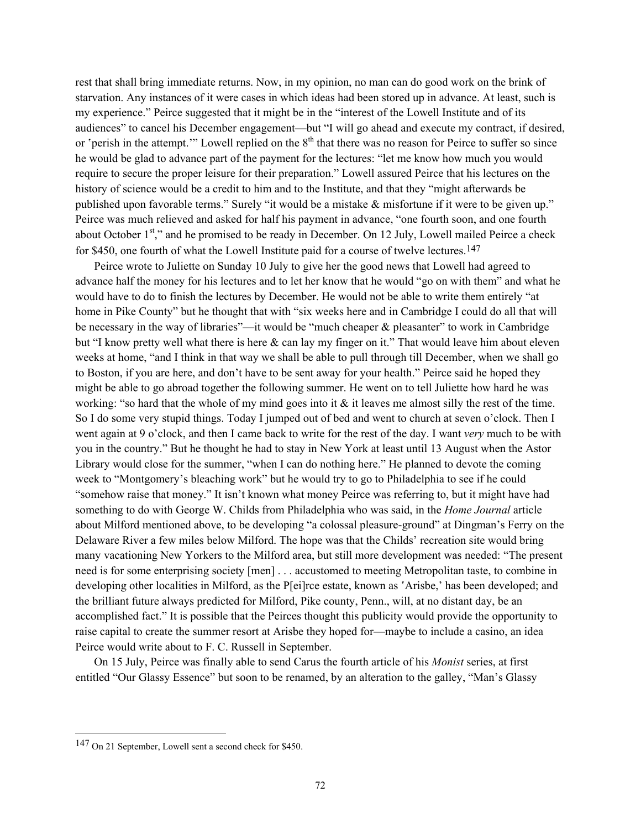rest that shall bring immediate returns. Now, in my opinion, no man can do good work on the brink of starvation. Any instances of it were cases in which ideas had been stored up in advance. At least, such is my experience." Peirce suggested that it might be in the "interest of the Lowell Institute and of its audiences" to cancel his December engagement—but "I will go ahead and execute my contract, if desired, or 'perish in the attempt.'" Lowell replied on the  $8<sup>th</sup>$  that there was no reason for Peirce to suffer so since he would be glad to advance part of the payment for the lectures: "let me know how much you would require to secure the proper leisure for their preparation." Lowell assured Peirce that his lectures on the history of science would be a credit to him and to the Institute, and that they "might afterwards be published upon favorable terms." Surely "it would be a mistake & misfortune if it were to be given up." Peirce was much relieved and asked for half his payment in advance, "one fourth soon, and one fourth about October 1<sup>st</sup>," and he promised to be ready in December. On 12 July, Lowell mailed Peirce a check for \$450, one fourth of what the Lowell Institute paid for a course of twelve lectures.147

 Peirce wrote to Juliette on Sunday 10 July to give her the good news that Lowell had agreed to advance half the money for his lectures and to let her know that he would "go on with them" and what he would have to do to finish the lectures by December. He would not be able to write them entirely "at home in Pike County" but he thought that with "six weeks here and in Cambridge I could do all that will be necessary in the way of libraries"—it would be "much cheaper & pleasanter" to work in Cambridge but "I know pretty well what there is here & can lay my finger on it." That would leave him about eleven weeks at home, "and I think in that way we shall be able to pull through till December, when we shall go to Boston, if you are here, and don't have to be sent away for your health." Peirce said he hoped they might be able to go abroad together the following summer. He went on to tell Juliette how hard he was working: "so hard that the whole of my mind goes into it & it leaves me almost silly the rest of the time. So I do some very stupid things. Today I jumped out of bed and went to church at seven o'clock. Then I went again at 9 o'clock, and then I came back to write for the rest of the day. I want *very* much to be with you in the country." But he thought he had to stay in New York at least until 13 August when the Astor Library would close for the summer, "when I can do nothing here." He planned to devote the coming week to "Montgomery's bleaching work" but he would try to go to Philadelphia to see if he could "somehow raise that money." It isn't known what money Peirce was referring to, but it might have had something to do with George W. Childs from Philadelphia who was said, in the *Home Journal* article about Milford mentioned above, to be developing "a colossal pleasure-ground" at Dingman's Ferry on the Delaware River a few miles below Milford. The hope was that the Childs' recreation site would bring many vacationing New Yorkers to the Milford area, but still more development was needed: "The present need is for some enterprising society [men] . . . accustomed to meeting Metropolitan taste, to combine in developing other localities in Milford, as the P[ei]rce estate, known as 'Arisbe,' has been developed; and the brilliant future always predicted for Milford, Pike county, Penn., will, at no distant day, be an accomplished fact." It is possible that the Peirces thought this publicity would provide the opportunity to raise capital to create the summer resort at Arisbe they hoped for—maybe to include a casino, an idea Peirce would write about to F. C. Russell in September.

 On 15 July, Peirce was finally able to send Carus the fourth article of his *Monist* series, at first entitled "Our Glassy Essence" but soon to be renamed, by an alteration to the galley, "Man's Glassy

<sup>147</sup> On 21 September, Lowell sent a second check for \$450.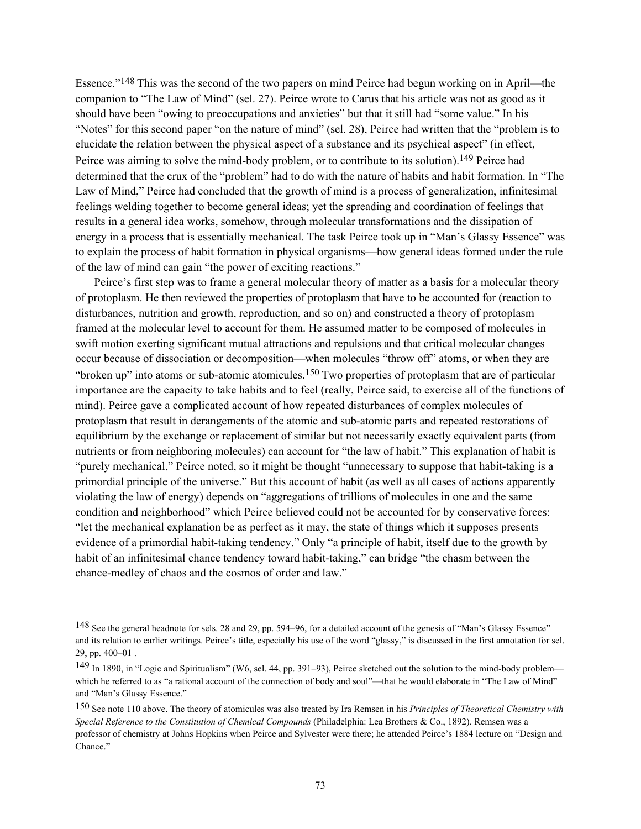Essence."148 This was the second of the two papers on mind Peirce had begun working on in April—the companion to "The Law of Mind" (sel. 27). Peirce wrote to Carus that his article was not as good as it should have been "owing to preoccupations and anxieties" but that it still had "some value." In his "Notes" for this second paper "on the nature of mind" (sel. 28), Peirce had written that the "problem is to elucidate the relation between the physical aspect of a substance and its psychical aspect" (in effect, Peirce was aiming to solve the mind-body problem, or to contribute to its solution).<sup>149</sup> Peirce had determined that the crux of the "problem" had to do with the nature of habits and habit formation. In "The Law of Mind," Peirce had concluded that the growth of mind is a process of generalization, infinitesimal feelings welding together to become general ideas; yet the spreading and coordination of feelings that results in a general idea works, somehow, through molecular transformations and the dissipation of energy in a process that is essentially mechanical. The task Peirce took up in "Man's Glassy Essence" was to explain the process of habit formation in physical organisms—how general ideas formed under the rule of the law of mind can gain "the power of exciting reactions."

 Peirce's first step was to frame a general molecular theory of matter as a basis for a molecular theory of protoplasm. He then reviewed the properties of protoplasm that have to be accounted for (reaction to disturbances, nutrition and growth, reproduction, and so on) and constructed a theory of protoplasm framed at the molecular level to account for them. He assumed matter to be composed of molecules in swift motion exerting significant mutual attractions and repulsions and that critical molecular changes occur because of dissociation or decomposition—when molecules "throw off" atoms, or when they are "broken up" into atoms or sub-atomic atomicules.<sup>150</sup> Two properties of protoplasm that are of particular importance are the capacity to take habits and to feel (really, Peirce said, to exercise all of the functions of mind). Peirce gave a complicated account of how repeated disturbances of complex molecules of protoplasm that result in derangements of the atomic and sub-atomic parts and repeated restorations of equilibrium by the exchange or replacement of similar but not necessarily exactly equivalent parts (from nutrients or from neighboring molecules) can account for "the law of habit." This explanation of habit is "purely mechanical," Peirce noted, so it might be thought "unnecessary to suppose that habit-taking is a primordial principle of the universe." But this account of habit (as well as all cases of actions apparently violating the law of energy) depends on "aggregations of trillions of molecules in one and the same condition and neighborhood" which Peirce believed could not be accounted for by conservative forces: "let the mechanical explanation be as perfect as it may, the state of things which it supposes presents evidence of a primordial habit-taking tendency." Only "a principle of habit, itself due to the growth by habit of an infinitesimal chance tendency toward habit-taking," can bridge "the chasm between the chance-medley of chaos and the cosmos of order and law."

<sup>148</sup> See the general headnote for sels. 28 and 29, pp. 594–96, for a detailed account of the genesis of "Man's Glassy Essence" and its relation to earlier writings. Peirce's title, especially his use of the word "glassy," is discussed in the first annotation for sel. 29, pp. 400–01 .

<sup>149</sup> In 1890, in "Logic and Spiritualism" (W6, sel. 44, pp. 391–93), Peirce sketched out the solution to the mind-body problem which he referred to as "a rational account of the connection of body and soul"—that he would elaborate in "The Law of Mind" and "Man's Glassy Essence."

<sup>150</sup> See note 110 above. The theory of atomicules was also treated by Ira Remsen in his *Principles of Theoretical Chemistry with Special Reference to the Constitution of Chemical Compounds* (Philadelphia: Lea Brothers & Co., 1892). Remsen was a professor of chemistry at Johns Hopkins when Peirce and Sylvester were there; he attended Peirce's 1884 lecture on "Design and Chance."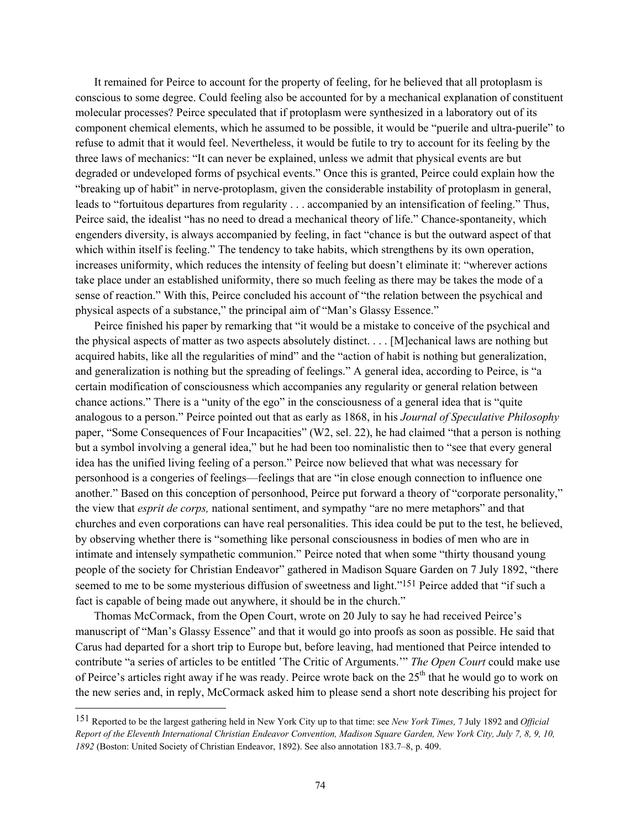It remained for Peirce to account for the property of feeling, for he believed that all protoplasm is conscious to some degree. Could feeling also be accounted for by a mechanical explanation of constituent molecular processes? Peirce speculated that if protoplasm were synthesized in a laboratory out of its component chemical elements, which he assumed to be possible, it would be "puerile and ultra-puerile" to refuse to admit that it would feel. Nevertheless, it would be futile to try to account for its feeling by the three laws of mechanics: "It can never be explained, unless we admit that physical events are but degraded or undeveloped forms of psychical events." Once this is granted, Peirce could explain how the "breaking up of habit" in nerve-protoplasm, given the considerable instability of protoplasm in general, leads to "fortuitous departures from regularity . . . accompanied by an intensification of feeling." Thus, Peirce said, the idealist "has no need to dread a mechanical theory of life." Chance-spontaneity, which engenders diversity, is always accompanied by feeling, in fact "chance is but the outward aspect of that which within itself is feeling." The tendency to take habits, which strengthens by its own operation, increases uniformity, which reduces the intensity of feeling but doesn't eliminate it: "wherever actions take place under an established uniformity, there so much feeling as there may be takes the mode of a sense of reaction." With this, Peirce concluded his account of "the relation between the psychical and physical aspects of a substance," the principal aim of "Man's Glassy Essence."

 Peirce finished his paper by remarking that "it would be a mistake to conceive of the psychical and the physical aspects of matter as two aspects absolutely distinct. . . . [M]echanical laws are nothing but acquired habits, like all the regularities of mind" and the "action of habit is nothing but generalization, and generalization is nothing but the spreading of feelings." A general idea, according to Peirce, is "a certain modification of consciousness which accompanies any regularity or general relation between chance actions." There is a "unity of the ego" in the consciousness of a general idea that is "quite analogous to a person." Peirce pointed out that as early as 1868, in his *Journal of Speculative Philosophy* paper, "Some Consequences of Four Incapacities" (W2, sel. 22), he had claimed "that a person is nothing but a symbol involving a general idea," but he had been too nominalistic then to "see that every general idea has the unified living feeling of a person." Peirce now believed that what was necessary for personhood is a congeries of feelings—feelings that are "in close enough connection to influence one another." Based on this conception of personhood, Peirce put forward a theory of "corporate personality," the view that *esprit de corps,* national sentiment, and sympathy "are no mere metaphors" and that churches and even corporations can have real personalities. This idea could be put to the test, he believed, by observing whether there is "something like personal consciousness in bodies of men who are in intimate and intensely sympathetic communion." Peirce noted that when some "thirty thousand young people of the society for Christian Endeavor" gathered in Madison Square Garden on 7 July 1892, "there seemed to me to be some mysterious diffusion of sweetness and light."<sup>151</sup> Peirce added that "if such a fact is capable of being made out anywhere, it should be in the church."

 Thomas McCormack, from the Open Court, wrote on 20 July to say he had received Peirce's manuscript of "Man's Glassy Essence" and that it would go into proofs as soon as possible. He said that Carus had departed for a short trip to Europe but, before leaving, had mentioned that Peirce intended to contribute "a series of articles to be entitled 'The Critic of Arguments.'" *The Open Court* could make use of Peirce's articles right away if he was ready. Peirce wrote back on the 25<sup>th</sup> that he would go to work on the new series and, in reply, McCormack asked him to please send a short note describing his project for

<sup>151</sup> Reported to be the largest gathering held in New York City up to that time: see *New York Times,* 7 July 1892 and *Official Report of the Eleventh International Christian Endeavor Convention, Madison Square Garden, New York City, July 7, 8, 9, 10, 1892* (Boston: United Society of Christian Endeavor, 1892). See also annotation 183.7–8, p. 409.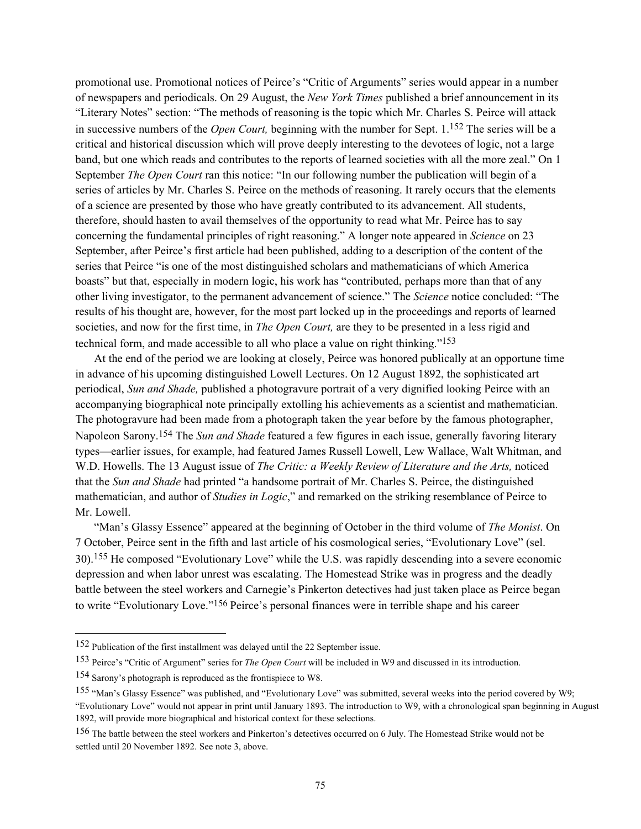promotional use. Promotional notices of Peirce's "Critic of Arguments" series would appear in a number of newspapers and periodicals. On 29 August, the *New York Times* published a brief announcement in its "Literary Notes" section: "The methods of reasoning is the topic which Mr. Charles S. Peirce will attack in successive numbers of the *Open Court,* beginning with the number for Sept. 1.152 The series will be a critical and historical discussion which will prove deeply interesting to the devotees of logic, not a large band, but one which reads and contributes to the reports of learned societies with all the more zeal." On 1 September *The Open Court* ran this notice: "In our following number the publication will begin of a series of articles by Mr. Charles S. Peirce on the methods of reasoning. It rarely occurs that the elements of a science are presented by those who have greatly contributed to its advancement. All students, therefore, should hasten to avail themselves of the opportunity to read what Mr. Peirce has to say concerning the fundamental principles of right reasoning." A longer note appeared in *Science* on 23 September, after Peirce's first article had been published, adding to a description of the content of the series that Peirce "is one of the most distinguished scholars and mathematicians of which America boasts" but that, especially in modern logic, his work has "contributed, perhaps more than that of any other living investigator, to the permanent advancement of science." The *Science* notice concluded: "The results of his thought are, however, for the most part locked up in the proceedings and reports of learned societies, and now for the first time, in *The Open Court,* are they to be presented in a less rigid and technical form, and made accessible to all who place a value on right thinking."153

 At the end of the period we are looking at closely, Peirce was honored publically at an opportune time in advance of his upcoming distinguished Lowell Lectures. On 12 August 1892, the sophisticated art periodical, *Sun and Shade,* published a photogravure portrait of a very dignified looking Peirce with an accompanying biographical note principally extolling his achievements as a scientist and mathematician. The photogravure had been made from a photograph taken the year before by the famous photographer, Napoleon Sarony.154 The *Sun and Shade* featured a few figures in each issue, generally favoring literary types—earlier issues, for example, had featured James Russell Lowell, Lew Wallace, Walt Whitman, and W.D. Howells. The 13 August issue of *The Critic: a Weekly Review of Literature and the Arts,* noticed that the *Sun and Shade* had printed "a handsome portrait of Mr. Charles S. Peirce, the distinguished mathematician, and author of *Studies in Logic*," and remarked on the striking resemblance of Peirce to Mr. Lowell.

 "Man's Glassy Essence" appeared at the beginning of October in the third volume of *The Monist*. On 7 October, Peirce sent in the fifth and last article of his cosmological series, "Evolutionary Love" (sel. 30).155 He composed "Evolutionary Love" while the U.S. was rapidly descending into a severe economic depression and when labor unrest was escalating. The Homestead Strike was in progress and the deadly battle between the steel workers and Carnegie's Pinkerton detectives had just taken place as Peirce began to write "Evolutionary Love."156 Peirce's personal finances were in terrible shape and his career

<sup>152</sup> Publication of the first installment was delayed until the 22 September issue.

<sup>153</sup> Peirce's "Critic of Argument" series for *The Open Court* will be included in W9 and discussed in its introduction.

<sup>154</sup> Sarony's photograph is reproduced as the frontispiece to W8.

<sup>155 &</sup>quot;Man's Glassy Essence" was published, and "Evolutionary Love" was submitted, several weeks into the period covered by W9; "Evolutionary Love" would not appear in print until January 1893. The introduction to W9, with a chronological span beginning in August 1892, will provide more biographical and historical context for these selections.

<sup>156</sup> The battle between the steel workers and Pinkerton's detectives occurred on 6 July. The Homestead Strike would not be settled until 20 November 1892. See note 3, above.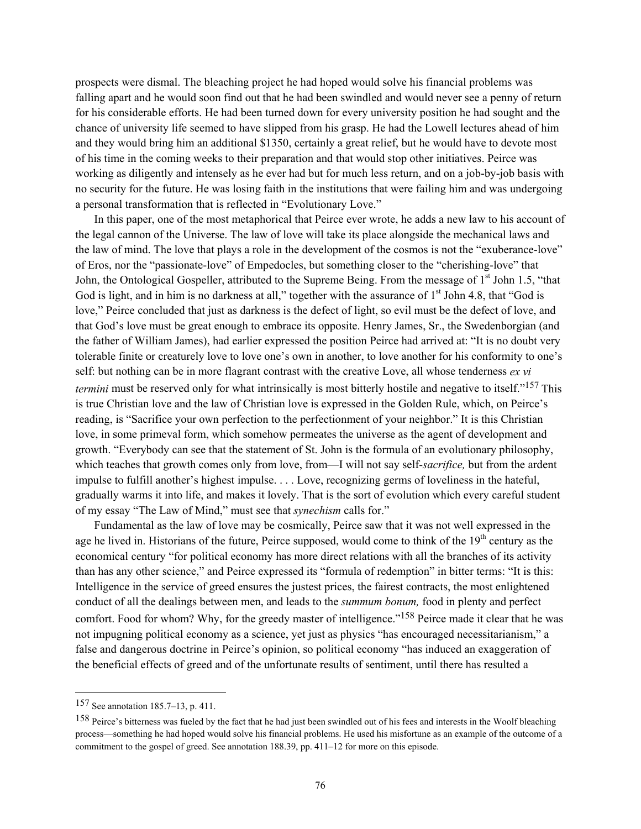prospects were dismal. The bleaching project he had hoped would solve his financial problems was falling apart and he would soon find out that he had been swindled and would never see a penny of return for his considerable efforts. He had been turned down for every university position he had sought and the chance of university life seemed to have slipped from his grasp. He had the Lowell lectures ahead of him and they would bring him an additional \$1350, certainly a great relief, but he would have to devote most of his time in the coming weeks to their preparation and that would stop other initiatives. Peirce was working as diligently and intensely as he ever had but for much less return, and on a job-by-job basis with no security for the future. He was losing faith in the institutions that were failing him and was undergoing a personal transformation that is reflected in "Evolutionary Love."

 In this paper, one of the most metaphorical that Peirce ever wrote, he adds a new law to his account of the legal cannon of the Universe. The law of love will take its place alongside the mechanical laws and the law of mind. The love that plays a role in the development of the cosmos is not the "exuberance-love" of Eros, nor the "passionate-love" of Empedocles, but something closer to the "cherishing-love" that John, the Ontological Gospeller, attributed to the Supreme Being. From the message of 1<sup>st</sup> John 1.5, "that God is light, and in him is no darkness at all," together with the assurance of  $1<sup>st</sup>$  John 4.8, that "God is love," Peirce concluded that just as darkness is the defect of light, so evil must be the defect of love, and that God's love must be great enough to embrace its opposite. Henry James, Sr., the Swedenborgian (and the father of William James), had earlier expressed the position Peirce had arrived at: "It is no doubt very tolerable finite or creaturely love to love one's own in another, to love another for his conformity to one's self: but nothing can be in more flagrant contrast with the creative Love, all whose tenderness *ex vi termini* must be reserved only for what intrinsically is most bitterly hostile and negative to itself."<sup>157</sup> This is true Christian love and the law of Christian love is expressed in the Golden Rule, which, on Peirce's reading, is "Sacrifice your own perfection to the perfectionment of your neighbor." It is this Christian love, in some primeval form, which somehow permeates the universe as the agent of development and growth. "Everybody can see that the statement of St. John is the formula of an evolutionary philosophy, which teaches that growth comes only from love, from—I will not say self*-sacrifice,* but from the ardent impulse to fulfill another's highest impulse. . . . Love, recognizing germs of loveliness in the hateful, gradually warms it into life, and makes it lovely. That is the sort of evolution which every careful student of my essay "The Law of Mind," must see that *synechism* calls for."

 Fundamental as the law of love may be cosmically, Peirce saw that it was not well expressed in the age he lived in. Historians of the future, Peirce supposed, would come to think of the  $19<sup>th</sup>$  century as the economical century "for political economy has more direct relations with all the branches of its activity than has any other science," and Peirce expressed its "formula of redemption" in bitter terms: "It is this: Intelligence in the service of greed ensures the justest prices, the fairest contracts, the most enlightened conduct of all the dealings between men, and leads to the *summum bonum,* food in plenty and perfect comfort. Food for whom? Why, for the greedy master of intelligence."<sup>158</sup> Peirce made it clear that he was not impugning political economy as a science, yet just as physics "has encouraged necessitarianism," a false and dangerous doctrine in Peirce's opinion, so political economy "has induced an exaggeration of the beneficial effects of greed and of the unfortunate results of sentiment, until there has resulted a

<sup>157</sup> See annotation 185.7–13, p. 411.

<sup>158</sup> Peirce's bitterness was fueled by the fact that he had just been swindled out of his fees and interests in the Woolf bleaching process—something he had hoped would solve his financial problems. He used his misfortune as an example of the outcome of a commitment to the gospel of greed. See annotation 188.39, pp. 411–12 for more on this episode.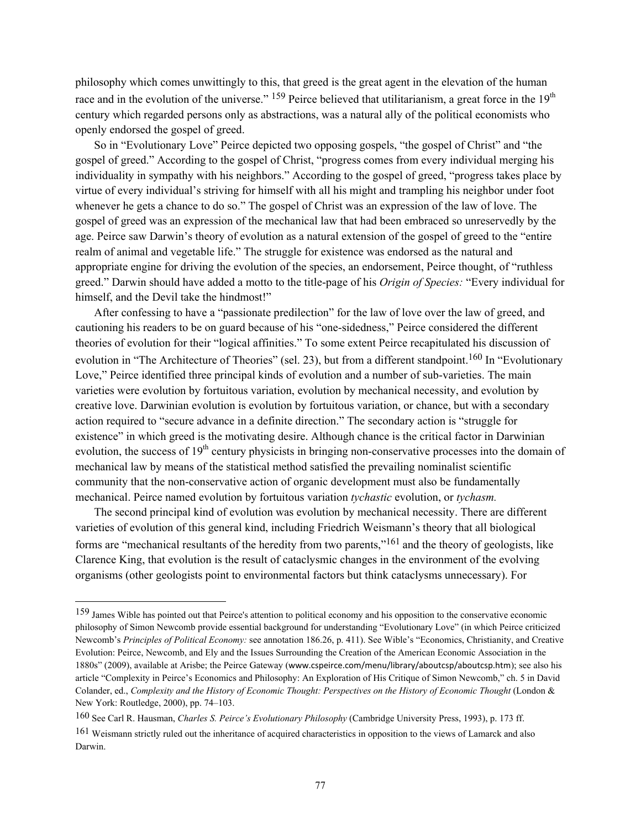philosophy which comes unwittingly to this, that greed is the great agent in the elevation of the human race and in the evolution of the universe."  $^{159}$  Peirce believed that utilitarianism, a great force in the  $19<sup>th</sup>$ century which regarded persons only as abstractions, was a natural ally of the political economists who openly endorsed the gospel of greed.

 So in "Evolutionary Love" Peirce depicted two opposing gospels, "the gospel of Christ" and "the gospel of greed." According to the gospel of Christ, "progress comes from every individual merging his individuality in sympathy with his neighbors." According to the gospel of greed, "progress takes place by virtue of every individual's striving for himself with all his might and trampling his neighbor under foot whenever he gets a chance to do so." The gospel of Christ was an expression of the law of love. The gospel of greed was an expression of the mechanical law that had been embraced so unreservedly by the age. Peirce saw Darwin's theory of evolution as a natural extension of the gospel of greed to the "entire realm of animal and vegetable life." The struggle for existence was endorsed as the natural and appropriate engine for driving the evolution of the species, an endorsement, Peirce thought, of "ruthless greed." Darwin should have added a motto to the title-page of his *Origin of Species:* "Every individual for himself, and the Devil take the hindmost!"

 After confessing to have a "passionate predilection" for the law of love over the law of greed, and cautioning his readers to be on guard because of his "one-sidedness," Peirce considered the different theories of evolution for their "logical affinities." To some extent Peirce recapitulated his discussion of evolution in "The Architecture of Theories" (sel. 23), but from a different standpoint.<sup>160</sup> In "Evolutionary" Love," Peirce identified three principal kinds of evolution and a number of sub-varieties. The main varieties were evolution by fortuitous variation, evolution by mechanical necessity, and evolution by creative love. Darwinian evolution is evolution by fortuitous variation, or chance, but with a secondary action required to "secure advance in a definite direction." The secondary action is "struggle for existence" in which greed is the motivating desire. Although chance is the critical factor in Darwinian evolution, the success of  $19<sup>th</sup>$  century physicists in bringing non-conservative processes into the domain of mechanical law by means of the statistical method satisfied the prevailing nominalist scientific community that the non-conservative action of organic development must also be fundamentally mechanical. Peirce named evolution by fortuitous variation *tychastic* evolution, or *tychasm.*

 The second principal kind of evolution was evolution by mechanical necessity. There are different varieties of evolution of this general kind, including Friedrich Weismann's theory that all biological forms are "mechanical resultants of the heredity from two parents,"161 and the theory of geologists, like Clarence King, that evolution is the result of cataclysmic changes in the environment of the evolving organisms (other geologists point to environmental factors but think cataclysms unnecessary). For

<sup>159</sup> James Wible has pointed out that Peirce's attention to political economy and his opposition to the conservative economic philosophy of Simon Newcomb provide essential background for understanding "Evolutionary Love" (in which Peirce criticized Newcomb's *Principles of Political Economy:* see annotation 186.26, p. 411). See Wible's "Economics, Christianity, and Creative Evolution: Peirce, Newcomb, and Ely and the Issues Surrounding the Creation of the American Economic Association in the 1880s" (2009), available at Arisbe; the Peirce Gateway (www.cspeirce.com/menu/library/aboutcsp/aboutcsp.htm); see also his article "Complexity in Peirce's Economics and Philosophy: An Exploration of His Critique of Simon Newcomb," ch. 5 in David Colander, ed., *Complexity and the History of Economic Thought: Perspectives on the History of Economic Thought* (London & New York: Routledge, 2000), pp. 74–103.

<sup>160</sup> See Carl R. Hausman, *Charles S. Peirce's Evolutionary Philosophy* (Cambridge University Press, 1993), p. 173 ff.

<sup>161</sup> Weismann strictly ruled out the inheritance of acquired characteristics in opposition to the views of Lamarck and also Darwin.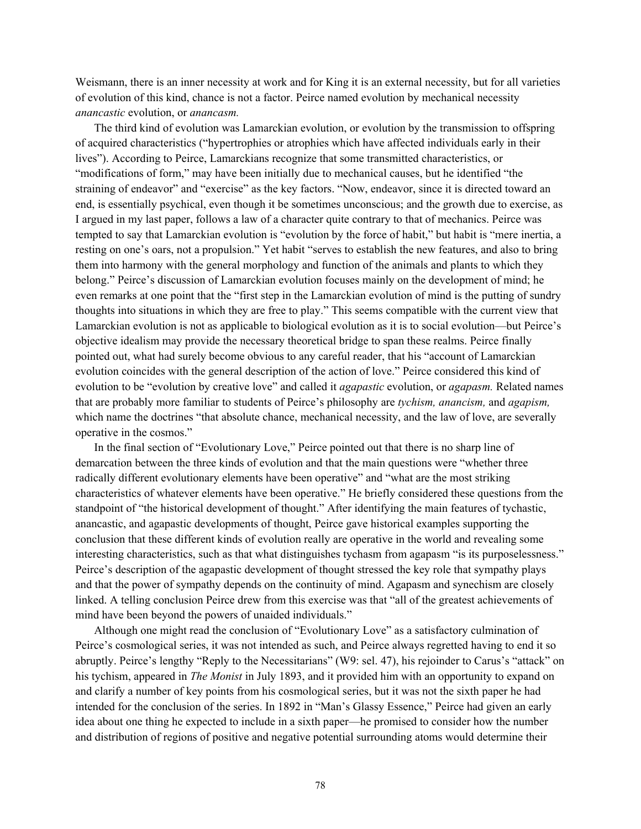Weismann, there is an inner necessity at work and for King it is an external necessity, but for all varieties of evolution of this kind, chance is not a factor. Peirce named evolution by mechanical necessity *anancastic* evolution, or *anancasm.*

 The third kind of evolution was Lamarckian evolution, or evolution by the transmission to offspring of acquired characteristics ("hypertrophies or atrophies which have affected individuals early in their lives"). According to Peirce, Lamarckians recognize that some transmitted characteristics, or "modifications of form," may have been initially due to mechanical causes, but he identified "the straining of endeavor" and "exercise" as the key factors. "Now, endeavor, since it is directed toward an end, is essentially psychical, even though it be sometimes unconscious; and the growth due to exercise, as I argued in my last paper, follows a law of a character quite contrary to that of mechanics. Peirce was tempted to say that Lamarckian evolution is "evolution by the force of habit," but habit is "mere inertia, a resting on one's oars, not a propulsion." Yet habit "serves to establish the new features, and also to bring them into harmony with the general morphology and function of the animals and plants to which they belong." Peirce's discussion of Lamarckian evolution focuses mainly on the development of mind; he even remarks at one point that the "first step in the Lamarckian evolution of mind is the putting of sundry thoughts into situations in which they are free to play." This seems compatible with the current view that Lamarckian evolution is not as applicable to biological evolution as it is to social evolution—but Peirce's objective idealism may provide the necessary theoretical bridge to span these realms. Peirce finally pointed out, what had surely become obvious to any careful reader, that his "account of Lamarckian evolution coincides with the general description of the action of love." Peirce considered this kind of evolution to be "evolution by creative love" and called it *agapastic* evolution, or *agapasm.* Related names that are probably more familiar to students of Peirce's philosophy are *tychism, anancism,* and *agapism,* which name the doctrines "that absolute chance, mechanical necessity, and the law of love, are severally operative in the cosmos."

 In the final section of "Evolutionary Love," Peirce pointed out that there is no sharp line of demarcation between the three kinds of evolution and that the main questions were "whether three radically different evolutionary elements have been operative" and "what are the most striking characteristics of whatever elements have been operative." He briefly considered these questions from the standpoint of "the historical development of thought." After identifying the main features of tychastic, anancastic, and agapastic developments of thought, Peirce gave historical examples supporting the conclusion that these different kinds of evolution really are operative in the world and revealing some interesting characteristics, such as that what distinguishes tychasm from agapasm "is its purposelessness." Peirce's description of the agapastic development of thought stressed the key role that sympathy plays and that the power of sympathy depends on the continuity of mind. Agapasm and synechism are closely linked. A telling conclusion Peirce drew from this exercise was that "all of the greatest achievements of mind have been beyond the powers of unaided individuals."

 Although one might read the conclusion of "Evolutionary Love" as a satisfactory culmination of Peirce's cosmological series, it was not intended as such, and Peirce always regretted having to end it so abruptly. Peirce's lengthy "Reply to the Necessitarians" (W9: sel. 47), his rejoinder to Carus's "attack" on his tychism, appeared in *The Monist* in July 1893, and it provided him with an opportunity to expand on and clarify a number of key points from his cosmological series, but it was not the sixth paper he had intended for the conclusion of the series. In 1892 in "Man's Glassy Essence," Peirce had given an early idea about one thing he expected to include in a sixth paper—he promised to consider how the number and distribution of regions of positive and negative potential surrounding atoms would determine their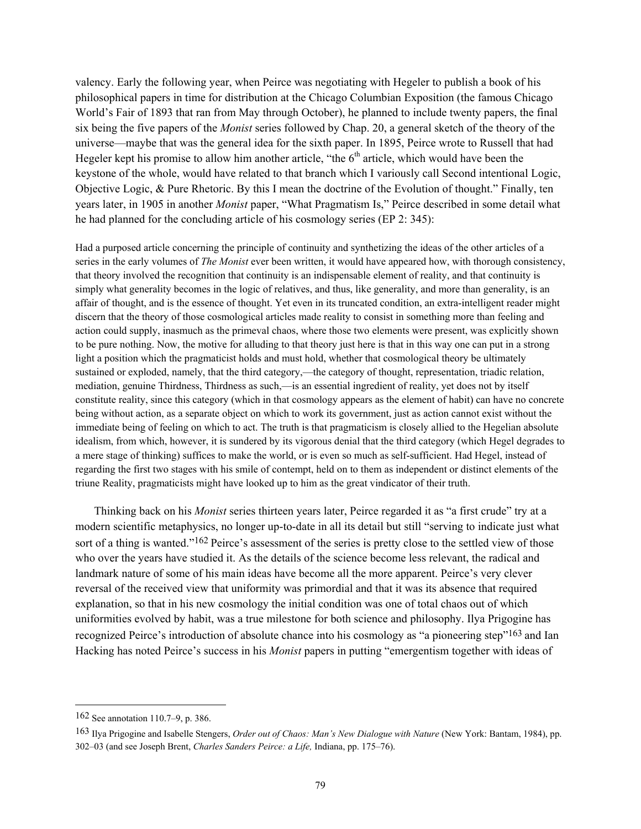valency. Early the following year, when Peirce was negotiating with Hegeler to publish a book of his philosophical papers in time for distribution at the Chicago Columbian Exposition (the famous Chicago World's Fair of 1893 that ran from May through October), he planned to include twenty papers, the final six being the five papers of the *Monist* series followed by Chap. 20, a general sketch of the theory of the universe—maybe that was the general idea for the sixth paper. In 1895, Peirce wrote to Russell that had Hegeler kept his promise to allow him another article, "the  $6<sup>th</sup>$  article, which would have been the keystone of the whole, would have related to that branch which I variously call Second intentional Logic, Objective Logic, & Pure Rhetoric. By this I mean the doctrine of the Evolution of thought." Finally, ten years later, in 1905 in another *Monist* paper, "What Pragmatism Is," Peirce described in some detail what he had planned for the concluding article of his cosmology series (EP 2: 345):

Had a purposed article concerning the principle of continuity and synthetizing the ideas of the other articles of a series in the early volumes of *The Monist* ever been written, it would have appeared how, with thorough consistency, that theory involved the recognition that continuity is an indispensable element of reality, and that continuity is simply what generality becomes in the logic of relatives, and thus, like generality, and more than generality, is an affair of thought, and is the essence of thought. Yet even in its truncated condition, an extra-intelligent reader might discern that the theory of those cosmological articles made reality to consist in something more than feeling and action could supply, inasmuch as the primeval chaos, where those two elements were present, was explicitly shown to be pure nothing. Now, the motive for alluding to that theory just here is that in this way one can put in a strong light a position which the pragmaticist holds and must hold, whether that cosmological theory be ultimately sustained or exploded, namely, that the third category,—the category of thought, representation, triadic relation, mediation, genuine Thirdness, Thirdness as such,—is an essential ingredient of reality, yet does not by itself constitute reality, since this category (which in that cosmology appears as the element of habit) can have no concrete being without action, as a separate object on which to work its government, just as action cannot exist without the immediate being of feeling on which to act. The truth is that pragmaticism is closely allied to the Hegelian absolute idealism, from which, however, it is sundered by its vigorous denial that the third category (which Hegel degrades to a mere stage of thinking) suffices to make the world, or is even so much as self-sufficient. Had Hegel, instead of regarding the first two stages with his smile of contempt, held on to them as independent or distinct elements of the triune Reality, pragmaticists might have looked up to him as the great vindicator of their truth.

 Thinking back on his *Monist* series thirteen years later, Peirce regarded it as "a first crude" try at a modern scientific metaphysics, no longer up-to-date in all its detail but still "serving to indicate just what sort of a thing is wanted."<sup>162</sup> Peirce's assessment of the series is pretty close to the settled view of those who over the years have studied it. As the details of the science become less relevant, the radical and landmark nature of some of his main ideas have become all the more apparent. Peirce's very clever reversal of the received view that uniformity was primordial and that it was its absence that required explanation, so that in his new cosmology the initial condition was one of total chaos out of which uniformities evolved by habit, was a true milestone for both science and philosophy. Ilya Prigogine has recognized Peirce's introduction of absolute chance into his cosmology as "a pioneering step"163 and Ian Hacking has noted Peirce's success in his *Monist* papers in putting "emergentism together with ideas of

<sup>162</sup> See annotation 110.7–9, p. 386.

<sup>163</sup> Ilya Prigogine and Isabelle Stengers, *Order out of Chaos: Man's New Dialogue with Nature* (New York: Bantam, 1984), pp. 302–03 (and see Joseph Brent, *Charles Sanders Peirce: a Life,* Indiana, pp. 175–76).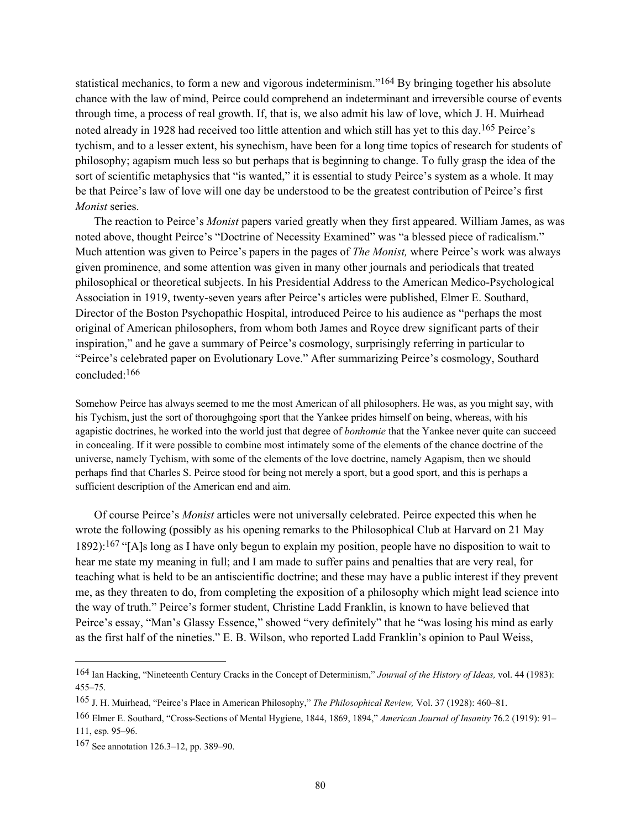statistical mechanics, to form a new and vigorous indeterminism."164 By bringing together his absolute chance with the law of mind, Peirce could comprehend an indeterminant and irreversible course of events through time, a process of real growth. If, that is, we also admit his law of love, which J. H. Muirhead noted already in 1928 had received too little attention and which still has yet to this day.165 Peirce's tychism, and to a lesser extent, his synechism, have been for a long time topics of research for students of philosophy; agapism much less so but perhaps that is beginning to change. To fully grasp the idea of the sort of scientific metaphysics that "is wanted," it is essential to study Peirce's system as a whole. It may be that Peirce's law of love will one day be understood to be the greatest contribution of Peirce's first *Monist* series.

 The reaction to Peirce's *Monist* papers varied greatly when they first appeared. William James, as was noted above, thought Peirce's "Doctrine of Necessity Examined" was "a blessed piece of radicalism." Much attention was given to Peirce's papers in the pages of *The Monist,* where Peirce's work was always given prominence, and some attention was given in many other journals and periodicals that treated philosophical or theoretical subjects. In his Presidential Address to the American Medico-Psychological Association in 1919, twenty-seven years after Peirce's articles were published, Elmer E. Southard, Director of the Boston Psychopathic Hospital, introduced Peirce to his audience as "perhaps the most original of American philosophers, from whom both James and Royce drew significant parts of their inspiration," and he gave a summary of Peirce's cosmology, surprisingly referring in particular to "Peirce's celebrated paper on Evolutionary Love." After summarizing Peirce's cosmology, Southard concluded:166

Somehow Peirce has always seemed to me the most American of all philosophers. He was, as you might say, with his Tychism, just the sort of thoroughgoing sport that the Yankee prides himself on being, whereas, with his agapistic doctrines, he worked into the world just that degree of *bonhomie* that the Yankee never quite can succeed in concealing. If it were possible to combine most intimately some of the elements of the chance doctrine of the universe, namely Tychism, with some of the elements of the love doctrine, namely Agapism, then we should perhaps find that Charles S. Peirce stood for being not merely a sport, but a good sport, and this is perhaps a sufficient description of the American end and aim.

 Of course Peirce's *Monist* articles were not universally celebrated. Peirce expected this when he wrote the following (possibly as his opening remarks to the Philosophical Club at Harvard on 21 May 1892):167 "[A]s long as I have only begun to explain my position, people have no disposition to wait to hear me state my meaning in full; and I am made to suffer pains and penalties that are very real, for teaching what is held to be an antiscientific doctrine; and these may have a public interest if they prevent me, as they threaten to do, from completing the exposition of a philosophy which might lead science into the way of truth." Peirce's former student, Christine Ladd Franklin, is known to have believed that Peirce's essay, "Man's Glassy Essence," showed "very definitely" that he "was losing his mind as early as the first half of the nineties." E. B. Wilson, who reported Ladd Franklin's opinion to Paul Weiss,

<sup>164</sup> Ian Hacking, "Nineteenth Century Cracks in the Concept of Determinism," *Journal of the History of Ideas,* vol. 44 (1983): 455–75.

<sup>165</sup> J. H. Muirhead, "Peirce's Place in American Philosophy," *The Philosophical Review,* Vol. 37 (1928): 460–81.

<sup>166</sup> Elmer E. Southard, "Cross-Sections of Mental Hygiene, 1844, 1869, 1894," *American Journal of Insanity* 76.2 (1919): 91– 111, esp. 95–96.

<sup>167</sup> See annotation 126.3–12, pp. 389–90.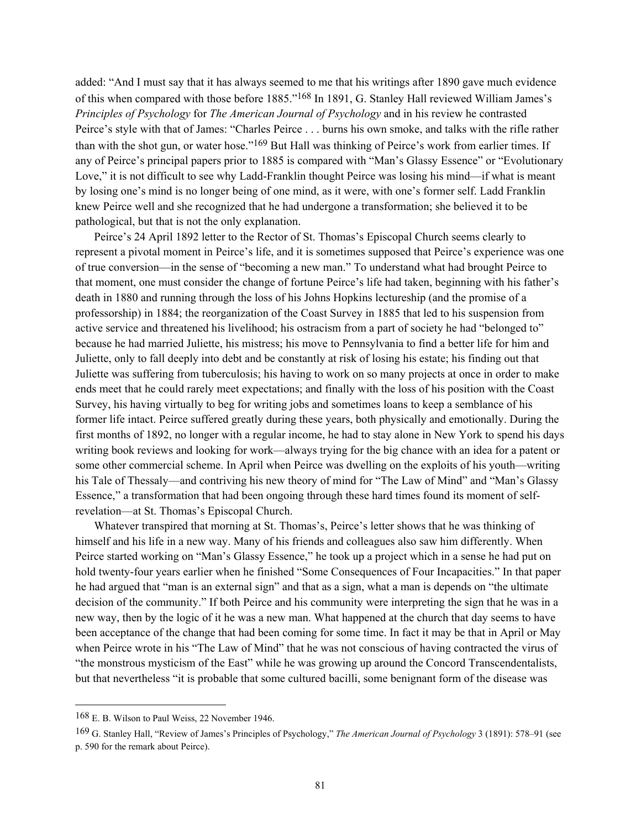added: "And I must say that it has always seemed to me that his writings after 1890 gave much evidence of this when compared with those before 1885."168 In 1891, G. Stanley Hall reviewed William James's *Principles of Psychology* for *The American Journal of Psychology* and in his review he contrasted Peirce's style with that of James: "Charles Peirce . . . burns his own smoke, and talks with the rifle rather than with the shot gun, or water hose."169 But Hall was thinking of Peirce's work from earlier times. If any of Peirce's principal papers prior to 1885 is compared with "Man's Glassy Essence" or "Evolutionary Love," it is not difficult to see why Ladd-Franklin thought Peirce was losing his mind—if what is meant by losing one's mind is no longer being of one mind, as it were, with one's former self. Ladd Franklin knew Peirce well and she recognized that he had undergone a transformation; she believed it to be pathological, but that is not the only explanation.

 Peirce's 24 April 1892 letter to the Rector of St. Thomas's Episcopal Church seems clearly to represent a pivotal moment in Peirce's life, and it is sometimes supposed that Peirce's experience was one of true conversion—in the sense of "becoming a new man." To understand what had brought Peirce to that moment, one must consider the change of fortune Peirce's life had taken, beginning with his father's death in 1880 and running through the loss of his Johns Hopkins lectureship (and the promise of a professorship) in 1884; the reorganization of the Coast Survey in 1885 that led to his suspension from active service and threatened his livelihood; his ostracism from a part of society he had "belonged to" because he had married Juliette, his mistress; his move to Pennsylvania to find a better life for him and Juliette, only to fall deeply into debt and be constantly at risk of losing his estate; his finding out that Juliette was suffering from tuberculosis; his having to work on so many projects at once in order to make ends meet that he could rarely meet expectations; and finally with the loss of his position with the Coast Survey, his having virtually to beg for writing jobs and sometimes loans to keep a semblance of his former life intact. Peirce suffered greatly during these years, both physically and emotionally. During the first months of 1892, no longer with a regular income, he had to stay alone in New York to spend his days writing book reviews and looking for work—always trying for the big chance with an idea for a patent or some other commercial scheme. In April when Peirce was dwelling on the exploits of his youth—writing his Tale of Thessaly—and contriving his new theory of mind for "The Law of Mind" and "Man's Glassy Essence," a transformation that had been ongoing through these hard times found its moment of selfrevelation—at St. Thomas's Episcopal Church.

 Whatever transpired that morning at St. Thomas's, Peirce's letter shows that he was thinking of himself and his life in a new way. Many of his friends and colleagues also saw him differently. When Peirce started working on "Man's Glassy Essence," he took up a project which in a sense he had put on hold twenty-four years earlier when he finished "Some Consequences of Four Incapacities." In that paper he had argued that "man is an external sign" and that as a sign, what a man is depends on "the ultimate decision of the community." If both Peirce and his community were interpreting the sign that he was in a new way, then by the logic of it he was a new man. What happened at the church that day seems to have been acceptance of the change that had been coming for some time. In fact it may be that in April or May when Peirce wrote in his "The Law of Mind" that he was not conscious of having contracted the virus of "the monstrous mysticism of the East" while he was growing up around the Concord Transcendentalists, but that nevertheless "it is probable that some cultured bacilli, some benignant form of the disease was

<sup>168</sup> E. B. Wilson to Paul Weiss, 22 November 1946.

<sup>169</sup> G. Stanley Hall, "Review of James's Principles of Psychology," *The American Journal of Psychology* 3 (1891): 578–91 (see p. 590 for the remark about Peirce).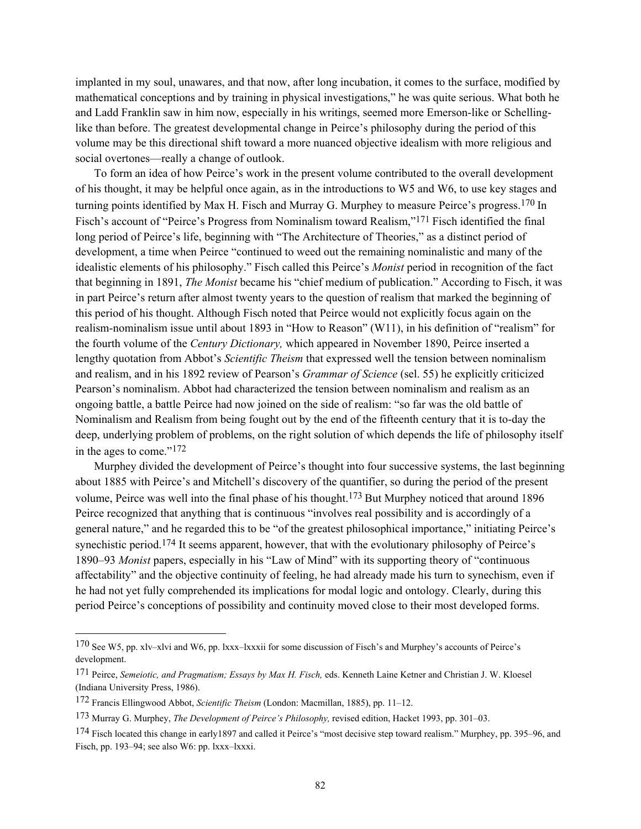implanted in my soul, unawares, and that now, after long incubation, it comes to the surface, modified by mathematical conceptions and by training in physical investigations," he was quite serious. What both he and Ladd Franklin saw in him now, especially in his writings, seemed more Emerson-like or Schellinglike than before. The greatest developmental change in Peirce's philosophy during the period of this volume may be this directional shift toward a more nuanced objective idealism with more religious and social overtones—really a change of outlook.

 To form an idea of how Peirce's work in the present volume contributed to the overall development of his thought, it may be helpful once again, as in the introductions to W5 and W6, to use key stages and turning points identified by Max H. Fisch and Murray G. Murphey to measure Peirce's progress.170 In Fisch's account of "Peirce's Progress from Nominalism toward Realism,"171 Fisch identified the final long period of Peirce's life, beginning with "The Architecture of Theories," as a distinct period of development, a time when Peirce "continued to weed out the remaining nominalistic and many of the idealistic elements of his philosophy." Fisch called this Peirce's *Monist* period in recognition of the fact that beginning in 1891, *The Monist* became his "chief medium of publication." According to Fisch, it was in part Peirce's return after almost twenty years to the question of realism that marked the beginning of this period of his thought. Although Fisch noted that Peirce would not explicitly focus again on the realism-nominalism issue until about 1893 in "How to Reason" (W11), in his definition of "realism" for the fourth volume of the *Century Dictionary,* which appeared in November 1890, Peirce inserted a lengthy quotation from Abbot's *Scientific Theism* that expressed well the tension between nominalism and realism, and in his 1892 review of Pearson's *Grammar of Science* (sel. 55) he explicitly criticized Pearson's nominalism. Abbot had characterized the tension between nominalism and realism as an ongoing battle, a battle Peirce had now joined on the side of realism: "so far was the old battle of Nominalism and Realism from being fought out by the end of the fifteenth century that it is to-day the deep, underlying problem of problems, on the right solution of which depends the life of philosophy itself in the ages to come."172

 Murphey divided the development of Peirce's thought into four successive systems, the last beginning about 1885 with Peirce's and Mitchell's discovery of the quantifier, so during the period of the present volume, Peirce was well into the final phase of his thought.173 But Murphey noticed that around 1896 Peirce recognized that anything that is continuous "involves real possibility and is accordingly of a general nature," and he regarded this to be "of the greatest philosophical importance," initiating Peirce's synechistic period.<sup>174</sup> It seems apparent, however, that with the evolutionary philosophy of Peirce's 1890–93 *Monist* papers, especially in his "Law of Mind" with its supporting theory of "continuous affectability" and the objective continuity of feeling, he had already made his turn to synechism, even if he had not yet fully comprehended its implications for modal logic and ontology. Clearly, during this period Peirce's conceptions of possibility and continuity moved close to their most developed forms.

<sup>170</sup> See W5, pp. xlv–xlvi and W6, pp. lxxx–lxxxii for some discussion of Fisch's and Murphey's accounts of Peirce's development.

<sup>171</sup> Peirce, *Semeiotic, and Pragmatism; Essays by Max H. Fisch,* eds. Kenneth Laine Ketner and Christian J. W. Kloesel (Indiana University Press, 1986).

<sup>172</sup> Francis Ellingwood Abbot, *Scientific Theism* (London: Macmillan, 1885), pp. 11–12.

<sup>173</sup> Murray G. Murphey, *The Development of Peirce's Philosophy,* revised edition, Hacket 1993, pp. 301–03.

<sup>174</sup> Fisch located this change in early1897 and called it Peirce's "most decisive step toward realism." Murphey, pp. 395–96, and Fisch, pp. 193–94; see also W6: pp. lxxx–lxxxi.